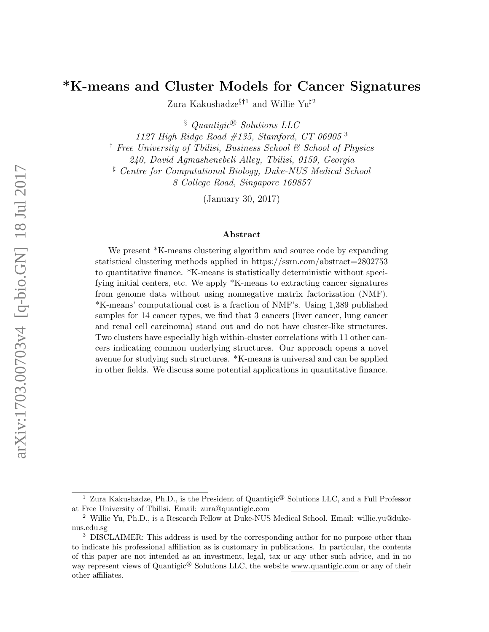# \*K-means and Cluster Models for Cancer Signatures

Zura Kakushadze $^{\S \dagger 1}$  and Willie Yu $^{\sharp 2}$ 

 $§$  Quantigic<sup>®</sup> Solutions LLC

1127 High Ridge Road  $\#135$ , Stamford, CT 06905<sup>3</sup>

† Free University of Tbilisi, Business School & School of Physics

240, David Agmashenebeli Alley, Tbilisi, 0159, Georgia

] Centre for Computational Biology, Duke-NUS Medical School

8 College Road, Singapore 169857

(January 30, 2017)

#### Abstract

We present  $*K$ -means clustering algorithm and source code by expanding statistical clustering methods applied in https://ssrn.com/abstract=2802753 to quantitative finance. \*K-means is statistically deterministic without specifying initial centers, etc. We apply \*K-means to extracting cancer signatures from genome data without using nonnegative matrix factorization (NMF). \*K-means' computational cost is a fraction of NMF's. Using 1,389 published samples for 14 cancer types, we find that 3 cancers (liver cancer, lung cancer and renal cell carcinoma) stand out and do not have cluster-like structures. Two clusters have especially high within-cluster correlations with 11 other cancers indicating common underlying structures. Our approach opens a novel avenue for studying such structures. \*K-means is universal and can be applied in other fields. We discuss some potential applications in quantitative finance.

<sup>&</sup>lt;sup>1</sup> Zura Kakushadze, Ph.D., is the President of Quantigic<sup>®</sup> Solutions LLC, and a Full Professor at Free University of Tbilisi. Email: zura@quantigic.com

<sup>2</sup> Willie Yu, Ph.D., is a Research Fellow at Duke-NUS Medical School. Email: willie.yu@dukenus.edu.sg

<sup>&</sup>lt;sup>3</sup> DISCLAIMER: This address is used by the corresponding author for no purpose other than to indicate his professional affiliation as is customary in publications. In particular, the contents of this paper are not intended as an investment, legal, tax or any other such advice, and in no way represent views of Quantigic $\mathcal{F}$  Solutions LLC, the website www.quantigic.com or any of their other affiliates.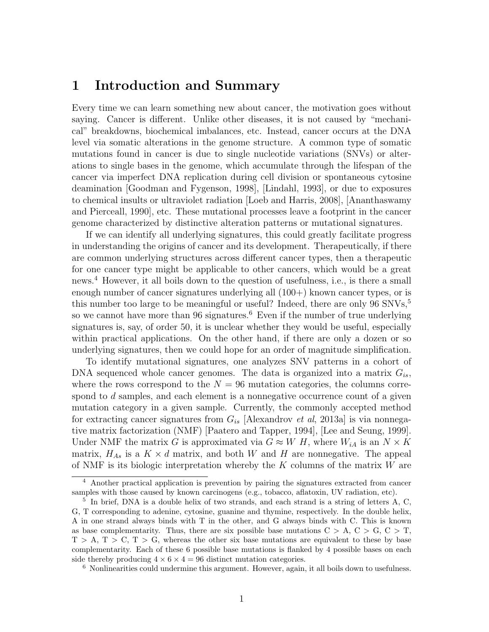## 1 Introduction and Summary

Every time we can learn something new about cancer, the motivation goes without saying. Cancer is different. Unlike other diseases, it is not caused by "mechanical" breakdowns, biochemical imbalances, etc. Instead, cancer occurs at the DNA level via somatic alterations in the genome structure. A common type of somatic mutations found in cancer is due to single nucleotide variations (SNVs) or alterations to single bases in the genome, which accumulate through the lifespan of the cancer via imperfect DNA replication during cell division or spontaneous cytosine deamination [Goodman and Fygenson, 1998], [Lindahl, 1993], or due to exposures to chemical insults or ultraviolet radiation [Loeb and Harris, 2008], [Ananthaswamy and Pierceall, 1990], etc. These mutational processes leave a footprint in the cancer genome characterized by distinctive alteration patterns or mutational signatures.

If we can identify all underlying signatures, this could greatly facilitate progress in understanding the origins of cancer and its development. Therapeutically, if there are common underlying structures across different cancer types, then a therapeutic for one cancer type might be applicable to other cancers, which would be a great news.<sup>4</sup> However, it all boils down to the question of usefulness, i.e., is there a small enough number of cancer signatures underlying all (100+) known cancer types, or is this number too large to be meaningful or useful? Indeed, there are only  $96 \text{ SNVs},^5$ so we cannot have more than  $96$  signatures.<sup>6</sup> Even if the number of true underlying signatures is, say, of order 50, it is unclear whether they would be useful, especially within practical applications. On the other hand, if there are only a dozen or so underlying signatures, then we could hope for an order of magnitude simplification.

To identify mutational signatures, one analyzes SNV patterns in a cohort of DNA sequenced whole cancer genomes. The data is organized into a matrix  $G_{is}$ , where the rows correspond to the  $N = 96$  mutation categories, the columns correspond to d samples, and each element is a nonnegative occurrence count of a given mutation category in a given sample. Currently, the commonly accepted method for extracting cancer signatures from  $G_{is}$  [Alexandrov *et al*, 2013a] is via nonnegative matrix factorization (NMF) [Paatero and Tapper, 1994], [Lee and Seung, 1999]. Under NMF the matrix G is approximated via  $G \approx W H$ , where  $W_{iA}$  is an  $N \times K$ matrix,  $H_{As}$  is a  $K \times d$  matrix, and both W and H are nonnegative. The appeal of NMF is its biologic interpretation whereby the  $K$  columns of the matrix  $W$  are

<sup>&</sup>lt;sup>4</sup> Another practical application is prevention by pairing the signatures extracted from cancer samples with those caused by known carcinogens (e.g., tobacco, aflatoxin, UV radiation, etc).

<sup>&</sup>lt;sup>5</sup> In brief, DNA is a double helix of two strands, and each strand is a string of letters A, C, G, T corresponding to adenine, cytosine, guanine and thymine, respectively. In the double helix, A in one strand always binds with T in the other, and G always binds with C. This is known as base complementarity. Thus, there are six possible base mutations  $C > A$ ,  $C > G$ ,  $C > T$ ,  $T > A$ ,  $T > C$ ,  $T > G$ , whereas the other six base mutations are equivalent to these by base complementarity. Each of these 6 possible base mutations is flanked by 4 possible bases on each side thereby producing  $4 \times 6 \times 4 = 96$  distinct mutation categories.

<sup>6</sup> Nonlinearities could undermine this argument. However, again, it all boils down to usefulness.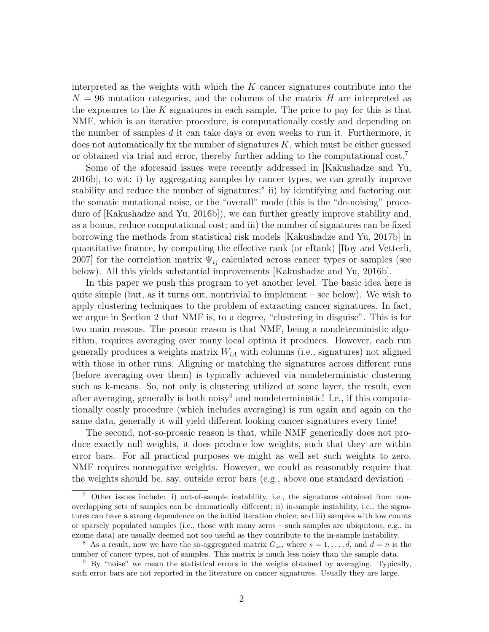interpreted as the weights with which the  $K$  cancer signatures contribute into the  $N = 96$  mutation categories, and the columns of the matrix H are interpreted as the exposures to the  $K$  signatures in each sample. The price to pay for this is that NMF, which is an iterative procedure, is computationally costly and depending on the number of samples  $d$  it can take days or even weeks to run it. Furthermore, it does not automatically fix the number of signatures  $K$ , which must be either guessed or obtained via trial and error, thereby further adding to the computational cost.<sup>7</sup>

Some of the aforesaid issues were recently addressed in [Kakushadze and Yu, 2016b], to wit: i) by aggregating samples by cancer types, we can greatly improve stability and reduce the number of signatures;<sup>8</sup> ii) by identifying and factoring out the somatic mutational noise, or the "overall" mode (this is the "de-noising" procedure of [Kakushadze and Yu, 2016b]), we can further greatly improve stability and, as a bonus, reduce computational cost; and iii) the number of signatures can be fixed borrowing the methods from statistical risk models [Kakushadze and Yu, 2017b] in quantitative finance, by computing the effective rank (or eRank) [Roy and Vetterli, 2007] for the correlation matrix  $\Psi_{ij}$  calculated across cancer types or samples (see below). All this yields substantial improvements [Kakushadze and Yu, 2016b].

In this paper we push this program to yet another level. The basic idea here is quite simple (but, as it turns out, nontrivial to implement – see below). We wish to apply clustering techniques to the problem of extracting cancer signatures. In fact, we argue in Section 2 that NMF is, to a degree, "clustering in disguise". This is for two main reasons. The prosaic reason is that NMF, being a nondeterministic algorithm, requires averaging over many local optima it produces. However, each run generally produces a weights matrix  $W_{iA}$  with columns (i.e., signatures) not aligned with those in other runs. Aligning or matching the signatures across different runs (before averaging over them) is typically achieved via nondeterministic clustering such as k-means. So, not only is clustering utilized at some layer, the result, even after averaging, generally is both noisy<sup>9</sup> and nondeterministic! I.e., if this computationally costly procedure (which includes averaging) is run again and again on the same data, generally it will yield different looking cancer signatures every time!

The second, not-so-prosaic reason is that, while NMF generically does not produce exactly null weights, it does produce low weights, such that they are within error bars. For all practical purposes we might as well set such weights to zero. NMF requires nonnegative weights. However, we could as reasonably require that the weights should be, say, outside error bars (e.g., above one standard deviation –

<sup>7</sup> Other issues include: i) out-of-sample instability, i.e., the signatures obtained from nonoverlapping sets of samples can be dramatically different; ii) in-sample instability, i.e., the signatures can have a strong dependence on the initial iteration choice; and iii) samples with low counts or sparsely populated samples (i.e., those with many zeros – such samples are ubiquitous, e.g., in exome data) are usually deemed not too useful as they contribute to the in-sample instability.

<sup>&</sup>lt;sup>8</sup> As a result, now we have the so-aggregated matrix  $G_{is}$ , where  $s = 1, \ldots, d$ , and  $d = n$  is the number of cancer types, not of samples. This matrix is much less noisy than the sample data.

<sup>&</sup>lt;sup>9</sup> By "noise" we mean the statistical errors in the weighs obtained by averaging. Typically, such error bars are not reported in the literature on cancer signatures. Usually they are large.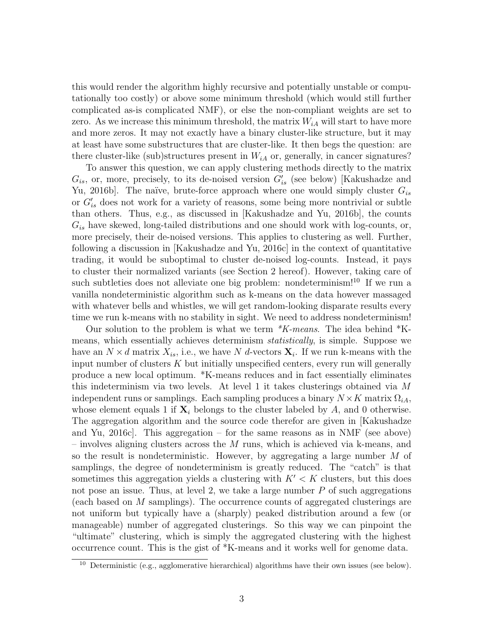this would render the algorithm highly recursive and potentially unstable or computationally too costly) or above some minimum threshold (which would still further complicated as-is complicated NMF), or else the non-compliant weights are set to zero. As we increase this minimum threshold, the matrix  $W_{iA}$  will start to have more and more zeros. It may not exactly have a binary cluster-like structure, but it may at least have some substructures that are cluster-like. It then begs the question: are there cluster-like (sub)structures present in  $W_{iA}$  or, generally, in cancer signatures?

To answer this question, we can apply clustering methods directly to the matrix  $G_{is}$ , or, more, precisely, to its de-noised version  $G'_{is}$  (see below) [Kakushadze and Yu, 2016b]. The naïve, brute-force approach where one would simply cluster  $G_{is}$ or  $G'_{is}$  does not work for a variety of reasons, some being more nontrivial or subtle than others. Thus, e.g., as discussed in [Kakushadze and Yu, 2016b], the counts  $G_{is}$  have skewed, long-tailed distributions and one should work with log-counts, or, more precisely, their de-noised versions. This applies to clustering as well. Further, following a discussion in [Kakushadze and Yu, 2016c] in the context of quantitative trading, it would be suboptimal to cluster de-noised log-counts. Instead, it pays to cluster their normalized variants (see Section 2 hereof). However, taking care of such subtleties does not alleviate one big problem: nondeterminism!<sup>10</sup> If we run a vanilla nondeterministic algorithm such as k-means on the data however massaged with whatever bells and whistles, we will get random-looking disparate results every time we run k-means with no stability in sight. We need to address nondeterminism!

Our solution to the problem is what we term  $*K$ -means. The idea behind  $*K$ means, which essentially achieves determinism *statistically*, is simple. Suppose we have an  $N \times d$  matrix  $X_{is}$ , i.e., we have N d-vectors  $\mathbf{X}_i$ . If we run k-means with the input number of clusters  $K$  but initially unspecified centers, every run will generally produce a new local optimum. \*K-means reduces and in fact essentially eliminates this indeterminism via two levels. At level 1 it takes clusterings obtained via M independent runs or samplings. Each sampling produces a binary  $N \times K$  matrix  $\Omega_{iA}$ , whose element equals 1 if  $\mathbf{X}_i$  belongs to the cluster labeled by A, and 0 otherwise. The aggregation algorithm and the source code therefor are given in [Kakushadze and Yu, 2016c. This aggregation – for the same reasons as in NMF (see above) – involves aligning clusters across the M runs, which is achieved via k-means, and so the result is nondeterministic. However, by aggregating a large number M of samplings, the degree of nondeterminism is greatly reduced. The "catch" is that sometimes this aggregation yields a clustering with  $K' < K$  clusters, but this does not pose an issue. Thus, at level 2, we take a large number  $P$  of such aggregations (each based on M samplings). The occurrence counts of aggregated clusterings are not uniform but typically have a (sharply) peaked distribution around a few (or manageable) number of aggregated clusterings. So this way we can pinpoint the "ultimate" clustering, which is simply the aggregated clustering with the highest occurrence count. This is the gist of \*K-means and it works well for genome data.

<sup>10</sup> Deterministic (e.g., agglomerative hierarchical) algorithms have their own issues (see below).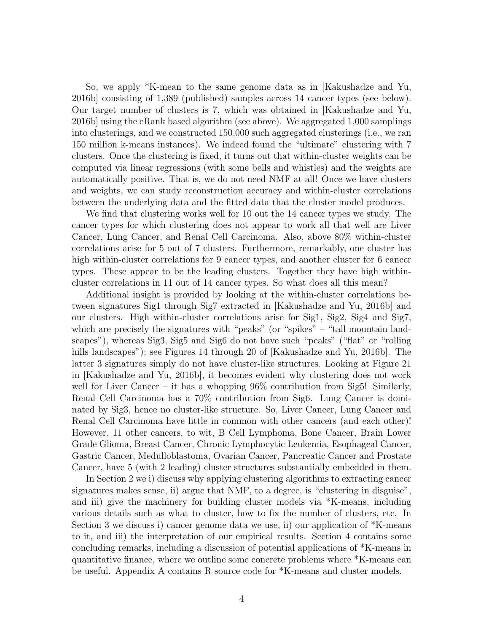So, we apply \*K-mean to the same genome data as in [Kakushadze and Yu, 2016b] consisting of 1,389 (published) samples across 14 cancer types (see below). Our target number of clusters is 7, which was obtained in [Kakushadze and Yu, 2016b] using the eRank based algorithm (see above). We aggregated 1,000 samplings into clusterings, and we constructed 150,000 such aggregated clusterings (i.e., we ran 150 million k-means instances). We indeed found the "ultimate" clustering with 7 clusters. Once the clustering is fixed, it turns out that within-cluster weights can be computed via linear regressions (with some bells and whistles) and the weights are automatically positive. That is, we do not need NMF at all! Once we have clusters and weights, we can study reconstruction accuracy and within-cluster correlations between the underlying data and the fitted data that the cluster model produces.

We find that clustering works well for 10 out the 14 cancer types we study. The cancer types for which clustering does not appear to work all that well are Liver Cancer, Lung Cancer, and Renal Cell Carcinoma. Also, above 80% within-cluster correlations arise for 5 out of 7 clusters. Furthermore, remarkably, one cluster has high within-cluster correlations for 9 cancer types, and another cluster for 6 cancer types. These appear to be the leading clusters. Together they have high withincluster correlations in 11 out of 14 cancer types. So what does all this mean?

Additional insight is provided by looking at the within-cluster correlations between signatures Sig1 through Sig7 extracted in [Kakushadze and Yu, 2016b] and our clusters. High within-cluster correlations arise for Sig1, Sig2, Sig4 and Sig7, which are precisely the signatures with "peaks" (or "spikes" – "tall mountain landscapes"), whereas Sig3, Sig5 and Sig6 do not have such "peaks" ("flat" or "rolling hills landscapes"); see Figures 14 through 20 of [Kakushadze and Yu, 2016b]. The latter 3 signatures simply do not have cluster-like structures. Looking at Figure 21 in [Kakushadze and Yu, 2016b], it becomes evident why clustering does not work well for Liver Cancer – it has a whopping  $96\%$  contribution from Sig5! Similarly, Renal Cell Carcinoma has a 70% contribution from Sig6. Lung Cancer is dominated by Sig3, hence no cluster-like structure. So, Liver Cancer, Lung Cancer and Renal Cell Carcinoma have little in common with other cancers (and each other)! However, 11 other cancers, to wit, B Cell Lymphoma, Bone Cancer, Brain Lower Grade Glioma, Breast Cancer, Chronic Lymphocytic Leukemia, Esophageal Cancer, Gastric Cancer, Medulloblastoma, Ovarian Cancer, Pancreatic Cancer and Prostate Cancer, have 5 (with 2 leading) cluster structures substantially embedded in them.

In Section 2 we i) discuss why applying clustering algorithms to extracting cancer signatures makes sense, ii) argue that NMF, to a degree, is "clustering in disguise", and iii) give the machinery for building cluster models via \*K-means, including various details such as what to cluster, how to fix the number of clusters, etc. In Section 3 we discuss i) cancer genome data we use, ii) our application of \*K-means to it, and iii) the interpretation of our empirical results. Section 4 contains some concluding remarks, including a discussion of potential applications of \*K-means in quantitative finance, where we outline some concrete problems where \*K-means can be useful. Appendix A contains R source code for \*K-means and cluster models.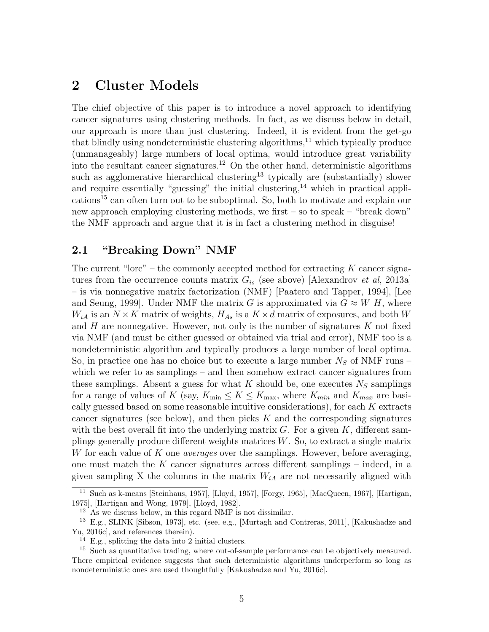# 2 Cluster Models

The chief objective of this paper is to introduce a novel approach to identifying cancer signatures using clustering methods. In fact, as we discuss below in detail, our approach is more than just clustering. Indeed, it is evident from the get-go that blindly using nondeterministic clustering algorithms, $^{11}$  which typically produce (unmanageably) large numbers of local optima, would introduce great variability into the resultant cancer signatures.<sup>12</sup> On the other hand, deterministic algorithms such as agglomerative hierarchical clustering<sup>13</sup> typically are (substantially) slower and require essentially "guessing" the initial clustering,<sup>14</sup> which in practical applications<sup>15</sup> can often turn out to be suboptimal. So, both to motivate and explain our new approach employing clustering methods, we first – so to speak – "break down" the NMF approach and argue that it is in fact a clustering method in disguise!

## 2.1 "Breaking Down" NMF

The current "lore" – the commonly accepted method for extracting  $K$  cancer signatures from the occurrence counts matrix  $G_{is}$  (see above) [Alexandrov *et al*, 2013a] – is via nonnegative matrix factorization (NMF) [Paatero and Tapper, 1994], [Lee and Seung, 1999]. Under NMF the matrix G is approximated via  $G \approx W H$ , where  $W_{iA}$  is an  $N \times K$  matrix of weights,  $H_{As}$  is a  $K \times d$  matrix of exposures, and both W and  $H$  are nonnegative. However, not only is the number of signatures  $K$  not fixed via NMF (and must be either guessed or obtained via trial and error), NMF too is a nondeterministic algorithm and typically produces a large number of local optima. So, in practice one has no choice but to execute a large number  $N<sub>S</sub>$  of NMF runs – which we refer to as samplings – and then somehow extract cancer signatures from these samplings. Absent a guess for what  $K$  should be, one executes  $N_S$  samplings for a range of values of K (say,  $K_{\min} \leq K \leq K_{\max}$ , where  $K_{\min}$  and  $K_{\max}$  are basically guessed based on some reasonable intuitive considerations), for each  $K$  extracts cancer signatures (see below), and then picks  $K$  and the corresponding signatures with the best overall fit into the underlying matrix  $G$ . For a given  $K$ , different samplings generally produce different weights matrices  $W$ . So, to extract a single matrix W for each value of K one *averages* over the samplings. However, before averaging, one must match the  $K$  cancer signatures across different samplings – indeed, in a given sampling X the columns in the matrix  $W_{iA}$  are not necessarily aligned with

<sup>11</sup> Such as k-means [Steinhaus, 1957], [Lloyd, 1957], [Forgy, 1965], [MacQueen, 1967], [Hartigan, 1975], [Hartigan and Wong, 1979], [Lloyd, 1982].

<sup>12</sup> As we discuss below, in this regard NMF is not dissimilar.

<sup>13</sup> E.g., SLINK [Sibson, 1973], etc. (see, e.g., [Murtagh and Contreras, 2011], [Kakushadze and Yu, 2016c], and references therein).

 $^{14}$  E.g., splitting the data into 2 initial clusters.

<sup>&</sup>lt;sup>15</sup> Such as quantitative trading, where out-of-sample performance can be objectively measured. There empirical evidence suggests that such deterministic algorithms underperform so long as nondeterministic ones are used thoughtfully [Kakushadze and Yu, 2016c].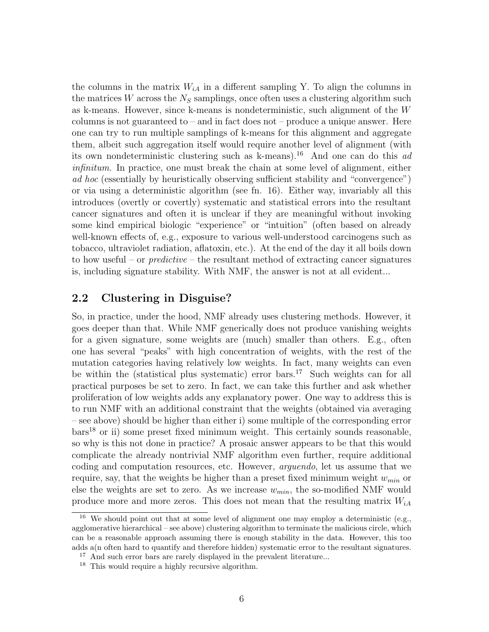the columns in the matrix  $W_{iA}$  in a different sampling Y. To align the columns in the matrices W across the  $N<sub>S</sub>$  samplings, once often uses a clustering algorithm such as k-means. However, since k-means is nondeterministic, such alignment of the W columns is not guaranteed to – and in fact does not – produce a unique answer. Here one can try to run multiple samplings of k-means for this alignment and aggregate them, albeit such aggregation itself would require another level of alignment (with its own nondeterministic clustering such as  $k$ -means).<sup>16</sup> And one can do this ad infinitum. In practice, one must break the chain at some level of alignment, either ad hoc (essentially by heuristically observing sufficient stability and "convergence") or via using a deterministic algorithm (see fn. 16). Either way, invariably all this introduces (overtly or covertly) systematic and statistical errors into the resultant cancer signatures and often it is unclear if they are meaningful without invoking some kind empirical biologic "experience" or "intuition" (often based on already well-known effects of, e.g., exposure to various well-understood carcinogens such as tobacco, ultraviolet radiation, aflatoxin, etc.). At the end of the day it all boils down to how useful – or *predictive* – the resultant method of extracting cancer signatures is, including signature stability. With NMF, the answer is not at all evident...

### 2.2 Clustering in Disguise?

So, in practice, under the hood, NMF already uses clustering methods. However, it goes deeper than that. While NMF generically does not produce vanishing weights for a given signature, some weights are (much) smaller than others. E.g., often one has several "peaks" with high concentration of weights, with the rest of the mutation categories having relatively low weights. In fact, many weights can even be within the (statistical plus systematic) error bars.<sup>17</sup> Such weights can for all practical purposes be set to zero. In fact, we can take this further and ask whether proliferation of low weights adds any explanatory power. One way to address this is to run NMF with an additional constraint that the weights (obtained via averaging – see above) should be higher than either i) some multiple of the corresponding error  $bar s^{18}$  or ii) some preset fixed minimum weight. This certainly sounds reasonable, so why is this not done in practice? A prosaic answer appears to be that this would complicate the already nontrivial NMF algorithm even further, require additional coding and computation resources, etc. However, arguendo, let us assume that we require, say, that the weights be higher than a preset fixed minimum weight  $w_{min}$  or else the weights are set to zero. As we increase  $w_{min}$ , the so-modified NMF would produce more and more zeros. This does not mean that the resulting matrix  $W_{iA}$ 

 $\frac{16}{16}$  We should point out that at some level of alignment one may employ a deterministic (e.g., agglomerative hierarchical – see above) clustering algorithm to terminate the malicious circle, which can be a reasonable approach assuming there is enough stability in the data. However, this too adds a(n often hard to quantify and therefore hidden) systematic error to the resultant signatures.

<sup>&</sup>lt;sup>17</sup> And such error bars are rarely displayed in the prevalent literature...

<sup>18</sup> This would require a highly recursive algorithm.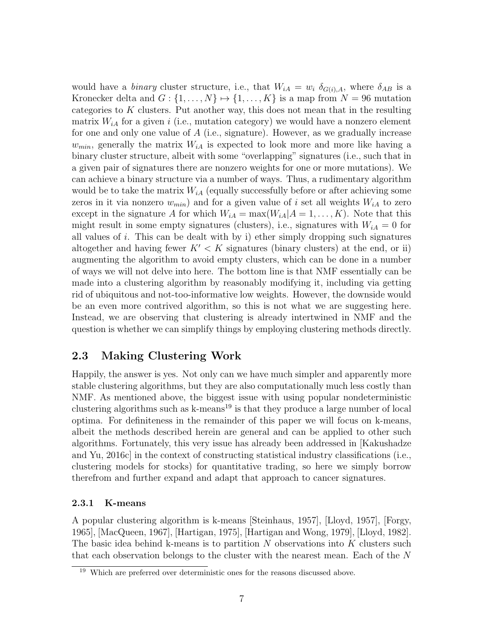would have a binary cluster structure, i.e., that  $W_{iA} = w_i \delta_{G(i),A}$ , where  $\delta_{AB}$  is a Kronecker delta and  $G: \{1, \ldots, N\} \mapsto \{1, \ldots, K\}$  is a map from  $N = 96$  mutation categories to  $K$  clusters. Put another way, this does not mean that in the resulting matrix  $W_{iA}$  for a given i (i.e., mutation category) we would have a nonzero element for one and only one value of A (i.e., signature). However, as we gradually increase  $w_{min}$ , generally the matrix  $W_{iA}$  is expected to look more and more like having a binary cluster structure, albeit with some "overlapping" signatures (i.e., such that in a given pair of signatures there are nonzero weights for one or more mutations). We can achieve a binary structure via a number of ways. Thus, a rudimentary algorithm would be to take the matrix  $W_{iA}$  (equally successfully before or after achieving some zeros in it via nonzero  $w_{min}$ ) and for a given value of i set all weights  $W_{iA}$  to zero except in the signature A for which  $W_{iA} = \max(W_{iA} | A = 1, \ldots, K)$ . Note that this might result in some empty signatures (clusters), i.e., signatures with  $W_{iA} = 0$  for all values of  $i$ . This can be dealt with by i) ether simply dropping such signatures altogether and having fewer  $K' < K$  signatures (binary clusters) at the end, or ii) augmenting the algorithm to avoid empty clusters, which can be done in a number of ways we will not delve into here. The bottom line is that NMF essentially can be made into a clustering algorithm by reasonably modifying it, including via getting rid of ubiquitous and not-too-informative low weights. However, the downside would be an even more contrived algorithm, so this is not what we are suggesting here. Instead, we are observing that clustering is already intertwined in NMF and the question is whether we can simplify things by employing clustering methods directly.

## 2.3 Making Clustering Work

Happily, the answer is yes. Not only can we have much simpler and apparently more stable clustering algorithms, but they are also computationally much less costly than NMF. As mentioned above, the biggest issue with using popular nondeterministic clustering algorithms such as  $k$ -means<sup>19</sup> is that they produce a large number of local optima. For definiteness in the remainder of this paper we will focus on k-means, albeit the methods described herein are general and can be applied to other such algorithms. Fortunately, this very issue has already been addressed in [Kakushadze and Yu, 2016c] in the context of constructing statistical industry classifications (i.e., clustering models for stocks) for quantitative trading, so here we simply borrow therefrom and further expand and adapt that approach to cancer signatures.

#### 2.3.1 K-means

A popular clustering algorithm is k-means [Steinhaus, 1957], [Lloyd, 1957], [Forgy, 1965], [MacQueen, 1967], [Hartigan, 1975], [Hartigan and Wong, 1979], [Lloyd, 1982]. The basic idea behind k-means is to partition N observations into K clusters such that each observation belongs to the cluster with the nearest mean. Each of the N

<sup>19</sup> Which are preferred over deterministic ones for the reasons discussed above.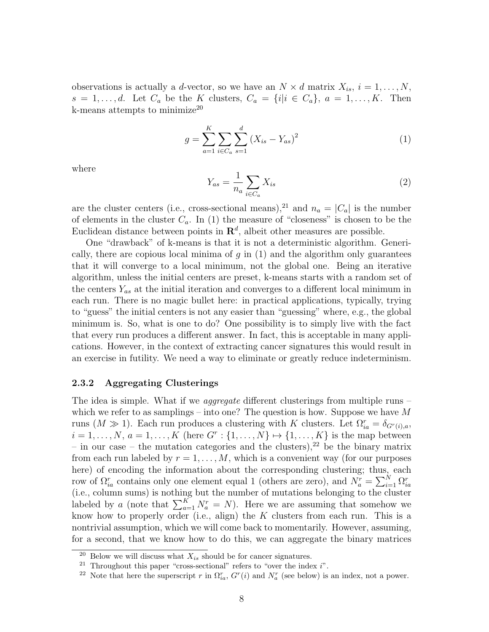observations is actually a d-vector, so we have an  $N \times d$  matrix  $X_{is}$ ,  $i = 1, \ldots, N$ ,  $s = 1, \ldots, d$ . Let  $C_a$  be the K clusters,  $C_a = \{i | i \in C_a\}$ ,  $a = 1, \ldots, K$ . Then k-means attempts to minimize<sup>20</sup>

$$
g = \sum_{a=1}^{K} \sum_{i \in C_a} \sum_{s=1}^{d} (X_{is} - Y_{as})^2
$$
 (1)

where

$$
Y_{as} = \frac{1}{n_a} \sum_{i \in C_a} X_{is} \tag{2}
$$

are the cluster centers (i.e., cross-sectional means),<sup>21</sup> and  $n_a = |C_a|$  is the number of elements in the cluster  $C_a$ . In (1) the measure of "closeness" is chosen to be the Euclidean distance between points in  $\mathbb{R}^d$ , albeit other measures are possible.

One "drawback" of k-means is that it is not a deterministic algorithm. Generically, there are copious local minima of  $q$  in (1) and the algorithm only guarantees that it will converge to a local minimum, not the global one. Being an iterative algorithm, unless the initial centers are preset, k-means starts with a random set of the centers  $Y_{as}$  at the initial iteration and converges to a different local minimum in each run. There is no magic bullet here: in practical applications, typically, trying to "guess" the initial centers is not any easier than "guessing" where, e.g., the global minimum is. So, what is one to do? One possibility is to simply live with the fact that every run produces a different answer. In fact, this is acceptable in many applications. However, in the context of extracting cancer signatures this would result in an exercise in futility. We need a way to eliminate or greatly reduce indeterminism.

#### 2.3.2 Aggregating Clusterings

The idea is simple. What if we *aggregate* different clusterings from multiple runs – which we refer to as samplings – into one? The question is how. Suppose we have  $M$ runs  $(M \gg 1)$ . Each run produces a clustering with K clusters. Let  $\Omega_{ia}^r = \delta_{G^r(i),a}$ ,  $i = 1, ..., N, a = 1, ..., K$  (here  $G^r : \{1, ..., N\} \mapsto \{1, ..., K\}$  is the map between – in our case – the mutation categories and the clusters),<sup>22</sup> be the binary matrix from each run labeled by  $r = 1, \ldots, M$ , which is a convenient way (for our purposes here) of encoding the information about the corresponding clustering; thus, each row of  $\Omega_{ia}^r$  contains only one element equal 1 (others are zero), and  $N_a^r = \sum_{i=1}^N \Omega_{ia}^r$ (i.e., column sums) is nothing but the number of mutations belonging to the cluster labeled by a (note that  $\sum_{a=1}^{K} N_a^r = N$ ). Here we are assuming that somehow we know how to properly order (i.e., align) the  $K$  clusters from each run. This is a nontrivial assumption, which we will come back to momentarily. However, assuming, for a second, that we know how to do this, we can aggregate the binary matrices

<sup>&</sup>lt;sup>20</sup> Below we will discuss what  $X_{is}$  should be for cancer signatures.

<sup>&</sup>lt;sup>21</sup> Throughout this paper "cross-sectional" refers to "over the index  $i$ ".

<sup>&</sup>lt;sup>22</sup> Note that here the superscript r in  $\Omega_{ia}^r$ ,  $G^r(i)$  and  $N_a^r$  (see below) is an index, not a power.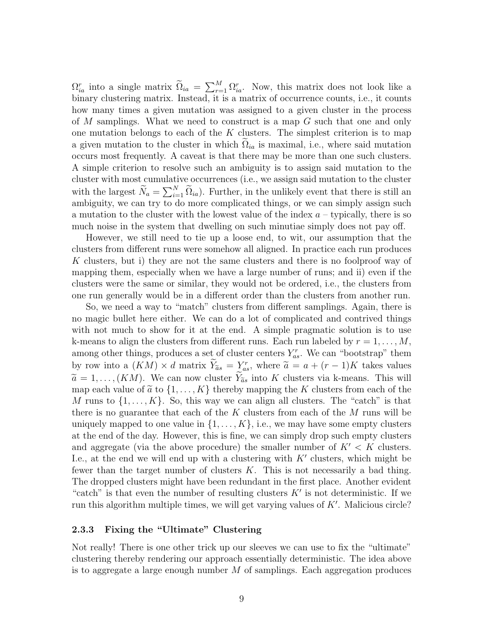$\Omega_{ia}^r$  into a single matrix  $\widetilde{\Omega}_{ia} = \sum_{r=1}^M \Omega_{ia}^r$ . Now, this matrix does not look like a binary clustering matrix. Instead, it is a matrix of occurrence counts, i.e., it counts how many times a given mutation was assigned to a given cluster in the process of M samplings. What we need to construct is a map  $G$  such that one and only one mutation belongs to each of the  $K$  clusters. The simplest criterion is to map a given mutation to the cluster in which  $\Omega_{ia}$  is maximal, i.e., where said mutation occurs most frequently. A caveat is that there may be more than one such clusters. A simple criterion to resolve such an ambiguity is to assign said mutation to the cluster with most cumulative occurrences (i.e., we assign said mutation to the cluster with the largest  $\widetilde{N}_a = \sum_{i=1}^N \widetilde{\Omega}_{ia}$ . Further, in the unlikely event that there is still an ambiguity, we can try to do more complicated things, or we can simply assign such a mutation to the cluster with the lowest value of the index  $a$  – typically, there is so much noise in the system that dwelling on such minutiae simply does not pay off.

However, we still need to tie up a loose end, to wit, our assumption that the clusters from different runs were somehow all aligned. In practice each run produces K clusters, but i) they are not the same clusters and there is no foolproof way of mapping them, especially when we have a large number of runs; and ii) even if the clusters were the same or similar, they would not be ordered, i.e., the clusters from one run generally would be in a different order than the clusters from another run.

So, we need a way to "match" clusters from different samplings. Again, there is no magic bullet here either. We can do a lot of complicated and contrived things with not much to show for it at the end. A simple pragmatic solution is to use k-means to align the clusters from different runs. Each run labeled by  $r = 1, \ldots, M$ , among other things, produces a set of cluster centers  $Y_{as}^r$ . We can "bootstrap" them by row into a  $(KM) \times d$  matrix  $\widetilde{Y}_{\widetilde{a}s} = Y_{as}^r$ , where  $\widetilde{a} = a + (r-1)K$  takes values  $\widetilde{a} = 1, \ldots, (KM)$ . We can now cluster  $\widetilde{Y}_{\widetilde{a}s}$  into K clusters via k-means. This will map each value of  $\tilde{a}$  to  $\{1, \ldots, K\}$  thereby mapping the K clusters from each of the M runs to  $\{1,\ldots,K\}$ . So, this way we can align all clusters. The "catch" is that there is no guarantee that each of the  $K$  clusters from each of the  $M$  runs will be uniquely mapped to one value in  $\{1,\ldots,K\}$ , i.e., we may have some empty clusters at the end of the day. However, this is fine, we can simply drop such empty clusters and aggregate (via the above procedure) the smaller number of  $K' < K$  clusters. I.e., at the end we will end up with a clustering with  $K'$  clusters, which might be fewer than the target number of clusters  $K$ . This is not necessarily a bad thing. The dropped clusters might have been redundant in the first place. Another evident "catch" is that even the number of resulting clusters  $K'$  is not deterministic. If we run this algorithm multiple times, we will get varying values of  $K'$ . Malicious circle?

#### 2.3.3 Fixing the "Ultimate" Clustering

Not really! There is one other trick up our sleeves we can use to fix the "ultimate" clustering thereby rendering our approach essentially deterministic. The idea above is to aggregate a large enough number  $M$  of samplings. Each aggregation produces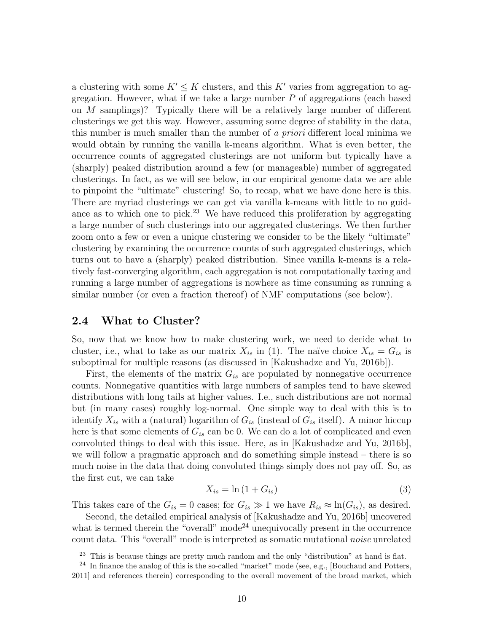a clustering with some  $K' \leq K$  clusters, and this K' varies from aggregation to aggregation. However, what if we take a large number  $P$  of aggregations (each based on M samplings)? Typically there will be a relatively large number of different clusterings we get this way. However, assuming some degree of stability in the data, this number is much smaller than the number of a priori different local minima we would obtain by running the vanilla k-means algorithm. What is even better, the occurrence counts of aggregated clusterings are not uniform but typically have a (sharply) peaked distribution around a few (or manageable) number of aggregated clusterings. In fact, as we will see below, in our empirical genome data we are able to pinpoint the "ultimate" clustering! So, to recap, what we have done here is this. There are myriad clusterings we can get via vanilla k-means with little to no guidance as to which one to pick.<sup>23</sup> We have reduced this proliferation by aggregating a large number of such clusterings into our aggregated clusterings. We then further zoom onto a few or even a unique clustering we consider to be the likely "ultimate" clustering by examining the occurrence counts of such aggregated clusterings, which turns out to have a (sharply) peaked distribution. Since vanilla k-means is a relatively fast-converging algorithm, each aggregation is not computationally taxing and running a large number of aggregations is nowhere as time consuming as running a similar number (or even a fraction thereof) of NMF computations (see below).

### 2.4 What to Cluster?

So, now that we know how to make clustering work, we need to decide what to cluster, i.e., what to take as our matrix  $X_{is}$  in (1). The naïve choice  $X_{is} = G_{is}$  is suboptimal for multiple reasons (as discussed in [Kakushadze and Yu, 2016b]).

First, the elements of the matrix  $G_{is}$  are populated by nonnegative occurrence counts. Nonnegative quantities with large numbers of samples tend to have skewed distributions with long tails at higher values. I.e., such distributions are not normal but (in many cases) roughly log-normal. One simple way to deal with this is to identify  $X_{is}$  with a (natural) logarithm of  $G_{is}$  (instead of  $G_{is}$  itself). A minor hiccup here is that some elements of  $G_{is}$  can be 0. We can do a lot of complicated and even convoluted things to deal with this issue. Here, as in [Kakushadze and Yu, 2016b], we will follow a pragmatic approach and do something simple instead – there is so much noise in the data that doing convoluted things simply does not pay off. So, as the first cut, we can take

$$
X_{is} = \ln\left(1 + G_{is}\right) \tag{3}
$$

This takes care of the  $G_{is} = 0$  cases; for  $G_{is} \gg 1$  we have  $R_{is} \approx \ln(G_{is})$ , as desired.

Second, the detailed empirical analysis of [Kakushadze and Yu, 2016b] uncovered what is termed therein the "overall" mode<sup>24</sup> unequivocally present in the occurrence count data. This "overall" mode is interpreted as somatic mutational noise unrelated

<sup>&</sup>lt;sup>23</sup> This is because things are pretty much random and the only "distribution" at hand is flat.

 $24$  In finance the analog of this is the so-called "market" mode (see, e.g., [Bouchaud and Potters, 2011] and references therein) corresponding to the overall movement of the broad market, which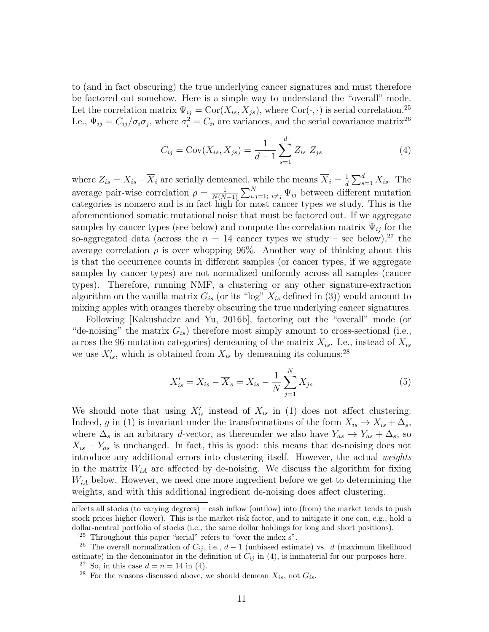to (and in fact obscuring) the true underlying cancer signatures and must therefore be factored out somehow. Here is a simple way to understand the "overall" mode. Let the correlation matrix  $\Psi_{ij} = \text{Cor}(X_{is}, X_{js})$ , where  $\text{Cor}(\cdot, \cdot)$  is serial correlation.<sup>25</sup> I.e.,  $\Psi_{ij} = C_{ij}/\sigma_i \sigma_j$ , where  $\sigma_i^2 = C_{ii}$  are variances, and the serial covariance matrix<sup>26</sup>

$$
C_{ij} = \text{Cov}(X_{is}, X_{js}) = \frac{1}{d-1} \sum_{s=1}^{d} Z_{is} Z_{js}
$$
 (4)

where  $Z_{is} = X_{is} - \overline{X}_i$  are serially demeaned, while the means  $\overline{X}_i = \frac{1}{d}$  $\frac{1}{d} \sum_{s=1}^{d} X_{is}$ . The average pair-wise correlation  $\rho = \frac{1}{N(N)}$  $\frac{1}{N(N-1)} \sum_{i,j=1; i \neq j}^{N} \Psi_{ij}$  between different mutation categories is nonzero and is in fact high for most cancer types we study. This is the aforementioned somatic mutational noise that must be factored out. If we aggregate samples by cancer types (see below) and compute the correlation matrix  $\Psi_{ij}$  for the so-aggregated data (across the  $n = 14$  cancer types we study – see below),<sup>27</sup> the average correlation  $\rho$  is over whopping 96%. Another way of thinking about this is that the occurrence counts in different samples (or cancer types, if we aggregate samples by cancer types) are not normalized uniformly across all samples (cancer types). Therefore, running NMF, a clustering or any other signature-extraction algorithm on the vanilla matrix  $G_{is}$  (or its "log"  $X_{is}$  defined in (3)) would amount to mixing apples with oranges thereby obscuring the true underlying cancer signatures.

Following [Kakushadze and Yu, 2016b], factoring out the "overall" mode (or "de-noising" the matrix  $G_{is}$ ) therefore most simply amount to cross-sectional (i.e., across the 96 mutation categories) demeaning of the matrix  $X_{is}$ . I.e., instead of  $X_{is}$ we use  $X'_{is}$ , which is obtained from  $X_{is}$  by demeaning its columns:<sup>28</sup>

$$
X'_{is} = X_{is} - \overline{X}_s = X_{is} - \frac{1}{N} \sum_{j=1}^{N} X_{js}
$$
 (5)

We should note that using  $X'_{is}$  instead of  $X_{is}$  in (1) does not affect clustering. Indeed, g in (1) is invariant under the transformations of the form  $X_{is} \to X_{is} + \Delta_s$ , where  $\Delta_s$  is an arbitrary d-vector, as thereunder we also have  $Y_{as} \to Y_{as} + \Delta_s$ , so  $X_{is} - Y_{as}$  is unchanged. In fact, this is good: this means that de-noising does not introduce any additional errors into clustering itself. However, the actual weights in the matrix  $W_{iA}$  are affected by de-noising. We discuss the algorithm for fixing  $W_{iA}$  below. However, we need one more ingredient before we get to determining the weights, and with this additional ingredient de-noising does affect clustering.

affects all stocks (to varying degrees) – cash inflow (outflow) into (from) the market tends to push stock prices higher (lower). This is the market risk factor, and to mitigate it one can, e.g., hold a dollar-neutral portfolio of stocks (i.e., the same dollar holdings for long and short positions).

 $25$  Throughout this paper "serial" refers to "over the index s".

<sup>&</sup>lt;sup>26</sup> The overall normalization of  $C_{ij}$ , i.e.,  $d-1$  (unbiased estimate) vs. d (maximum likelihood estimate) in the denominator in the definition of  $C_{ij}$  in (4), is immaterial for our purposes here.

<sup>&</sup>lt;sup>27</sup> So, in this case  $d = n = 14$  in (4).

<sup>&</sup>lt;sup>28</sup> For the reasons discussed above, we should demean  $X_{is}$ , not  $G_{is}$ .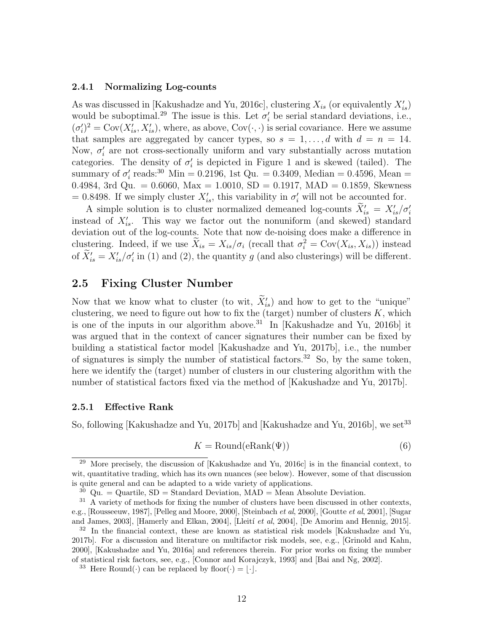#### 2.4.1 Normalizing Log-counts

As was discussed in [Kakushadze and Yu, 2016c], clustering  $X_{is}$  (or equivalently  $X'_{is}$ ) would be suboptimal.<sup>29</sup> The issue is this. Let  $\sigma_i'$  be serial standard deviations, i.e.,  $(\sigma_i')^2 = \text{Cov}(X_{is}', X_{is}'),$  where, as above,  $\text{Cov}(\cdot, \cdot)$  is serial covariance. Here we assume that samples are aggregated by cancer types, so  $s = 1, \ldots, d$  with  $d = n = 14$ . Now,  $\sigma'_{i}$  are not cross-sectionally uniform and vary substantially across mutation categories. The density of  $\sigma_i'$  is depicted in Figure 1 and is skewed (tailed). The summary of  $\sigma'_{i}$  reads:<sup>30</sup> Min = 0.2196, 1st Qu. = 0.3409, Median = 0.4596, Mean = 0.4984, 3rd Qu. = 0.6060, Max = 1.0010, SD = 0.1917, MAD = 0.1859, Skewness = 0.8498. If we simply cluster  $X'_{is}$ , this variability in  $\sigma'_{i}$  will not be accounted for.

A simple solution is to cluster normalized demeaned log-counts  $\widetilde{X}'_{is} = X'_{is}/\sigma'_{is}$ instead of  $X'_{is}$ . This way we factor out the nonuniform (and skewed) standard deviation out of the log-counts. Note that now de-noising does make a difference in clustering. Indeed, if we use  $\tilde{X}_{is} = X_{is}/\sigma_i$  (recall that  $\sigma_i^2 = \text{Cov}(X_{is}, X_{is})$ ) instead of  $\tilde{X}'_{is} = X'_{is}/\sigma'_i$  in (1) and (2), the quantity g (and also clusterings) will be different.

## 2.5 Fixing Cluster Number

Now that we know what to cluster (to wit,  $\widetilde{X}'_{is}$ ) and how to get to the "unique" clustering, we need to figure out how to fix the (target) number of clusters  $K$ , which is one of the inputs in our algorithm above.<sup>31</sup> In [Kakushadze and Yu, 2016b] it was argued that in the context of cancer signatures their number can be fixed by building a statistical factor model [Kakushadze and Yu, 2017b], i.e., the number of signatures is simply the number of statistical factors.<sup>32</sup> So, by the same token, here we identify the (target) number of clusters in our clustering algorithm with the number of statistical factors fixed via the method of [Kakushadze and Yu, 2017b].

#### 2.5.1 Effective Rank

So, following [Kakushadze and Yu, 2017b] and [Kakushadze and Yu, 2016b], we set  $33$ 

$$
K = \text{Round}(eRank(\Psi))
$$
\n(6)

<sup>&</sup>lt;sup>29</sup> More precisely, the discussion of [Kakushadze and Yu, 2016c] is in the financial context, to wit, quantitative trading, which has its own nuances (see below). However, some of that discussion is quite general and can be adapted to a wide variety of applications.

 $30$  Qu. = Quartile, SD = Standard Deviation, MAD = Mean Absolute Deviation.

<sup>&</sup>lt;sup>31</sup> A variety of methods for fixing the number of clusters have been discussed in other contexts, e.g., [Rousseeuw, 1987], [Pelleg and Moore, 2000], [Steinbach et al, 2000], [Goutte et al, 2001], [Sugar and James, 2003], [Hamerly and Elkan, 2004], [Lleití et al, 2004], [De Amorim and Hennig, 2015].

<sup>32</sup> In the financial context, these are known as statistical risk models [Kakushadze and Yu, 2017b]. For a discussion and literature on multifactor risk models, see, e.g., [Grinold and Kahn, 2000], [Kakushadze and Yu, 2016a] and references therein. For prior works on fixing the number of statistical risk factors, see, e.g., [Connor and Korajczyk, 1993] and [Bai and Ng, 2002].

<sup>&</sup>lt;sup>33</sup> Here Round(·) can be replaced by floor(·) =  $|\cdot|$ .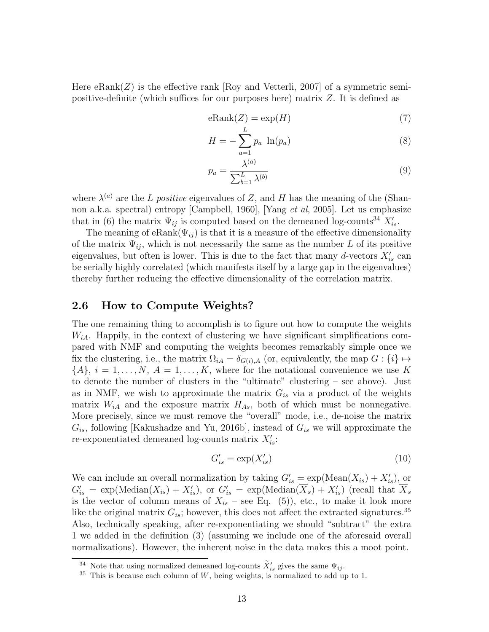Here  $\text{efank}(Z)$  is the effective rank [Roy and Vetterli, 2007] of a symmetric semipositive-definite (which suffices for our purposes here) matrix Z. It is defined as

$$
eRank(Z) = \exp(H) \tag{7}
$$

$$
H = -\sum_{a=1}^{L} p_a \ln(p_a) \tag{8}
$$

$$
p_a = \frac{\lambda^{(a)}}{\sum_{b=1}^{L} \lambda^{(b)}}\tag{9}
$$

where  $\lambda^{(a)}$  are the L positive eigenvalues of Z, and H has the meaning of the (Shannon a.k.a. spectral) entropy [Campbell, 1960], [Yang et al, 2005]. Let us emphasize that in (6) the matrix  $\Psi_{ij}$  is computed based on the demeaned log-counts<sup>34</sup>  $X'_{is}$ .

The meaning of  $eRank(\Psi_{ij})$  is that it is a measure of the effective dimensionality of the matrix  $\Psi_{ij}$ , which is not necessarily the same as the number L of its positive eigenvalues, but often is lower. This is due to the fact that many d-vectors  $X'_{is}$  can be serially highly correlated (which manifests itself by a large gap in the eigenvalues) thereby further reducing the effective dimensionality of the correlation matrix.

### 2.6 How to Compute Weights?

The one remaining thing to accomplish is to figure out how to compute the weights  $W_{iA}$ . Happily, in the context of clustering we have significant simplifications compared with NMF and computing the weights becomes remarkably simple once we fix the clustering, i.e., the matrix  $\Omega_{iA} = \delta_{G(i),A}$  (or, equivalently, the map  $G: \{i\} \mapsto$  ${A}, i = 1, \ldots, N, A = 1, \ldots, K$ , where for the notational convenience we use K to denote the number of clusters in the "ultimate" clustering – see above). Just as in NMF, we wish to approximate the matrix  $G_{is}$  via a product of the weights matrix  $W_{iA}$  and the exposure matrix  $H_{As}$ , both of which must be nonnegative. More precisely, since we must remove the "overall" mode, i.e., de-noise the matrix  $G_{is}$ , following [Kakushadze and Yu, 2016b], instead of  $G_{is}$  we will approximate the re-exponentiated demeaned log-counts matrix  $X'_{is}$ :

$$
G'_{is} = \exp(X'_{is})\tag{10}
$$

We can include an overall normalization by taking  $G'_{is} = \exp(\text{Mean}(X_{is}) + X'_{is}),$  or  $G'_{is} = \exp(\text{Median}(X_{is}) + X'_{is}), \text{ or } G'_{is} = \exp(\text{Median}(\overline{X}_s) + X'_{is})$  (recall that  $\overline{X}_s$ is the vector of column means of  $X_{is}$  – see Eq. (5)), etc., to make it look more like the original matrix  $G_{is}$ ; however, this does not affect the extracted signatures.<sup>35</sup> Also, technically speaking, after re-exponentiating we should "subtract" the extra 1 we added in the definition (3) (assuming we include one of the aforesaid overall normalizations). However, the inherent noise in the data makes this a moot point.

<sup>&</sup>lt;sup>34</sup> Note that using normalized demeaned log-counts  $\tilde{X}'_{is}$  gives the same  $\Psi_{ij}$ .

 $35$  This is because each column of W, being weights, is normalized to add up to 1.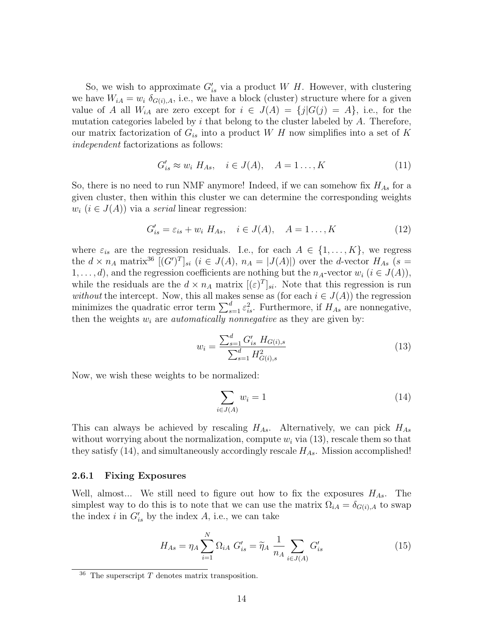So, we wish to approximate  $G'_{is}$  via a product W H. However, with clustering we have  $W_{iA} = w_i \, \delta_{G(i),A}$ , i.e., we have a block (cluster) structure where for a given value of A all  $W_{iA}$  are zero except for  $i \in J(A) = \{j|G(j) = A\}$ , i.e., for the mutation categories labeled by  $i$  that belong to the cluster labeled by  $A$ . Therefore, our matrix factorization of  $G_{is}$  into a product W H now simplifies into a set of K independent factorizations as follows:

$$
G'_{is} \approx w_i \ H_{As}, \quad i \in J(A), \quad A = 1 \dots, K \tag{11}
$$

So, there is no need to run NMF anymore! Indeed, if we can somehow fix  $H_{As}$  for a given cluster, then within this cluster we can determine the corresponding weights  $w_i$  ( $i \in J(A)$ ) via a *serial* linear regression:

$$
G'_{is} = \varepsilon_{is} + w_i \ H_{As}, \quad i \in J(A), \quad A = 1 \dots, K \tag{12}
$$

where  $\varepsilon_{is}$  are the regression residuals. I.e., for each  $A \in \{1, \ldots, K\}$ , we regress the  $d \times n_A$  matrix<sup>36</sup>  $[(G')^T]_{si}$   $(i \in J(A), n_A = |J(A)|)$  over the d-vector  $H_{As}$   $(s =$ 1, ..., d), and the regression coefficients are nothing but the  $n_A$ -vector  $w_i$  ( $i \in J(A)$ ), while the residuals are the  $d \times n_A$  matrix  $[(\varepsilon)^T]_{si}$ . Note that this regression is run without the intercept. Now, this all makes sense as (for each  $i \in J(A)$ ) the regression minimizes the quadratic error term  $\sum_{s=1}^{d} \varepsilon_{is}^2$ . Furthermore, if  $H_{As}$  are nonnegative, then the weights  $w_i$  are *automatically nonnegative* as they are given by:

$$
w_i = \frac{\sum_{s=1}^{d} G'_{is} H_{G(i),s}}{\sum_{s=1}^{d} H_{G(i),s}^2}
$$
(13)

Now, we wish these weights to be normalized:

$$
\sum_{i \in J(A)} w_i = 1 \tag{14}
$$

This can always be achieved by rescaling  $H_{As}$ . Alternatively, we can pick  $H_{As}$ without worrying about the normalization, compute  $w_i$  via  $(13)$ , rescale them so that they satisfy  $(14)$ , and simultaneously accordingly rescale  $H_{As}$ . Mission accomplished!

#### 2.6.1 Fixing Exposures

Well, almost... We still need to figure out how to fix the exposures  $H_{As}$ . The simplest way to do this is to note that we can use the matrix  $\Omega_{iA} = \delta_{G(i),A}$  to swap the index  $i$  in  $G'_{is}$  by the index  $A$ , i.e., we can take

$$
H_{As} = \eta_A \sum_{i=1}^{N} \Omega_{iA} \ G'_{is} = \widetilde{\eta}_A \ \frac{1}{n_A} \sum_{i \in J(A)} G'_{is}
$$
 (15)

 $36$  The superscript T denotes matrix transposition.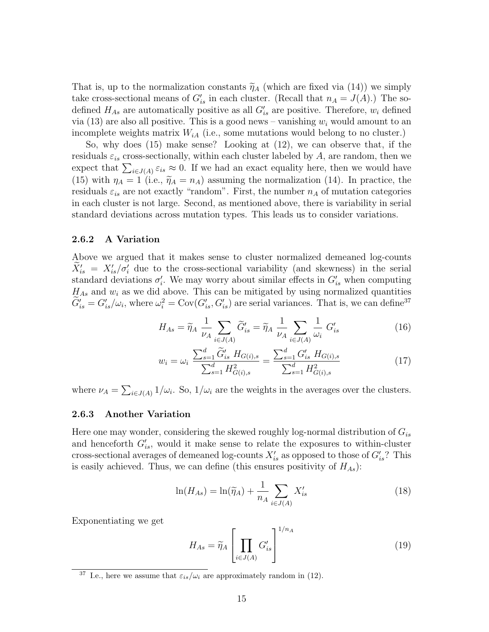That is, up to the normalization constants  $\tilde{\eta}_A$  (which are fixed via (14)) we simply take cross-sectional means of  $G'_{is}$  in each cluster. (Recall that  $n_A = J(A)$ .) The sodefined  $H_{As}$  are automatically positive as all  $G'_{is}$  are positive. Therefore,  $w_i$  defined via (13) are also all positive. This is a good news – vanishing  $w_i$  would amount to an incomplete weights matrix  $W_{iA}$  (i.e., some mutations would belong to no cluster.)

So, why does (15) make sense? Looking at (12), we can observe that, if the residuals  $\varepsilon_{is}$  cross-sectionally, within each cluster labeled by A, are random, then we expect that  $\sum_{i\in J(A)} \varepsilon_{is} \approx 0$ . If we had an exact equality here, then we would have (15) with  $\eta_A = 1$  (i.e.,  $\tilde{\eta}_A = n_A$ ) assuming the normalization (14). In practice, the residuals  $\varepsilon_{is}$  are not exactly "random". First, the number  $n_A$  of mutation categories in each cluster is not large. Second, as mentioned above, there is variability in serial standard deviations across mutation types. This leads us to consider variations.

#### 2.6.2 A Variation

Above we argued that it makes sense to cluster normalized demeaned log-counts  $\widetilde{X}_{is} = X_{is}/\sigma_i'$  due to the cross-sectional variability (and skewness) in the serial standard deviations  $\sigma_i'$ . We may worry about similar effects in  $G_i'$  when computing  $H_{As}$  and  $w_i$  as we did above. This can be mitigated by using normalized quantities  $\tilde{G}'_{is} = G'_{is}/\omega_i$ , where  $\omega_i^2 = \text{Cov}(G'_{is}, G'_{is})$  are serial variances. That is, we can define<sup>37</sup>

$$
H_{As} = \widetilde{\eta}_A \frac{1}{\nu_A} \sum_{i \in J(A)} \widetilde{G}'_{is} = \widetilde{\eta}_A \frac{1}{\nu_A} \sum_{i \in J(A)} \frac{1}{\omega_i} G'_{is}
$$
(16)

$$
w_i = \omega_i \frac{\sum_{s=1}^d \widetilde{G}'_{is} H_{G(i),s}}{\sum_{s=1}^d H_{G(i),s}^2} = \frac{\sum_{s=1}^d G'_{is} H_{G(i),s}}{\sum_{s=1}^d H_{G(i),s}^2}
$$
(17)

where  $\nu_A = \sum_{i \in J(A)} 1/\omega_i$ . So,  $1/\omega_i$  are the weights in the averages over the clusters.

#### 2.6.3 Another Variation

Here one may wonder, considering the skewed roughly log-normal distribution of  $G_{is}$ and henceforth  $G'_{is}$ , would it make sense to relate the exposures to within-cluster cross-sectional averages of demeaned log-counts  $X'_{is}$  as opposed to those of  $G'_{is}$ ? This is easily achieved. Thus, we can define (this ensures positivity of  $H_{As}$ ):

$$
\ln(H_{As}) = \ln(\widetilde{\eta}_A) + \frac{1}{n_A} \sum_{i \in J(A)} X'_{is} \tag{18}
$$

Exponentiating we get

$$
H_{As} = \widetilde{\eta}_A \left[ \prod_{i \in J(A)} G'_{is} \right]^{1/n_A} \tag{19}
$$

<sup>&</sup>lt;sup>37</sup> I.e., here we assume that  $\varepsilon_{is}/\omega_i$  are approximately random in (12).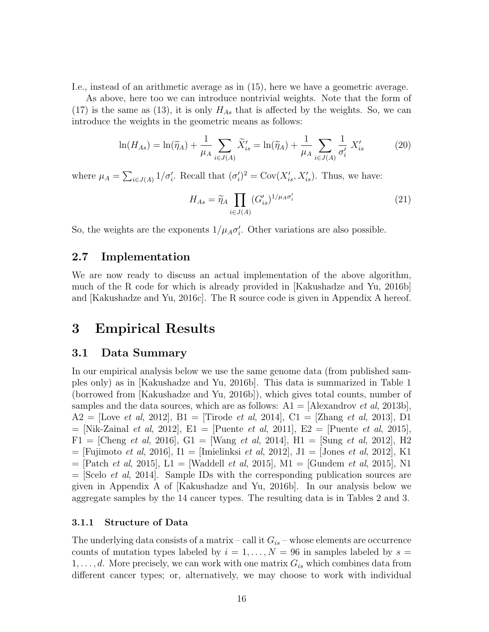I.e., instead of an arithmetic average as in (15), here we have a geometric average.

As above, here too we can introduce nontrivial weights. Note that the form of  $(17)$  is the same as  $(13)$ , it is only  $H_{As}$  that is affected by the weights. So, we can introduce the weights in the geometric means as follows:

$$
\ln(H_{As}) = \ln(\widetilde{\eta}_A) + \frac{1}{\mu_A} \sum_{i \in J(A)} \widetilde{X}'_{is} = \ln(\widetilde{\eta}_A) + \frac{1}{\mu_A} \sum_{i \in J(A)} \frac{1}{\sigma'_i} X'_{is} \tag{20}
$$

where  $\mu_A = \sum_{i \in J(A)} 1/\sigma'_i$ . Recall that  $(\sigma'_i)^2 = \text{Cov}(X'_{is}, X'_{is})$ . Thus, we have:

$$
H_{As} = \widetilde{\eta}_A \prod_{i \in J(A)} (G'_{is})^{1/\mu_A \sigma'_i}
$$
\n(21)

So, the weights are the exponents  $1/\mu_A \sigma_i'$ . Other variations are also possible.

### 2.7 Implementation

We are now ready to discuss an actual implementation of the above algorithm, much of the R code for which is already provided in [Kakushadze and Yu, 2016b] and [Kakushadze and Yu, 2016c]. The R source code is given in Appendix A hereof.

## 3 Empirical Results

#### 3.1 Data Summary

In our empirical analysis below we use the same genome data (from published samples only) as in [Kakushadze and Yu, 2016b]. This data is summarized in Table 1 (borrowed from [Kakushadze and Yu, 2016b]), which gives total counts, number of samples and the data sources, which are as follows:  $A1 = [Alexander *et al*, 2013b]$ ,  $A2 =$  [Love *et al.*, 2012],  $B1 =$  [Tirode *et al.*, 2014],  $C1 =$  [Zhang *et al.*, 2013], D1  $=$  [Nik-Zainal *et al*, 2012], E1 = [Puente *et al*, 2011], E2 = [Puente *et al*, 2015],  $F1 = [Cheng et al, 2016], G1 = [Wang et al, 2014], H1 = [Sung et al, 2012], H2$  $=$  [Fujimoto *et al*, 2016],  $I1 =$  [Imielinksi *et al*, 2012],  $J1 =$  [Jones *et al*, 2012], K1  $=$  [Patch *et al*, 2015], L1 = [Waddell *et al*, 2015], M1 = [Gundem *et al*, 2015], N1  $=$  [Scelo *et al.* 2014]. Sample IDs with the corresponding publication sources are given in Appendix A of [Kakushadze and Yu, 2016b]. In our analysis below we aggregate samples by the 14 cancer types. The resulting data is in Tables 2 and 3.

#### 3.1.1 Structure of Data

The underlying data consists of a matrix – call it  $G_{is}$  – whose elements are occurrence counts of mutation types labeled by  $i = 1, \ldots, N = 96$  in samples labeled by  $s =$  $1, \ldots, d$ . More precisely, we can work with one matrix  $G_{is}$  which combines data from different cancer types; or, alternatively, we may choose to work with individual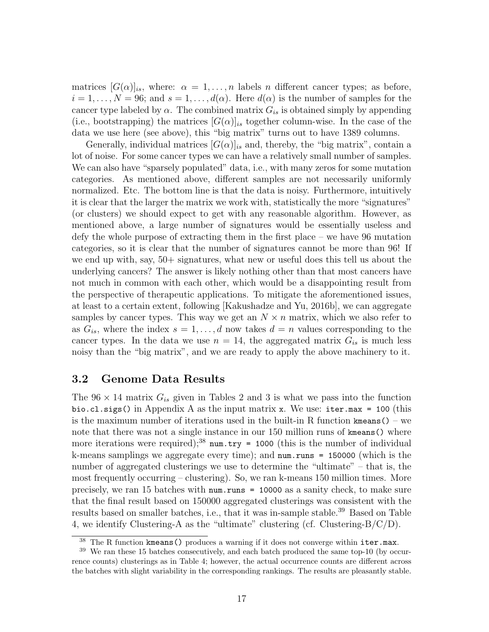matrices  $[G(\alpha)]_{is}$ , where:  $\alpha = 1, \ldots, n$  labels n different cancer types; as before,  $i = 1, \ldots, N = 96$ ; and  $s = 1, \ldots, d(\alpha)$ . Here  $d(\alpha)$  is the number of samples for the cancer type labeled by  $\alpha$ . The combined matrix  $G_{is}$  is obtained simply by appending (i.e., bootstrapping) the matrices  $[G(\alpha)]_{is}$  together column-wise. In the case of the data we use here (see above), this "big matrix" turns out to have 1389 columns.

Generally, individual matrices  $[G(\alpha)]_{is}$  and, thereby, the "big matrix", contain a lot of noise. For some cancer types we can have a relatively small number of samples. We can also have "sparsely populated" data, i.e., with many zeros for some mutation categories. As mentioned above, different samples are not necessarily uniformly normalized. Etc. The bottom line is that the data is noisy. Furthermore, intuitively it is clear that the larger the matrix we work with, statistically the more "signatures" (or clusters) we should expect to get with any reasonable algorithm. However, as mentioned above, a large number of signatures would be essentially useless and defy the whole purpose of extracting them in the first place – we have 96 mutation categories, so it is clear that the number of signatures cannot be more than 96! If we end up with, say, 50+ signatures, what new or useful does this tell us about the underlying cancers? The answer is likely nothing other than that most cancers have not much in common with each other, which would be a disappointing result from the perspective of therapeutic applications. To mitigate the aforementioned issues, at least to a certain extent, following [Kakushadze and Yu, 2016b], we can aggregate samples by cancer types. This way we get an  $N \times n$  matrix, which we also refer to as  $G_{is}$ , where the index  $s = 1, \ldots, d$  now takes  $d = n$  values corresponding to the cancer types. In the data we use  $n = 14$ , the aggregated matrix  $G_{is}$  is much less noisy than the "big matrix", and we are ready to apply the above machinery to it.

### 3.2 Genome Data Results

The  $96 \times 14$  matrix  $G_{is}$  given in Tables 2 and 3 is what we pass into the function bio.cl.sigs() in Appendix A as the input matrix x. We use: iter.max = 100 (this is the maximum number of iterations used in the built-in R function kmeans() – we note that there was not a single instance in our 150 million runs of kmeans() where more iterations were required);<sup>38</sup> num.try = 1000 (this is the number of individual k-means samplings we aggregate every time); and num.runs = 150000 (which is the number of aggregated clusterings we use to determine the "ultimate" – that is, the most frequently occurring – clustering). So, we ran k-means 150 million times. More precisely, we ran 15 batches with num.runs = 10000 as a sanity check, to make sure that the final result based on 150000 aggregated clusterings was consistent with the results based on smaller batches, i.e., that it was in-sample stable.<sup>39</sup> Based on Table 4, we identify Clustering-A as the "ultimate" clustering (cf. Clustering- $B/C/D$ ).

 $38$  The R function kmeans () produces a warning if it does not converge within iter.max.

<sup>&</sup>lt;sup>39</sup> We ran these 15 batches consecutively, and each batch produced the same top-10 (by occurrence counts) clusterings as in Table 4; however, the actual occurrence counts are different across the batches with slight variability in the corresponding rankings. The results are pleasantly stable.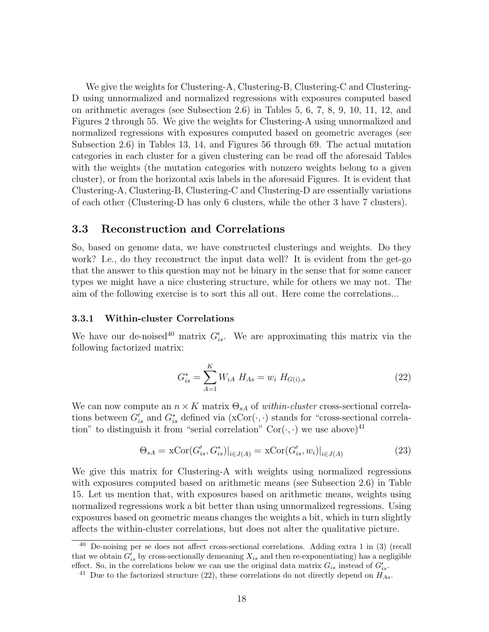We give the weights for Clustering-A, Clustering-B, Clustering-C and Clustering-D using unnormalized and normalized regressions with exposures computed based on arithmetic averages (see Subsection 2.6) in Tables 5, 6, 7, 8, 9, 10, 11, 12, and Figures 2 through 55. We give the weights for Clustering-A using unnormalized and normalized regressions with exposures computed based on geometric averages (see Subsection 2.6) in Tables 13, 14, and Figures 56 through 69. The actual mutation categories in each cluster for a given clustering can be read off the aforesaid Tables with the weights (the mutation categories with nonzero weights belong to a given cluster), or from the horizontal axis labels in the aforesaid Figures. It is evident that Clustering-A, Clustering-B, Clustering-C and Clustering-D are essentially variations of each other (Clustering-D has only 6 clusters, while the other 3 have 7 clusters).

### 3.3 Reconstruction and Correlations

So, based on genome data, we have constructed clusterings and weights. Do they work? I.e., do they reconstruct the input data well? It is evident from the get-go that the answer to this question may not be binary in the sense that for some cancer types we might have a nice clustering structure, while for others we may not. The aim of the following exercise is to sort this all out. Here come the correlations...

#### 3.3.1 Within-cluster Correlations

We have our de-noised<sup>40</sup> matrix  $G'_{is}$ . We are approximating this matrix via the following factorized matrix:

$$
G_{is}^{*} = \sum_{A=1}^{K} W_{iA} \ H_{As} = w_i \ H_{G(i),s} \tag{22}
$$

We can now compute an  $n \times K$  matrix  $\Theta_{sA}$  of within-cluster cross-sectional correlations between  $G'_{is}$  and  $G^*_{is}$  defined via  $(\text{xCor}(\cdot, \cdot)$  stands for "cross-sectional correlation" to distinguish it from "serial correlation"  $Cor(\cdot, \cdot)$  we use above)<sup>41</sup>

$$
\Theta_{sA} = \left. \mathbf{x} \mathbf{Cor}(G'_{is}, G^*_{is}) \right|_{i \in J(A)} = \left. \mathbf{x} \mathbf{Cor}(G'_{is}, w_i) \right|_{i \in J(A)} \tag{23}
$$

We give this matrix for Clustering-A with weights using normalized regressions with exposures computed based on arithmetic means (see Subsection 2.6) in Table 15. Let us mention that, with exposures based on arithmetic means, weights using normalized regressions work a bit better than using unnormalized regressions. Using exposures based on geometric means changes the weights a bit, which in turn slightly affects the within-cluster correlations, but does not alter the qualitative picture.

<sup>40</sup> De-noising per se does not affect cross-sectional correlations. Adding extra 1 in (3) (recall that we obtain  $G'_{is}$  by cross-sectionally demeaning  $X_{is}$  and then re-exponentiating) has a negligible effect. So, in the correlations below we can use the original data matrix  $G_{is}$  instead of  $G'_{is}$ .

<sup>&</sup>lt;sup>41</sup> Due to the factorized structure (22), these correlations do not directly depend on  $H_{As}$ .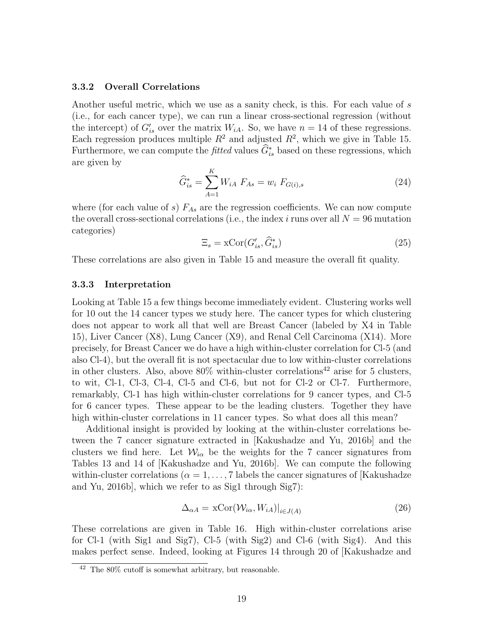#### 3.3.2 Overall Correlations

Another useful metric, which we use as a sanity check, is this. For each value of s (i.e., for each cancer type), we can run a linear cross-sectional regression (without the intercept) of  $G'_{is}$  over the matrix  $W_{iA}$ . So, we have  $n = 14$  of these regressions. Each regression produces multiple  $R^2$  and adjusted  $R^2$ , which we give in Table 15. Furthermore, we can compute the *fitted* values  $\hat{G}_{is}^*$  based on these regressions, which are given by

$$
\hat{G}_{is}^{*} = \sum_{A=1}^{K} W_{iA} F_{As} = w_i F_{G(i),s}
$$
 (24)

where (for each value of s)  $F_{As}$  are the regression coefficients. We can now compute the overall cross-sectional correlations (i.e., the index i runs over all  $N = 96$  mutation categories)

$$
\Xi_s = \operatorname{xCor}(G'_{is}, \widehat{G}^*_{is})
$$
\n(25)

These correlations are also given in Table 15 and measure the overall fit quality.

#### 3.3.3 Interpretation

Looking at Table 15 a few things become immediately evident. Clustering works well for 10 out the 14 cancer types we study here. The cancer types for which clustering does not appear to work all that well are Breast Cancer (labeled by X4 in Table 15), Liver Cancer (X8), Lung Cancer (X9), and Renal Cell Carcinoma (X14). More precisely, for Breast Cancer we do have a high within-cluster correlation for Cl-5 (and also Cl-4), but the overall fit is not spectacular due to low within-cluster correlations in other clusters. Also, above  $80\%$  within-cluster correlations<sup>42</sup> arise for 5 clusters, to wit, Cl-1, Cl-3, Cl-4, Cl-5 and Cl-6, but not for Cl-2 or Cl-7. Furthermore, remarkably, Cl-1 has high within-cluster correlations for 9 cancer types, and Cl-5 for 6 cancer types. These appear to be the leading clusters. Together they have high within-cluster correlations in 11 cancer types. So what does all this mean?

Additional insight is provided by looking at the within-cluster correlations between the 7 cancer signature extracted in [Kakushadze and Yu, 2016b] and the clusters we find here. Let  $\mathcal{W}_{i\alpha}$  be the weights for the 7 cancer signatures from Tables 13 and 14 of [Kakushadze and Yu, 2016b]. We can compute the following within-cluster correlations ( $\alpha = 1, \ldots, 7$  labels the cancer signatures of [Kakushadze and Yu, 2016b], which we refer to as Sig1 through Sig7):

$$
\Delta_{\alpha A} = \operatorname{xCor}(\mathcal{W}_{i\alpha}, W_{iA})|_{i \in J(A)}
$$
\n(26)

These correlations are given in Table 16. High within-cluster correlations arise for Cl-1 (with Sig1 and Sig7), Cl-5 (with Sig2) and Cl-6 (with Sig4). And this makes perfect sense. Indeed, looking at Figures 14 through 20 of [Kakushadze and

<sup>42</sup> The 80% cutoff is somewhat arbitrary, but reasonable.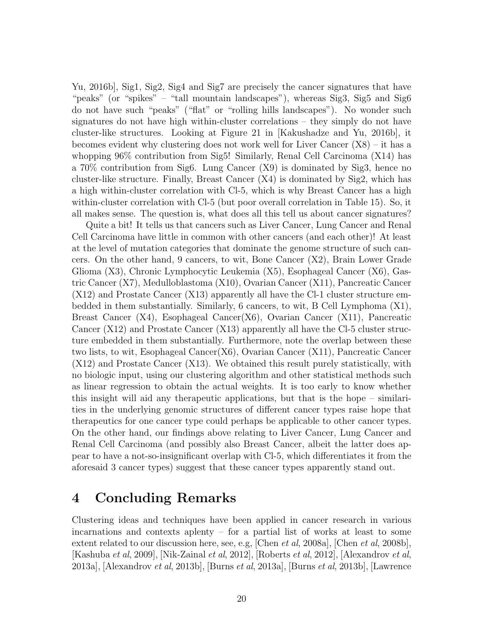Yu, 2016b], Sig1, Sig2, Sig4 and Sig7 are precisely the cancer signatures that have "peaks" (or "spikes" – "tall mountain landscapes"), whereas Sig3, Sig5 and Sig6 do not have such "peaks" ("flat" or "rolling hills landscapes"). No wonder such signatures do not have high within-cluster correlations – they simply do not have cluster-like structures. Looking at Figure 21 in [Kakushadze and Yu, 2016b], it becomes evident why clustering does not work well for Liver Cancer (X8) – it has a whopping 96% contribution from Sig5! Similarly, Renal Cell Carcinoma (X14) has a 70% contribution from Sig6. Lung Cancer (X9) is dominated by Sig3, hence no cluster-like structure. Finally, Breast Cancer (X4) is dominated by Sig2, which has a high within-cluster correlation with Cl-5, which is why Breast Cancer has a high within-cluster correlation with Cl-5 (but poor overall correlation in Table 15). So, it all makes sense. The question is, what does all this tell us about cancer signatures?

Quite a bit! It tells us that cancers such as Liver Cancer, Lung Cancer and Renal Cell Carcinoma have little in common with other cancers (and each other)! At least at the level of mutation categories that dominate the genome structure of such cancers. On the other hand, 9 cancers, to wit, Bone Cancer (X2), Brain Lower Grade Glioma (X3), Chronic Lymphocytic Leukemia (X5), Esophageal Cancer (X6), Gastric Cancer (X7), Medulloblastoma (X10), Ovarian Cancer (X11), Pancreatic Cancer (X12) and Prostate Cancer (X13) apparently all have the Cl-1 cluster structure embedded in them substantially. Similarly, 6 cancers, to wit, B Cell Lymphoma (X1), Breast Cancer (X4), Esophageal Cancer(X6), Ovarian Cancer (X11), Pancreatic Cancer (X12) and Prostate Cancer (X13) apparently all have the Cl-5 cluster structure embedded in them substantially. Furthermore, note the overlap between these two lists, to wit, Esophageal Cancer(X6), Ovarian Cancer (X11), Pancreatic Cancer (X12) and Prostate Cancer (X13). We obtained this result purely statistically, with no biologic input, using our clustering algorithm and other statistical methods such as linear regression to obtain the actual weights. It is too early to know whether this insight will aid any therapeutic applications, but that is the hope – similarities in the underlying genomic structures of different cancer types raise hope that therapeutics for one cancer type could perhaps be applicable to other cancer types. On the other hand, our findings above relating to Liver Cancer, Lung Cancer and Renal Cell Carcinoma (and possibly also Breast Cancer, albeit the latter does appear to have a not-so-insignificant overlap with Cl-5, which differentiates it from the aforesaid 3 cancer types) suggest that these cancer types apparently stand out.

## 4 Concluding Remarks

Clustering ideas and techniques have been applied in cancer research in various incarnations and contexts aplenty – for a partial list of works at least to some extent related to our discussion here, see, e.g, [Chen *et al*, 2008a], [Chen *et al*, 2008b], [Kashuba et al, 2009], [Nik-Zainal et al, 2012], [Roberts et al, 2012], [Alexandrov et al, 2013a], [Alexandrov *et al*, 2013b], [Burns *et al*, 2013a], [Burns *et al*, 2013b], [Lawrence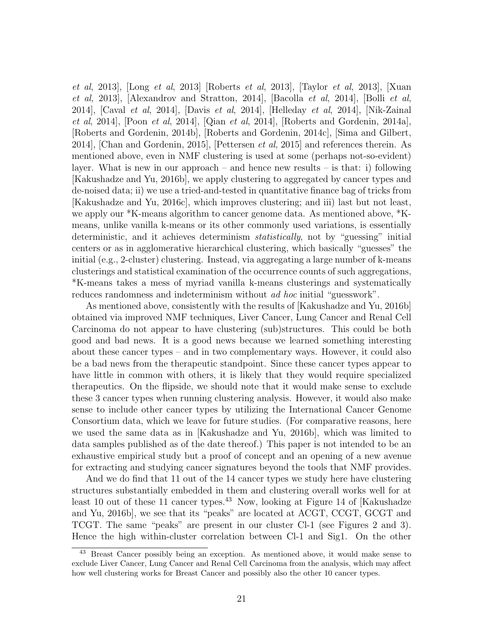et al, 2013], [Long et al, 2013] [Roberts et al, 2013], [Taylor et al, 2013], [Xuan et al, 2013], [Alexandrov and Stratton, 2014], [Bacolla et al, 2014], [Bolli et al, 2014], [Caval et al, 2014], [Davis et al, 2014], [Helleday et al, 2014], [Nik-Zainal] et al, 2014], [Poon et al, 2014], [Qian et al, 2014], [Roberts and Gordenin, 2014a], [Roberts and Gordenin, 2014b], [Roberts and Gordenin, 2014c], [Sima and Gilbert, 2014], [Chan and Gordenin, 2015], [Pettersen et al, 2015] and references therein. As mentioned above, even in NMF clustering is used at some (perhaps not-so-evident) layer. What is new in our approach – and hence new results – is that: i) following [Kakushadze and Yu, 2016b], we apply clustering to aggregated by cancer types and de-noised data; ii) we use a tried-and-tested in quantitative finance bag of tricks from [Kakushadze and Yu, 2016c], which improves clustering; and iii) last but not least, we apply our \*K-means algorithm to cancer genome data. As mentioned above, \*Kmeans, unlike vanilla k-means or its other commonly used variations, is essentially deterministic, and it achieves determinism *statistically*, not by "guessing" initial centers or as in agglomerative hierarchical clustering, which basically "guesses" the initial (e.g., 2-cluster) clustering. Instead, via aggregating a large number of k-means clusterings and statistical examination of the occurrence counts of such aggregations, \*K-means takes a mess of myriad vanilla k-means clusterings and systematically reduces randomness and indeterminism without *ad hoc* initial "guesswork".

As mentioned above, consistently with the results of [Kakushadze and Yu, 2016b] obtained via improved NMF techniques, Liver Cancer, Lung Cancer and Renal Cell Carcinoma do not appear to have clustering (sub)structures. This could be both good and bad news. It is a good news because we learned something interesting about these cancer types – and in two complementary ways. However, it could also be a bad news from the therapeutic standpoint. Since these cancer types appear to have little in common with others, it is likely that they would require specialized therapeutics. On the flipside, we should note that it would make sense to exclude these 3 cancer types when running clustering analysis. However, it would also make sense to include other cancer types by utilizing the International Cancer Genome Consortium data, which we leave for future studies. (For comparative reasons, here we used the same data as in [Kakushadze and Yu, 2016b], which was limited to data samples published as of the date thereof.) This paper is not intended to be an exhaustive empirical study but a proof of concept and an opening of a new avenue for extracting and studying cancer signatures beyond the tools that NMF provides.

And we do find that 11 out of the 14 cancer types we study here have clustering structures substantially embedded in them and clustering overall works well for at least 10 out of these 11 cancer types.<sup>43</sup> Now, looking at Figure 14 of [Kakushadze and Yu, 2016b], we see that its "peaks" are located at ACGT, CCGT, GCGT and TCGT. The same "peaks" are present in our cluster Cl-1 (see Figures 2 and 3). Hence the high within-cluster correlation between Cl-1 and Sig1. On the other

<sup>43</sup> Breast Cancer possibly being an exception. As mentioned above, it would make sense to exclude Liver Cancer, Lung Cancer and Renal Cell Carcinoma from the analysis, which may affect how well clustering works for Breast Cancer and possibly also the other 10 cancer types.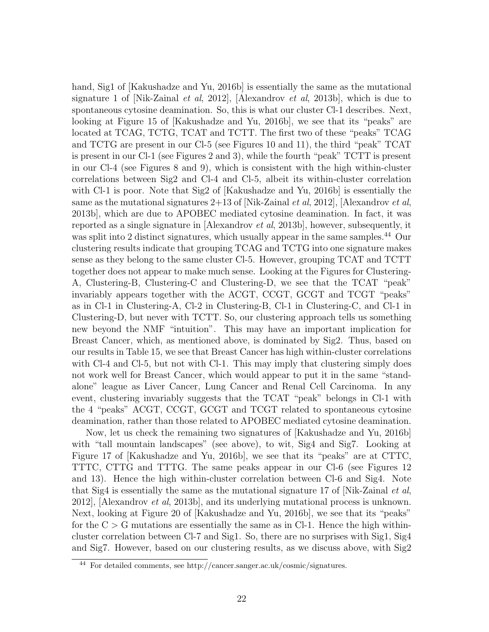hand, Sig1 of [Kakushadze and Yu, 2016b] is essentially the same as the mutational signature 1 of [Nik-Zainal *et al*, 2012], [Alexandrov *et al*, 2013b], which is due to spontaneous cytosine deamination. So, this is what our cluster Cl-1 describes. Next, looking at Figure 15 of [Kakushadze and Yu, 2016b], we see that its "peaks" are located at TCAG, TCTG, TCAT and TCTT. The first two of these "peaks" TCAG and TCTG are present in our Cl-5 (see Figures 10 and 11), the third "peak" TCAT is present in our Cl-1 (see Figures 2 and 3), while the fourth "peak" TCTT is present in our Cl-4 (see Figures 8 and 9), which is consistent with the high within-cluster correlations between Sig2 and Cl-4 and Cl-5, albeit its within-cluster correlation with Cl-1 is poor. Note that Sig2 of [Kakushadze and Yu, 2016b] is essentially the same as the mutational signatures  $2+13$  of [Nik-Zainal *et al.*, 2012], [Alexandrov *et al.* 2013b], which are due to APOBEC mediated cytosine deamination. In fact, it was reported as a single signature in [Alexandrov et al, 2013b], however, subsequently, it was split into 2 distinct signatures, which usually appear in the same samples.<sup>44</sup> Our clustering results indicate that grouping TCAG and TCTG into one signature makes sense as they belong to the same cluster Cl-5. However, grouping TCAT and TCTT together does not appear to make much sense. Looking at the Figures for Clustering-A, Clustering-B, Clustering-C and Clustering-D, we see that the TCAT "peak" invariably appears together with the ACGT, CCGT, GCGT and TCGT "peaks" as in Cl-1 in Clustering-A, Cl-2 in Clustering-B, Cl-1 in Clustering-C, and Cl-1 in Clustering-D, but never with TCTT. So, our clustering approach tells us something new beyond the NMF "intuition". This may have an important implication for Breast Cancer, which, as mentioned above, is dominated by Sig2. Thus, based on our results in Table 15, we see that Breast Cancer has high within-cluster correlations with Cl-4 and Cl-5, but not with Cl-1. This may imply that clustering simply does not work well for Breast Cancer, which would appear to put it in the same "standalone" league as Liver Cancer, Lung Cancer and Renal Cell Carcinoma. In any event, clustering invariably suggests that the TCAT "peak" belongs in Cl-1 with the 4 "peaks" ACGT, CCGT, GCGT and TCGT related to spontaneous cytosine deamination, rather than those related to APOBEC mediated cytosine deamination.

Now, let us check the remaining two signatures of [Kakushadze and Yu, 2016b] with "tall mountain landscapes" (see above), to wit, Sig4 and Sig7. Looking at Figure 17 of [Kakushadze and Yu, 2016b], we see that its "peaks" are at CTTC, TTTC, CTTG and TTTG. The same peaks appear in our Cl-6 (see Figures 12 and 13). Hence the high within-cluster correlation between Cl-6 and Sig4. Note that Sig4 is essentially the same as the mutational signature 17 of Nik-Zainal *et al*, 2012], [Alexandrov et al, 2013b], and its underlying mutational process is unknown. Next, looking at Figure 20 of [Kakushadze and Yu, 2016b], we see that its "peaks" for the  $C > G$  mutations are essentially the same as in Cl-1. Hence the high withincluster correlation between Cl-7 and Sig1. So, there are no surprises with Sig1, Sig4 and Sig7. However, based on our clustering results, as we discuss above, with Sig2

<sup>44</sup> For detailed comments, see http://cancer.sanger.ac.uk/cosmic/signatures.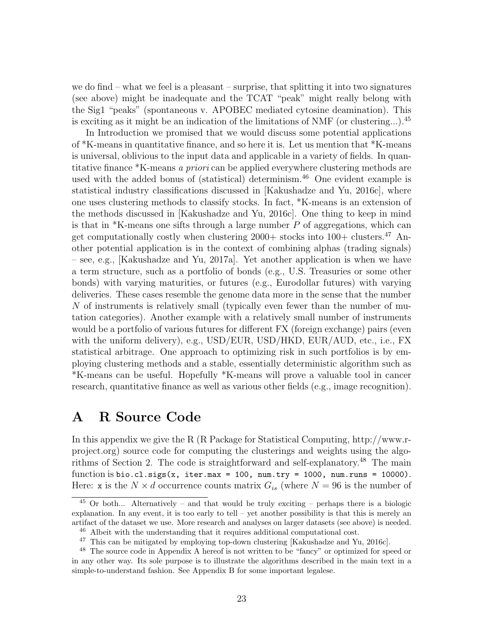we do find – what we feel is a pleasant – surprise, that splitting it into two signatures (see above) might be inadequate and the TCAT "peak" might really belong with the Sig1 "peaks" (spontaneous v. APOBEC mediated cytosine deamination). This is exciting as it might be an indication of the limitations of NMF (or clustering...).<sup>45</sup>

In Introduction we promised that we would discuss some potential applications of \*K-means in quantitative finance, and so here it is. Let us mention that \*K-means is universal, oblivious to the input data and applicable in a variety of fields. In quantitative finance \*K-means a priori can be applied everywhere clustering methods are used with the added bonus of (statistical) determinism.<sup>46</sup> One evident example is statistical industry classifications discussed in [Kakushadze and Yu, 2016c], where one uses clustering methods to classify stocks. In fact, \*K-means is an extension of the methods discussed in [Kakushadze and Yu, 2016c]. One thing to keep in mind is that in  $-K$ -means one sifts through a large number  $P$  of aggregations, which can get computationally costly when clustering  $2000+$  stocks into  $100+$  clusters.<sup>47</sup> Another potential application is in the context of combining alphas (trading signals) – see, e.g., [Kakushadze and Yu, 2017a]. Yet another application is when we have a term structure, such as a portfolio of bonds (e.g., U.S. Treasuries or some other bonds) with varying maturities, or futures (e.g., Eurodollar futures) with varying deliveries. These cases resemble the genome data more in the sense that the number N of instruments is relatively small (typically even fewer than the number of mutation categories). Another example with a relatively small number of instruments would be a portfolio of various futures for different FX (foreign exchange) pairs (even with the uniform delivery), e.g., USD/EUR, USD/HKD, EUR/AUD, etc., i.e., FX statistical arbitrage. One approach to optimizing risk in such portfolios is by employing clustering methods and a stable, essentially deterministic algorithm such as \*K-means can be useful. Hopefully \*K-means will prove a valuable tool in cancer research, quantitative finance as well as various other fields (e.g., image recognition).

## A R Source Code

In this appendix we give the R (R Package for Statistical Computing, http://www.rproject.org) source code for computing the clusterings and weights using the algorithms of Section 2. The code is straightforward and self-explanatory.<sup>48</sup> The main function is bio.cl.sigs(x, iter.max = 100, num.try = 1000, num.runs = 10000). Here: x is the  $N \times d$  occurrence counts matrix  $G_{is}$  (where  $N = 96$  is the number of

<sup>45</sup> Or both... Alternatively – and that would be truly exciting – perhaps there is a biologic explanation. In any event, it is too early to tell – yet another possibility is that this is merely an artifact of the dataset we use. More research and analyses on larger datasets (see above) is needed.

<sup>46</sup> Albeit with the understanding that it requires additional computational cost.

<sup>&</sup>lt;sup>47</sup> This can be mitigated by employing top-down clustering [Kakushadze and Yu, 2016c].

<sup>48</sup> The source code in Appendix A hereof is not written to be "fancy" or optimized for speed or in any other way. Its sole purpose is to illustrate the algorithms described in the main text in a simple-to-understand fashion. See Appendix B for some important legalese.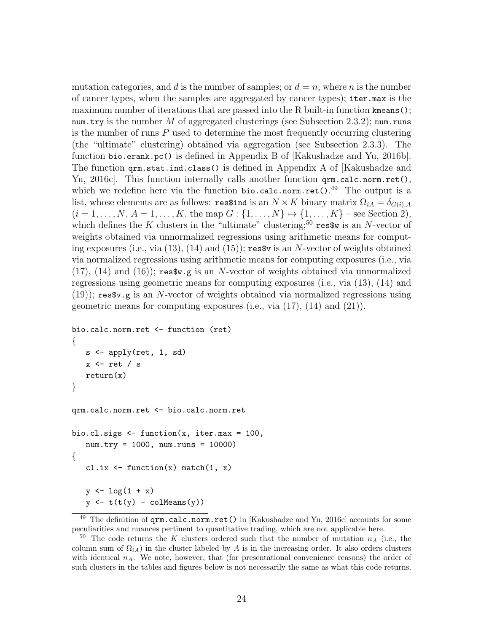mutation categories, and d is the number of samples; or  $d = n$ , where n is the number of cancer types, when the samples are aggregated by cancer types); iter.max is the maximum number of iterations that are passed into the R built-in function kmeans(); num.try is the number M of aggregated clusterings (see Subsection 2.3.2); num.runs is the number of runs  $P$  used to determine the most frequently occurring clustering (the "ultimate" clustering) obtained via aggregation (see Subsection 2.3.3). The function bio.erank.pc() is defined in Appendix B of [Kakushadze and Yu, 2016b]. The function qrm.stat.ind.class() is defined in Appendix A of [Kakushadze and Yu, 2016c. This function internally calls another function qrm.calc.norm.ret(), which we redefine here via the function bio.calc.norm.ret().<sup>49</sup> The output is a list, whose elements are as follows: res\$ind is an  $N \times K$  binary matrix  $\Omega_{iA} = \delta_{G(i),A}$  $(i = 1, \ldots, N, A = 1, \ldots, K$ , the map  $G: \{1, \ldots, N\} \mapsto \{1, \ldots, K\}$  – see Section 2), which defines the K clusters in the "ultimate" clustering;<sup>50</sup> res<sup>\$w</sup> is an N-vector of weights obtained via unnormalized regressions using arithmetic means for computing exposures (i.e., via (13), (14) and (15)); res\$v is an N-vector of weights obtained via normalized regressions using arithmetic means for computing exposures (i.e., via  $(17)$ ,  $(14)$  and  $(16)$ ; res\$w.g is an N-vector of weights obtained via unnormalized regressions using geometric means for computing exposures (i.e., via (13), (14) and (19)); res\$v.g is an N-vector of weights obtained via normalized regressions using geometric means for computing exposures (i.e., via  $(17)$ ,  $(14)$  and  $(21)$ ).

```
bio.calc.norm.ret <- function (ret)
{
   s <- apply(ret, 1, sd)
   x \leftarrow ret / sreturn(x)
}
qrm.calc.norm.ret <- bio.calc.norm.ret
bio.cl.sigs \leq function(x, iter.max = 100,num.trv = 1000, num.runs = 10000){
   cl.ix \leftarrow function(x) match(1, x)
   y \leftarrow \log(1 + x)y \leftarrow t(t(y) - colMeans(y))
```
<sup>&</sup>lt;sup>49</sup> The definition of  $qrm.calc.norm.ret()$  in [Kakushadze and Yu, 2016c] accounts for some peculiarities and nuances pertinent to quantitative trading, which are not applicable here.

<sup>&</sup>lt;sup>50</sup> The code returns the K clusters ordered such that the number of mutation  $n_A$  (i.e., the column sum of  $\Omega_{iA}$ ) in the cluster labeled by A is in the increasing order. It also orders clusters with identical  $n_A$ . We note, however, that (for presentational convenience reasons) the order of such clusters in the tables and figures below is not necessarily the same as what this code returns.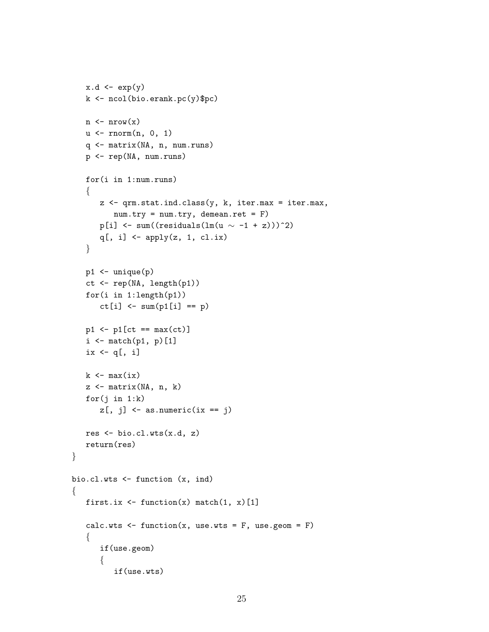```
x.d \leftarrow exp(y)k <- ncol(bio.erank.pc(y)$pc)
   n \leftarrow \text{nrow}(x)u \leftarrow \text{rnorm}(n, 0, 1)q <- matrix(NA, n, num.runs)
   p <- rep(NA, num.runs)
   for(i in 1:num.runs)
   {
       z <- qrm.stat.ind.class(y, k, iter.max = iter.max,
          num.try = num.try, demean.ret = F)
       p[i] \leftarrow sum((residuals(lm(u \sim -1 + z)))^2)
       q[, i] \leftarrow apply(z, 1, c1.ix)}
   p1 <- unique(p)
   ct <- rep(NA, length(p1))
   for(i in 1:length(p1))
       ct[i] <- sum(p1[i] == p)
   p1 \leftarrow p1 [ct == max(ct)]
   i \leftarrow \text{match}(p1, p)[1]
   ix \leftarrow q[, i]k \leftarrow max(ix)z \leftarrow matrix(NA, n, k)
   for(j in 1:k)z[, j] \leftarrow as.numeric(ix == j)
   res \le bio.cl.wts(x.d, z)return(res)
bio.cl.wts <- function (x, ind)
   first.ix \leftarrow function(x) match(1, x)[1]
   calc.wts \leq function(x, use.wts = F, use.geom = F)
   {
       if(use.geom)
       {
          if(use.wts)
```
}

{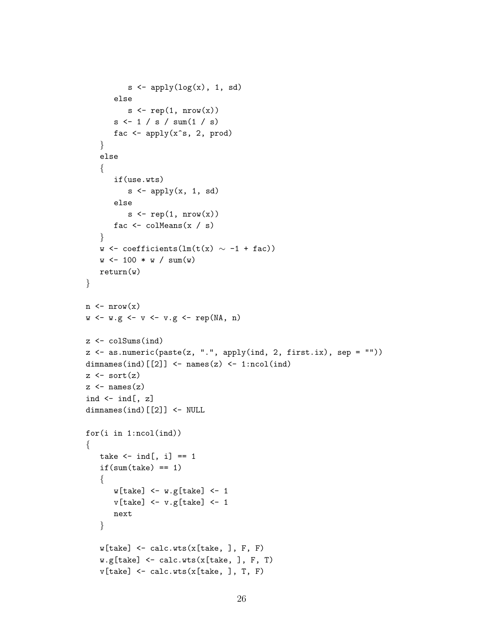```
s \leftarrow apply(log(x), 1, sd)else
           s \leftarrow rep(1, nrow(x))s \leq 1 / s / sum(1 / s)fac \leq apply(x \text{ s}, 2, \text{ prod})}
   else
   {
       if(use.wts)
           s \leftarrow apply(x, 1, sd)else
           s \leftarrow rep(1, nrow(x))fac \leq colMeans(x / s)}
   w <- coefficients(lm(t(x) \sim -1 + fac))
   w \le -100 * w / \text{sum}(w)return(w)
}
n \leftarrow \text{nrow}(x)w \leftarrow w.g \leftarrow v \leftarrow v.g \leftarrow rep(NA, n)z <- colSums(ind)
z \leftarrow as.numeric(paste(z, ".", apply(ind, 2, first.ix), sep = ""))
dimnames(ind)[2]] <- names(z) <- 1:ncol(ind)
z \leftarrow sort(z)z \leftarrow names(z)ind \leftarrow ind [, z]dimnames(ind)[[2]] <- NULL
for(i in 1:ncol(ind))
{
   take \leftarrow ind[, i] == 1
   if(sum(take) == 1){
       w[take] < -w.g[take] < -1v[take] < -v.g[take] < -1next
   }
   w[take] <- calc.wts(x[take, ], F, F)
   w.g[take] < -calcalc.wts(x[take, ], F, T)
   v[take] < -cal.wts(x[take, ], T, F)
```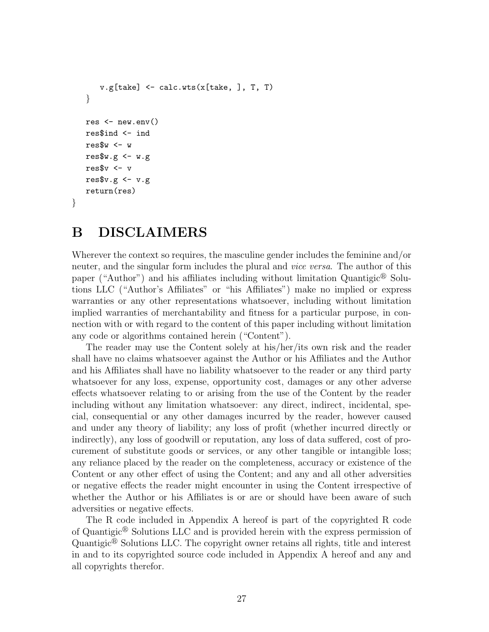```
v.g[take] < -calcalc.wts(x[take, ], T, T)
   }
   res <- new.env()
   res$ind <- ind
   res$w <- w
   res w.g \leftarrow w.gres$v <- v
   resv.g \leftarrow v.greturn(res)
}
```
## B DISCLAIMERS

Wherever the context so requires, the masculine gender includes the feminine and/or neuter, and the singular form includes the plural and *vice versa*. The author of this paper ("Author") and his affiliates including without limitation Quantigic<sup>®</sup> Solutions LLC ("Author's Affiliates" or "his Affiliates") make no implied or express warranties or any other representations whatsoever, including without limitation implied warranties of merchantability and fitness for a particular purpose, in connection with or with regard to the content of this paper including without limitation any code or algorithms contained herein ("Content").

The reader may use the Content solely at his/her/its own risk and the reader shall have no claims whatsoever against the Author or his Affiliates and the Author and his Affiliates shall have no liability whatsoever to the reader or any third party whatsoever for any loss, expense, opportunity cost, damages or any other adverse effects whatsoever relating to or arising from the use of the Content by the reader including without any limitation whatsoever: any direct, indirect, incidental, special, consequential or any other damages incurred by the reader, however caused and under any theory of liability; any loss of profit (whether incurred directly or indirectly), any loss of goodwill or reputation, any loss of data suffered, cost of procurement of substitute goods or services, or any other tangible or intangible loss; any reliance placed by the reader on the completeness, accuracy or existence of the Content or any other effect of using the Content; and any and all other adversities or negative effects the reader might encounter in using the Content irrespective of whether the Author or his Affiliates is or are or should have been aware of such adversities or negative effects.

The R code included in Appendix A hereof is part of the copyrighted R code of Quantigic<sup>®</sup> Solutions LLC and is provided herein with the express permission of Quantigic<sup>®</sup> Solutions LLC. The copyright owner retains all rights, title and interest in and to its copyrighted source code included in Appendix A hereof and any and all copyrights therefor.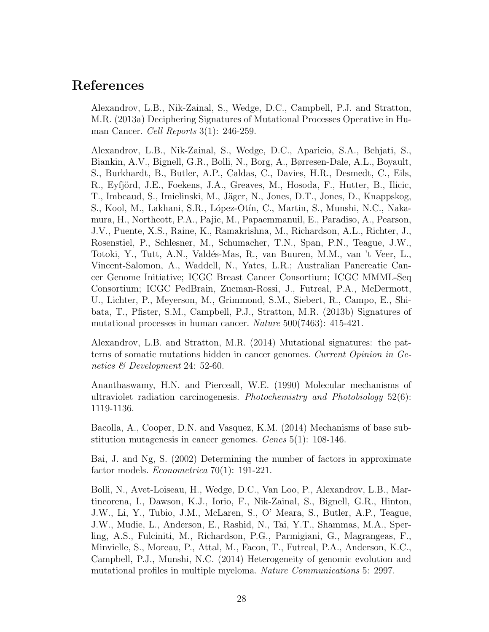## References

Alexandrov, L.B., Nik-Zainal, S., Wedge, D.C., Campbell, P.J. and Stratton, M.R. (2013a) Deciphering Signatures of Mutational Processes Operative in Human Cancer. *Cell Reports* 3(1): 246-259.

Alexandrov, L.B., Nik-Zainal, S., Wedge, D.C., Aparicio, S.A., Behjati, S., Biankin, A.V., Bignell, G.R., Bolli, N., Borg, A., Børresen-Dale, A.L., Boyault, S., Burkhardt, B., Butler, A.P., Caldas, C., Davies, H.R., Desmedt, C., Eils, R., Eyfjörd, J.E., Foekens, J.A., Greaves, M., Hosoda, F., Hutter, B., Ilicic, T., Imbeaud, S., Imielinski, M., Jäger, N., Jones, D.T., Jones, D., Knappskog, S., Kool, M., Lakhani, S.R., López-Otín, C., Martin, S., Munshi, N.C., Nakamura, H., Northcott, P.A., Pajic, M., Papaemmanuil, E., Paradiso, A., Pearson, J.V., Puente, X.S., Raine, K., Ramakrishna, M., Richardson, A.L., Richter, J., Rosenstiel, P., Schlesner, M., Schumacher, T.N., Span, P.N., Teague, J.W., Totoki, Y., Tutt, A.N., Valdés-Mas, R., van Buuren, M.M., van 't Veer, L., Vincent-Salomon, A., Waddell, N., Yates, L.R.; Australian Pancreatic Cancer Genome Initiative; ICGC Breast Cancer Consortium; ICGC MMML-Seq Consortium; ICGC PedBrain, Zucman-Rossi, J., Futreal, P.A., McDermott, U., Lichter, P., Meyerson, M., Grimmond, S.M., Siebert, R., Campo, E., Shibata, T., Pfister, S.M., Campbell, P.J., Stratton, M.R. (2013b) Signatures of mutational processes in human cancer. Nature 500(7463): 415-421.

Alexandrov, L.B. and Stratton, M.R. (2014) Mutational signatures: the patterns of somatic mutations hidden in cancer genomes. Current Opinion in Genetics & Development 24: 52-60.

Ananthaswamy, H.N. and Pierceall, W.E. (1990) Molecular mechanisms of ultraviolet radiation carcinogenesis. Photochemistry and Photobiology 52(6): 1119-1136.

Bacolla, A., Cooper, D.N. and Vasquez, K.M. (2014) Mechanisms of base substitution mutagenesis in cancer genomes. Genes 5(1): 108-146.

Bai, J. and Ng, S. (2002) Determining the number of factors in approximate factor models. *Econometrica*  $70(1)$ : 191-221.

Bolli, N., Avet-Loiseau, H., Wedge, D.C., Van Loo, P., Alexandrov, L.B., Martincorena, I., Dawson, K.J., Iorio, F., Nik-Zainal, S., Bignell, G.R., Hinton, J.W., Li, Y., Tubio, J.M., McLaren, S., O' Meara, S., Butler, A.P., Teague, J.W., Mudie, L., Anderson, E., Rashid, N., Tai, Y.T., Shammas, M.A., Sperling, A.S., Fulciniti, M., Richardson, P.G., Parmigiani, G., Magrangeas, F., Minvielle, S., Moreau, P., Attal, M., Facon, T., Futreal, P.A., Anderson, K.C., Campbell, P.J., Munshi, N.C. (2014) Heterogeneity of genomic evolution and mutational profiles in multiple myeloma. Nature Communications 5: 2997.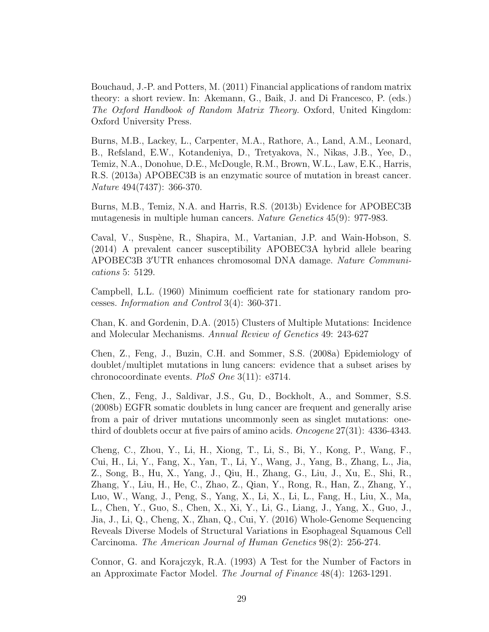Bouchaud, J.-P. and Potters, M. (2011) Financial applications of random matrix theory: a short review. In: Akemann, G., Baik, J. and Di Francesco, P. (eds.) The Oxford Handbook of Random Matrix Theory. Oxford, United Kingdom: Oxford University Press.

Burns, M.B., Lackey, L., Carpenter, M.A., Rathore, A., Land, A.M., Leonard, B., Refsland, E.W., Kotandeniya, D., Tretyakova, N., Nikas, J.B., Yee, D., Temiz, N.A., Donohue, D.E., McDougle, R.M., Brown, W.L., Law, E.K., Harris, R.S. (2013a) APOBEC3B is an enzymatic source of mutation in breast cancer. Nature 494(7437): 366-370.

Burns, M.B., Temiz, N.A. and Harris, R.S. (2013b) Evidence for APOBEC3B mutagenesis in multiple human cancers. *Nature Genetics* 45(9): 977-983.

Caval, V., Suspène, R., Shapira, M., Vartanian, J.P. and Wain-Hobson, S. (2014) A prevalent cancer susceptibility APOBEC3A hybrid allele bearing APOBEC3B 3'UTR enhances chromosomal DNA damage. Nature Communications 5: 5129.

Campbell, L.L. (1960) Minimum coefficient rate for stationary random processes. Information and Control 3(4): 360-371.

Chan, K. and Gordenin, D.A. (2015) Clusters of Multiple Mutations: Incidence and Molecular Mechanisms. Annual Review of Genetics 49: 243-627

Chen, Z., Feng, J., Buzin, C.H. and Sommer, S.S. (2008a) Epidemiology of doublet/multiplet mutations in lung cancers: evidence that a subset arises by chronocoordinate events. PloS One 3(11): e3714.

Chen, Z., Feng, J., Saldivar, J.S., Gu, D., Bockholt, A., and Sommer, S.S. (2008b) EGFR somatic doublets in lung cancer are frequent and generally arise from a pair of driver mutations uncommonly seen as singlet mutations: onethird of doublets occur at five pairs of amino acids. Oncogene 27(31): 4336-4343.

Cheng, C., Zhou, Y., Li, H., Xiong, T., Li, S., Bi, Y., Kong, P., Wang, F., Cui, H., Li, Y., Fang, X., Yan, T., Li, Y., Wang, J., Yang, B., Zhang, L., Jia, Z., Song, B., Hu, X., Yang, J., Qiu, H., Zhang, G., Liu, J., Xu, E., Shi, R., Zhang, Y., Liu, H., He, C., Zhao, Z., Qian, Y., Rong, R., Han, Z., Zhang, Y., Luo, W., Wang, J., Peng, S., Yang, X., Li, X., Li, L., Fang, H., Liu, X., Ma, L., Chen, Y., Guo, S., Chen, X., Xi, Y., Li, G., Liang, J., Yang, X., Guo, J., Jia, J., Li, Q., Cheng, X., Zhan, Q., Cui, Y. (2016) Whole-Genome Sequencing Reveals Diverse Models of Structural Variations in Esophageal Squamous Cell Carcinoma. The American Journal of Human Genetics 98(2): 256-274.

Connor, G. and Korajczyk, R.A. (1993) A Test for the Number of Factors in an Approximate Factor Model. The Journal of Finance 48(4): 1263-1291.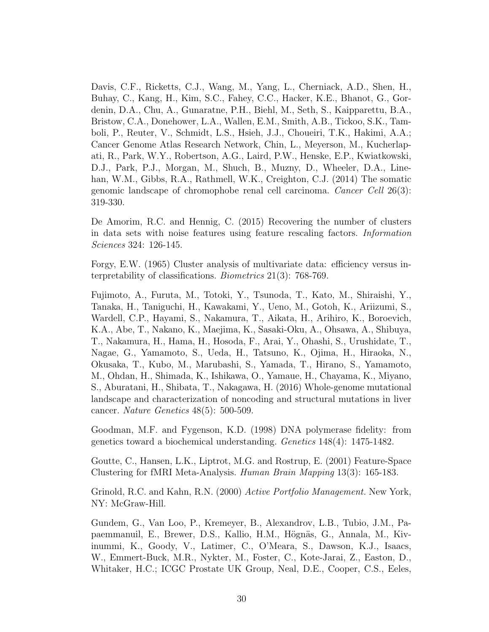Davis, C.F., Ricketts, C.J., Wang, M., Yang, L., Cherniack, A.D., Shen, H., Buhay, C., Kang, H., Kim, S.C., Fahey, C.C., Hacker, K.E., Bhanot, G., Gordenin, D.A., Chu, A., Gunaratne, P.H., Biehl, M., Seth, S., Kaipparettu, B.A., Bristow, C.A., Donehower, L.A., Wallen, E.M., Smith, A.B., Tickoo, S.K., Tamboli, P., Reuter, V., Schmidt, L.S., Hsieh, J.J., Choueiri, T.K., Hakimi, A.A.; Cancer Genome Atlas Research Network, Chin, L., Meyerson, M., Kucherlapati, R., Park, W.Y., Robertson, A.G., Laird, P.W., Henske, E.P., Kwiatkowski, D.J., Park, P.J., Morgan, M., Shuch, B., Muzny, D., Wheeler, D.A., Linehan, W.M., Gibbs, R.A., Rathmell, W.K., Creighton, C.J. (2014) The somatic genomic landscape of chromophobe renal cell carcinoma. Cancer Cell 26(3): 319-330.

De Amorim, R.C. and Hennig, C. (2015) Recovering the number of clusters in data sets with noise features using feature rescaling factors. Information Sciences 324: 126-145.

Forgy, E.W. (1965) Cluster analysis of multivariate data: efficiency versus interpretability of classifications. Biometrics 21(3): 768-769.

Fujimoto, A., Furuta, M., Totoki, Y., Tsunoda, T., Kato, M., Shiraishi, Y., Tanaka, H., Taniguchi, H., Kawakami, Y., Ueno, M., Gotoh, K., Ariizumi, S., Wardell, C.P., Hayami, S., Nakamura, T., Aikata, H., Arihiro, K., Boroevich, K.A., Abe, T., Nakano, K., Maejima, K., Sasaki-Oku, A., Ohsawa, A., Shibuya, T., Nakamura, H., Hama, H., Hosoda, F., Arai, Y., Ohashi, S., Urushidate, T., Nagae, G., Yamamoto, S., Ueda, H., Tatsuno, K., Ojima, H., Hiraoka, N., Okusaka, T., Kubo, M., Marubashi, S., Yamada, T., Hirano, S., Yamamoto, M., Ohdan, H., Shimada, K., Ishikawa, O., Yamaue, H., Chayama, K., Miyano, S., Aburatani, H., Shibata, T., Nakagawa, H. (2016) Whole-genome mutational landscape and characterization of noncoding and structural mutations in liver cancer. Nature Genetics 48(5): 500-509.

Goodman, M.F. and Fygenson, K.D. (1998) DNA polymerase fidelity: from genetics toward a biochemical understanding. Genetics 148(4): 1475-1482.

Goutte, C., Hansen, L.K., Liptrot, M.G. and Rostrup, E. (2001) Feature-Space Clustering for fMRI Meta-Analysis. Human Brain Mapping 13(3): 165-183.

Grinold, R.C. and Kahn, R.N. (2000) Active Portfolio Management. New York, NY: McGraw-Hill.

Gundem, G., Van Loo, P., Kremeyer, B., Alexandrov, L.B., Tubio, J.M., Papaemmanuil, E., Brewer, D.S., Kallio, H.M., Högnäs, G., Annala, M., Kivinummi, K., Goody, V., Latimer, C., O'Meara, S., Dawson, K.J., Isaacs, W., Emmert-Buck, M.R., Nykter, M., Foster, C., Kote-Jarai, Z., Easton, D., Whitaker, H.C.; ICGC Prostate UK Group, Neal, D.E., Cooper, C.S., Eeles,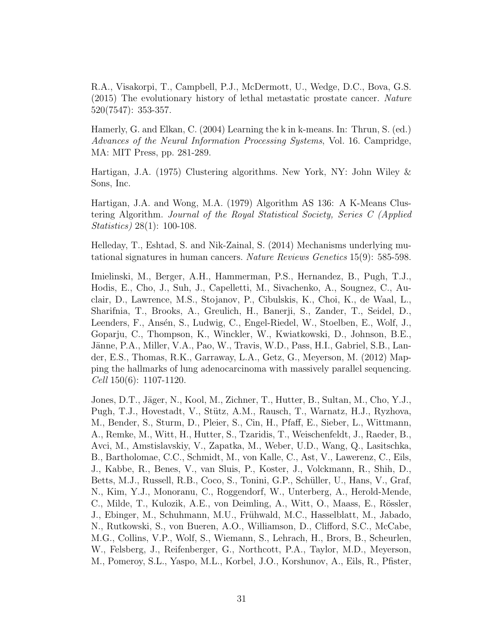R.A., Visakorpi, T., Campbell, P.J., McDermott, U., Wedge, D.C., Bova, G.S. (2015) The evolutionary history of lethal metastatic prostate cancer. Nature 520(7547): 353-357.

Hamerly, G. and Elkan, C. (2004) Learning the k in k-means. In: Thrun, S. (ed.) Advances of the Neural Information Processing Systems, Vol. 16. Campridge, MA: MIT Press, pp. 281-289.

Hartigan, J.A. (1975) Clustering algorithms. New York, NY: John Wiley & Sons, Inc.

Hartigan, J.A. and Wong, M.A. (1979) Algorithm AS 136: A K-Means Clustering Algorithm. Journal of the Royal Statistical Society, Series C (Applied Statistics) 28(1): 100-108.

Helleday, T., Eshtad, S. and Nik-Zainal, S. (2014) Mechanisms underlying mutational signatures in human cancers. Nature Reviews Genetics 15(9): 585-598.

Imielinski, M., Berger, A.H., Hammerman, P.S., Hernandez, B., Pugh, T.J., Hodis, E., Cho, J., Suh, J., Capelletti, M., Sivachenko, A., Sougnez, C., Auclair, D., Lawrence, M.S., Stojanov, P., Cibulskis, K., Choi, K., de Waal, L., Sharifnia, T., Brooks, A., Greulich, H., Banerji, S., Zander, T., Seidel, D., Leenders, F., Ansén, S., Ludwig, C., Engel-Riedel, W., Stoelben, E., Wolf, J., Goparju, C., Thompson, K., Winckler, W., Kwiatkowski, D., Johnson, B.E., Jänne, P.A., Miller, V.A., Pao, W., Travis, W.D., Pass, H.I., Gabriel, S.B., Lander, E.S., Thomas, R.K., Garraway, L.A., Getz, G., Meyerson, M. (2012) Mapping the hallmarks of lung adenocarcinoma with massively parallel sequencing. Cell 150(6): 1107-1120.

Jones, D.T., Jäger, N., Kool, M., Zichner, T., Hutter, B., Sultan, M., Cho, Y.J., Pugh, T.J., Hovestadt, V., Stütz, A.M., Rausch, T., Warnatz, H.J., Ryzhova, M., Bender, S., Sturm, D., Pleier, S., Cin, H., Pfaff, E., Sieber, L., Wittmann, A., Remke, M., Witt, H., Hutter, S., Tzaridis, T., Weischenfeldt, J., Raeder, B., Avci, M., Amstislavskiy, V., Zapatka, M., Weber, U.D., Wang, Q., Lasitschka, B., Bartholomae, C.C., Schmidt, M., von Kalle, C., Ast, V., Lawerenz, C., Eils, J., Kabbe, R., Benes, V., van Sluis, P., Koster, J., Volckmann, R., Shih, D., Betts, M.J., Russell, R.B., Coco, S., Tonini, G.P., Schüller, U., Hans, V., Graf, N., Kim, Y.J., Monoranu, C., Roggendorf, W., Unterberg, A., Herold-Mende, C., Milde, T., Kulozik, A.E., von Deimling, A., Witt, O., Maass, E., Rössler, J., Ebinger, M., Schuhmann, M.U., Frühwald, M.C., Hasselblatt, M., Jabado, N., Rutkowski, S., von Bueren, A.O., Williamson, D., Clifford, S.C., McCabe, M.G., Collins, V.P., Wolf, S., Wiemann, S., Lehrach, H., Brors, B., Scheurlen, W., Felsberg, J., Reifenberger, G., Northcott, P.A., Taylor, M.D., Meyerson, M., Pomeroy, S.L., Yaspo, M.L., Korbel, J.O., Korshunov, A., Eils, R., Pfister,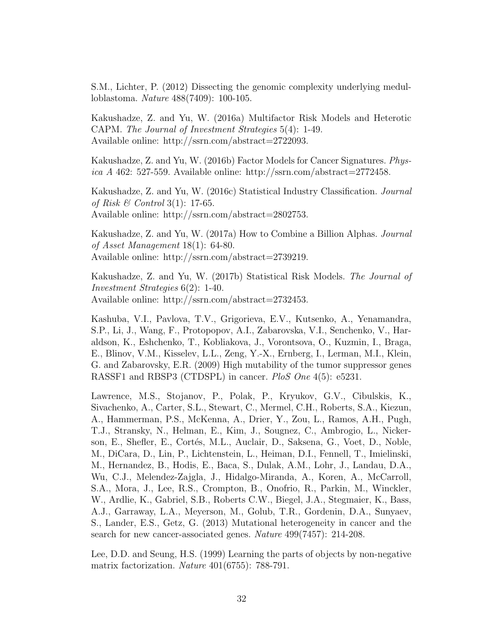S.M., Lichter, P. (2012) Dissecting the genomic complexity underlying medulloblastoma. Nature 488(7409): 100-105.

Kakushadze, Z. and Yu, W. (2016a) Multifactor Risk Models and Heterotic CAPM. The Journal of Investment Strategies 5(4): 1-49. Available online: http://ssrn.com/abstract=2722093.

Kakushadze, Z. and Yu, W. (2016b) Factor Models for Cancer Signatures. Physica A 462: 527-559. Available online: http://ssrn.com/abstract=2772458.

Kakushadze, Z. and Yu, W. (2016c) Statistical Industry Classification. Journal of Risk & Control 3(1): 17-65. Available online: http://ssrn.com/abstract=2802753.

Kakushadze, Z. and Yu, W. (2017a) How to Combine a Billion Alphas. Journal of Asset Management 18(1): 64-80. Available online: http://ssrn.com/abstract=2739219.

Kakushadze, Z. and Yu, W. (2017b) Statistical Risk Models. The Journal of Investment Strategies 6(2): 1-40. Available online: http://ssrn.com/abstract=2732453.

Kashuba, V.I., Pavlova, T.V., Grigorieva, E.V., Kutsenko, A., Yenamandra, S.P., Li, J., Wang, F., Protopopov, A.I., Zabarovska, V.I., Senchenko, V., Haraldson, K., Eshchenko, T., Kobliakova, J., Vorontsova, O., Kuzmin, I., Braga, E., Blinov, V.M., Kisselev, L.L., Zeng, Y.-X., Ernberg, I., Lerman, M.I., Klein, G. and Zabarovsky, E.R. (2009) High mutability of the tumor suppressor genes RASSF1 and RBSP3 (CTDSPL) in cancer. PloS One 4(5): e5231.

Lawrence, M.S., Stojanov, P., Polak, P., Kryukov, G.V., Cibulskis, K., Sivachenko, A., Carter, S.L., Stewart, C., Mermel, C.H., Roberts, S.A., Kiezun, A., Hammerman, P.S., McKenna, A., Drier, Y., Zou, L., Ramos, A.H., Pugh, T.J., Stransky, N., Helman, E., Kim, J., Sougnez, C., Ambrogio, L., Nickerson, E., Shefler, E., Cortés, M.L., Auclair, D., Saksena, G., Voet, D., Noble, M., DiCara, D., Lin, P., Lichtenstein, L., Heiman, D.I., Fennell, T., Imielinski, M., Hernandez, B., Hodis, E., Baca, S., Dulak, A.M., Lohr, J., Landau, D.A., Wu, C.J., Melendez-Zajgla, J., Hidalgo-Miranda, A., Koren, A., McCarroll, S.A., Mora, J., Lee, R.S., Crompton, B., Onofrio, R., Parkin, M., Winckler, W., Ardlie, K., Gabriel, S.B., Roberts C.W., Biegel, J.A., Stegmaier, K., Bass, A.J., Garraway, L.A., Meyerson, M., Golub, T.R., Gordenin, D.A., Sunyaev, S., Lander, E.S., Getz, G. (2013) Mutational heterogeneity in cancer and the search for new cancer-associated genes. Nature 499(7457): 214-208.

Lee, D.D. and Seung, H.S. (1999) Learning the parts of objects by non-negative matrix factorization. *Nature* 401(6755): 788-791.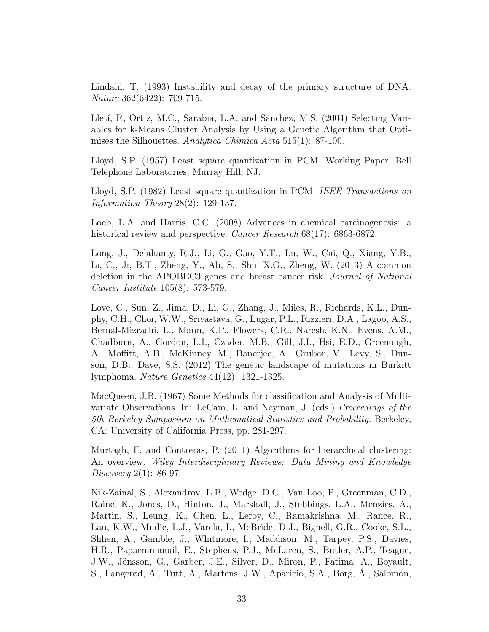Lindahl, T. (1993) Instability and decay of the primary structure of DNA. Nature 362(6422): 709-715.

Lletí, R, Ortiz, M.C., Sarabia, L.A. and Sánchez, M.S. (2004) Selecting Variables for k-Means Cluster Analysis by Using a Genetic Algorithm that Optimises the Silhouettes. Analytica Chimica Acta 515(1): 87-100.

Lloyd, S.P. (1957) Least square quantization in PCM. Working Paper. Bell Telephone Laboratories, Murray Hill, NJ.

Lloyd, S.P. (1982) Least square quantization in PCM. *IEEE Transactions on* Information Theory 28(2): 129-137.

Loeb, L.A. and Harris, C.C. (2008) Advances in chemical carcinogenesis: a historical review and perspective. *Cancer Research* 68(17): 6863-6872.

Long, J., Delahanty, R.J., Li, G., Gao, Y.T., Lu, W., Cai, Q., Xiang, Y.B., Li, C., Ji, B.T., Zheng, Y., Ali, S., Shu, X.O., Zheng, W. (2013) A common deletion in the APOBEC3 genes and breast cancer risk. Journal of National Cancer Institute 105(8): 573-579.

Love, C., Sun, Z., Jima, D., Li, G., Zhang, J., Miles, R., Richards, K.L., Dunphy, C.H., Choi, W.W., Srivastava, G., Lugar, P.L., Rizzieri, D.A., Lagoo, A.S., Bernal-Mizrachi, L., Mann, K.P., Flowers, C.R., Naresh, K.N., Evens, A.M., Chadburn, A., Gordon, L.I., Czader, M.B., Gill, J.I., Hsi, E.D., Greenough, A., Moffitt, A.B., McKinney, M., Banerjee, A., Grubor, V., Levy, S., Dunson, D.B., Dave, S.S. (2012) The genetic landscape of mutations in Burkitt lymphoma. Nature Genetics 44(12): 1321-1325.

MacQueen, J.B. (1967) Some Methods for classification and Analysis of Multivariate Observations. In: LeCam, L. and Neyman, J. (eds.) Proceedings of the 5th Berkeley Symposium on Mathematical Statistics and Probability. Berkeley, CA: University of California Press, pp. 281-297.

Murtagh, F. and Contreras, P. (2011) Algorithms for hierarchical clustering: An overview. Wiley Interdisciplinary Reviews: Data Mining and Knowledge Discovery 2(1): 86-97.

Nik-Zainal, S., Alexandrov, L.B., Wedge, D.C., Van Loo, P., Greenman, C.D., Raine, K., Jones, D., Hinton, J., Marshall, J., Stebbings, L.A., Menzies, A., Martin, S., Leung, K., Chen, L., Leroy, C., Ramakrishna, M., Rance, R., Lau, K.W., Mudie, L.J., Varela, I., McBride, D.J., Bignell, G.R., Cooke, S.L., Shlien, A., Gamble, J., Whitmore, I., Maddison, M., Tarpey, P.S., Davies, H.R., Papaemmanuil, E., Stephens, P.J., McLaren, S., Butler, A.P., Teague, J.W., Jönsson, G., Garber, J.E., Silver, D., Miron, P., Fatima, A., Boyault, S., Langerød, A., Tutt, A., Martens, J.W., Aparicio, S.A., Borg, Å., Salomon,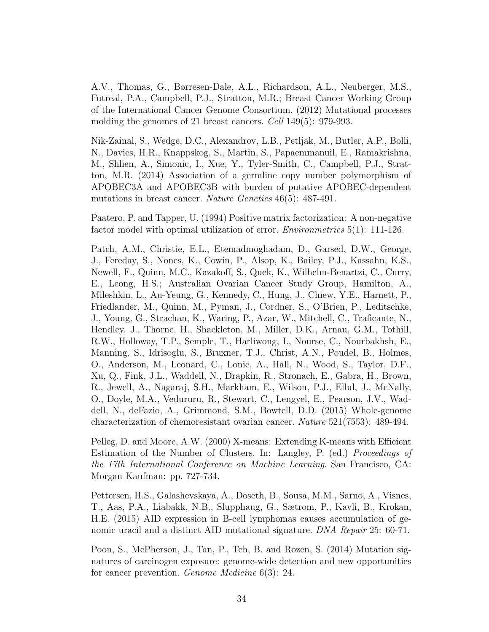A.V., Thomas, G., Børresen-Dale, A.L., Richardson, A.L., Neuberger, M.S., Futreal, P.A., Campbell, P.J., Stratton, M.R.; Breast Cancer Working Group of the International Cancer Genome Consortium. (2012) Mutational processes molding the genomes of 21 breast cancers. Cell 149(5): 979-993.

Nik-Zainal, S., Wedge, D.C., Alexandrov, L.B., Petljak, M., Butler, A.P., Bolli, N., Davies, H.R., Knappskog, S., Martin, S., Papaemmanuil, E., Ramakrishna, M., Shlien, A., Simonic, I., Xue, Y., Tyler-Smith, C., Campbell, P.J., Stratton, M.R. (2014) Association of a germline copy number polymorphism of APOBEC3A and APOBEC3B with burden of putative APOBEC-dependent mutations in breast cancer. Nature Genetics 46(5): 487-491.

Paatero, P. and Tapper, U. (1994) Positive matrix factorization: A non-negative factor model with optimal utilization of error. Environmetrics 5(1): 111-126.

Patch, A.M., Christie, E.L., Etemadmoghadam, D., Garsed, D.W., George, J., Fereday, S., Nones, K., Cowin, P., Alsop, K., Bailey, P.J., Kassahn, K.S., Newell, F., Quinn, M.C., Kazakoff, S., Quek, K., Wilhelm-Benartzi, C., Curry, E., Leong, H.S.; Australian Ovarian Cancer Study Group, Hamilton, A., Mileshkin, L., Au-Yeung, G., Kennedy, C., Hung, J., Chiew, Y.E., Harnett, P., Friedlander, M., Quinn, M., Pyman, J., Cordner, S., O'Brien, P., Leditschke, J., Young, G., Strachan, K., Waring, P., Azar, W., Mitchell, C., Traficante, N., Hendley, J., Thorne, H., Shackleton, M., Miller, D.K., Arnau, G.M., Tothill, R.W., Holloway, T.P., Semple, T., Harliwong, I., Nourse, C., Nourbakhsh, E., Manning, S., Idrisoglu, S., Bruxner, T.J., Christ, A.N., Poudel, B., Holmes, O., Anderson, M., Leonard, C., Lonie, A., Hall, N., Wood, S., Taylor, D.F., Xu, Q., Fink, J.L., Waddell, N., Drapkin, R., Stronach, E., Gabra, H., Brown, R., Jewell, A., Nagaraj, S.H., Markham, E., Wilson, P.J., Ellul, J., McNally, O., Doyle, M.A., Vedururu, R., Stewart, C., Lengyel, E., Pearson, J.V., Waddell, N., deFazio, A., Grimmond, S.M., Bowtell, D.D. (2015) Whole-genome characterization of chemoresistant ovarian cancer. Nature 521(7553): 489-494.

Pelleg, D. and Moore, A.W. (2000) X-means: Extending K-means with Efficient Estimation of the Number of Clusters. In: Langley, P. (ed.) Proceedings of the 17th International Conference on Machine Learning. San Francisco, CA: Morgan Kaufman: pp. 727-734.

Pettersen, H.S., Galashevskaya, A., Doseth, B., Sousa, M.M., Sarno, A., Visnes, T., Aas, P.A., Liabakk, N.B., Slupphaug, G., Sætrom, P., Kavli, B., Krokan, H.E. (2015) AID expression in B-cell lymphomas causes accumulation of genomic uracil and a distinct AID mutational signature. *DNA Repair* 25: 60-71.

Poon, S., McPherson, J., Tan, P., Teh, B. and Rozen, S. (2014) Mutation signatures of carcinogen exposure: genome-wide detection and new opportunities for cancer prevention. Genome Medicine 6(3): 24.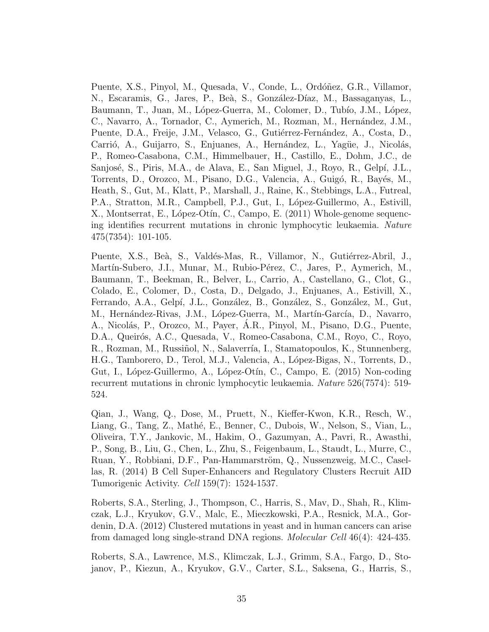Puente, X.S., Pinyol, M., Quesada, V., Conde, L., Ordóñez, G.R., Villamor, N., Escaramis, G., Jares, P., Beà, S., González-Díaz, M., Bassaganyas, L., Baumann, T., Juan, M., López-Guerra, M., Colomer, D., Tubío, J.M., López, C., Navarro, A., Tornador, C., Aymerich, M., Rozman, M., Hernández, J.M., Puente, D.A., Freije, J.M., Velasco, G., Gutiérrez-Fernández, A., Costa, D., Carrió, A., Guijarro, S., Enjuanes, A., Hernández, L., Yagüe, J., Nicolás, P., Romeo-Casabona, C.M., Himmelbauer, H., Castillo, E., Dohm, J.C., de Sanjosé, S., Piris, M.A., de Alava, E., San Miguel, J., Royo, R., Gelpí, J.L., Torrents, D., Orozco, M., Pisano, D.G., Valencia, A., Guigó, R., Bayés, M., Heath, S., Gut, M., Klatt, P., Marshall, J., Raine, K., Stebbings, L.A., Futreal, P.A., Stratton, M.R., Campbell, P.J., Gut, I., López-Guillermo, A., Estivill, X., Montserrat, E., López-Otín, C., Campo, E. (2011) Whole-genome sequencing identifies recurrent mutations in chronic lymphocytic leukaemia. Nature 475(7354): 101-105.

Puente, X.S., Beà, S., Valdés-Mas, R., Villamor, N., Gutiérrez-Abril, J., Martín-Subero, J.I., Munar, M., Rubio-Pérez, C., Jares, P., Aymerich, M., Baumann, T., Beekman, R., Belver, L., Carrio, A., Castellano, G., Clot, G., Colado, E., Colomer, D., Costa, D., Delgado, J., Enjuanes, A., Estivill, X., Ferrando, A.A., Gelpí, J.L., González, B., González, S., González, M., Gut, M., Hernández-Rivas, J.M., López-Guerra, M., Martín-García, D., Navarro, A., Nicolás, P., Orozco, M., Payer, Á.R., Pinyol, M., Pisano, D.G., Puente, D.A., Queirós, A.C., Quesada, V., Romeo-Casabona, C.M., Royo, C., Royo, R., Rozman, M., Russiñol, N., Salaverría, I., Stamatopoulos, K., Stunnenberg, H.G., Tamborero, D., Terol, M.J., Valencia, A., López-Bigas, N., Torrents, D., Gut, I., López-Guillermo, A., López-Otín, C., Campo, E. (2015) Non-coding recurrent mutations in chronic lymphocytic leukaemia. Nature 526(7574): 519- 524.

Qian, J., Wang, Q., Dose, M., Pruett, N., Kieffer-Kwon, K.R., Resch, W., Liang, G., Tang, Z., Mathé, E., Benner, C., Dubois, W., Nelson, S., Vian, L., Oliveira, T.Y., Jankovic, M., Hakim, O., Gazumyan, A., Pavri, R., Awasthi, P., Song, B., Liu, G., Chen, L., Zhu, S., Feigenbaum, L., Staudt, L., Murre, C., Ruan, Y., Robbiani, D.F., Pan-Hammarström, Q., Nussenzweig, M.C., Casellas, R. (2014) B Cell Super-Enhancers and Regulatory Clusters Recruit AID Tumorigenic Activity. Cell 159(7): 1524-1537.

Roberts, S.A., Sterling, J., Thompson, C., Harris, S., Mav, D., Shah, R., Klimczak, L.J., Kryukov, G.V., Malc, E., Mieczkowski, P.A., Resnick, M.A., Gordenin, D.A. (2012) Clustered mutations in yeast and in human cancers can arise from damaged long single-strand DNA regions. Molecular Cell 46(4): 424-435.

Roberts, S.A., Lawrence, M.S., Klimczak, L.J., Grimm, S.A., Fargo, D., Stojanov, P., Kiezun, A., Kryukov, G.V., Carter, S.L., Saksena, G., Harris, S.,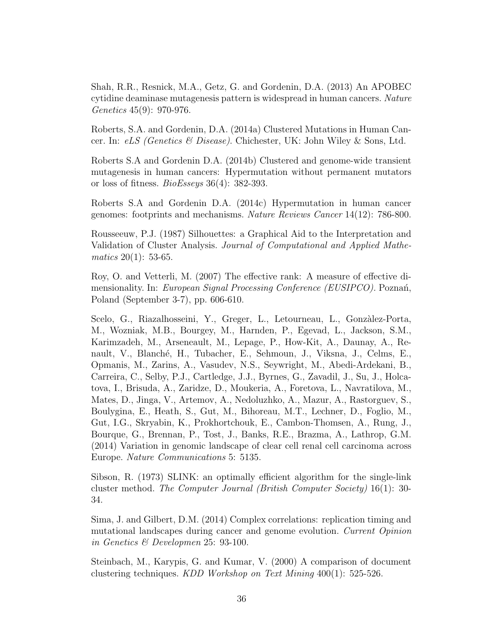Shah, R.R., Resnick, M.A., Getz, G. and Gordenin, D.A. (2013) An APOBEC cytidine deaminase mutagenesis pattern is widespread in human cancers. Nature Genetics 45(9): 970-976.

Roberts, S.A. and Gordenin, D.A. (2014a) Clustered Mutations in Human Cancer. In: eLS (Genetics & Disease). Chichester, UK: John Wiley & Sons, Ltd.

Roberts S.A and Gordenin D.A. (2014b) Clustered and genome-wide transient mutagenesis in human cancers: Hypermutation without permanent mutators or loss of fitness.  $BioEsseys 36(4): 382-393$ .

Roberts S.A and Gordenin D.A. (2014c) Hypermutation in human cancer genomes: footprints and mechanisms. Nature Reviews Cancer 14(12): 786-800.

Rousseeuw, P.J. (1987) Silhouettes: a Graphical Aid to the Interpretation and Validation of Cluster Analysis. Journal of Computational and Applied Mathematics  $20(1)$ : 53-65.

Roy, O. and Vetterli, M. (2007) The effective rank: A measure of effective dimensionality. In: European Signal Processing Conference (EUSIPCO). Poznań, Poland (September 3-7), pp. 606-610.

Scelo, G., Riazalhosseini, Y., Greger, L., Letourneau, L., Gonzàlez-Porta, M., Wozniak, M.B., Bourgey, M., Harnden, P., Egevad, L., Jackson, S.M., Karimzadeh, M., Arseneault, M., Lepage, P., How-Kit, A., Daunay, A., Renault, V., Blanché, H., Tubacher, E., Sehmoun, J., Viksna, J., Celms, E., Opmanis, M., Zarins, A., Vasudev, N.S., Seywright, M., Abedi-Ardekani, B., Carreira, C., Selby, P.J., Cartledge, J.J., Byrnes, G., Zavadil, J., Su, J., Holcatova, I., Brisuda, A., Zaridze, D., Moukeria, A., Foretova, L., Navratilova, M., Mates, D., Jinga, V., Artemov, A., Nedoluzhko, A., Mazur, A., Rastorguev, S., Boulygina, E., Heath, S., Gut, M., Bihoreau, M.T., Lechner, D., Foglio, M., Gut, I.G., Skryabin, K., Prokhortchouk, E., Cambon-Thomsen, A., Rung, J., Bourque, G., Brennan, P., Tost, J., Banks, R.E., Brazma, A., Lathrop, G.M. (2014) Variation in genomic landscape of clear cell renal cell carcinoma across Europe. Nature Communications 5: 5135.

Sibson, R. (1973) SLINK: an optimally efficient algorithm for the single-link cluster method. The Computer Journal (British Computer Society) 16(1): 30- 34.

Sima, J. and Gilbert, D.M. (2014) Complex correlations: replication timing and mutational landscapes during cancer and genome evolution. Current Opinion in Genetics & Developmen 25: 93-100.

Steinbach, M., Karypis, G. and Kumar, V. (2000) A comparison of document clustering techniques. KDD Workshop on Text Mining 400(1): 525-526.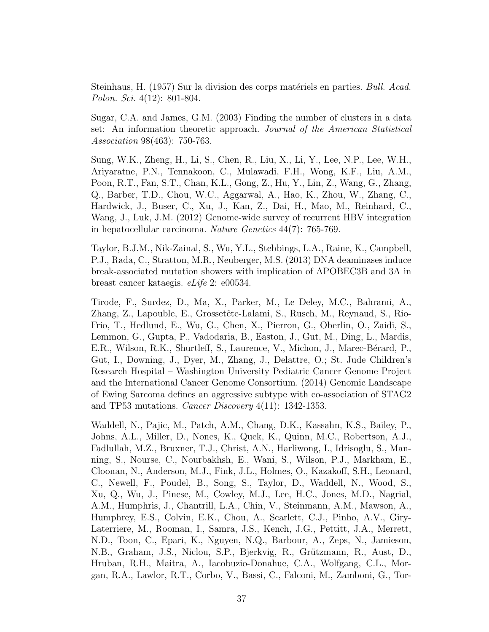Steinhaus, H. (1957) Sur la division des corps matériels en parties. Bull. Acad. Polon. Sci. 4(12): 801-804.

Sugar, C.A. and James, G.M. (2003) Finding the number of clusters in a data set: An information theoretic approach. Journal of the American Statistical Association 98(463): 750-763.

Sung, W.K., Zheng, H., Li, S., Chen, R., Liu, X., Li, Y., Lee, N.P., Lee, W.H., Ariyaratne, P.N., Tennakoon, C., Mulawadi, F.H., Wong, K.F., Liu, A.M., Poon, R.T., Fan, S.T., Chan, K.L., Gong, Z., Hu, Y., Lin, Z., Wang, G., Zhang, Q., Barber, T.D., Chou, W.C., Aggarwal, A., Hao, K., Zhou, W., Zhang, C., Hardwick, J., Buser, C., Xu, J., Kan, Z., Dai, H., Mao, M., Reinhard, C., Wang, J., Luk, J.M. (2012) Genome-wide survey of recurrent HBV integration in hepatocellular carcinoma. Nature Genetics 44(7): 765-769.

Taylor, B.J.M., Nik-Zainal, S., Wu, Y.L., Stebbings, L.A., Raine, K., Campbell, P.J., Rada, C., Stratton, M.R., Neuberger, M.S. (2013) DNA deaminases induce break-associated mutation showers with implication of APOBEC3B and 3A in breast cancer kataegis. eLife 2: e00534.

Tirode, F., Surdez, D., Ma, X., Parker, M., Le Deley, M.C., Bahrami, A., Zhang, Z., Lapouble, E., Grossetête-Lalami, S., Rusch, M., Reynaud, S., Rio-Frio, T., Hedlund, E., Wu, G., Chen, X., Pierron, G., Oberlin, O., Zaidi, S., Lemmon, G., Gupta, P., Vadodaria, B., Easton, J., Gut, M., Ding, L., Mardis, E.R., Wilson, R.K., Shurtleff, S., Laurence, V., Michon, J., Marec-Bérard, P., Gut, I., Downing, J., Dyer, M., Zhang, J., Delattre, O.; St. Jude Children's Research Hospital – Washington University Pediatric Cancer Genome Project and the International Cancer Genome Consortium. (2014) Genomic Landscape of Ewing Sarcoma defines an aggressive subtype with co-association of STAG2 and TP53 mutations. Cancer Discovery 4(11): 1342-1353.

Waddell, N., Pajic, M., Patch, A.M., Chang, D.K., Kassahn, K.S., Bailey, P., Johns, A.L., Miller, D., Nones, K., Quek, K., Quinn, M.C., Robertson, A.J., Fadlullah, M.Z., Bruxner, T.J., Christ, A.N., Harliwong, I., Idrisoglu, S., Manning, S., Nourse, C., Nourbakhsh, E., Wani, S., Wilson, P.J., Markham, E., Cloonan, N., Anderson, M.J., Fink, J.L., Holmes, O., Kazakoff, S.H., Leonard, C., Newell, F., Poudel, B., Song, S., Taylor, D., Waddell, N., Wood, S., Xu, Q., Wu, J., Pinese, M., Cowley, M.J., Lee, H.C., Jones, M.D., Nagrial, A.M., Humphris, J., Chantrill, L.A., Chin, V., Steinmann, A.M., Mawson, A., Humphrey, E.S., Colvin, E.K., Chou, A., Scarlett, C.J., Pinho, A.V., Giry-Laterriere, M., Rooman, I., Samra, J.S., Kench, J.G., Pettitt, J.A., Merrett, N.D., Toon, C., Epari, K., Nguyen, N.Q., Barbour, A., Zeps, N., Jamieson, N.B., Graham, J.S., Niclou, S.P., Bjerkvig, R., Grützmann, R., Aust, D., Hruban, R.H., Maitra, A., Iacobuzio-Donahue, C.A., Wolfgang, C.L., Morgan, R.A., Lawlor, R.T., Corbo, V., Bassi, C., Falconi, M., Zamboni, G., Tor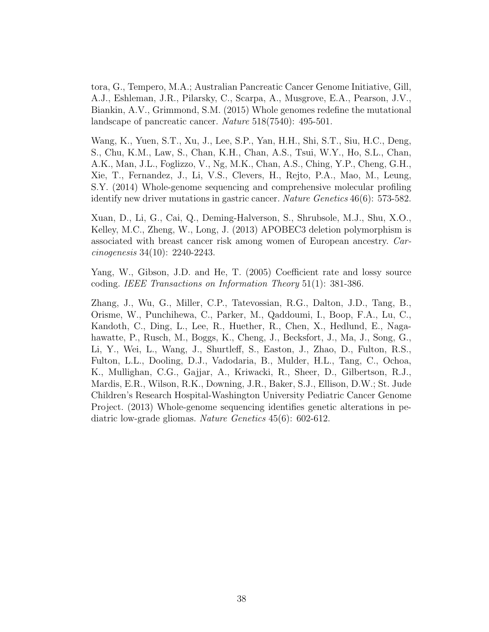tora, G., Tempero, M.A.; Australian Pancreatic Cancer Genome Initiative, Gill, A.J., Eshleman, J.R., Pilarsky, C., Scarpa, A., Musgrove, E.A., Pearson, J.V., Biankin, A.V., Grimmond, S.M. (2015) Whole genomes redefine the mutational landscape of pancreatic cancer. Nature 518(7540): 495-501.

Wang, K., Yuen, S.T., Xu, J., Lee, S.P., Yan, H.H., Shi, S.T., Siu, H.C., Deng, S., Chu, K.M., Law, S., Chan, K.H., Chan, A.S., Tsui, W.Y., Ho, S.L., Chan, A.K., Man, J.L., Foglizzo, V., Ng, M.K., Chan, A.S., Ching, Y.P., Cheng, G.H., Xie, T., Fernandez, J., Li, V.S., Clevers, H., Rejto, P.A., Mao, M., Leung, S.Y. (2014) Whole-genome sequencing and comprehensive molecular profiling identify new driver mutations in gastric cancer. Nature Genetics 46(6): 573-582.

Xuan, D., Li, G., Cai, Q., Deming-Halverson, S., Shrubsole, M.J., Shu, X.O., Kelley, M.C., Zheng, W., Long, J. (2013) APOBEC3 deletion polymorphism is associated with breast cancer risk among women of European ancestry. Carcinogenesis 34(10): 2240-2243.

Yang, W., Gibson, J.D. and He, T. (2005) Coefficient rate and lossy source coding. IEEE Transactions on Information Theory 51(1): 381-386.

Zhang, J., Wu, G., Miller, C.P., Tatevossian, R.G., Dalton, J.D., Tang, B., Orisme, W., Punchihewa, C., Parker, M., Qaddoumi, I., Boop, F.A., Lu, C., Kandoth, C., Ding, L., Lee, R., Huether, R., Chen, X., Hedlund, E., Nagahawatte, P., Rusch, M., Boggs, K., Cheng, J., Becksfort, J., Ma, J., Song, G., Li, Y., Wei, L., Wang, J., Shurtleff, S., Easton, J., Zhao, D., Fulton, R.S., Fulton, L.L., Dooling, D.J., Vadodaria, B., Mulder, H.L., Tang, C., Ochoa, K., Mullighan, C.G., Gajjar, A., Kriwacki, R., Sheer, D., Gilbertson, R.J., Mardis, E.R., Wilson, R.K., Downing, J.R., Baker, S.J., Ellison, D.W.; St. Jude Children's Research Hospital-Washington University Pediatric Cancer Genome Project. (2013) Whole-genome sequencing identifies genetic alterations in pediatric low-grade gliomas. Nature Genetics 45(6): 602-612.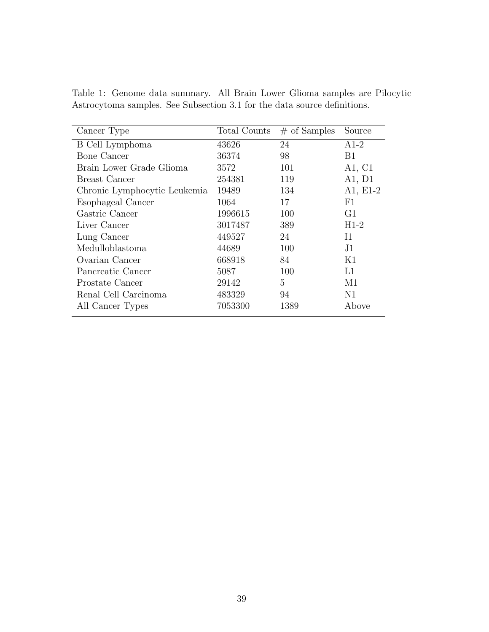| Cancer Type                  | Total Counts | $#$ of Samples | Source                 |
|------------------------------|--------------|----------------|------------------------|
| B Cell Lymphoma              | 43626        | 24             | $A1-2$                 |
| Bone Cancer                  | 36374        | 98             | B1                     |
| Brain Lower Grade Glioma     | 3572         | 101            | A <sub>1</sub> , $C_1$ |
| Breast Cancer                | 254381       | 119            | A1, D1                 |
| Chronic Lymphocytic Leukemia | 19489        | 134            | A1, $E1-2$             |
| Esophageal Cancer            | 1064         | 17             | F1                     |
| Gastric Cancer               | 1996615      | 100            | G1                     |
| Liver Cancer                 | 3017487      | 389            | $H1-2$                 |
| Lung Cancer                  | 449527       | 24             | I <sub>1</sub>         |
| Medulloblastoma              | 44689        | 100            | J1                     |
| Ovarian Cancer               | 668918       | 84             | K1                     |
| Pancreatic Cancer            | 5087         | 100            | L1                     |
| Prostate Cancer              | 29142        | 5              | M1                     |
| Renal Cell Carcinoma         | 483329       | 94             | N1                     |
| All Cancer Types             | 7053300      | 1389           | Above                  |
|                              |              |                |                        |

Table 1: Genome data summary. All Brain Lower Glioma samples are Pilocytic Astrocytoma samples. See Subsection 3.1 for the data source definitions.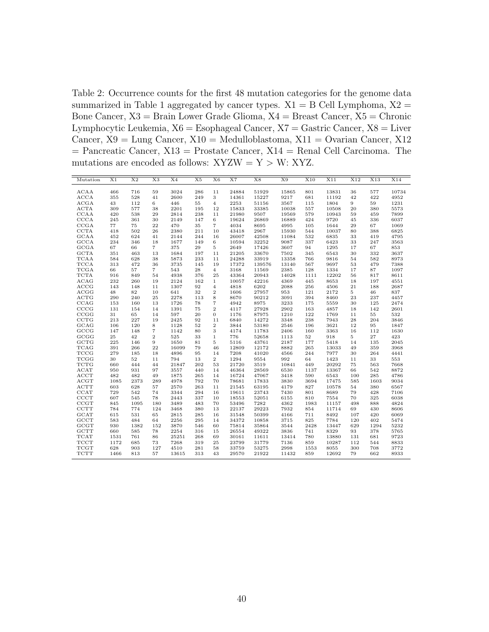Table 2: Occurrence counts for the first 48 mutation categories for the genome data summarized in Table 1 aggregated by cancer types.  $X1 = B$  Cell Lymphoma,  $X2 =$ Bone Cancer, X3 = Brain Lower Grade Glioma, X4 = Breast Cancer, X5 = Chronic Lymphocytic Leukemia,  $X6 =$  Esophageal Cancer,  $X7 =$  Gastric Cancer,  $X8 =$  Liver Cancer,  $X9 = \text{Lung Cancer}, X10 = \text{Medulloblastoma}, X11 = \text{Ovarian Cancer}, X12$  $=$  Pancreatic Cancer, X13  $=$  Prostate Cancer, X14  $=$  Renal Cell Carcinoma. The mutations are encoded as follows:  $XYZW = Y > W$ : XYZ.

| Mutation           | X1   | X <sub>2</sub> | X3                | X <sub>4</sub> | X5  | X6             | X7    | X8     | X9    | X10  | X11   | X12 | $\overline{\text{X}13}$ | X14   |
|--------------------|------|----------------|-------------------|----------------|-----|----------------|-------|--------|-------|------|-------|-----|-------------------------|-------|
|                    |      |                |                   |                |     |                |       |        |       |      |       |     |                         |       |
| ACAA               | 466  | 716            | 59                | 3024           | 286 | 11             | 24884 | 51929  | 15865 | 801  | 13831 | 36  | 577                     | 10734 |
| ACCA               | 355  | 528            | 41                | 2600           | 249 | 3              | 14361 | 15227  | 9217  | 681  | 11192 | 42  | 422                     | 4952  |
| ACGA               | 43   | 112            | 6                 | 446            | 55  | $\overline{4}$ | 2253  | 51156  | 3567  | 115  | 1804  | 9   | 59                      | 1231  |
| $\rm ACTA$         | 309  | 577            | 38                | 2201           | 195 | 12             | 15833 | 33385  | 10038 | 557  | 10508 | 20  | 380                     | 5573  |
| CCAA               | 420  | 538            | 29                | 2814           | 238 | 11             | 21980 | 9507   | 19569 | 579  | 10943 | 59  | 459                     | 7899  |
| CCCA               | 245  | 361            | 30                | 2149           | 147 | 6              | 19624 | 26869  | 16889 | 424  | 9720  | 45  | 336                     | 6037  |
| CCGA               | 77   | 75             | 22                | 470            | 35  | $\overline{7}$ | 4034  | 8695   | 4995  | 105  | 1644  | 29  | 67                      | 1069  |
| CCTA               | 418  | 502            | 26                | 2380           | 211 | 10             | 43418 | 2967   | 15930 | 544  | 10037 | 80  | 388                     | 6825  |
| GCAA               | 452  | 624            | 41                | 2144           | 244 | 16             | 26007 | 42508  | 11084 | 532  | 6835  | 33  | 419                     | 4795  |
| $_{\rm GCCA}$      | 234  | 346            | 18                | 1677           | 149 | 6              | 10594 | 32252  | 9087  | 337  | 6423  | 33  | 247                     | 3563  |
| GCGA               | 67   | 66             | $\overline{7}$    | 375            | 29  | 5              | 2649  | 17426  | 3607  | 94   | 1295  | 17  | 67                      | 853   |
| <b>GCTA</b>        | 351  | 463            | 13                | 1684           | 197 | 11             | 21205 | 33670  | 7502  | 345  | 6543  | 30  | 332                     | 3637  |
| <b>TCAA</b>        | 584  | 628            | 38                | 5873           | 233 | 11             | 24288 | 33919  | 13358 | 766  | 9816  | 54  | 582                     | 8973  |
| TCCA               | 313  | 472            | 36                | 3735           | 145 | 19             | 17372 | 139576 | 13140 | 567  | 9697  | 53  | 479                     | 7388  |
| TCGA               | 66   | 57             | 7                 | 543            | 28  | $\overline{4}$ | 3168  | 11569  | 2385  | 128  | 1334  | 17  | 87                      | 1097  |
| TCTA               | 916  | 849            | 54                | 4938           | 376 | 25             | 43364 | 20943  | 14028 | 1111 | 12202 | 56  | 817                     | 8611  |
| ACAG               | 232  | 260            | 19                | 2124           | 162 | $\mathbf{1}$   | 10057 | 42216  | 4369  | 445  | 8653  | 18  | 197                     | 4551  |
| ACCG               | 143  | 148            | 11                | 1307           | 92  | $\overline{4}$ | 4818  | 6202   | 2088  | 256  | 4506  | 21  | 188                     | 2687  |
| ACGG               | 48   | 82             | 10                | 641            | 32  | $\,2$          | 1606  | 27957  | 953   | 121  | 2172  | 5   | 46                      | 837   |
| ACTG               | 290  | 240            | 25                | 2278           | 113 | 8              | 8670  | 90212  | 3091  | 394  | 8460  | 23  | 237                     | 4457  |
| $_{\rm CCAG}$      | 153  | 160            | 13                | 1726           | 78  | $\overline{7}$ | 4942  | 8975   | 3233  | 175  | 5559  | 30  | 125                     | 2474  |
| CCCG               | 131  | 154            | 14                | 1391           | 75  | $\overline{2}$ | 4117  | 27928  | 2902  | 163  | 4857  | 18  | 142                     | 2601  |
| CCGG               | 31   | 65             | 14                | 597            | 20  | $\overline{0}$ | 1176  | 87975  | 1210  | 122  | 1769  | 11  | 55                      | 532   |
| CCTG               | 213  | 227            | 19                | 2425           | 92  | 11             | 6840  | 14272  | 3348  | 238  | 7943  | 28  | 204                     | 3846  |
| GCAG               | 106  | 120            | 8                 | 1128           | 52  | $\overline{2}$ | 3844  | 53180  | 2546  | 196  | 3621  | 12  | 95                      | 1847  |
| CCCG               | 147  | 148            | $\scriptstyle{7}$ | 1142           | 80  | 3              | 4174  | 11783  | 2406  | 160  | 3363  | 16  | 112                     | 1630  |
| GCGG               | 25   | 42             | $\overline{2}$    | 525            | 33  | $\mathbf{1}$   | 776   | 52658  | 1113  | 52   | 918   | 5   | 27                      | 423   |
| GCTG               | 225  | 146            | 9                 | 1650           | 81  | 5              | 5116  | 43761  | 2187  | 177  | 5418  | 14  | 135                     | 2045  |
| TCAG               | 391  | 266            | 22                | 16099          | 79  | 46             | 12809 | 12172  | 8882  | 265  | 13033 | 49  | 359                     | 3968  |
| TCCG               | 279  | 185            | 18                | 4896           | 95  | 14             | 7208  | 41020  | 4566  | 244  | 7977  | 30  | 264                     | 4441  |
| TCGG               | 30   | 52             | 11                | 794            | 13  | $\overline{2}$ | 1294  | 9554   | 992   | 64   | 1423  | 11  | 33                      | 553   |
| TCTG               | 660  | 444            | 44                | 21847          | 202 | 53             | 21720 | 3519   | 10841 | 449  | 20292 | 75  | 563                     | 7668  |
| ACAT               | 950  | 931            | 97                | 3557           | 440 | 14             | 46364 | 28569  | 6530  | 1137 | 13367 | 66  | 542                     | 8872  |
| ACCT               | 482  | 482            | 49                | 1875           | 265 | 14             | 16724 | 47067  | 3418  | 590  | 6543  | 100 | 285                     | 4786  |
| ACGT               | 1085 | 2373           | 289               | 4978           | 792 | 70             | 78681 | 17833  | 3830  | 3694 | 17475 | 585 | 1603                    | 9034  |
| ACTT               | 603  | 628            | 57                | 2570           | 263 | 11             | 21545 | 63195  | 4179  | 827  | 10578 | 54  | 380                     | 6567  |
| CCAT               | 729  | 542            | 74                | 3344           | 294 | 16             | 19611 | 23743  | 7430  | 801  | 8689  | 79  | 428                     | 7106  |
| $_{\mathrm{CCCT}}$ | 607  | 545            | 78                | 2443           | 337 | 10             | 18553 | 52051  | 6155  | 810  | 7554  | 70  | 325                     | 6038  |
| CCGT               | 845  | 1095           | 180               | 3489           | 483 | 70             | 53496 | 7282   | 4362  | 1983 | 11157 | 498 | 888                     | 4824  |
| <b>CCTT</b>        | 784  | 774            | 124               | 3468           | 380 | 13             | 22137 | 29223  | 7932  | 854  | 11714 | 69  | 430                     | 8606  |
| GCAT               | 615  | 531            | 65                | 2815           | 285 | 16             | 31548 | 50399  | 4166  | 711  | 8492  | 107 | 420                     | 6069  |
| $_{\rm GCT}$       | 583  | 484            | 64                | 2256           | 295 | 14             | 34372 | 10858  | 3715  | 825  | 7784  | 120 | 402                     | 5474  |
| GCGT               | 930  | 1382           | 152               | 3870           | 546 | 60             | 75814 | 35864  | 3544  | 2428 | 13447 | 629 | 1294                    | 5232  |
| GCTT               | 660  | 585            | 78                | 2254           | 316 | 15             | 26554 | 49322  | 3836  | 741  | 8329  | 93  | 378                     | 5765  |
| TCAT               | 1531 | 761            | 86                | 25251          | 268 | 69             | 30161 | 11611  | 13414 | 780  | 13880 | 131 | 681                     | 9723  |
| TCCT               | 1172 | 685            | 73                | 7268           | 319 | 25             | 23799 | 31779  | 7136  | 859  | 10287 | 112 | 544                     | 8833  |
| TCGT               | 628  | 903            | 127               | 4510           | 281 | 58             | 33759 | 53275  | 2998  | 1553 | 8055  | 300 | 708                     | 3772  |
| <b>TCTT</b>        | 1466 | 813            | 57                | 13615          | 313 | 43             | 29570 | 21922  | 11432 | 859  | 12692 | 79  | 662                     | 8933  |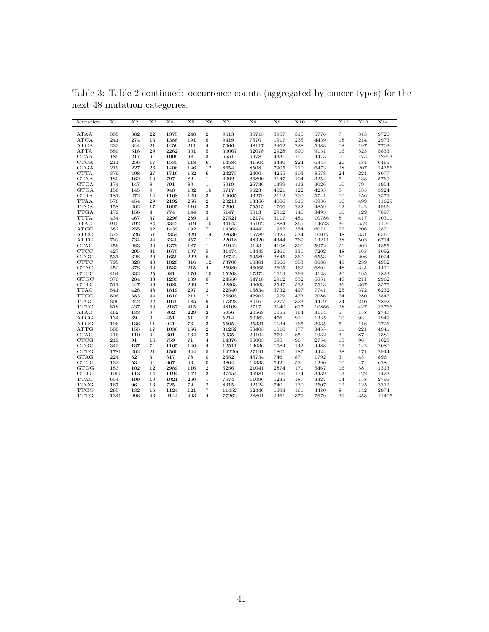| Mutation                   | X1         | X <sub>2</sub> | X3             | X <sub>4</sub> | X5         | X6                        | X7            | X8           | X9           | X10        | X11           | X12            | X13        | X14          |
|----------------------------|------------|----------------|----------------|----------------|------------|---------------------------|---------------|--------------|--------------|------------|---------------|----------------|------------|--------------|
|                            |            |                |                |                |            |                           |               |              |              |            |               |                |            |              |
| <b>ATAA</b>                | 385        | 382            | 22             | 1375           | 248        | $\overline{2}$            | 9613          | 35715        | 3957         | 315        | 5776          | $\overline{7}$ | 313        | 9726         |
| <b>ATCA</b>                | 241        | 274            | 13             | 1388           | 191        | 6                         | 9419          | 7570         | 1917         | 235        | 4439          | 18             | 214        | 2973         |
| ATGA                       | 232        | 344            | 21             | 1459           | 211        | $\overline{4}$            | 7666          | 48117        | 3962         | 228        | 5983          | 18             | 197        | 7703         |
| <b>ATTA</b>                | 580        | 516            | 29             | 2262           | 301        | 5                         | 30067         | 32078        | 2928         | 590        | 9131          | 16             | 523        | 5833         |
| <b>CTAA</b>                | 185        | 217            | 9              | 1009           | 98         | 3                         | 5551          | 9978         | 4331         | 151        | 4473          | 10             | 175        | 12963        |
| <b>CTCA</b>                | 211        | 256            | 17             | 1535           | 118        | 6                         | 14584         | 41504        | 3430         | 224        | 6343          | 21             | 184        | 6465         |
| <b>CTGA</b>                | 219        | 227            | 26             | 1406           | 146        | 12                        | 8654          | 8508         | 7905         | 210        | 6473          | 28             | 207        | 14356        |
| <b>CTTA</b>                | 379        | 408            | 27             | 1716           | 162        | 6                         | 24273         | 2400         | 4255         | 303        | 8578          | 24             | 221        | 8077         |
| <b>GTAA</b>                | 180        | 162            | 10             | 797            | 82         | $\mathbf{1}$              | 4092          | 36890        | 3147         | 104        | 3254          | 5              | 138        | 5769         |
| <b>GTCA</b>                | 174        | 147            | 8              | 791            | 80         | $\mathbf{1}$              | 5919          | 25736        | 1399         | 113        | 3026          | 10             | 79         | 1954         |
| <b>GTGA</b>                | 156        | 145            | 9              | 948            | 102        | 10                        | 6717          | 9623         | 4021         | 122        | 4233          | 8              | 135        | 3924         |
| <b>GTTA</b>                | 181        | 272            | 14             | 1168           | 129        | 3                         | 10065         | 43279        | 2112         | 200        | 5741          | 10             | 156        | 2579         |
| <b>TTAA</b>                | 576        | 454            | 29             | 2192           | 256        | $\,2\,$                   | 20211         | 13356        | 4086         | 510        | 6936          | 16             | 499        | 11629        |
| <b>TTCA</b>                | 158        | 202            | 17             | 1095           | 110        | 3                         | 7296          | 75515        | 1766         | 222        | 4859          | 12             | 142        | 4966         |
| <b>TTGA</b>                | 179        | 156            | 4              | 774            | 144        | 3                         | 5147          | 5013         | 2912         | 140        | 3493          | 10             | 129        | 7897         |
| <b>TTTA</b>                | 434        | 467            | 37             | 2298           | 289        | 3                         | 27521         | 12174        | 3117         | 481        | 10786         | 8              | 417        | 10311        |
| <b>ATAC</b>                | 910        | 792            | 84             | 3342           | 519        | 10                        | 34145         | 35102        | 7884         | 865        | 14628         | 36             | 552        | 11060        |
| ATCC                       | 382        | 255            | 32             | 1439           | 192        | $\overline{7}$            | 14365         | 4444         | 1952         | 354        | 6071          | 22             | 206        | 2821         |
| ATGC                       | 572        | 526            | 51             | 2354           | 329        | 14                        | 28630         | 16789        | 5325         | 534        | 10017         | 48             | 331        | 6561         |
| <b>ATTC</b>                | 792        | 734            | 94             | 3340           | 457        | 11                        | 22018         | 48320        | 4344         | 769        | 13211         | 38             | 503        | 6714         |
| <b>CTAC</b>                | 456        | 283            | 30             | 1378           | 187        | $\mathbf{1}$              | 21942         | 9143         | 4198         | 301        | 5972          | 21             | 202        | 4855         |
| <b>CTCC</b>                | 427        | 295            | 31             | 1670           | 197        | 5                         | 31474         | 13443        | 2361         | 331        | 7202          | 48             | 163        | 3092         |
| <b>CTGC</b>                | 531        | 328            | 29             | 1659           | 222        | 6                         | 38742         | 59589        | 3845         | 360        | 6553          | 60             | 206        | 4024         |
| <b>CTTC</b>                | 795        | 328            | 48             | 1828           | 316        | 12                        | 73708         | 10381        | 3566         | 383        | 8088          | 48             | 239        | 4982         |
| <b>GTAC</b>                | 452        | 378            | 30             | 1533           | 215        | $\overline{4}$            | 25980         | 46065        | 3605         | 462        | 6804          | 48             | 345        | 4411         |
| <b>GTCC</b>                | 404        | 332            | 25             | 981            | 176        | 10                        | 15268         | 17372        | 1619         | 299        | 4123          | 20             | 195        | 1823         |
| <b>GTGC</b>                | 370        | 284            | 33             | 1233           | 189        | 8                         | 24550         | 54718        | 2912         | 332        | 5851          | 48             | 211        | 2962         |
| <b>GTTC</b>                | 511        | 447            | 46             | 1680           | 269        | $\scriptstyle{7}$         | 22803         | 46663        | 2547         | 532        | 7513          | 36             | 367        | 3575<br>6232 |
| <b>TTAC</b>                | 541        | 428            | 48             | 1819           | 297        | $\,2\,$<br>$\overline{2}$ | 22540         | 16834        | 3732         | 497        | 7741          | 25             | 372        |              |
| <b>TTCC</b>                | 606        | 383            | 44             | 1610           | 211        |                           | 25505         | 42903        | 1979         | 473        | 7086          | 24             | 280        | 3847<br>2892 |
| <b>TTGC</b><br><b>TTTC</b> | 306        | 242            | 22<br>60       | 1079<br>2187   | 185<br>415 | 9<br>$\overline{4}$       | 17328         | 8016<br>2717 | 2277         | 323        | 4419<br>10866 | 24<br>28       | 210<br>427 | 13766        |
| <b>ATAG</b>                | 818<br>462 | 437<br>133     | 9              | 862            | 229        | $\overline{2}$            | 48109<br>5956 | 20568        | 3140<br>1055 | 617<br>164 | 3114          | 5              | 158        | 2747         |
| ATCG                       | 134        | 69             | 3              | 451            | 51         | $\theta$                  | 5214          | 50363        | 476          | 92         | 1335          | 10             | 93         | 1949         |
| ATGG                       | 196        | 136            | 11             | 941            | 76         | 3                         | 5505          | 35331        | 1134         | 165        | 3935          | 5              | 116        | 2726         |
| ATTG                       | 580        |                | 17             | 1030           | 166        | $\overline{2}$            | 31252         | 58405        | 1010         | 177        |               | 11             | 221        | 4941         |
| <b>CTAG</b>                | 416        | 155<br>110     | $\overline{4}$ | 601            | 134        | 3                         | 5035          | 29104        | 779          | 85         | 3455<br>1932  | 3              | 87         | 1381         |
| <b>CTCG</b>                | 219        | 91             | 16             | 759            | 71         | $\overline{4}$            | 14376         | 86003        | 695          | 96         | 2754          | 15             | 96         | 1628         |
| <b>CTGG</b>                | 342        | 137            | 7              | 1165           | 140        | $\overline{4}$            | 12511         | 13036        | 1684         | 142        | 4488          | 19             | 142        | 2080         |
| <b>CTTG</b>                | 1780       | 202            | 21             | 1560           | 344        | 5                         | 142206        | 27191        | 1801         | 187        | 4424          | 38             | 171        | 2944         |
| <b>GTAG</b>                | 224        | 82             | 3              | 617            | 78         | $\overline{0}$            | 2552          | 45734        | 746          | 87         | 1792          | 3              | 45         | 896          |
| <b>GTCG</b>                | 132        | 53             | $\overline{4}$ | 667            | 43         | $\theta$                  | 3804          | 10333        | 542          | 53         | 1290          | 10             | 47         | 628          |
| GTGG                       | 183        | 102            | 12             | 2989           | 116        | $\overline{2}$            | 5256          | 21041        | 2874         | 171        | 5467          | 16             | 58         | 1313         |
| <b>GTTG</b>                | 1090       | 113            | 14             | 1194           | 142        | 3                         | 37454         | 46981        | 1106         | 174        | 3439          | 13             | 122        | 1423         |
| <b>TTAG</b>                | 654        | 199            | 19             | 1021           | 260        | $\mathbf{1}$              | 7674          | 11096        | 1235         | 187        | 3327          | 14             | 158        | 2799         |
| <b>TTCG</b>                | 167        | 96             | 13             | 725            | 79         | $\overline{2}$            | 8315          | 32124        | 740          | 130        | 2507          | 12             | 125        | 3312         |
| <b>TTGG</b>                | 265        | 132            | 16             | 1124           | 121        | $\overline{7}$            | 11452         | 62446        | 1693         | 161        | 4480          | 8              | 142        | 2974         |
| <b>TTTG</b>                | 1349       | 296            | 43             | 2144           | 403        | $\overline{4}$            | 77262         | 28801        | 2361         | 379        | 7679          | 39             | 353        | 11415        |
|                            |            |                |                |                |            |                           |               |              |              |            |               |                |            |              |

Table 3: Table 2 continued: occurrence counts (aggregated by cancer types) for the next 48 mutation categories.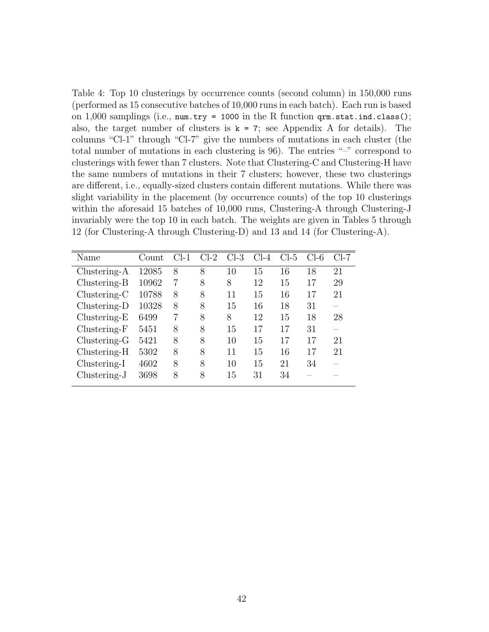Table 4: Top 10 clusterings by occurrence counts (second column) in 150,000 runs (performed as 15 consecutive batches of 10,000 runs in each batch). Each run is based on 1,000 samplings (i.e.,  $num.try = 1000$  in the R function  $qrm.stat.ind.class()$ ; also, the target number of clusters is  $k = 7$ ; see Appendix A for details). The columns "Cl-1" through "Cl-7" give the numbers of mutations in each cluster (the total number of mutations in each clustering is 96). The entries "–" correspond to clusterings with fewer than 7 clusters. Note that Clustering-C and Clustering-H have the same numbers of mutations in their 7 clusters; however, these two clusterings are different, i.e., equally-sized clusters contain different mutations. While there was slight variability in the placement (by occurrence counts) of the top 10 clusterings within the aforesaid 15 batches of 10,000 runs, Clustering-A through Clustering-J invariably were the top 10 in each batch. The weights are given in Tables 5 through 12 (for Clustering-A through Clustering-D) and 13 and 14 (for Clustering-A).

| Name           | Count | $Cl-1$ | $Cl-2$ | $Cl-3$ | $Cl-4$ | $Cl-5$ | $Cl-6$ | $Cl-7$ |
|----------------|-------|--------|--------|--------|--------|--------|--------|--------|
| $Clustering-A$ | 12085 | 8      | 8      | 10     | 15     | 16     | 18     | 21     |
| Clustering-B   | 10962 | 7      | 8      | 8      | 12     | 15     | 17     | 29     |
| $Clustering-C$ | 10788 | 8      | 8      | 11     | 15     | 16     | 17     | 21     |
| $Clustering-D$ | 10328 | 8      | 8      | 15     | 16     | 18     | 31     |        |
| $Clustering-E$ | 6499  | 7      | 8      | 8      | 12     | 15     | 18     | 28     |
| $Clustering-F$ | 5451  | 8      | 8      | 15     | 17     | 17     | 31     |        |
| $Clustering-G$ | 5421  | 8      | 8      | 10     | 15     | 17     | 17     | 21     |
| Clustering-H   | 5302  | 8      | 8      | 11     | 15     | 16     | 17     | 21     |
| Clustering-I   | 4602  | 8      | 8      | 10     | 15     | 21     | 34     |        |
| Clustering-J   | 3698  | 8      | 8      | 15     | 31     | 34     |        |        |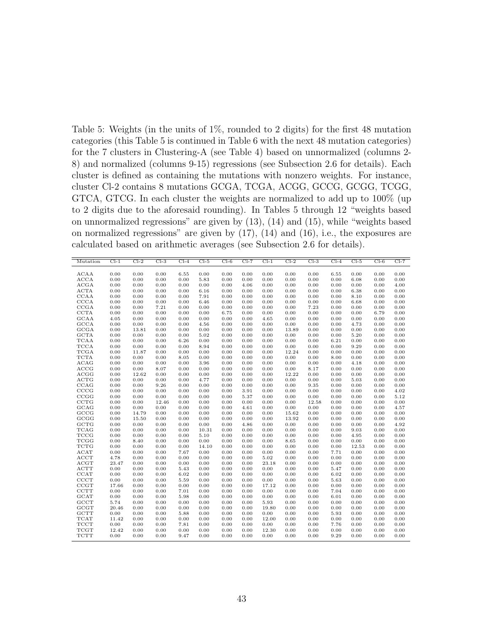Table 5: Weights (in the units of 1%, rounded to 2 digits) for the first 48 mutation categories (this Table 5 is continued in Table 6 with the next 48 mutation categories) for the 7 clusters in Clustering-A (see Table 4) based on unnormalized (columns 2- 8) and normalized (columns 9-15) regressions (see Subsection 2.6 for details). Each cluster is defined as containing the mutations with nonzero weights. For instance, cluster Cl-2 contains 8 mutations GCGA, TCGA, ACGG, GCCG, GCGG, TCGG, GTCA, GTCG. In each cluster the weights are normalized to add up to 100% (up to 2 digits due to the aforesaid rounding). In Tables 5 through 12 "weights based on unnormalized regressions" are given by (13), (14) and (15), while "weights based on normalized regressions" are given by (17), (14) and (16), i.e., the exposures are calculated based on arithmetic averages (see Subsection 2.6 for details).

| Mutation            | $Cl-1$        | $Cl-2$       | $Cl-3$       | $Cl-4$       | $Cl-5$       | $\overline{\text{Cl-6}}$ | $Cl-7$       | $Cl-1$        | $\overline{\text{Cl-2}}$ | $Cl-3$       | $Cl-4$       | $Cl-5$       | $Cl-6$       | $Cl-7$       |
|---------------------|---------------|--------------|--------------|--------------|--------------|--------------------------|--------------|---------------|--------------------------|--------------|--------------|--------------|--------------|--------------|
|                     |               |              |              |              |              |                          |              |               |                          |              |              |              |              |              |
| <b>ACAA</b>         | 0.00          | 0.00         | 0.00         | 6.55         | 0.00         | 0.00                     | 0.00         | 0.00          | 0.00                     | 0.00         | 6.55         | 0.00         | 0.00         | 0.00         |
| ACCA                | 0.00          | 0.00         | 0.00         | 0.00         | 5.83         | 0.00                     | 0.00         | 0.00          | 0.00                     | 0.00         | 0.00         | 6.08         | 0.00         | 0.00         |
| ACGA                | 0.00          | 0.00         | 0.00         | 0.00         | 0.00         | 0.00                     | 4.06         | 0.00          | 0.00                     | 0.00         | 0.00         | 0.00         | 0.00         | 4.00         |
| ACTA                | 0.00          | 0.00         | 0.00         | 0.00         | 6.16         | 0.00                     | 0.00         | 0.00          | 0.00                     | 0.00         | 0.00         | 6.38         | 0.00         | 0.00         |
| CCAA                | 0.00          | 0.00         | 0.00         | 0.00         | 7.91         | 0.00                     | 0.00         | 0.00          | 0.00                     | 0.00         | 0.00         | 8.10         | 0.00         | 0.00         |
| CCCA                | 0.00          | 0.00         | 0.00         | 0.00         | 6.46         | 0.00                     | 0.00         | 0.00          | 0.00                     | 0.00         | 0.00         | 6.68         | 0.00         | 0.00         |
| CCGA                | 0.00          | 0.00         | 7.21         | 0.00         | 0.00         | 0.00                     | 0.00         | 0.00          | 0.00                     | 7.23         | 0.00         | 0.00         | 0.00         | 0.00         |
| <b>CCTA</b>         | 0.00          | 0.00         | 0.00         | 0.00         | 0.00         | 6.75                     | 0.00         | 0.00          | 0.00                     | 0.00         | 0.00         | 0.00         | 6.79         | 0.00         |
| GCAA                | 4.05          | 0.00         | 0.00         | 0.00         | 0.00         | 0.00                     | 0.00         | 4.65          | 0.00                     | 0.00         | 0.00         | 0.00         | 0.00         | 0.00         |
| GCCA                | 0.00          | 0.00         | 0.00         | 0.00         | 4.56         | 0.00                     | 0.00         | 0.00          | 0.00                     | 0.00         | 0.00         | 4.73         | 0.00         | 0.00         |
| GCGA                | 0.00          | 13.81        | 0.00         | 0.00         | 0.00         | 0.00                     | 0.00         | 0.00          | 13.89                    | 0.00         | 0.00         | 0.00         | 0.00         | 0.00         |
| <b>GCTA</b>         | 0.00          | 0.00         | 0.00         | 0.00         | 5.02         | 0.00                     | 0.00         | 0.00          | 0.00                     | 0.00         | 0.00         | 5.20         | 0.00         | 0.00         |
| TCAA                | 0.00          | 0.00         | 0.00         | 6.26         | 0.00         | 0.00                     | 0.00         | 0.00          | 0.00                     | 0.00         | 6.21         | 0.00         | 0.00         | 0.00         |
| <b>TCCA</b>         | 0.00          | 0.00         | 0.00         | 0.00         | 8.94         | 0.00                     | 0.00         | 0.00          | 0.00                     | 0.00         | 0.00         | 9.29         | 0.00         | 0.00         |
| TCGA                | 0.00          | 11.87        | 0.00         | 0.00         | 0.00         | 0.00                     | 0.00         | 0.00          | 12.24                    | 0.00         | 0.00         | 0.00         | 0.00         | 0.00         |
| <b>TCTA</b>         | 0.00          | 0.00         | 0.00         | 8.05         | 0.00         | 0.00                     | 0.00         | 0.00          | 0.00                     | 0.00         | 8.00         | 0.00         | 0.00         | 0.00         |
| ACAG                | 0.00          | 0.00         | 0.00         | 0.00         | 3.96         | 0.00                     | 0.00         | 0.00          | 0.00                     | 0.00         | 0.00         | 4.18         | 0.00         | 0.00         |
| ACCG                | 0.00          | 0.00         | 8.07         | 0.00         | 0.00         | 0.00                     | 0.00         | 0.00          | 0.00                     | 8.17         | 0.00         | 0.00         | 0.00         | 0.00         |
| ACGG                | 0.00          | 12.62        | 0.00         | 0.00         | 0.00         | 0.00                     | 0.00         | 0.00          | 12.22                    | 0.00         | 0.00         | 0.00         | 0.00         | 0.00         |
| ACTG                | 0.00          | 0.00         | 0.00         | 0.00         | 4.77         | 0.00                     | 0.00         | 0.00          | 0.00                     | 0.00         | 0.00         | 5.03         | 0.00         | 0.00         |
| $_{\rm C CAG}$      | 0.00          | 0.00         | 9.26         | 0.00         | 0.00         | 0.00                     | 0.00         | 0.00          | 0.00                     | 9.35         | 0.00         | 0.00         | 0.00         | 0.00         |
| CCCG                | 0.00          | 0.00         | 0.00         | 0.00         | 0.00         | 0.00                     | 3.91         | 0.00          | 0.00                     | 0.00         | 0.00         | 0.00         | 0.00         | 4.02         |
| CCGG                | 0.00          | 0.00         | 0.00         | 0.00         | 0.00         | 0.00                     | 5.37         | 0.00          | 0.00                     | 0.00         | 0.00         | 0.00         | 0.00         | 5.12         |
| CCTG                | 0.00          | 0.00         | 12.46        | 0.00         | 0.00         | 0.00                     | 0.00         | 0.00          | 0.00                     | 12.58        | 0.00         | 0.00         | 0.00         | 0.00         |
| GCAG                | 0.00          | 0.00         | 0.00         | 0.00         | 0.00         | 0.00                     | 4.61         | 0.00          | 0.00                     | 0.00         | 0.00         | 0.00         | 0.00         | 4.57         |
| GCCG                | 0.00          | 14.79        | 0.00         | 0.00         | 0.00         | 0.00                     | 0.00         | 0.00          | 15.62                    | 0.00         | 0.00         | 0.00         | 0.00         | 0.00         |
| GCGG                | 0.00          | 15.50        | 0.00         | 0.00         | 0.00         | 0.00                     | 0.00         | 0.00          | 13.92                    | 0.00         | 0.00         | 0.00         | 0.00         | 0.00         |
| GCTG                | 0.00          | 0.00         | 0.00         | 0.00         | 0.00         | 0.00                     | 4.86         | 0.00          | 0.00                     | 0.00         | 0.00         | 0.00         | 0.00         | 4.92         |
| TCAG                | 0.00          | 0.00         | 0.00         | 0.00         | 10.31        | 0.00                     | 0.00         | 0.00          | 0.00                     | 0.00         | 0.00         | 9.03         | 0.00         | 0.00         |
| TCCG                | 0.00          | 0.00         | 0.00         | 0.00         | 5.10         | 0.00                     | 0.00         | 0.00          | 0.00                     | 0.00         | 0.00         | 4.95         | 0.00         | 0.00         |
| TCGG                | 0.00          | 8.40         | 0.00         | 0.00         | 0.00         | 0.00                     | 0.00         | 0.00          | 8.65                     | 0.00         | 0.00         | 0.00         | 0.00         | 0.00         |
| TCTG                | 0.00          | 0.00         | 0.00         | 0.00         | 14.10        | 0.00                     | 0.00         | 0.00          | 0.00                     | 0.00         | 0.00         | 12.53        | 0.00         | 0.00         |
| ACAT                | 0.00          | 0.00         | 0.00         | 7.67         | 0.00         | 0.00                     | 0.00         | 0.00          | 0.00                     | 0.00         | 7.71         | 0.00         | 0.00         | 0.00         |
| ACCT                | 4.78          | 0.00         | 0.00         | 0.00         | 0.00         | 0.00                     | 0.00         | 5.02          | 0.00                     | 0.00         | 0.00         | 0.00         | 0.00         | 0.00         |
| ACGT                | 23.47         | 0.00         | 0.00         | 0.00         | 0.00         | 0.00                     | 0.00         | 23.18         | 0.00                     | 0.00         | 0.00         | 0.00         | 0.00         | 0.00         |
| ACTT<br>CCAT        | 0.00          | 0.00         | 0.00         | 5.43         | 0.00         | 0.00                     | 0.00         | 0.00          | 0.00                     | 0.00         | 5.47         | 0.00         | 0.00         | 0.00         |
|                     | 0.00          | 0.00         | 0.00         | 6.02         | 0.00         | 0.00                     | 0.00         | 0.00          | 0.00                     | 0.00         | 6.02         | 0.00         | 0.00         | 0.00         |
| CCCT<br>CCGT        | 0.00          | 0.00         | 0.00         | 5.59         | 0.00         | 0.00                     | 0.00         | 0.00          | 0.00                     | 0.00<br>0.00 | 5.63         | 0.00         | 0.00         | 0.00         |
| <b>CCTT</b>         | 17.66         | 0.00         | 0.00         | 0.00         | 0.00         | 0.00                     | 0.00         | 17.12         | 0.00                     |              | 0.00         | 0.00         | 0.00         | 0.00         |
| GCAT                | 0.00<br>0.00  | 0.00<br>0.00 | 0.00<br>0.00 | 7.01<br>5.98 | 0.00<br>0.00 | 0.00<br>0.00             | 0.00         | 0.00<br>0.00  | 0.00<br>0.00             | 0.00<br>0.00 | 7.04<br>6.01 | 0.00<br>0.00 | 0.00<br>0.00 | 0.00<br>0.00 |
|                     |               |              |              |              |              |                          | 0.00         |               |                          |              |              |              |              |              |
| <b>GCCT</b><br>GCGT | 5.74<br>20.46 | 0.00<br>0.00 | 0.00<br>0.00 | 0.00<br>0.00 | 0.00<br>0.00 | 0.00<br>0.00             | 0.00<br>0.00 | 5.93<br>19.80 | 0.00<br>0.00             | 0.00<br>0.00 | 0.00<br>0.00 | 0.00<br>0.00 | 0.00<br>0.00 | 0.00<br>0.00 |
|                     |               |              |              | 5.88         |              |                          |              | 0.00          |                          |              | 5.93         |              |              |              |
| GCTT<br><b>TCAT</b> | 0.00<br>11.42 | 0.00         | 0.00         |              | 0.00         | 0.00                     | 0.00         |               | 0.00                     | 0.00         |              | 0.00         | 0.00         | 0.00         |
| <b>TCCT</b>         | 0.00          | 0.00<br>0.00 | 0.00<br>0.00 | 0.00<br>7.81 | 0.00<br>0.00 | 0.00<br>0.00             | 0.00<br>0.00 | 12.00<br>0.00 | 0.00<br>0.00             | 0.00<br>0.00 | 0.00<br>7.76 | 0.00<br>0.00 | 0.00<br>0.00 | 0.00<br>0.00 |
| TCGT                | 12.42         | 0.00         | 0.00         | 0.00         | 0.00         | 0.00                     | 0.00         | 12.30         | 0.00                     | 0.00         | 0.00         | 0.00         | 0.00         | 0.00         |
| <b>TCTT</b>         | 0.00          | 0.00         | 0.00         | 9.47         | 0.00         | 0.00                     | 0.00         | 0.00          | 0.00                     | 0.00         | 9.29         | 0.00         | 0.00         | 0.00         |
|                     |               |              |              |              |              |                          |              |               |                          |              |              |              |              |              |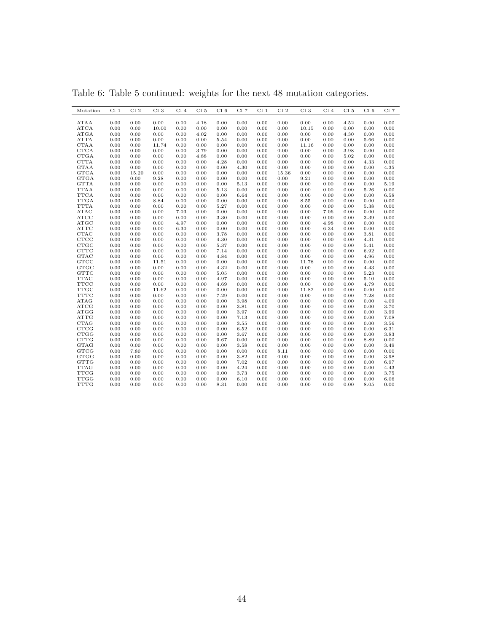| Mutation     | $Cl-1$       | $Cl-2$       | $Cl-3$       | $\overline{Cl}$ -4 | $\overline{\text{Cl-5}}$ | $Cl-6$       | $CI-7$       | $Cl-1$       | $Cl-2$       | $\overline{\text{Cl-3}}$ | $Cl-4$       | $Cl-5$       | $\overline{\text{Cl-6}}$ | $CI-7$       |
|--------------|--------------|--------------|--------------|--------------------|--------------------------|--------------|--------------|--------------|--------------|--------------------------|--------------|--------------|--------------------------|--------------|
|              |              |              |              |                    |                          |              |              |              |              |                          |              |              |                          |              |
| <b>ATAA</b>  | 0.00         | 0.00         | 0.00         | 0.00               | 4.18                     | 0.00         | 0.00         | 0.00         | 0.00         | 0.00                     | 0.00         | 4.52         | 0.00                     | 0.00         |
| <b>ATCA</b>  | 0.00         | 0.00         | 10.00        | 0.00               | 0.00                     | 0.00         | 0.00         | 0.00         | 0.00         | 10.15                    | 0.00         | 0.00         | 0.00                     | 0.00         |
| ATGA         | 0.00         | 0.00         | 0.00         | 0.00               | 4.02                     | 0.00         | 0.00         | 0.00         | 0.00         | 0.00                     | 0.00         | 4.30         | 0.00                     | 0.00         |
| <b>ATTA</b>  | 0.00         | 0.00         | 0.00         | 0.00               | 0.00                     | 5.54         | 0.00         | 0.00         | 0.00         | 0.00                     | 0.00         | 0.00         | 5.66                     | 0.00         |
| <b>CTAA</b>  | 0.00         | 0.00         | 11.74        | 0.00               | 0.00                     | 0.00         | 0.00         | 0.00         | 0.00         | 11.16                    | 0.00         | 0.00         | 0.00                     | 0.00         |
| <b>CTCA</b>  | 0.00         | 0.00         | 0.00         | 0.00               | 3.79                     | 0.00         | 0.00         | 0.00         | 0.00         | 0.00                     | 0.00         | 3.98         | 0.00                     | 0.00         |
| <b>CTGA</b>  | 0.00         | 0.00         | 0.00         | 0.00               | 4.88                     | 0.00         | 0.00         | 0.00         | 0.00         | 0.00                     | 0.00         | 5.02         | 0.00                     | 0.00         |
| <b>CTTA</b>  | 0.00         | 0.00         | 0.00         | 0.00               | 0.00                     | 4.28         | 0.00         | 0.00         | 0.00         | 0.00                     | 0.00         | 0.00         | 4.33                     | 0.00         |
| <b>GTAA</b>  | 0.00         | 0.00         | 0.00         | 0.00               | 0.00                     | 0.00         | 4.30         | 0.00         | 0.00         | 0.00                     | 0.00         | 0.00         | 0.00                     | 4.35         |
| <b>GTCA</b>  | 0.00         | 15.20        | 0.00         | 0.00               | 0.00                     | 0.00         | 0.00         | 0.00         | 15.36        | 0.00                     | 0.00         | 0.00         | 0.00                     | 0.00         |
| <b>GTGA</b>  | 0.00         | 0.00         | 9.28         | 0.00               | 0.00                     | 0.00         | 0.00         | 0.00         | 0.00         | 9.21                     | 0.00         | 0.00         | 0.00                     | 0.00         |
| <b>GTTA</b>  | 0.00         | 0.00         | 0.00         | 0.00               | 0.00                     | 0.00         | 5.13         | 0.00         | 0.00         | 0.00                     | 0.00         | 0.00         | 0.00                     | 5.19         |
| <b>TTAA</b>  | 0.00         | 0.00         | 0.00         | 0.00               | 0.00                     | 5.13         | 0.00         | 0.00         | 0.00         | 0.00                     | 0.00         | 0.00         | 5.26                     | 0.00         |
| <b>TTCA</b>  | 0.00         | 0.00         | 0.00         | 0.00               | 0.00                     | 0.00         | 6.64         | 0.00         | 0.00         | 0.00                     | 0.00         | 0.00         | 0.00                     | 6.58         |
| <b>TTGA</b>  | 0.00         | 0.00         | 8.84         | 0.00               | 0.00                     | 0.00         | 0.00         | 0.00         | 0.00         | 8.55                     | 0.00         | 0.00         | 0.00                     | 0.00         |
| <b>TTTA</b>  | 0.00         | 0.00         | 0.00         | 0.00               | 0.00                     | 5.27         | 0.00         | 0.00         | 0.00         | 0.00                     | 0.00         | 0.00         | 5.38                     | 0.00         |
| <b>ATAC</b>  | 0.00         | 0.00         | 0.00         | 7.03               | 0.00                     | 0.00         | 0.00         | 0.00         | 0.00         | 0.00                     | 7.06         | 0.00         | 0.00                     | 0.00         |
| <b>ATCC</b>  | 0.00         | 0.00         | 0.00         | 0.00               | 0.00                     | 3.30         | 0.00         | 0.00         | 0.00         | 0.00                     | 0.00         | 0.00         | 3.39                     | 0.00         |
| <b>ATGC</b>  | 0.00         | 0.00         | 0.00         | 4.97               | 0.00                     | 0.00         | 0.00         | 0.00         | 0.00         | 0.00                     | 4.98         | 0.00         | 0.00                     | 0.00         |
| ATTC         | 0.00         | 0.00         | 0.00         | 6.30               | 0.00                     | 0.00         | 0.00         | 0.00         | 0.00         | 0.00                     | 6.34         | 0.00         | 0.00                     | 0.00         |
| <b>CTAC</b>  | 0.00         | 0.00         | 0.00         | 0.00               | 0.00                     | 3.78         | 0.00         | 0.00         | 0.00         | 0.00                     | 0.00         | 0.00         | 3.81                     | 0.00         |
| CTCC         | 0.00         | 0.00         | 0.00         | 0.00               | 0.00                     | 4.30         | 0.00         | 0.00         | 0.00         | 0.00                     | 0.00         | 0.00         | 4.31                     | 0.00         |
| <b>CTGC</b>  | 0.00         | 0.00         | 0.00         | 0.00               | 0.00                     | 5.37         | 0.00         | 0.00         | 0.00         | 0.00                     | 0.00         | 0.00         | 5.41                     | 0.00         |
| <b>CTTC</b>  | 0.00         | 0.00         | 0.00         | 0.00               | 0.00                     | 7.14         | 0.00         | 0.00         | 0.00         | 0.00                     | 0.00         | 0.00         | 6.92                     | 0.00         |
| <b>GTAC</b>  | 0.00         | 0.00         | 0.00         | 0.00               | 0.00                     | 4.84         | 0.00         | 0.00         | 0.00         | 0.00                     | 0.00         | 0.00         | 4.96                     | 0.00         |
| GTCC         | 0.00         | 0.00         | 11.51        | 0.00               | 0.00                     | 0.00         | 0.00         | 0.00         | 0.00         | 11.78                    | 0.00         | 0.00         | 0.00                     | 0.00         |
| GTGC         | 0.00         | 0.00         | 0.00         | 0.00               | 0.00                     | 4.32         | 0.00         | 0.00         | 0.00         | 0.00                     | 0.00         | 0.00         | 4.43                     | 0.00         |
| <b>GTTC</b>  | 0.00         | 0.00         | 0.00         | 0.00               | 0.00                     | 5.05         | 0.00         | 0.00         | 0.00         | 0.00                     | 0.00         | 0.00         | 5.23                     | 0.00         |
| <b>TTAC</b>  | 0.00         | 0.00         | 0.00         | 0.00               | 0.00                     | 4.97         | 0.00         | 0.00         | 0.00         | 0.00                     | 0.00         | 0.00         | 5.10                     | 0.00         |
| <b>TTCC</b>  | 0.00         | 0.00         | 0.00         | 0.00               | 0.00                     | 4.69         | 0.00         | 0.00         | 0.00         | 0.00                     | 0.00         | 0.00         | 4.79                     | 0.00         |
| <b>TTGC</b>  | 0.00         | 0.00         | 11.62        | 0.00               | 0.00                     | 0.00         | 0.00         | 0.00         | 0.00         | 11.82                    | 0.00         | 0.00         | 0.00                     | 0.00         |
| <b>TTTC</b>  | 0.00         | 0.00         | 0.00         | 0.00               | 0.00                     | 7.29         | 0.00         | 0.00         | 0.00         | 0.00                     | 0.00         | 0.00         | 7.28                     | 0.00         |
| ATAG         | 0.00         | 0.00         | 0.00         | 0.00               | 0.00                     | 0.00         | 3.98         | 0.00         | 0.00         | 0.00                     | 0.00         | 0.00         | 0.00                     | 4.09         |
| ATCG         | 0.00         | 0.00         | 0.00         | 0.00               | 0.00                     | 0.00         | 3.81         | 0.00         | 0.00         | 0.00                     | 0.00         | 0.00         | 0.00                     | 3.70         |
| ATGG<br>ATTG | 0.00<br>0.00 | 0.00<br>0.00 | 0.00<br>0.00 | 0.00<br>0.00       | 0.00<br>0.00             | 0.00<br>0.00 | 3.97<br>7.13 | 0.00<br>0.00 | 0.00<br>0.00 | 0.00<br>0.00             | 0.00<br>0.00 | 0.00<br>0.00 | 0.00<br>0.00             | 3.99<br>7.08 |
| <b>CTAG</b>  | 0.00         | 0.00         | 0.00         | 0.00               | 0.00                     | 0.00         | 3.55         | 0.00         | 0.00         | 0.00                     | 0.00         | 0.00         | 0.00                     | 3.56         |
| <b>CTCG</b>  | 0.00         | 0.00         | 0.00         | 0.00               | 0.00                     | 0.00         | 6.52         | 0.00         | 0.00         | 0.00                     | 0.00         | 0.00         | 0.00                     | 6.31         |
| <b>CTGG</b>  | 0.00         | 0.00         | 0.00         | 0.00               | 0.00                     | 0.00         | 3.67         | 0.00         | 0.00         | 0.00                     | 0.00         | 0.00         | 0.00                     | 3.83         |
| <b>CTTG</b>  | 0.00         | 0.00         | 0.00         | 0.00               | 0.00                     | 9.67         | 0.00         | 0.00         | 0.00         | 0.00                     | 0.00         | 0.00         | 8.89                     | 0.00         |
| <b>GTAG</b>  | 0.00         | 0.00         | 0.00         | 0.00               | 0.00                     | 0.00         | 3.58         | 0.00         | 0.00         | 0.00                     | 0.00         | 0.00         | 0.00                     | 3.49         |
| GTCG         | 0.00         | 7.80         | 0.00         | 0.00               | 0.00                     | 0.00         | 0.00         | 0.00         | 8.11         | 0.00                     | 0.00         | 0.00         | 0.00                     | 0.00         |
| GTGG         | 0.00         | 0.00         | 0.00         | 0.00               | 0.00                     | 0.00         | 3.82         | 0.00         | 0.00         | 0.00                     | 0.00         | 0.00         | 0.00                     | 3.98         |
| <b>GTTG</b>  | 0.00         | 0.00         | 0.00         | 0.00               | 0.00                     | 0.00         | 7.02         | 0.00         | 0.00         | 0.00                     | 0.00         | 0.00         | 0.00                     | 6.97         |
| <b>TTAG</b>  | 0.00         | 0.00         | 0.00         | 0.00               | 0.00                     | 0.00         | 4.24         | 0.00         | 0.00         | 0.00                     | 0.00         | 0.00         | 0.00                     | 4.43         |
| <b>TTCG</b>  | 0.00         | 0.00         | 0.00         | 0.00               | 0.00                     | 0.00         | 3.73         | 0.00         | 0.00         | 0.00                     | 0.00         | 0.00         | 0.00                     | 3.75         |
| <b>TTGG</b>  | 0.00         | 0.00         | 0.00         | 0.00               | 0.00                     | 0.00         | 6.10         | 0.00         | 0.00         | 0.00                     | 0.00         | 0.00         | 0.00                     | 6.06         |
| <b>TTTG</b>  | 0.00         | 0.00         | 0.00         | 0.00               | 0.00                     | 8.31         | 0.00         | 0.00         | 0.00         | 0.00                     | 0.00         | 0.00         | 8.05                     | 0.00         |
|              |              |              |              |                    |                          |              |              |              |              |                          |              |              |                          |              |

Table 6: Table 5 continued: weights for the next 48 mutation categories.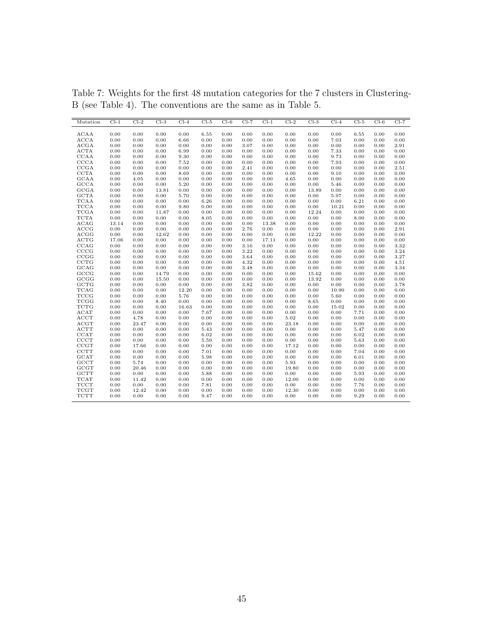| Mutation       | $Cl-1$       | $Cl-2$       | $Cl-3$       | $Cl-4$        | $Cl-5$       | $Cl-6$       | $Cl-7$       | $Cl-1$       | $Cl-2$       | $Cl-3$       | $Cl-4$        | $Cl-5$       | $Cl-6$       | $Cl-7$       |
|----------------|--------------|--------------|--------------|---------------|--------------|--------------|--------------|--------------|--------------|--------------|---------------|--------------|--------------|--------------|
|                |              |              |              |               |              |              |              |              |              |              |               |              |              |              |
| ACAA           | 0.00         | 0.00         | 0.00         | 0.00          | 6.55         | 0.00         | 0.00         | 0.00         | 0.00         | 0.00         | 0.00          | 6.55         | 0.00         | 0.00         |
| ACCA           | 0.00         | 0.00         | 0.00         | 6.66          | 0.00         | 0.00         | 0.00         | 0.00         | 0.00         | 0.00         | 7.03          | 0.00         | 0.00         | 0.00         |
| ACGA           | 0.00         | 0.00         | 0.00         | 0.00          | 0.00         | 0.00         | 3.07         | 0.00         | 0.00         | 0.00         | 0.00          | 0.00         | 0.00         | 2.91         |
| ACTA           | 0.00         | 0.00         | 0.00         | 6.99          | 0.00         | 0.00         | 0.00         | 0.00         | 0.00         | 0.00         | 7.33          | 0.00         | 0.00         | 0.00         |
| <b>CCAA</b>    | 0.00         | 0.00         | 0.00         | 9.30          | 0.00         | 0.00         | 0.00         | 0.00         | 0.00         | 0.00         | 9.73          | 0.00         | 0.00         | 0.00         |
| CCCA           | 0.00         | 0.00         | 0.00         | 7.52          | 0.00         | 0.00         | 0.00         | 0.00         | 0.00         | 0.00         | 7.93          | 0.00         | 0.00         | 0.00         |
| CCGA           | 0.00         | 0.00         | 0.00         | 0.00          | 0.00         | 0.00         | 2.41         | 0.00         | 0.00         | 0.00         | 0.00          | 0.00         | 0.00         | 2.51         |
| <b>CCTA</b>    | 0.00         | 0.00         | 0.00         | 8.69          | 0.00         | 0.00         | 0.00         | 0.00         | 0.00         | 0.00         | 9.10          | 0.00         | 0.00         | 0.00         |
| <b>GCAA</b>    | 0.00         | 4.05         | 0.00         | 0.00          | 0.00         | 0.00         | 0.00         | 0.00         | 4.65         | 0.00         | 0.00          | 0.00         | 0.00         | 0.00         |
| GCCA           | 0.00         | 0.00         | 0.00         | 5.20          | 0.00         | 0.00         | 0.00         | 0.00         | 0.00         | 0.00         | 5.46          | 0.00         | 0.00         | 0.00         |
| <b>GCGA</b>    | 0.00         | 0.00         | 13.81        | 0.00          | 0.00         | 0.00         | 0.00         | 0.00         | 0.00         | 13.89        | 0.00          | 0.00         | 0.00         | 0.00         |
| <b>GCTA</b>    | 0.00         | 0.00         | 0.00         | 5.70          | 0.00         | 0.00         | 0.00         | 0.00         | 0.00         | 0.00         | 5.97          | 0.00         | 0.00         | 0.00         |
| <b>TCAA</b>    | 0.00         | 0.00         | 0.00         | 0.00          | 6.26         | 0.00         | 0.00         | 0.00         | 0.00         | 0.00         | 0.00          | 6.21         | 0.00         | 0.00         |
| <b>TCCA</b>    | 0.00         | 0.00         | 0.00         | 9.80          | 0.00         | 0.00         | 0.00         | 0.00         | 0.00         | 0.00         | 10.21         | 0.00         | 0.00         | 0.00         |
| <b>TCGA</b>    | 0.00         | 0.00         | 11.87        | 0.00          | 0.00         | 0.00         | 0.00         | 0.00         | 0.00         | 12.24        | 0.00          | 0.00         | 0.00         | 0.00         |
| <b>TCTA</b>    | 0.00         | 0.00         | 0.00         | 0.00          | 8.05         | 0.00         | 0.00         | 0.00         | 0.00         | 0.00         | 0.00          | 8.00         | 0.00         | 0.00         |
| ACAG           | 13.14        | 0.00         | 0.00         | 0.00          | 0.00         | 0.00         | 0.00         | 13.38        | 0.00         | 0.00         | 0.00          | 0.00         | 0.00         | 0.00         |
| ACCG           | 0.00         | 0.00         | 0.00         | 0.00          | 0.00         | 0.00         | 2.76         | 0.00         | 0.00         | 0.00         | 0.00          | 0.00         | 0.00         | 2.91         |
| ACGG           | 0.00         | 0.00         | 12.62        | 0.00          | 0.00         | 0.00         | 0.00         | 0.00         | 0.00         | 12.22        | 0.00          | 0.00         | 0.00         | 0.00         |
| ACTG           | 17.06        | 0.00         | 0.00         | 0.00          | 0.00         | 0.00         | 0.00         | 17.11        | 0.00         | 0.00         | 0.00          | 0.00         | 0.00         | 0.00         |
| $_{\rm C CAG}$ | 0.00         | 0.00         | 0.00         | 0.00          | 0.00         | 0.00         | 3.16         | 0.00         | 0.00         | 0.00         | 0.00          | 0.00         | 0.00         | 3.32         |
| CCCG           | 0.00         | 0.00         | 0.00         | 0.00          | 0.00         | 0.00         | 3.22         | 0.00         | 0.00         | 0.00         | 0.00          | 0.00         | 0.00         | 3.24         |
| CCGG           | 0.00         | 0.00         | 0.00         | 0.00          | 0.00         | 0.00         | 3.64         | 0.00         | 0.00         | 0.00         | 0.00          | 0.00         | 0.00         | 3.27         |
| <b>CCTG</b>    | 0.00         | 0.00         | 0.00         | 0.00          | 0.00         | 0.00         | 4.32         | 0.00         | 0.00         | 0.00         | 0.00          | 0.00         | 0.00         | 4.51         |
| GCAG           | 0.00         | 0.00         | 0.00         | 0.00          | 0.00         | 0.00         | 3.48         | 0.00         | 0.00         | 0.00         | 0.00          | 0.00         | 0.00         | 3.34         |
| GCCG           | 0.00         | 0.00         | 14.79        | 0.00          | 0.00         | 0.00         | 0.00         | 0.00         | 0.00         | 15.62        | 0.00          | 0.00         | 0.00         | 0.00         |
| GCGG           | 0.00         | 0.00         | 15.50        | 0.00          | 0.00         | 0.00         | 0.00         | 0.00         | 0.00         | 13.92        | 0.00          | 0.00         | 0.00         | 0.00         |
| GCTG           | 0.00         | 0.00         | 0.00         | 0.00          | 0.00         | 0.00         | 3.82         | 0.00         | 0.00         | 0.00         | 0.00          | 0.00         | 0.00         | 3.78         |
| TCAG           | 0.00         | 0.00         | 0.00         | 12.20         | 0.00         | 0.00         | 0.00         | 0.00         | 0.00         | 0.00         | 10.90         | 0.00         | 0.00         | 0.00         |
| <b>TCCG</b>    | 0.00         | 0.00         | 0.00         | 5.76          | 0.00         | 0.00         | 0.00         | 0.00         | 0.00         | 0.00         | 5.60          | 0.00         | 0.00         | 0.00         |
| TCGG<br>TCTG   | 0.00<br>0.00 | 0.00<br>0.00 | 8.40<br>0.00 | 0.00<br>16.63 | 0.00         | 0.00<br>0.00 | 0.00<br>0.00 | 0.00<br>0.00 | 0.00         | 8.65<br>0.00 | 0.00<br>15.02 | 0.00<br>0.00 | 0.00<br>0.00 | 0.00<br>0.00 |
| ACAT           | 0.00         | 0.00         | 0.00         | 0.00          | 0.00<br>7.67 | 0.00         |              | 0.00         | 0.00         | 0.00         | 0.00          | 7.71         | 0.00         | 0.00         |
| ACCT           | 0.00         | 4.78         | 0.00         | 0.00          | 0.00         | 0.00         | 0.00<br>0.00 | 0.00         | 0.00<br>5.02 | 0.00         | 0.00          | 0.00         | 0.00         | 0.00         |
| ACGT           | 0.00         | 23.47        | 0.00         | 0.00          | 0.00         | 0.00         | 0.00         | 0.00         | 23.18        | 0.00         | 0.00          | 0.00         | 0.00         | 0.00         |
| <b>ACTT</b>    | 0.00         | 0.00         | 0.00         | 0.00          | 5.43         | 0.00         | 0.00         | 0.00         | 0.00         | 0.00         | 0.00          | 5.47         | 0.00         | 0.00         |
| CCAT           | 0.00         | 0.00         | 0.00         | 0.00          | 6.02         | 0.00         | 0.00         | 0.00         | 0.00         | 0.00         | 0.00          | 6.02         | 0.00         | 0.00         |
| CCCT           | 0.00         | 0.00         | 0.00         | 0.00          | 5.59         | 0.00         | 0.00         | 0.00         | 0.00         | 0.00         | 0.00          | 5.63         | 0.00         | 0.00         |
| CCGT           | 0.00         | 17.66        | 0.00         | 0.00          | 0.00         | 0.00         | 0.00         | 0.00         | 17.12        | 0.00         | 0.00          | 0.00         | 0.00         | 0.00         |
| <b>CCTT</b>    | 0.00         | 0.00         | 0.00         | 0.00          | 7.01         | 0.00         | 0.00         | 0.00         | 0.00         | 0.00         | 0.00          | 7.04         | 0.00         | 0.00         |
| GCAT           | 0.00         | 0.00         | 0.00         | 0.00          | 5.98         | 0.00         | 0.00         | 0.00         | 0.00         | 0.00         | 0.00          | 6.01         | 0.00         | 0.00         |
| <b>GCCT</b>    | 0.00         | 5.74         | 0.00         | 0.00          | 0.00         | 0.00         | 0.00         | 0.00         | 5.93         | 0.00         | 0.00          | 0.00         | 0.00         | 0.00         |
| GCGT           | 0.00         | 20.46        | 0.00         | 0.00          | 0.00         | 0.00         | 0.00         | 0.00         | 19.80        | 0.00         | 0.00          | 0.00         | 0.00         | 0.00         |
| <b>GCTT</b>    | 0.00         | 0.00         | 0.00         | 0.00          | 5.88         | 0.00         | 0.00         | 0.00         | 0.00         | 0.00         | 0.00          | 5.93         | 0.00         | 0.00         |
| <b>TCAT</b>    | 0.00         | 11.42        | 0.00         | 0.00          | 0.00         | 0.00         | 0.00         | 0.00         | 12.00        | 0.00         | 0.00          | 0.00         | 0.00         | 0.00         |
| <b>TCCT</b>    | 0.00         | 0.00         | 0.00         | 0.00          | 7.81         | 0.00         | 0.00         | 0.00         | 0.00         | 0.00         | 0.00          | 7.76         | 0.00         | 0.00         |
| TCGT           | 0.00         | 12.42        | 0.00         | 0.00          | 0.00         | 0.00         | 0.00         | 0.00         | 12.30        | 0.00         | 0.00          | 0.00         | 0.00         | 0.00         |
| <b>TCTT</b>    | 0.00         | 0.00         | 0.00         | 0.00          | 9.47         | 0.00         | 0.00         | 0.00         | 0.00         | 0.00         | 0.00          | 9.29         | 0.00         | 0.00         |
|                |              |              |              |               |              |              |              |              |              |              |               |              |              |              |

Table 7: Weights for the first 48 mutation categories for the 7 clusters in Clustering-B (see Table 4). The conventions are the same as in Table 5.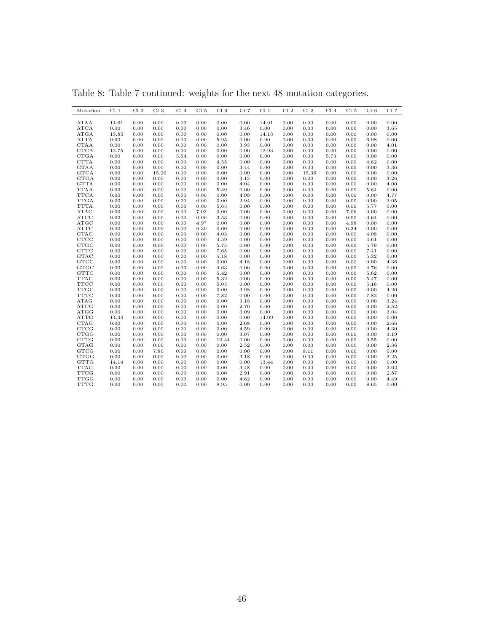| Mutation                   | $Cl-1$       | $Cl-2$       | $Cl-3$       | $Cl-4$       | $Cl-5$       | $Cl-6$       | $Cl-7$       | $\overline{\text{Cl-1}}$ | $Cl-2$       | $Cl-3$       | $\overline{\text{Cl-4}}$ | $Cl-5$       | $Cl-6$       | $Cl-7$       |
|----------------------------|--------------|--------------|--------------|--------------|--------------|--------------|--------------|--------------------------|--------------|--------------|--------------------------|--------------|--------------|--------------|
|                            |              |              |              |              |              |              |              |                          |              |              |                          |              |              |              |
| <b>ATAA</b>                | 14.61        | 0.00         | 0.00         | 0.00         | 0.00         | 0.00         | 0.00         | 14.91                    | 0.00         | 0.00         | 0.00                     | 0.00         | 0.00         | 0.00         |
| ATCA                       | 0.00         | 0.00         | 0.00         | 0.00         | 0.00         | 0.00         | 3.46         | 0.00                     | 0.00         | 0.00         | 0.00                     | 0.00         | 0.00         | 3.65         |
| ATGA                       | 13.85        | 0.00         | 0.00         | 0.00         | 0.00         | 0.00         | 0.00         | 14.13                    | 0.00         | 0.00         | 0.00                     | 0.00         | 0.00         | 0.00         |
| <b>ATTA</b>                | 0.00         | 0.00         | 0.00         | 0.00         | 0.00         | 5.95         | 0.00         | 0.00                     | 0.00         | 0.00         | 0.00                     | 0.00         | 6.08         | 0.00         |
| <b>CTAA</b>                | 0.00         | 0.00         | 0.00         | 0.00         | 0.00         | 0.00         | 3.93         | 0.00                     | 0.00         | 0.00         | 0.00                     | 0.00         | 0.00         | 4.01         |
| <b>CTCA</b>                | 12.75        | 0.00         | 0.00         | 0.00         | 0.00         | 0.00         | 0.00         | 12.93                    | 0.00         | 0.00         | 0.00                     | 0.00         | 0.00         | 0.00         |
| <b>CTGA</b>                | 0.00         | 0.00         | 0.00         | 5.54         | 0.00         | 0.00         | 0.00         | 0.00                     | 0.00         | 0.00         | 5.73                     | 0.00         | 0.00         | 0.00         |
| <b>CTTA</b>                | 0.00         | 0.00         | 0.00         | 0.00         | 0.00         | 4.55         | 0.00         | 0.00                     | 0.00         | 0.00         | 0.00                     | 0.00         | 4.62         | 0.00         |
| <b>GTAA</b>                | 0.00         | 0.00         | 0.00         | 0.00         | 0.00         | 0.00         | 3.44         | 0.00                     | 0.00         | 0.00         | 0.00                     | 0.00         | 0.00         | 3.36         |
| <b>GTCA</b>                | 0.00         | 0.00         | 15.20        | 0.00         | 0.00         | 0.00         | 0.00         | 0.00                     | 0.00         | 15.36        | 0.00                     | 0.00         | 0.00         | 0.00         |
| <b>GTGA</b>                | 0.00         | 0.00         | 0.00         | 0.00         | 0.00         | 0.00         | 3.13         | 0.00                     | 0.00         | 0.00         | 0.00                     | 0.00         | 0.00         | 3.26         |
| <b>GTTA</b>                | 0.00         | 0.00         | 0.00         | 0.00         | 0.00         | 0.00         | 4.04         | 0.00                     | 0.00         | 0.00         | 0.00                     | 0.00         | 0.00         | 4.00         |
| <b>TTAA</b>                | 0.00         | 0.00         | 0.00         | 0.00         | 0.00         | 5.49         | 0.00         | 0.00                     | 0.00         | 0.00         | 0.00                     | 0.00         | 5.64         | 0.00         |
| <b>TTCA</b>                | 0.00         | 0.00         | 0.00         | 0.00         | 0.00         | 0.00         | 4.99         | 0.00                     | 0.00         | 0.00         | 0.00                     | 0.00         | 0.00         | 4.77         |
| <b>TTGA</b>                | 0.00         | 0.00         | 0.00         | 0.00         | 0.00         | 0.00         | 2.94         | 0.00                     | 0.00         | 0.00         | 0.00                     | 0.00         | 0.00         | 3.05         |
| <b>TTTA</b>                | 0.00         | 0.00         | 0.00         | 0.00         | 0.00         | 5.65         | 0.00         | 0.00                     | 0.00         | 0.00         | 0.00                     | 0.00         | 5.77         | 0.00         |
| <b>ATAC</b>                | 0.00         | 0.00         | 0.00         | 0.00         | 7.03         | 0.00         | 0.00         | 0.00                     | 0.00         | 0.00         | 0.00                     | 7.06         | 0.00         | 0.00         |
| ATCC                       | 0.00         | 0.00         | 0.00         | 0.00         | 0.00         | 3.53         | 0.00         | 0.00                     | 0.00         | 0.00         | 0.00                     | 0.00         | 3.64         | 0.00         |
| <b>ATGC</b>                | 0.00         | 0.00         | 0.00         | 0.00         | 4.97         | 0.00         | 0.00         | 0.00                     | 0.00         | 0.00         | 0.00                     | 4.98         | 0.00         | 0.00         |
| ATTC                       | 0.00         | 0.00         | 0.00         | 0.00         | 6.30         | 0.00         | 0.00         | 0.00                     | 0.00         | 0.00         | 0.00                     | 6.34         | 0.00         | 0.00         |
| <b>CTAC</b>                | 0.00         | 0.00         | 0.00         | 0.00         | 0.00         | 4.03         | 0.00         | 0.00                     | 0.00         | 0.00         | 0.00                     | 0.00         | 4.08         | 0.00         |
| <b>CTCC</b>                | 0.00         | 0.00         | 0.00         | 0.00         | 0.00         | 4.59         | 0.00         | 0.00                     | 0.00         | 0.00         | 0.00                     | 0.00         | 4.61         | 0.00         |
| CTGC                       | 0.00         | 0.00         | 0.00         | 0.00         | 0.00         | 5.75         | 0.00         | 0.00                     | 0.00         | 0.00         | 0.00                     | 0.00         | 5.79         | 0.00         |
| <b>CTTC</b>                | 0.00         | 0.00         | 0.00         | 0.00         | 0.00         | 7.65         | 0.00         | 0.00                     | 0.00         | 0.00         | 0.00                     | 0.00         | 7.41         | 0.00         |
| GTAC                       | 0.00         | 0.00         | 0.00         | 0.00         | 0.00         | 5.18         | 0.00         | 0.00                     | 0.00         | 0.00         | 0.00                     | 0.00         | 5.32         | 0.00         |
| <b>GTCC</b>                | 0.00         | 0.00         | 0.00         | 0.00         | 0.00         | 0.00         | 4.18         | 0.00                     | 0.00         | 0.00         | 0.00                     | 0.00         | 0.00         | 4.36         |
| GTGC                       | 0.00         | 0.00         | 0.00         | 0.00         | 0.00         | 4.63         | 0.00         | 0.00                     | 0.00         | 0.00         | 0.00                     | 0.00         | 4.76         | 0.00         |
| <b>GTTC</b>                | 0.00         | 0.00         | 0.00         | 0.00         | 0.00         | 5.42         | 0.00         | 0.00                     | 0.00         | 0.00         | 0.00                     | 0.00         | 5.62         | 0.00         |
| <b>TTAC</b>                | 0.00         | 0.00         | 0.00         | 0.00         | 0.00         | 5.32         | 0.00         | 0.00                     | 0.00         | 0.00         | 0.00                     | 0.00         | 5.47         | 0.00         |
| <b>TTCC</b><br><b>TTGC</b> | 0.00<br>0.00 | 0.00<br>0.00 | 0.00         | 0.00<br>0.00 | 0.00         | 5.05<br>0.00 | 0.00         | 0.00<br>0.00             | 0.00<br>0.00 | 0.00         | 0.00<br>0.00             | 0.00         | 5.16<br>0.00 | 0.00         |
| <b>TTTC</b>                | 0.00         | 0.00         | 0.00<br>0.00 | 0.00         | 0.00<br>0.00 | 7.82         | 3.98         | 0.00                     | 0.00         | 0.00<br>0.00 | 0.00                     | 0.00<br>0.00 | 7.82         | 4.20<br>0.00 |
| <b>ATAG</b>                | 0.00         | 0.00         | 0.00         | 0.00         |              | 0.00         | 0.00<br>3.18 | 0.00                     | 0.00         |              | 0.00                     | 0.00         | 0.00         | 3.24         |
| ATCG                       | 0.00         | 0.00         | 0.00         |              | 0.00<br>0.00 |              | 2.70         |                          | 0.00         | 0.00<br>0.00 | 0.00                     | 0.00         |              | 2.52         |
| ATGG                       | 0.00         | 0.00         | 0.00         | 0.00<br>0.00 | 0.00         | 0.00<br>0.00 | 3.09         | 0.00<br>0.00             | 0.00         | 0.00         | 0.00                     | 0.00         | 0.00         | 3.04         |
| <b>ATTG</b>                | 14.44        | 0.00         | 0.00         | 0.00         | 0.00         | 0.00         | 0.00         | 14.09                    | 0.00         | 0.00         | 0.00                     | 0.00         | 0.00<br>0.00 | 0.00         |
| <b>CTAG</b>                | 0.00         | 0.00         | 0.00         | 0.00         | 0.00         | 0.00         | 2.68         | 0.00                     | 0.00         | 0.00         | 0.00                     | 0.00         | 0.00         | 2.66         |
| <b>CTCG</b>                | 0.00         | 0.00         | 0.00         | 0.00         | 0.00         | 0.00         | 4.59         | 0.00                     | 0.00         | 0.00         | 0.00                     | 0.00         | 0.00         | 4.30         |
| CTGG                       | 0.00         | 0.00         | 0.00         | 0.00         | 0.00         | 0.00         | 3.07         | 0.00                     | 0.00         | 0.00         | 0.00                     | 0.00         | 0.00         | 3.19         |
| <b>CTTG</b>                | 0.00         | 0.00         | 0.00         | 0.00         | 0.00         | 10.44        | 0.00         | 0.00                     | 0.00         | 0.00         | 0.00                     | 0.00         | 9.55         | 0.00         |
| GTAG                       | 0.00         | 0.00         | 0.00         | 0.00         | 0.00         | 0.00         | 2.52         | 0.00                     | 0.00         | 0.00         | 0.00                     | 0.00         | 0.00         | 2.36         |
| <b>GTCG</b>                | 0.00         | 0.00         | 7.80         | 0.00         | 0.00         | 0.00         | 0.00         | 0.00                     | 0.00         | 8.11         | 0.00                     | 0.00         | 0.00         | 0.00         |
| <b>GTGG</b>                | 0.00         | 0.00         | 0.00         | 0.00         | 0.00         | 0.00         | 3.18         | 0.00                     | 0.00         | 0.00         | 0.00                     | 0.00         | 0.00         | 3.25         |
| <b>GTTG</b>                | 14.14        | 0.00         | 0.00         | 0.00         | 0.00         | 0.00         | 0.00         | 13.44                    | 0.00         | 0.00         | 0.00                     | 0.00         | 0.00         | 0.00         |
| <b>TTAG</b>                | 0.00         | 0.00         | 0.00         | 0.00         | 0.00         | 0.00         | 3.48         | 0.00                     | 0.00         | 0.00         | 0.00                     | 0.00         | 0.00         | 3.62         |
| <b>TTCG</b>                | 0.00         | 0.00         | 0.00         | 0.00         | 0.00         | 0.00         | 2.91         | 0.00                     | 0.00         | 0.00         | 0.00                     | 0.00         | 0.00         | 2.87         |
| <b>TTGG</b>                | 0.00         | 0.00         | 0.00         | 0.00         | 0.00         | 0.00         | 4.62         | 0.00                     | 0.00         | 0.00         | 0.00                     | 0.00         | 0.00         | 4.49         |
| TTTG                       | 0.00         | 0.00         | 0.00         | 0.00         | 0.00         | 8.95         | 0.00         | 0.00                     | 0.00         | 0.00         | 0.00                     | 0.00         | 8.65         | 0.00         |
|                            |              |              |              |              |              |              |              |                          |              |              |                          |              |              |              |

Table 8: Table 7 continued: weights for the next 48 mutation categories.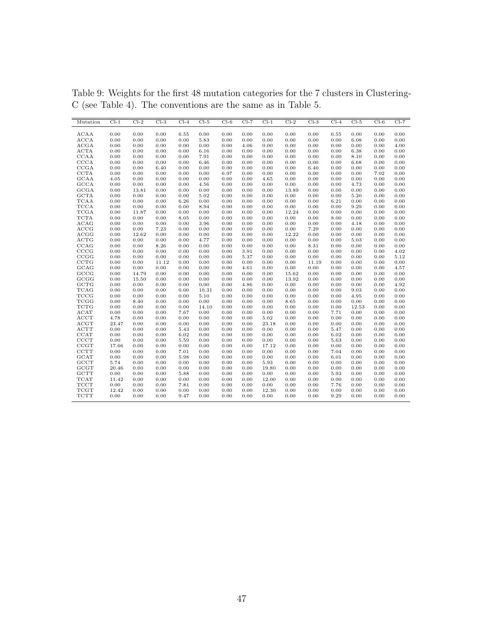| Mutation           | $Cl-1$       | $Cl-2$ | $Cl-3$ | $Cl-4$ | $Cl-5$       | $Cl-6$       | $Cl-7$ | $Cl-1$       | $Cl-2$ | $Cl-3$       | $Cl-4$       | $Cl-5$ | $Cl-6$ | $Cl-7$       |
|--------------------|--------------|--------|--------|--------|--------------|--------------|--------|--------------|--------|--------------|--------------|--------|--------|--------------|
|                    |              |        |        |        |              |              |        |              |        |              |              |        |        |              |
| ACAA               | 0.00         | 0.00   | 0.00   | 6.55   | 0.00         | 0.00         | 0.00   | 0.00         | 0.00   | 0.00         | 6.55         | 0.00   | 0.00   | 0.00         |
| ACCA               | 0.00         | 0.00   | 0.00   | 0.00   | 5.83         | 0.00         | 0.00   | 0.00         | 0.00   | 0.00         | 0.00         | 6.08   | 0.00   | 0.00         |
| ACGA               | 0.00         | 0.00   | 0.00   | 0.00   | 0.00         | 0.00         | 4.06   | 0.00         | 0.00   | 0.00         | 0.00         | 0.00   | 0.00   | 4.00         |
| ACTA               | 0.00         | 0.00   | 0.00   | 0.00   | 6.16         | 0.00         | 0.00   | 0.00         | 0.00   | 0.00         | 0.00         | 6.38   | 0.00   | 0.00         |
| <b>CCAA</b>        | 0.00         | 0.00   | 0.00   | 0.00   | 7.91         | 0.00         | 0.00   | 0.00         | 0.00   | 0.00         | 0.00         | 8.10   | 0.00   | 0.00         |
| CCCA               | 0.00         | 0.00   | 0.00   | 0.00   | 6.46         | 0.00         | 0.00   | 0.00         | 0.00   | 0.00         | 0.00         | 6.68   | 0.00   | 0.00         |
| CCGA               | 0.00         | 0.00   | 6.40   | 0.00   | 0.00         | 0.00         | 0.00   | 0.00         | 0.00   | 6.40         | 0.00         | 0.00   | 0.00   | 0.00         |
| <b>CCTA</b>        | 0.00         | 0.00   | 0.00   | 0.00   | 0.00         | 6.97         | 0.00   | 0.00         | 0.00   | 0.00         | 0.00         | 0.00   | 7.02   | 0.00         |
| GCAA               | 4.05         | 0.00   | 0.00   | 0.00   | 0.00         | 0.00         | 0.00   | 4.65         | 0.00   | 0.00         | 0.00         | 0.00   | 0.00   | 0.00         |
| GCCA               | 0.00         | 0.00   | 0.00   | 0.00   | 4.56         | 0.00         | 0.00   | 0.00         | 0.00   | 0.00         | 0.00         | 4.73   | 0.00   | 0.00         |
| <b>GCGA</b>        | 0.00         | 13.81  | 0.00   | 0.00   | 0.00         | 0.00         | 0.00   | 0.00         | 13.89  | 0.00         | 0.00         | 0.00   | 0.00   | 0.00         |
| <b>GCTA</b>        | 0.00         | 0.00   | 0.00   | 0.00   | 5.02         | 0.00         | 0.00   | 0.00         | 0.00   | 0.00         | 0.00         | 5.20   | 0.00   | 0.00         |
| <b>TCAA</b>        | 0.00         | 0.00   | 0.00   | 6.26   | 0.00         | 0.00         | 0.00   | 0.00         | 0.00   | 0.00         | 6.21         | 0.00   | 0.00   | 0.00         |
| TCCA               | 0.00         | 0.00   | 0.00   | 0.00   | 8.94         | 0.00         | 0.00   | 0.00         | 0.00   | 0.00         | 0.00         | 9.29   | 0.00   | 0.00         |
| TCGA               | 0.00         | 11.87  | 0.00   | 0.00   | 0.00         | 0.00         | 0.00   | 0.00         | 12.24  | 0.00         | 0.00         | 0.00   | 0.00   | 0.00         |
| <b>TCTA</b>        | 0.00         | 0.00   | 0.00   | 8.05   | 0.00         | 0.00         | 0.00   | 0.00         | 0.00   | 0.00         | 8.00         | 0.00   | 0.00   | 0.00         |
| ACAG               | 0.00         | 0.00   | 0.00   | 0.00   | 3.96         | 0.00         | 0.00   | 0.00         | 0.00   | 0.00         | 0.00         | 4.18   | 0.00   | 0.00         |
| ACCG               | 0.00         | 0.00   | 7.23   | 0.00   | 0.00         | 0.00         | 0.00   | 0.00         | 0.00   | 7.29         | 0.00         | 0.00   | 0.00   | 0.00         |
| ACGG               | 0.00         | 12.62  | 0.00   | 0.00   | 0.00         | 0.00         | 0.00   | 0.00         | 12.22  | 0.00         | 0.00         | 0.00   | 0.00   | 0.00         |
| ACTG               | 0.00         | 0.00   | 0.00   | 0.00   | 4.77         | 0.00         | 0.00   | 0.00         | 0.00   | 0.00         | 0.00         | 5.03   | 0.00   | 0.00         |
| CCAG               | 0.00         | 0.00   | 8.26   | 0.00   | 0.00         | 0.00         | 0.00   | 0.00         | 0.00   | 8.31         | 0.00         | 0.00   | 0.00   | 0.00         |
| CCCG               | 0.00         | 0.00   | 0.00   | 0.00   | 0.00         | 0.00         | 3.91   | 0.00         | 0.00   | 0.00         | 0.00         | 0.00   | 0.00   | 4.02         |
| CCGG               | 0.00         | 0.00   | 0.00   | 0.00   | 0.00         | 0.00         | 5.37   | 0.00         | 0.00   | 0.00         | 0.00         | 0.00   | 0.00   | 5.12         |
| CCTG               | 0.00         | 0.00   | 11.12  | 0.00   | 0.00         | 0.00         | 0.00   | 0.00         | 0.00   | 11.19        | 0.00         | 0.00   | 0.00   | 0.00         |
| GCAG               | 0.00         | 0.00   | 0.00   | 0.00   | 0.00         | 0.00         | 4.61   | 0.00         | 0.00   | 0.00         | 0.00         | 0.00   | 0.00   | 4.57         |
| GCCG               | 0.00         | 14.79  | 0.00   | 0.00   | 0.00         | 0.00         | 0.00   | 0.00         | 15.62  | 0.00         | 0.00         | 0.00   | 0.00   | 0.00         |
| GCGG               | 0.00         | 15.50  | 0.00   | 0.00   | 0.00         | 0.00         | 0.00   | 0.00         | 13.92  | 0.00         | 0.00         | 0.00   | 0.00   | 0.00         |
| GCTG               | 0.00         | 0.00   | 0.00   | 0.00   | 0.00         | 0.00         | 4.86   | 0.00         | 0.00   | 0.00         | 0.00         | 0.00   | 0.00   | 4.92         |
| TCAG               | 0.00         | 0.00   | 0.00   | 0.00   | 10.31        | 0.00         | 0.00   | 0.00         | 0.00   | 0.00         | 0.00         | 9.03   | 0.00   | 0.00         |
| TCCG               | 0.00         | 0.00   | 0.00   | 0.00   | 5.10         | 0.00         | 0.00   | 0.00         | 0.00   | 0.00         | 0.00         | 4.95   | 0.00   | 0.00         |
| TCGG               | 0.00         | 8.40   | 0.00   | 0.00   | 0.00         | 0.00         | 0.00   | 0.00         | 8.65   | 0.00         | 0.00         | 0.00   | 0.00   | 0.00         |
| TCTG               | 0.00         | 0.00   | 0.00   | 0.00   | 14.10        | 0.00         | 0.00   | 0.00         | 0.00   | 0.00         | 0.00         | 12.53  | 0.00   | 0.00         |
| ACAT               | 0.00         | 0.00   | 0.00   | 7.67   | 0.00         | 0.00         | 0.00   | 0.00         | 0.00   | 0.00         | 7.71         | 0.00   | 0.00   | 0.00         |
| $_{\mathrm{ACCT}}$ | 4.78         | 0.00   | 0.00   | 0.00   | 0.00         | 0.00         | 0.00   | 5.02         | 0.00   | 0.00         | 0.00         | 0.00   | 0.00   | 0.00         |
| ACGT               | 23.47        | 0.00   | 0.00   | 0.00   | 0.00         | 0.00         | 0.00   | 23.18        | 0.00   | 0.00         | 0.00         | 0.00   | 0.00   | 0.00         |
| <b>ACTT</b>        | 0.00         | 0.00   | 0.00   | 5.43   | 0.00         | 0.00         | 0.00   | 0.00         | 0.00   | 0.00         | 5.47         | 0.00   | 0.00   | 0.00         |
| <b>CCAT</b>        | 0.00         | 0.00   | 0.00   | 6.02   | 0.00         | 0.00         | 0.00   | 0.00         | 0.00   | 0.00         | 6.02         | 0.00   | 0.00   | 0.00         |
| CCCT               | 0.00         | 0.00   | 0.00   | 5.59   | 0.00         | 0.00         | 0.00   | 0.00         | 0.00   | 0.00         | 5.63         | 0.00   | 0.00   | 0.00         |
| CCGT               | 17.66        | 0.00   | 0.00   | 0.00   | 0.00         | 0.00         | 0.00   | 17.12        | 0.00   | 0.00         | 0.00         | 0.00   | 0.00   | 0.00         |
| <b>CCTT</b>        | 0.00         | 0.00   | 0.00   | 7.01   | 0.00         | 0.00         | 0.00   | 0.00         | 0.00   | 0.00         | 7.04         | 0.00   | 0.00   | 0.00         |
| <b>GCAT</b>        |              | 0.00   | 0.00   | 5.98   |              |              | 0.00   |              |        |              |              | 0.00   | 0.00   |              |
| <b>GCCT</b>        | 0.00<br>5.74 | 0.00   | 0.00   | 0.00   | 0.00<br>0.00 | 0.00<br>0.00 | 0.00   | 0.00<br>5.93 | 0.00   | 0.00<br>0.00 | 6.01<br>0.00 | 0.00   | 0.00   | 0.00<br>0.00 |
|                    |              |        |        |        |              |              |        |              | 0.00   |              |              |        |        |              |
| <b>GCGT</b>        | 20.46        | 0.00   | 0.00   | 0.00   | 0.00         | 0.00         | 0.00   | 19.80        | 0.00   | 0.00         | 0.00         | 0.00   | 0.00   | 0.00         |
| GCTT               | 0.00         | 0.00   | 0.00   | 5.88   | 0.00         | 0.00         | 0.00   | 0.00         | 0.00   | 0.00         | 5.93         | 0.00   | 0.00   | 0.00         |
| <b>TCAT</b>        | 11.42        | 0.00   | 0.00   | 0.00   | 0.00         | 0.00         | 0.00   | 12.00        | 0.00   | 0.00         | 0.00         | 0.00   | 0.00   | 0.00         |
| <b>TCCT</b>        | 0.00         | 0.00   | 0.00   | 7.81   | 0.00         | 0.00         | 0.00   | 0.00         | 0.00   | 0.00         | 7.76         | 0.00   | 0.00   | 0.00         |
| TCGT               | 12.42        | 0.00   | 0.00   | 0.00   | 0.00         | 0.00         | 0.00   | 12.30        | 0.00   | 0.00         | 0.00         | 0.00   | 0.00   | 0.00         |
| <b>TCTT</b>        | 0.00         | 0.00   | 0.00   | 9.47   | 0.00         | 0.00         | 0.00   | 0.00         | 0.00   | 0.00         | 9.29         | 0.00   | 0.00   | 0.00         |

Table 9: Weights for the first 48 mutation categories for the 7 clusters in Clustering-C (see Table 4). The conventions are the same as in Table 5.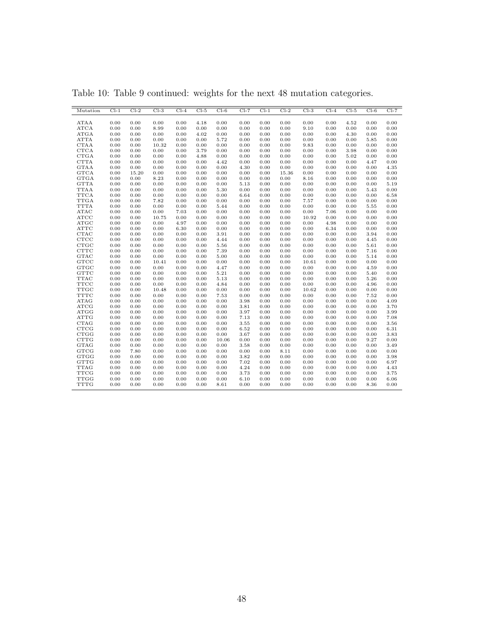| Mutation                   | $Cl-1$       | $\overline{\text{Cl-2}}$ | $Cl-3$       | $Cl-4$       | $Cl-5$       | $Cl-6$       | $Cl-7$       | $Cl-1$       | $Cl-2$       | $\overline{\text{Cl-3}}$ | $Cl-4$       | $Cl-5$       | $Cl-6$       | $Cl-7$       |
|----------------------------|--------------|--------------------------|--------------|--------------|--------------|--------------|--------------|--------------|--------------|--------------------------|--------------|--------------|--------------|--------------|
|                            |              |                          |              |              |              |              |              |              |              |                          |              |              |              |              |
| <b>ATAA</b>                | 0.00         | 0.00                     | 0.00         | 0.00         | 4.18         | 0.00         | 0.00         | 0.00         | 0.00         | 0.00                     | 0.00         | 4.52         | 0.00         | 0.00         |
| <b>ATCA</b>                | 0.00         | 0.00                     | 8.99         | 0.00         | 0.00         | 0.00         | 0.00         | 0.00         | 0.00         | 9.10                     | 0.00         | 0.00         | 0.00         | 0.00         |
| ATGA                       | 0.00         | 0.00                     | 0.00         | 0.00         | 4.02         | 0.00         | 0.00         | 0.00         | 0.00         | 0.00                     | 0.00         | 4.30         | 0.00         | 0.00         |
| <b>ATTA</b>                | 0.00         | 0.00                     | 0.00         | 0.00         | 0.00         | 5.72         | 0.00         | 0.00         | 0.00         | 0.00                     | 0.00         | 0.00         | 5.85         | 0.00         |
| <b>CTAA</b>                | 0.00         | 0.00                     | 10.32        | 0.00         | 0.00         | 0.00         | 0.00         | 0.00         | 0.00         | 9.83<br>0.00             | 0.00         | 0.00         | 0.00         | 0.00         |
| <b>CTCA</b>                | 0.00         | 0.00                     | 0.00         | 0.00         | 3.79         | 0.00         | 0.00         | 0.00         | 0.00         |                          | 0.00         | 3.98         | 0.00         | 0.00         |
| <b>CTGA</b><br><b>CTTA</b> | 0.00<br>0.00 | 0.00<br>0.00             | 0.00<br>0.00 | 0.00<br>0.00 | 4.88<br>0.00 | 0.00<br>4.42 | 0.00<br>0.00 | 0.00<br>0.00 | 0.00<br>0.00 | 0.00<br>0.00             | 0.00<br>0.00 | 5.02<br>0.00 | 0.00<br>4.47 | 0.00<br>0.00 |
| <b>GTAA</b>                | 0.00         | 0.00                     | 0.00         | 0.00         | 0.00         | 0.00         | 4.30         | 0.00         | 0.00         | 0.00                     | 0.00         | 0.00         | 0.00         | 4.35         |
| <b>GTCA</b>                | 0.00         | 15.20                    | 0.00         | 0.00         | 0.00         | 0.00         | 0.00         | 0.00         | 15.36        | 0.00                     | 0.00         | 0.00         | 0.00         | 0.00         |
| <b>GTGA</b>                | 0.00         | 0.00                     | 8.23         | 0.00         | 0.00         | 0.00         | 0.00         | 0.00         | 0.00         | 8.16                     | 0.00         | 0.00         | 0.00         | 0.00         |
| <b>GTTA</b>                | 0.00         | 0.00                     | 0.00         | 0.00         | 0.00         | 0.00         | 5.13         | 0.00         | 0.00         | 0.00                     | 0.00         | 0.00         | 0.00         | 5.19         |
| <b>TTAA</b>                | 0.00         | 0.00                     | 0.00         | 0.00         | 0.00         | 5.30         | 0.00         | 0.00         | 0.00         | 0.00                     | 0.00         | 0.00         | 5.43         | 0.00         |
| <b>TTCA</b>                | 0.00         | 0.00                     | 0.00         | 0.00         | 0.00         | 0.00         | 6.64         | 0.00         | 0.00         | 0.00                     | 0.00         | 0.00         | 0.00         | 6.58         |
| <b>TTGA</b>                | 0.00         | 0.00                     | 7.82         | 0.00         | 0.00         | 0.00         | 0.00         | 0.00         | 0.00         | 7.57                     | 0.00         | 0.00         | 0.00         | 0.00         |
| <b>TTTA</b>                | 0.00         | 0.00                     | 0.00         | 0.00         | 0.00         | 5.44         | 0.00         | 0.00         | 0.00         | 0.00                     | 0.00         | 0.00         | 5.55         | 0.00         |
| <b>ATAC</b>                | 0.00         | 0.00                     | 0.00         | 7.03         | 0.00         | 0.00         | 0.00         | 0.00         | 0.00         | 0.00                     | 7.06         | 0.00         | 0.00         | 0.00         |
| <b>ATCC</b>                | 0.00         | 0.00                     | 10.75        | 0.00         | 0.00         | 0.00         | 0.00         | 0.00         | 0.00         | 10.92                    | 0.00         | 0.00         | 0.00         | 0.00         |
| ATGC                       | 0.00         | 0.00                     | 0.00         | 4.97         | 0.00         | 0.00         | 0.00         | 0.00         | 0.00         | 0.00                     | 4.98         | 0.00         | 0.00         | 0.00         |
| <b>ATTC</b>                | 0.00         | 0.00                     | 0.00         | 6.30         | 0.00         | 0.00         | 0.00         | 0.00         | 0.00         | 0.00                     | 6.34         | 0.00         | 0.00         | 0.00         |
| <b>CTAC</b>                | 0.00         | 0.00                     | 0.00         | 0.00         | 0.00         | 3.91         | 0.00         | 0.00         | 0.00         | 0.00                     | 0.00         | 0.00         | 3.94         | 0.00         |
| <b>CTCC</b>                | 0.00         | 0.00                     | 0.00         | 0.00         | 0.00         | 4.44         | 0.00         | 0.00         | 0.00         | 0.00                     | 0.00         | 0.00         | 4.45         | 0.00         |
| <b>CTGC</b>                | 0.00         | 0.00                     | 0.00         | 0.00         | 0.00         | 5.56         | 0.00         | 0.00         | 0.00         | 0.00                     | 0.00         | 0.00         | 5.61         | 0.00         |
| <b>CTTC</b>                | 0.00         | 0.00                     | 0.00         | 0.00         | 0.00         | 7.39         | 0.00         | 0.00         | 0.00         | 0.00                     | 0.00         | 0.00         | 7.16         | 0.00         |
| <b>GTAC</b>                | 0.00         | 0.00                     | 0.00         | 0.00         | 0.00         | 5.00         | 0.00         | 0.00         | 0.00         | 0.00                     | 0.00         | 0.00         | 5.14         | 0.00         |
| <b>GTCC</b>                | 0.00         | 0.00                     | 10.41        | 0.00         | 0.00         | 0.00         | 0.00         | 0.00         | 0.00         | 10.61                    | 0.00         | 0.00         | 0.00         | 0.00         |
| GTGC                       | 0.00         | 0.00                     | 0.00         | 0.00         | 0.00         | 4.47         | 0.00         | 0.00         | 0.00         | 0.00                     | 0.00         | 0.00         | 4.59         | 0.00         |
| <b>GTTC</b>                | 0.00         | 0.00                     | 0.00         | 0.00         | 0.00         | 5.21         | 0.00         | 0.00         | 0.00         | 0.00                     | 0.00         | 0.00         | 5.40         | 0.00         |
| <b>TTAC</b>                | 0.00         | 0.00                     | 0.00         | 0.00         | 0.00         | 5.13         | 0.00         | 0.00         | 0.00         | 0.00                     | 0.00         | 0.00         | 5.26         | 0.00         |
| <b>TTCC</b>                | 0.00         | 0.00                     | 0.00         | 0.00         | 0.00         | 4.84         | 0.00         | 0.00         | 0.00         | 0.00                     | 0.00         | 0.00         | 4.96         | 0.00         |
| <b>TTGC</b>                | 0.00         | 0.00                     | 10.48        | 0.00         | 0.00         | 0.00         | 0.00         | 0.00         | 0.00         | 10.62                    | 0.00         | 0.00         | 0.00         | 0.00         |
| <b>TTTC</b>                | 0.00         | 0.00                     | 0.00         | 0.00         | 0.00         | 7.53         | 0.00         | 0.00         | 0.00         | 0.00                     | 0.00         | 0.00         | 7.52         | 0.00         |
| ATAG                       | 0.00         | 0.00                     | 0.00         | 0.00         | 0.00         | 0.00         | 3.98         | 0.00         | 0.00         | 0.00                     | 0.00         | 0.00         | 0.00         | 4.09         |
| ATCG                       | 0.00         | 0.00                     | 0.00         | 0.00         | 0.00         | 0.00         | 3.81         | 0.00         | 0.00         | 0.00                     | 0.00         | 0.00         | 0.00         | 3.70         |
| ATGG                       | 0.00         | 0.00                     | 0.00         | 0.00         | 0.00         | 0.00         | 3.97         | 0.00         | 0.00         | 0.00                     | 0.00         | 0.00         | 0.00         | 3.99         |
| <b>ATTG</b>                | 0.00         | 0.00                     | 0.00         | 0.00         | 0.00         | 0.00         | 7.13         | 0.00         | 0.00         | 0.00                     | 0.00         | 0.00         | 0.00         | 7.08         |
| <b>CTAG</b>                | 0.00         | 0.00                     | 0.00         | 0.00         | 0.00         | 0.00         | 3.55         | 0.00         | 0.00         | 0.00                     | 0.00         | 0.00         | 0.00         | 3.56         |
| <b>CTCG</b>                | 0.00         | 0.00                     | 0.00         | 0.00         | 0.00         | 0.00         | 6.52         | 0.00         | 0.00         | 0.00                     | 0.00         | 0.00         | 0.00         | 6.31         |
| CTGG                       | 0.00         | 0.00                     | 0.00         | 0.00         | 0.00         | 0.00         | 3.67         | 0.00         | 0.00         | 0.00                     | 0.00         | 0.00         | 0.00         | 3.83         |
| <b>CTTG</b>                | 0.00         | 0.00                     | 0.00         | 0.00         | 0.00         | 10.06        | 0.00         | 0.00         | 0.00         | 0.00                     | 0.00         | 0.00         | 9.27         | 0.00         |
| <b>GTAG</b>                | 0.00         | 0.00                     | 0.00         | 0.00         | 0.00         | 0.00         | 3.58         | 0.00         | 0.00         | 0.00                     | 0.00         | 0.00         | 0.00         | 3.49         |
| GTCG<br><b>GTGG</b>        | 0.00<br>0.00 | 7.80<br>0.00             | 0.00<br>0.00 | 0.00<br>0.00 | 0.00<br>0.00 | 0.00<br>0.00 | 0.00<br>3.82 | 0.00<br>0.00 | 8.11<br>0.00 | 0.00<br>0.00             | 0.00<br>0.00 | 0.00<br>0.00 | 0.00<br>0.00 | 0.00<br>3.98 |
| <b>GTTG</b>                |              |                          |              |              |              |              |              |              |              |                          |              |              |              |              |
| <b>TTAG</b>                | 0.00<br>0.00 | 0.00<br>0.00             | 0.00<br>0.00 | 0.00<br>0.00 | 0.00<br>0.00 | 0.00<br>0.00 | 7.02<br>4.24 | 0.00<br>0.00 | 0.00<br>0.00 | 0.00<br>0.00             | 0.00<br>0.00 | 0.00<br>0.00 | 0.00<br>0.00 | 6.97<br>4.43 |
| <b>TTCG</b>                | 0.00         | 0.00                     | 0.00         | 0.00         | 0.00         | 0.00         | 3.73         | 0.00         | 0.00         | 0.00                     | 0.00         | 0.00         | 0.00         | 3.75         |
| <b>TTGG</b>                | 0.00         | 0.00                     | 0.00         | 0.00         | 0.00         | 0.00         | 6.10         | 0.00         | 0.00         | 0.00                     | 0.00         | 0.00         | 0.00         | 6.06         |
| <b>TTTG</b>                | 0.00         | 0.00                     | 0.00         | 0.00         | 0.00         | 8.61         | 0.00         | 0.00         | 0.00         | 0.00                     | 0.00         | 0.00         | 8.36         | 0.00         |
|                            |              |                          |              |              |              |              |              |              |              |                          |              |              |              |              |

Table 10: Table 9 continued: weights for the next 48 mutation categories.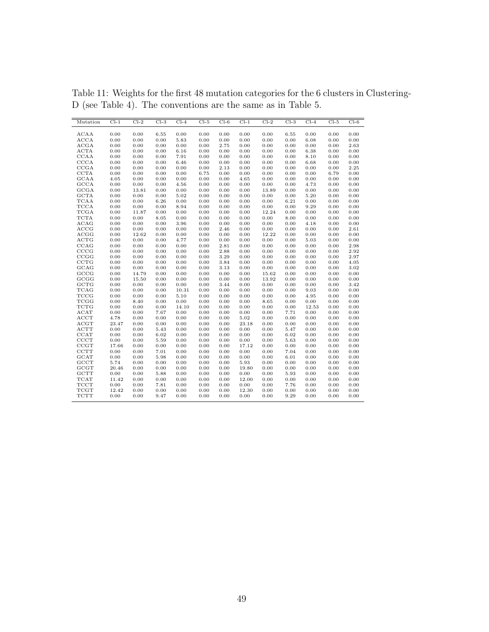| Mutation                   | $Cl-1$       | $Cl-2$       | $Cl-3$       | $Cl-4$        | $Cl-5$       | $Cl-6$       | $Cl-1$       | $Cl-2$       | $Cl-3$       | $Cl-4$        | $Cl-5$       | $Cl-6$       |
|----------------------------|--------------|--------------|--------------|---------------|--------------|--------------|--------------|--------------|--------------|---------------|--------------|--------------|
|                            |              |              |              |               |              |              |              |              |              |               |              |              |
| ACAA                       | 0.00         | 0.00         | 6.55         | 0.00          | 0.00         | 0.00         | 0.00         | 0.00         | 6.55         | 0.00          | 0.00         | 0.00         |
| ACCA                       | 0.00         | 0.00         | 0.00         | 5.83          | 0.00         | 0.00         | 0.00         | 0.00         | 0.00         | 6.08          | 0.00         | 0.00         |
| ACGA                       | 0.00         | 0.00         | 0.00         | 0.00          | 0.00         | 2.75         | 0.00         | 0.00         | 0.00         | 0.00          | 0.00         | 2.63         |
| ACTA                       | 0.00         | 0.00         | 0.00         | 6.16          | 0.00         | 0.00         | 0.00         | 0.00         | 0.00         | 6.38          | 0.00         | 0.00         |
| <b>CCAA</b>                | 0.00         | 0.00         | 0.00         | 7.91          | 0.00         | 0.00         | 0.00         | 0.00         | 0.00         | 8.10          | 0.00         | 0.00         |
| CCCA                       | 0.00         | 0.00         | 0.00         | 6.46          | 0.00         | 0.00         | 0.00         | 0.00         | 0.00         | 6.68          | 0.00         | 0.00         |
| CCGA                       | 0.00         | 0.00         | 0.00         | 0.00          | 0.00         | 2.13         | 0.00         | 0.00         | 0.00         | 0.00          | 0.00         | 2.25         |
| CCTA                       | 0.00         | 0.00         | 0.00         | 0.00          | 6.75         | 0.00         | 0.00         | 0.00         | 0.00         | 0.00          | 6.79         | 0.00         |
| GCAA                       | 4.05         | 0.00         | 0.00         | 0.00          | 0.00         | 0.00         | 4.65         | 0.00         | 0.00         | 0.00          | 0.00         | 0.00         |
| GCCA                       | 0.00         | 0.00         | 0.00         | 4.56          | 0.00         | 0.00         | 0.00         | 0.00         | 0.00         | 4.73          | 0.00         | 0.00         |
| <b>GCGA</b>                | 0.00         | 13.81        | 0.00         | 0.00          | 0.00         | 0.00         | 0.00         | 13.89        | 0.00         | 0.00          | 0.00         | 0.00         |
| <b>GCTA</b>                | 0.00         | 0.00         | 0.00         | 5.02          | 0.00         | 0.00         | 0.00         | 0.00         | 0.00         | 5.20          | 0.00         | 0.00         |
| <b>TCAA</b>                | 0.00         | 0.00         | 6.26         | 0.00          | 0.00         | 0.00         | 0.00         | 0.00         | 6.21         | 0.00          | 0.00         | 0.00         |
| <b>TCCA</b>                | 0.00         | 0.00         | 0.00         | 8.94          | 0.00         | 0.00         | 0.00         | 0.00         | 0.00         | 9.29          | 0.00         | 0.00         |
| <b>TCGA</b>                | 0.00         | 11.87        | 0.00         | 0.00          | 0.00         | 0.00         | 0.00         | 12.24        | 0.00         | 0.00          | 0.00         | 0.00         |
| <b>TCTA</b>                | 0.00         | 0.00         | 8.05         | 0.00          | 0.00         | 0.00         | 0.00         | 0.00         | 8.00         | 0.00          | 0.00         | 0.00         |
| ACAG                       | 0.00         | 0.00         | 0.00         | 3.96          | 0.00         | 0.00         | 0.00         | 0.00         | 0.00         | 4.18          | 0.00         | 0.00         |
| ACCG                       | 0.00         | 0.00         | 0.00         | 0.00          | 0.00         | 2.46         | 0.00         | 0.00         | 0.00         | 0.00          | 0.00         | 2.61         |
| ACGG                       | 0.00         | 12.62        | 0.00         | 0.00          | 0.00         | 0.00         | 0.00         | 12.22        | 0.00         | 0.00          | 0.00         | 0.00         |
| ACTG                       | 0.00         | 0.00         | 0.00         | 4.77          | 0.00         | 0.00         | 0.00         | 0.00         | 0.00         | 5.03          | 0.00         | 0.00         |
| CCAG                       | 0.00         | 0.00         | 0.00         | 0.00          | 0.00         | 2.81         | 0.00         | 0.00         | 0.00         | 0.00          | 0.00         | 2.98         |
| CCCG                       | 0.00         | 0.00         | 0.00         | 0.00          | 0.00         | 2.88         | 0.00         | 0.00         | 0.00         | 0.00          | 0.00         | 2.92         |
| CCGG                       | 0.00         | 0.00         | 0.00         | 0.00          | 0.00         | 3.29         | 0.00         | 0.00         | 0.00         | 0.00          | 0.00         | 2.97         |
| <b>CCTG</b>                | 0.00         | 0.00         | 0.00         | 0.00          | 0.00         | 3.84         | 0.00         | 0.00         | 0.00         | 0.00          | 0.00         | 4.05         |
| GCAG                       | 0.00         | 0.00         | 0.00         | 0.00          | 0.00         | 3.13         | 0.00         | 0.00         | 0.00         | 0.00          | 0.00         | 3.02         |
| GCCG                       | 0.00         | 14.79        | 0.00         | 0.00          | 0.00         | 0.00         | 0.00         | 15.62        | 0.00         | 0.00          | 0.00         | 0.00         |
| GCGG                       | 0.00         | 15.50        | 0.00         | 0.00          | 0.00         | 0.00         | 0.00         | 13.92        | 0.00         | 0.00          | 0.00         | 0.00<br>3.42 |
| <b>GCTG</b><br><b>TCAG</b> | 0.00<br>0.00 | 0.00<br>0.00 | 0.00         | 0.00          | 0.00         | 3.44         | 0.00<br>0.00 | 0.00<br>0.00 | 0.00<br>0.00 | 0.00          | 0.00         | 0.00         |
| <b>TCCG</b>                | 0.00         | 0.00         | 0.00<br>0.00 | 10.31<br>5.10 | 0.00<br>0.00 | 0.00<br>0.00 | 0.00         | 0.00         | 0.00         | 9.03<br>4.95  | 0.00<br>0.00 | 0.00         |
|                            |              |              |              |               |              |              |              |              |              |               |              |              |
| TCGG<br><b>TCTG</b>        | 0.00<br>0.00 | 8.40<br>0.00 | 0.00<br>0.00 | 0.00<br>14.10 | 0.00<br>0.00 | 0.00<br>0.00 | 0.00<br>0.00 | 8.65<br>0.00 | 0.00<br>0.00 | 0.00<br>12.53 | 0.00<br>0.00 | 0.00<br>0.00 |
| ACAT                       | 0.00         | 0.00         | 7.67         | 0.00          | 0.00         | 0.00         | 0.00         | 0.00         | 7.71         | 0.00          | 0.00         | 0.00         |
| ACCT                       | 4.78         | 0.00         | 0.00         | 0.00          | 0.00         | 0.00         | 5.02         | 0.00         | 0.00         | 0.00          | 0.00         | 0.00         |
| ACGT                       | 23.47        | 0.00         | 0.00         | 0.00          | 0.00         | 0.00         | 23.18        | 0.00         | 0.00         | 0.00          | 0.00         | 0.00         |
| <b>ACTT</b>                | 0.00         | 0.00         | 5.43         | 0.00          | 0.00         | 0.00         | 0.00         | 0.00         | 5.47         | 0.00          | 0.00         | 0.00         |
| $_{\rm CCAT}$              | 0.00         | 0.00         | 6.02         | 0.00          | 0.00         | 0.00         | 0.00         | 0.00         | 6.02         | 0.00          | 0.00         | 0.00         |
| CCCT                       | 0.00         | 0.00         | 5.59         | 0.00          | 0.00         | 0.00         | 0.00         | 0.00         | 5.63         | 0.00          | 0.00         | 0.00         |
| CCGT                       | 17.66        | 0.00         | 0.00         | 0.00          | 0.00         | 0.00         | 17.12        | 0.00         | 0.00         | 0.00          | 0.00         | 0.00         |
| <b>CCTT</b>                | 0.00         | 0.00         | 7.01         | 0.00          | 0.00         | 0.00         | 0.00         | 0.00         | 7.04         | 0.00          | 0.00         | 0.00         |
| GCAT                       | 0.00         | 0.00         | 5.98         | 0.00          | 0.00         | 0.00         | 0.00         | 0.00         | 6.01         | 0.00          | 0.00         | 0.00         |
| <b>GCCT</b>                | 5.74         | 0.00         | 0.00         | 0.00          | 0.00         | 0.00         | 5.93         | 0.00         | 0.00         | 0.00          | 0.00         | 0.00         |
| GCGT                       | 20.46        | 0.00         | 0.00         | 0.00          | 0.00         | 0.00         | 19.80        | 0.00         | 0.00         | 0.00          | 0.00         | 0.00         |
| <b>GCTT</b>                | 0.00         | 0.00         | 5.88         | 0.00          | 0.00         | 0.00         | 0.00         | 0.00         | 5.93         | 0.00          | 0.00         | 0.00         |
| <b>TCAT</b>                | 11.42        | 0.00         | 0.00         | 0.00          | 0.00         | 0.00         | 12.00        | 0.00         | 0.00         | 0.00          | 0.00         | 0.00         |
| <b>TCCT</b>                | 0.00         | 0.00         | 7.81         | 0.00          | 0.00         | 0.00         | 0.00         | 0.00         | 7.76         | 0.00          | 0.00         | 0.00         |
| <b>TCGT</b>                | 12.42        | 0.00         | 0.00         | 0.00          | 0.00         | 0.00         | 12.30        | 0.00         | 0.00         | 0.00          | 0.00         | 0.00         |
| <b>TCTT</b>                | 0.00         | 0.00         | 9.47         | 0.00          | 0.00         | 0.00         | 0.00         | 0.00         | 9.29         | 0.00          | 0.00         | 0.00         |
|                            |              |              |              |               |              |              |              |              |              |               |              |              |

Table 11: Weights for the first 48 mutation categories for the 6 clusters in Clustering-D (see Table 4). The conventions are the same as in Table 5.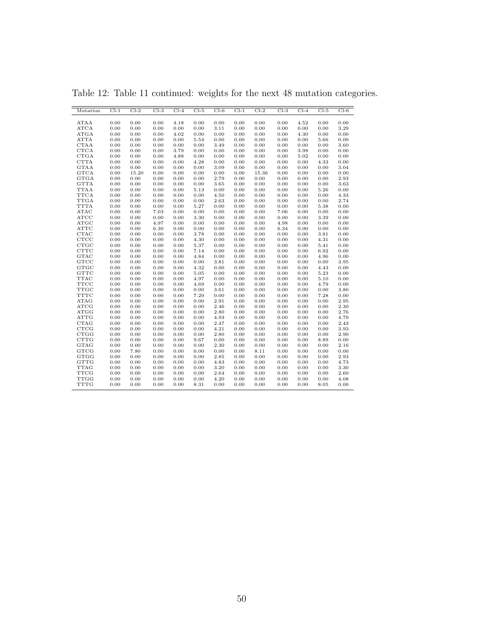| <b>ATAA</b><br>0.00<br>0.00<br>0.00<br>4.18<br>0.00<br>0.00<br>0.00<br>0.00<br>0.00<br>4.52<br>0.00<br>0.00<br>0.00<br>0.00<br>3.29<br><b>ATCA</b><br>0.00<br>0.00<br>0.00<br>3.11<br>0.00<br>0.00<br>0.00<br>0.00<br>0.00<br>0.00<br>ATGA<br>0.00<br>0.00<br>4.02<br>0.00<br>0.00<br>0.00<br>0.00<br>0.00<br>4.30<br>0.00<br>0.00<br><b>ATTA</b><br>0.00<br>0.00<br>0.00<br>0.00<br>0.00<br>0.00<br>0.00<br>0.00<br>5.54<br>0.00<br>0.00<br>5.66<br><b>CTAA</b><br>0.00<br>0.00<br>0.00<br>0.00<br>3.49<br>0.00<br>0.00<br>0.00<br>0.00<br>3.60<br>0.00<br>0.00<br><b>CTCA</b><br>0.00<br>0.00<br>0.00<br>3.79<br>0.00<br>0.00<br>0.00<br>0.00<br>0.00<br>3.98<br>0.00<br>0.00<br><b>CTGA</b><br>0.00<br>0.00<br>0.00<br>0.00<br>0.00<br>5.02<br>4.88<br>0.00<br>0.00<br>0.00<br>0.00<br>0.00<br><b>CTTA</b><br>0.00<br>0.00<br>0.00<br>0.00<br>0.00<br>0.00<br>0.00<br>4.33<br>0.00<br>0.00<br>4.28<br>0.00<br><b>GTAA</b><br>0.00<br>0.00<br>0.00<br>0.00<br>0.00<br>3.09<br>0.00<br>0.00<br>0.00<br>0.00<br>0.00<br>3.04<br><b>GTCA</b><br>0.00<br>15.20<br>0.00<br>0.00<br>0.00<br>0.00<br>0.00<br>0.00<br>0.00<br>0.00<br>15.36<br>0.00<br><b>GTGA</b><br>2.79<br>0.00<br>0.00<br>0.00<br>0.00<br>0.00<br>0.00<br>0.00<br>0.00<br>0.00<br>0.00<br>2.93<br><b>GTTA</b><br>0.00<br>0.00<br>0.00<br>0.00<br>0.00<br>0.00<br>3.65<br>0.00<br>0.00<br>0.00<br>0.00<br>3.63<br><b>TTAA</b><br>0.00<br>0.00<br>0.00<br>5.26<br>0.00<br>0.00<br>0.00<br>5.13<br>0.00<br>0.00<br>0.00<br>0.00<br><b>TTCA</b><br>0.00<br>0.00<br>0.00<br>4.50<br>0.00<br>0.00<br>0.00<br>0.00<br>0.00<br>0.00<br>0.00<br>4.33<br><b>TTGA</b><br>0.00<br>0.00<br>0.00<br>0.00<br>0.00<br>2.63<br>0.00<br>0.00<br>0.00<br>0.00<br>0.00<br>2.74<br><b>TTTA</b><br>0.00<br>0.00<br>0.00<br>0.00<br>0.00<br>0.00<br>0.00<br>5.27<br>0.00<br>0.00<br>0.00<br>5.38<br><b>ATAC</b><br>0.00<br>0.00<br>7.03<br>0.00<br>0.00<br>0.00<br>0.00<br>0.00<br>7.06<br>0.00<br>0.00<br>0.00<br>ATCC<br>0.00<br>0.00<br>0.00<br>0.00<br>3.30<br>0.00<br>0.00<br>0.00<br>0.00<br>0.00<br>3.39<br>0.00<br>ATGC<br>0.00<br>0.00<br>4.97<br>0.00<br>0.00<br>0.00<br>0.00<br>4.98<br>0.00<br>0.00<br>0.00<br>0.00<br><b>ATTC</b><br>0.00<br>0.00<br>6.30<br>0.00<br>0.00<br>0.00<br>0.00<br>0.00<br>0.00<br>0.00<br>6.34<br>0.00<br><b>CTAC</b><br>0.00<br>0.00<br>0.00<br>0.00<br>0.00<br>0.00<br>0.00<br>0.00<br>0.00<br>3.81<br>0.00<br>3.78<br>0.00<br>0.00<br>CTCC<br>0.00<br>0.00<br>0.00<br>4.30<br>0.00<br>0.00<br>0.00<br>0.00<br>4.31<br>0.00<br>0.00<br>0.00<br>0.00<br><b>CTGC</b><br>0.00<br>0.00<br>5.37<br>0.00<br>0.00<br>0.00<br>0.00<br>5.41<br>0.00<br><b>CTTC</b><br>0.00<br>0.00<br>0.00<br>0.00<br>7.14<br>0.00<br>0.00<br>0.00<br>0.00<br>6.92<br>0.00<br>0.00<br><b>GTAC</b><br>0.00<br>0.00<br>0.00<br>0.00<br>4.84<br>0.00<br>0.00<br>0.00<br>0.00<br>4.96<br>0.00<br>0.00<br><b>GTCC</b><br>0.00<br>0.00<br>0.00<br>0.00<br>0.00<br>3.81<br>0.00<br>0.00<br>0.00<br>0.00<br>0.00<br>3.95<br><b>GTGC</b><br>0.00<br>0.00<br>0.00<br>0.00<br>4.32<br>0.00<br>0.00<br>0.00<br>0.00<br>0.00<br>4.43<br>0.00<br><b>GTTC</b><br>0.00<br>0.00<br>0.00<br>0.00<br>5.05<br>0.00<br>0.00<br>0.00<br>0.00<br>0.00<br>5.23<br>0.00<br><b>TTAC</b><br>0.00<br>0.00<br>0.00<br>0.00<br>4.97<br>0.00<br>0.00<br>0.00<br>0.00<br>0.00<br>5.10<br>0.00<br>0.00<br>0.00<br>0.00<br>0.00<br>0.00<br><b>TTCC</b><br>0.00<br>4.69<br>0.00<br>0.00<br>0.00<br>4.79<br>0.00<br><b>TTGC</b><br>0.00<br>0.00<br>0.00<br>0.00<br>0.00<br>3.61<br>0.00<br>0.00<br>0.00<br>0.00<br>0.00<br>3.80<br><b>TTTC</b><br>0.00<br>0.00<br>0.00<br>0.00<br>7.29<br>0.00<br>0.00<br>0.00<br>7.28<br>0.00<br>0.00<br>0.00<br>ATAG<br>0.00<br>0.00<br>0.00<br>0.00<br>0.00<br>2.91<br>0.00<br>0.00<br>0.00<br>0.00<br>0.00<br>2.95<br>0.00<br>0.00<br>0.00<br>ATCG<br>0.00<br>0.00<br>0.00<br>2.46<br>0.00<br>0.00<br>0.00<br>0.00<br>2.30<br>0.00<br>0.00<br>0.00<br>2.80<br>0.00<br>0.00<br>ATGG<br>0.00<br>0.00<br>0.00<br>0.00<br>0.00<br>2.76<br><b>ATTG</b><br>0.00<br>0.00<br>0.00<br>4.93<br>0.00<br>0.00<br>0.00<br>0.00<br>0.00<br>0.00<br>0.00<br>4.79<br><b>CTAG</b><br>0.00<br>0.00<br>0.00<br>0.00<br>0.00<br>2.47<br>0.00<br>0.00<br>0.00<br>0.00<br>0.00<br>2.43<br>4.21<br><b>CTCG</b><br>0.00<br>0.00<br>0.00<br>0.00<br>0.00<br>0.00<br>0.00<br>0.00<br>0.00<br>0.00<br>3.93<br>2.80<br>0.00<br><b>CTGG</b><br>0.00<br>0.00<br>0.00<br>0.00<br>0.00<br>0.00<br>0.00<br>0.00<br>0.00<br>2.90<br><b>CTTG</b><br>0.00<br>0.00<br>0.00<br>0.00<br>0.00<br>9.67<br>0.00<br>0.00<br>0.00<br>0.00<br>8.89<br>0.00<br><b>GTAG</b><br>0.00<br>0.00<br>0.00<br>2.30<br>0.00<br>0.00<br>0.00<br>0.00<br>0.00<br>0.00<br>0.00<br>2.16<br><b>GTCG</b><br>0.00<br>7.80<br>0.00<br>0.00<br>0.00<br>0.00<br>0.00<br>0.00<br>8.11<br>0.00<br>0.00<br>0.00<br>0.00<br>0.00<br>0.00<br>2.85<br>0.00<br>2.93<br>GTGG<br>0.00<br>0.00<br>0.00<br>0.00<br>0.00<br>0.00<br>0.00<br>0.00<br>0.00<br>4.83<br>0.00<br>4.73<br><b>GTTG</b><br>0.00<br>0.00<br>0.00<br>0.00<br>0.00<br>0.00<br>3.20<br><b>TTAG</b><br>0.00<br>0.00<br>0.00<br>0.00<br>0.00<br>0.00<br>0.00<br>0.00<br>0.00<br>0.00<br>3.30<br><b>TTCG</b><br>0.00<br>2.64<br>2.60<br>0.00<br>0.00<br>0.00<br>0.00<br>0.00<br>0.00<br>0.00<br>0.00<br>0.00<br><b>TTGG</b><br>0.00<br>0.00<br>0.00<br>4.20<br>0.00<br>0.00<br>4.08<br>0.00<br>0.00<br>0.00<br>0.00<br>0.00<br><b>TTTG</b><br>0.00<br>0.00<br>0.00<br>8.31<br>0.00<br>0.00<br>0.00<br>0.00<br>8.05<br>0.00<br>0.00<br>0.00 | Mutation | $Cl-1$ | $\overline{\text{Cl-2}}$ | $Cl-3$ | $Cl-4$ | $Cl-5$ | $Cl-6$ | $Cl-1$ | $Cl-2$ | $Cl-3$ | $Cl-4$ | $Cl-5$ | $Cl-6$ |
|----------------------------------------------------------------------------------------------------------------------------------------------------------------------------------------------------------------------------------------------------------------------------------------------------------------------------------------------------------------------------------------------------------------------------------------------------------------------------------------------------------------------------------------------------------------------------------------------------------------------------------------------------------------------------------------------------------------------------------------------------------------------------------------------------------------------------------------------------------------------------------------------------------------------------------------------------------------------------------------------------------------------------------------------------------------------------------------------------------------------------------------------------------------------------------------------------------------------------------------------------------------------------------------------------------------------------------------------------------------------------------------------------------------------------------------------------------------------------------------------------------------------------------------------------------------------------------------------------------------------------------------------------------------------------------------------------------------------------------------------------------------------------------------------------------------------------------------------------------------------------------------------------------------------------------------------------------------------------------------------------------------------------------------------------------------------------------------------------------------------------------------------------------------------------------------------------------------------------------------------------------------------------------------------------------------------------------------------------------------------------------------------------------------------------------------------------------------------------------------------------------------------------------------------------------------------------------------------------------------------------------------------------------------------------------------------------------------------------------------------------------------------------------------------------------------------------------------------------------------------------------------------------------------------------------------------------------------------------------------------------------------------------------------------------------------------------------------------------------------------------------------------------------------------------------------------------------------------------------------------------------------------------------------------------------------------------------------------------------------------------------------------------------------------------------------------------------------------------------------------------------------------------------------------------------------------------------------------------------------------------------------------------------------------------------------------------------------------------------------------------------------------------------------------------------------------------------------------------------------------------------------------------------------------------------------------------------------------------------------------------------------------------------------------------------------------------------------------------------------------------------------------------------------------------------------------------------------------------------------------------------------------------------------------------------------------------------------------------------------------------------------------------------------------------------------------------------------------------------------------------------------------------------------------------------------------------------------------------------------------------------------------------------------------------------------------------------------------------------------------------------------------------------------------------------------------------------------------------------------------------------------------------------------------------------------------------------------------------------------------------------------------------------------------------------------------------------------------------------------------------------------------------------------------------------------------------------------------------------------------------------------------------------------------------------------------------------------------------------------------------------------------------------------------------------------------------------------------------------------|----------|--------|--------------------------|--------|--------|--------|--------|--------|--------|--------|--------|--------|--------|
|                                                                                                                                                                                                                                                                                                                                                                                                                                                                                                                                                                                                                                                                                                                                                                                                                                                                                                                                                                                                                                                                                                                                                                                                                                                                                                                                                                                                                                                                                                                                                                                                                                                                                                                                                                                                                                                                                                                                                                                                                                                                                                                                                                                                                                                                                                                                                                                                                                                                                                                                                                                                                                                                                                                                                                                                                                                                                                                                                                                                                                                                                                                                                                                                                                                                                                                                                                                                                                                                                                                                                                                                                                                                                                                                                                                                                                                                                                                                                                                                                                                                                                                                                                                                                                                                                                                                                                                                                                                                                                                                                                                                                                                                                                                                                                                                                                                                                                                                                                                                                                                                                                                                                                                                                                                                                                                                                                                                                                                                                        |          |        |                          |        |        |        |        |        |        |        |        |        |        |
|                                                                                                                                                                                                                                                                                                                                                                                                                                                                                                                                                                                                                                                                                                                                                                                                                                                                                                                                                                                                                                                                                                                                                                                                                                                                                                                                                                                                                                                                                                                                                                                                                                                                                                                                                                                                                                                                                                                                                                                                                                                                                                                                                                                                                                                                                                                                                                                                                                                                                                                                                                                                                                                                                                                                                                                                                                                                                                                                                                                                                                                                                                                                                                                                                                                                                                                                                                                                                                                                                                                                                                                                                                                                                                                                                                                                                                                                                                                                                                                                                                                                                                                                                                                                                                                                                                                                                                                                                                                                                                                                                                                                                                                                                                                                                                                                                                                                                                                                                                                                                                                                                                                                                                                                                                                                                                                                                                                                                                                                                        |          |        |                          |        |        |        |        |        |        |        |        |        |        |
|                                                                                                                                                                                                                                                                                                                                                                                                                                                                                                                                                                                                                                                                                                                                                                                                                                                                                                                                                                                                                                                                                                                                                                                                                                                                                                                                                                                                                                                                                                                                                                                                                                                                                                                                                                                                                                                                                                                                                                                                                                                                                                                                                                                                                                                                                                                                                                                                                                                                                                                                                                                                                                                                                                                                                                                                                                                                                                                                                                                                                                                                                                                                                                                                                                                                                                                                                                                                                                                                                                                                                                                                                                                                                                                                                                                                                                                                                                                                                                                                                                                                                                                                                                                                                                                                                                                                                                                                                                                                                                                                                                                                                                                                                                                                                                                                                                                                                                                                                                                                                                                                                                                                                                                                                                                                                                                                                                                                                                                                                        |          |        |                          |        |        |        |        |        |        |        |        |        |        |
|                                                                                                                                                                                                                                                                                                                                                                                                                                                                                                                                                                                                                                                                                                                                                                                                                                                                                                                                                                                                                                                                                                                                                                                                                                                                                                                                                                                                                                                                                                                                                                                                                                                                                                                                                                                                                                                                                                                                                                                                                                                                                                                                                                                                                                                                                                                                                                                                                                                                                                                                                                                                                                                                                                                                                                                                                                                                                                                                                                                                                                                                                                                                                                                                                                                                                                                                                                                                                                                                                                                                                                                                                                                                                                                                                                                                                                                                                                                                                                                                                                                                                                                                                                                                                                                                                                                                                                                                                                                                                                                                                                                                                                                                                                                                                                                                                                                                                                                                                                                                                                                                                                                                                                                                                                                                                                                                                                                                                                                                                        |          |        |                          |        |        |        |        |        |        |        |        |        |        |
|                                                                                                                                                                                                                                                                                                                                                                                                                                                                                                                                                                                                                                                                                                                                                                                                                                                                                                                                                                                                                                                                                                                                                                                                                                                                                                                                                                                                                                                                                                                                                                                                                                                                                                                                                                                                                                                                                                                                                                                                                                                                                                                                                                                                                                                                                                                                                                                                                                                                                                                                                                                                                                                                                                                                                                                                                                                                                                                                                                                                                                                                                                                                                                                                                                                                                                                                                                                                                                                                                                                                                                                                                                                                                                                                                                                                                                                                                                                                                                                                                                                                                                                                                                                                                                                                                                                                                                                                                                                                                                                                                                                                                                                                                                                                                                                                                                                                                                                                                                                                                                                                                                                                                                                                                                                                                                                                                                                                                                                                                        |          |        |                          |        |        |        |        |        |        |        |        |        |        |
|                                                                                                                                                                                                                                                                                                                                                                                                                                                                                                                                                                                                                                                                                                                                                                                                                                                                                                                                                                                                                                                                                                                                                                                                                                                                                                                                                                                                                                                                                                                                                                                                                                                                                                                                                                                                                                                                                                                                                                                                                                                                                                                                                                                                                                                                                                                                                                                                                                                                                                                                                                                                                                                                                                                                                                                                                                                                                                                                                                                                                                                                                                                                                                                                                                                                                                                                                                                                                                                                                                                                                                                                                                                                                                                                                                                                                                                                                                                                                                                                                                                                                                                                                                                                                                                                                                                                                                                                                                                                                                                                                                                                                                                                                                                                                                                                                                                                                                                                                                                                                                                                                                                                                                                                                                                                                                                                                                                                                                                                                        |          |        |                          |        |        |        |        |        |        |        |        |        |        |
|                                                                                                                                                                                                                                                                                                                                                                                                                                                                                                                                                                                                                                                                                                                                                                                                                                                                                                                                                                                                                                                                                                                                                                                                                                                                                                                                                                                                                                                                                                                                                                                                                                                                                                                                                                                                                                                                                                                                                                                                                                                                                                                                                                                                                                                                                                                                                                                                                                                                                                                                                                                                                                                                                                                                                                                                                                                                                                                                                                                                                                                                                                                                                                                                                                                                                                                                                                                                                                                                                                                                                                                                                                                                                                                                                                                                                                                                                                                                                                                                                                                                                                                                                                                                                                                                                                                                                                                                                                                                                                                                                                                                                                                                                                                                                                                                                                                                                                                                                                                                                                                                                                                                                                                                                                                                                                                                                                                                                                                                                        |          |        |                          |        |        |        |        |        |        |        |        |        |        |
|                                                                                                                                                                                                                                                                                                                                                                                                                                                                                                                                                                                                                                                                                                                                                                                                                                                                                                                                                                                                                                                                                                                                                                                                                                                                                                                                                                                                                                                                                                                                                                                                                                                                                                                                                                                                                                                                                                                                                                                                                                                                                                                                                                                                                                                                                                                                                                                                                                                                                                                                                                                                                                                                                                                                                                                                                                                                                                                                                                                                                                                                                                                                                                                                                                                                                                                                                                                                                                                                                                                                                                                                                                                                                                                                                                                                                                                                                                                                                                                                                                                                                                                                                                                                                                                                                                                                                                                                                                                                                                                                                                                                                                                                                                                                                                                                                                                                                                                                                                                                                                                                                                                                                                                                                                                                                                                                                                                                                                                                                        |          |        |                          |        |        |        |        |        |        |        |        |        |        |
|                                                                                                                                                                                                                                                                                                                                                                                                                                                                                                                                                                                                                                                                                                                                                                                                                                                                                                                                                                                                                                                                                                                                                                                                                                                                                                                                                                                                                                                                                                                                                                                                                                                                                                                                                                                                                                                                                                                                                                                                                                                                                                                                                                                                                                                                                                                                                                                                                                                                                                                                                                                                                                                                                                                                                                                                                                                                                                                                                                                                                                                                                                                                                                                                                                                                                                                                                                                                                                                                                                                                                                                                                                                                                                                                                                                                                                                                                                                                                                                                                                                                                                                                                                                                                                                                                                                                                                                                                                                                                                                                                                                                                                                                                                                                                                                                                                                                                                                                                                                                                                                                                                                                                                                                                                                                                                                                                                                                                                                                                        |          |        |                          |        |        |        |        |        |        |        |        |        |        |
|                                                                                                                                                                                                                                                                                                                                                                                                                                                                                                                                                                                                                                                                                                                                                                                                                                                                                                                                                                                                                                                                                                                                                                                                                                                                                                                                                                                                                                                                                                                                                                                                                                                                                                                                                                                                                                                                                                                                                                                                                                                                                                                                                                                                                                                                                                                                                                                                                                                                                                                                                                                                                                                                                                                                                                                                                                                                                                                                                                                                                                                                                                                                                                                                                                                                                                                                                                                                                                                                                                                                                                                                                                                                                                                                                                                                                                                                                                                                                                                                                                                                                                                                                                                                                                                                                                                                                                                                                                                                                                                                                                                                                                                                                                                                                                                                                                                                                                                                                                                                                                                                                                                                                                                                                                                                                                                                                                                                                                                                                        |          |        |                          |        |        |        |        |        |        |        |        |        |        |
|                                                                                                                                                                                                                                                                                                                                                                                                                                                                                                                                                                                                                                                                                                                                                                                                                                                                                                                                                                                                                                                                                                                                                                                                                                                                                                                                                                                                                                                                                                                                                                                                                                                                                                                                                                                                                                                                                                                                                                                                                                                                                                                                                                                                                                                                                                                                                                                                                                                                                                                                                                                                                                                                                                                                                                                                                                                                                                                                                                                                                                                                                                                                                                                                                                                                                                                                                                                                                                                                                                                                                                                                                                                                                                                                                                                                                                                                                                                                                                                                                                                                                                                                                                                                                                                                                                                                                                                                                                                                                                                                                                                                                                                                                                                                                                                                                                                                                                                                                                                                                                                                                                                                                                                                                                                                                                                                                                                                                                                                                        |          |        |                          |        |        |        |        |        |        |        |        |        |        |
|                                                                                                                                                                                                                                                                                                                                                                                                                                                                                                                                                                                                                                                                                                                                                                                                                                                                                                                                                                                                                                                                                                                                                                                                                                                                                                                                                                                                                                                                                                                                                                                                                                                                                                                                                                                                                                                                                                                                                                                                                                                                                                                                                                                                                                                                                                                                                                                                                                                                                                                                                                                                                                                                                                                                                                                                                                                                                                                                                                                                                                                                                                                                                                                                                                                                                                                                                                                                                                                                                                                                                                                                                                                                                                                                                                                                                                                                                                                                                                                                                                                                                                                                                                                                                                                                                                                                                                                                                                                                                                                                                                                                                                                                                                                                                                                                                                                                                                                                                                                                                                                                                                                                                                                                                                                                                                                                                                                                                                                                                        |          |        |                          |        |        |        |        |        |        |        |        |        |        |
|                                                                                                                                                                                                                                                                                                                                                                                                                                                                                                                                                                                                                                                                                                                                                                                                                                                                                                                                                                                                                                                                                                                                                                                                                                                                                                                                                                                                                                                                                                                                                                                                                                                                                                                                                                                                                                                                                                                                                                                                                                                                                                                                                                                                                                                                                                                                                                                                                                                                                                                                                                                                                                                                                                                                                                                                                                                                                                                                                                                                                                                                                                                                                                                                                                                                                                                                                                                                                                                                                                                                                                                                                                                                                                                                                                                                                                                                                                                                                                                                                                                                                                                                                                                                                                                                                                                                                                                                                                                                                                                                                                                                                                                                                                                                                                                                                                                                                                                                                                                                                                                                                                                                                                                                                                                                                                                                                                                                                                                                                        |          |        |                          |        |        |        |        |        |        |        |        |        |        |
|                                                                                                                                                                                                                                                                                                                                                                                                                                                                                                                                                                                                                                                                                                                                                                                                                                                                                                                                                                                                                                                                                                                                                                                                                                                                                                                                                                                                                                                                                                                                                                                                                                                                                                                                                                                                                                                                                                                                                                                                                                                                                                                                                                                                                                                                                                                                                                                                                                                                                                                                                                                                                                                                                                                                                                                                                                                                                                                                                                                                                                                                                                                                                                                                                                                                                                                                                                                                                                                                                                                                                                                                                                                                                                                                                                                                                                                                                                                                                                                                                                                                                                                                                                                                                                                                                                                                                                                                                                                                                                                                                                                                                                                                                                                                                                                                                                                                                                                                                                                                                                                                                                                                                                                                                                                                                                                                                                                                                                                                                        |          |        |                          |        |        |        |        |        |        |        |        |        |        |
|                                                                                                                                                                                                                                                                                                                                                                                                                                                                                                                                                                                                                                                                                                                                                                                                                                                                                                                                                                                                                                                                                                                                                                                                                                                                                                                                                                                                                                                                                                                                                                                                                                                                                                                                                                                                                                                                                                                                                                                                                                                                                                                                                                                                                                                                                                                                                                                                                                                                                                                                                                                                                                                                                                                                                                                                                                                                                                                                                                                                                                                                                                                                                                                                                                                                                                                                                                                                                                                                                                                                                                                                                                                                                                                                                                                                                                                                                                                                                                                                                                                                                                                                                                                                                                                                                                                                                                                                                                                                                                                                                                                                                                                                                                                                                                                                                                                                                                                                                                                                                                                                                                                                                                                                                                                                                                                                                                                                                                                                                        |          |        |                          |        |        |        |        |        |        |        |        |        |        |
|                                                                                                                                                                                                                                                                                                                                                                                                                                                                                                                                                                                                                                                                                                                                                                                                                                                                                                                                                                                                                                                                                                                                                                                                                                                                                                                                                                                                                                                                                                                                                                                                                                                                                                                                                                                                                                                                                                                                                                                                                                                                                                                                                                                                                                                                                                                                                                                                                                                                                                                                                                                                                                                                                                                                                                                                                                                                                                                                                                                                                                                                                                                                                                                                                                                                                                                                                                                                                                                                                                                                                                                                                                                                                                                                                                                                                                                                                                                                                                                                                                                                                                                                                                                                                                                                                                                                                                                                                                                                                                                                                                                                                                                                                                                                                                                                                                                                                                                                                                                                                                                                                                                                                                                                                                                                                                                                                                                                                                                                                        |          |        |                          |        |        |        |        |        |        |        |        |        |        |
|                                                                                                                                                                                                                                                                                                                                                                                                                                                                                                                                                                                                                                                                                                                                                                                                                                                                                                                                                                                                                                                                                                                                                                                                                                                                                                                                                                                                                                                                                                                                                                                                                                                                                                                                                                                                                                                                                                                                                                                                                                                                                                                                                                                                                                                                                                                                                                                                                                                                                                                                                                                                                                                                                                                                                                                                                                                                                                                                                                                                                                                                                                                                                                                                                                                                                                                                                                                                                                                                                                                                                                                                                                                                                                                                                                                                                                                                                                                                                                                                                                                                                                                                                                                                                                                                                                                                                                                                                                                                                                                                                                                                                                                                                                                                                                                                                                                                                                                                                                                                                                                                                                                                                                                                                                                                                                                                                                                                                                                                                        |          |        |                          |        |        |        |        |        |        |        |        |        |        |
|                                                                                                                                                                                                                                                                                                                                                                                                                                                                                                                                                                                                                                                                                                                                                                                                                                                                                                                                                                                                                                                                                                                                                                                                                                                                                                                                                                                                                                                                                                                                                                                                                                                                                                                                                                                                                                                                                                                                                                                                                                                                                                                                                                                                                                                                                                                                                                                                                                                                                                                                                                                                                                                                                                                                                                                                                                                                                                                                                                                                                                                                                                                                                                                                                                                                                                                                                                                                                                                                                                                                                                                                                                                                                                                                                                                                                                                                                                                                                                                                                                                                                                                                                                                                                                                                                                                                                                                                                                                                                                                                                                                                                                                                                                                                                                                                                                                                                                                                                                                                                                                                                                                                                                                                                                                                                                                                                                                                                                                                                        |          |        |                          |        |        |        |        |        |        |        |        |        |        |
|                                                                                                                                                                                                                                                                                                                                                                                                                                                                                                                                                                                                                                                                                                                                                                                                                                                                                                                                                                                                                                                                                                                                                                                                                                                                                                                                                                                                                                                                                                                                                                                                                                                                                                                                                                                                                                                                                                                                                                                                                                                                                                                                                                                                                                                                                                                                                                                                                                                                                                                                                                                                                                                                                                                                                                                                                                                                                                                                                                                                                                                                                                                                                                                                                                                                                                                                                                                                                                                                                                                                                                                                                                                                                                                                                                                                                                                                                                                                                                                                                                                                                                                                                                                                                                                                                                                                                                                                                                                                                                                                                                                                                                                                                                                                                                                                                                                                                                                                                                                                                                                                                                                                                                                                                                                                                                                                                                                                                                                                                        |          |        |                          |        |        |        |        |        |        |        |        |        |        |
|                                                                                                                                                                                                                                                                                                                                                                                                                                                                                                                                                                                                                                                                                                                                                                                                                                                                                                                                                                                                                                                                                                                                                                                                                                                                                                                                                                                                                                                                                                                                                                                                                                                                                                                                                                                                                                                                                                                                                                                                                                                                                                                                                                                                                                                                                                                                                                                                                                                                                                                                                                                                                                                                                                                                                                                                                                                                                                                                                                                                                                                                                                                                                                                                                                                                                                                                                                                                                                                                                                                                                                                                                                                                                                                                                                                                                                                                                                                                                                                                                                                                                                                                                                                                                                                                                                                                                                                                                                                                                                                                                                                                                                                                                                                                                                                                                                                                                                                                                                                                                                                                                                                                                                                                                                                                                                                                                                                                                                                                                        |          |        |                          |        |        |        |        |        |        |        |        |        |        |
|                                                                                                                                                                                                                                                                                                                                                                                                                                                                                                                                                                                                                                                                                                                                                                                                                                                                                                                                                                                                                                                                                                                                                                                                                                                                                                                                                                                                                                                                                                                                                                                                                                                                                                                                                                                                                                                                                                                                                                                                                                                                                                                                                                                                                                                                                                                                                                                                                                                                                                                                                                                                                                                                                                                                                                                                                                                                                                                                                                                                                                                                                                                                                                                                                                                                                                                                                                                                                                                                                                                                                                                                                                                                                                                                                                                                                                                                                                                                                                                                                                                                                                                                                                                                                                                                                                                                                                                                                                                                                                                                                                                                                                                                                                                                                                                                                                                                                                                                                                                                                                                                                                                                                                                                                                                                                                                                                                                                                                                                                        |          |        |                          |        |        |        |        |        |        |        |        |        |        |
|                                                                                                                                                                                                                                                                                                                                                                                                                                                                                                                                                                                                                                                                                                                                                                                                                                                                                                                                                                                                                                                                                                                                                                                                                                                                                                                                                                                                                                                                                                                                                                                                                                                                                                                                                                                                                                                                                                                                                                                                                                                                                                                                                                                                                                                                                                                                                                                                                                                                                                                                                                                                                                                                                                                                                                                                                                                                                                                                                                                                                                                                                                                                                                                                                                                                                                                                                                                                                                                                                                                                                                                                                                                                                                                                                                                                                                                                                                                                                                                                                                                                                                                                                                                                                                                                                                                                                                                                                                                                                                                                                                                                                                                                                                                                                                                                                                                                                                                                                                                                                                                                                                                                                                                                                                                                                                                                                                                                                                                                                        |          |        |                          |        |        |        |        |        |        |        |        |        |        |
|                                                                                                                                                                                                                                                                                                                                                                                                                                                                                                                                                                                                                                                                                                                                                                                                                                                                                                                                                                                                                                                                                                                                                                                                                                                                                                                                                                                                                                                                                                                                                                                                                                                                                                                                                                                                                                                                                                                                                                                                                                                                                                                                                                                                                                                                                                                                                                                                                                                                                                                                                                                                                                                                                                                                                                                                                                                                                                                                                                                                                                                                                                                                                                                                                                                                                                                                                                                                                                                                                                                                                                                                                                                                                                                                                                                                                                                                                                                                                                                                                                                                                                                                                                                                                                                                                                                                                                                                                                                                                                                                                                                                                                                                                                                                                                                                                                                                                                                                                                                                                                                                                                                                                                                                                                                                                                                                                                                                                                                                                        |          |        |                          |        |        |        |        |        |        |        |        |        |        |
|                                                                                                                                                                                                                                                                                                                                                                                                                                                                                                                                                                                                                                                                                                                                                                                                                                                                                                                                                                                                                                                                                                                                                                                                                                                                                                                                                                                                                                                                                                                                                                                                                                                                                                                                                                                                                                                                                                                                                                                                                                                                                                                                                                                                                                                                                                                                                                                                                                                                                                                                                                                                                                                                                                                                                                                                                                                                                                                                                                                                                                                                                                                                                                                                                                                                                                                                                                                                                                                                                                                                                                                                                                                                                                                                                                                                                                                                                                                                                                                                                                                                                                                                                                                                                                                                                                                                                                                                                                                                                                                                                                                                                                                                                                                                                                                                                                                                                                                                                                                                                                                                                                                                                                                                                                                                                                                                                                                                                                                                                        |          |        |                          |        |        |        |        |        |        |        |        |        |        |
|                                                                                                                                                                                                                                                                                                                                                                                                                                                                                                                                                                                                                                                                                                                                                                                                                                                                                                                                                                                                                                                                                                                                                                                                                                                                                                                                                                                                                                                                                                                                                                                                                                                                                                                                                                                                                                                                                                                                                                                                                                                                                                                                                                                                                                                                                                                                                                                                                                                                                                                                                                                                                                                                                                                                                                                                                                                                                                                                                                                                                                                                                                                                                                                                                                                                                                                                                                                                                                                                                                                                                                                                                                                                                                                                                                                                                                                                                                                                                                                                                                                                                                                                                                                                                                                                                                                                                                                                                                                                                                                                                                                                                                                                                                                                                                                                                                                                                                                                                                                                                                                                                                                                                                                                                                                                                                                                                                                                                                                                                        |          |        |                          |        |        |        |        |        |        |        |        |        |        |
|                                                                                                                                                                                                                                                                                                                                                                                                                                                                                                                                                                                                                                                                                                                                                                                                                                                                                                                                                                                                                                                                                                                                                                                                                                                                                                                                                                                                                                                                                                                                                                                                                                                                                                                                                                                                                                                                                                                                                                                                                                                                                                                                                                                                                                                                                                                                                                                                                                                                                                                                                                                                                                                                                                                                                                                                                                                                                                                                                                                                                                                                                                                                                                                                                                                                                                                                                                                                                                                                                                                                                                                                                                                                                                                                                                                                                                                                                                                                                                                                                                                                                                                                                                                                                                                                                                                                                                                                                                                                                                                                                                                                                                                                                                                                                                                                                                                                                                                                                                                                                                                                                                                                                                                                                                                                                                                                                                                                                                                                                        |          |        |                          |        |        |        |        |        |        |        |        |        |        |
|                                                                                                                                                                                                                                                                                                                                                                                                                                                                                                                                                                                                                                                                                                                                                                                                                                                                                                                                                                                                                                                                                                                                                                                                                                                                                                                                                                                                                                                                                                                                                                                                                                                                                                                                                                                                                                                                                                                                                                                                                                                                                                                                                                                                                                                                                                                                                                                                                                                                                                                                                                                                                                                                                                                                                                                                                                                                                                                                                                                                                                                                                                                                                                                                                                                                                                                                                                                                                                                                                                                                                                                                                                                                                                                                                                                                                                                                                                                                                                                                                                                                                                                                                                                                                                                                                                                                                                                                                                                                                                                                                                                                                                                                                                                                                                                                                                                                                                                                                                                                                                                                                                                                                                                                                                                                                                                                                                                                                                                                                        |          |        |                          |        |        |        |        |        |        |        |        |        |        |
|                                                                                                                                                                                                                                                                                                                                                                                                                                                                                                                                                                                                                                                                                                                                                                                                                                                                                                                                                                                                                                                                                                                                                                                                                                                                                                                                                                                                                                                                                                                                                                                                                                                                                                                                                                                                                                                                                                                                                                                                                                                                                                                                                                                                                                                                                                                                                                                                                                                                                                                                                                                                                                                                                                                                                                                                                                                                                                                                                                                                                                                                                                                                                                                                                                                                                                                                                                                                                                                                                                                                                                                                                                                                                                                                                                                                                                                                                                                                                                                                                                                                                                                                                                                                                                                                                                                                                                                                                                                                                                                                                                                                                                                                                                                                                                                                                                                                                                                                                                                                                                                                                                                                                                                                                                                                                                                                                                                                                                                                                        |          |        |                          |        |        |        |        |        |        |        |        |        |        |
|                                                                                                                                                                                                                                                                                                                                                                                                                                                                                                                                                                                                                                                                                                                                                                                                                                                                                                                                                                                                                                                                                                                                                                                                                                                                                                                                                                                                                                                                                                                                                                                                                                                                                                                                                                                                                                                                                                                                                                                                                                                                                                                                                                                                                                                                                                                                                                                                                                                                                                                                                                                                                                                                                                                                                                                                                                                                                                                                                                                                                                                                                                                                                                                                                                                                                                                                                                                                                                                                                                                                                                                                                                                                                                                                                                                                                                                                                                                                                                                                                                                                                                                                                                                                                                                                                                                                                                                                                                                                                                                                                                                                                                                                                                                                                                                                                                                                                                                                                                                                                                                                                                                                                                                                                                                                                                                                                                                                                                                                                        |          |        |                          |        |        |        |        |        |        |        |        |        |        |
|                                                                                                                                                                                                                                                                                                                                                                                                                                                                                                                                                                                                                                                                                                                                                                                                                                                                                                                                                                                                                                                                                                                                                                                                                                                                                                                                                                                                                                                                                                                                                                                                                                                                                                                                                                                                                                                                                                                                                                                                                                                                                                                                                                                                                                                                                                                                                                                                                                                                                                                                                                                                                                                                                                                                                                                                                                                                                                                                                                                                                                                                                                                                                                                                                                                                                                                                                                                                                                                                                                                                                                                                                                                                                                                                                                                                                                                                                                                                                                                                                                                                                                                                                                                                                                                                                                                                                                                                                                                                                                                                                                                                                                                                                                                                                                                                                                                                                                                                                                                                                                                                                                                                                                                                                                                                                                                                                                                                                                                                                        |          |        |                          |        |        |        |        |        |        |        |        |        |        |
|                                                                                                                                                                                                                                                                                                                                                                                                                                                                                                                                                                                                                                                                                                                                                                                                                                                                                                                                                                                                                                                                                                                                                                                                                                                                                                                                                                                                                                                                                                                                                                                                                                                                                                                                                                                                                                                                                                                                                                                                                                                                                                                                                                                                                                                                                                                                                                                                                                                                                                                                                                                                                                                                                                                                                                                                                                                                                                                                                                                                                                                                                                                                                                                                                                                                                                                                                                                                                                                                                                                                                                                                                                                                                                                                                                                                                                                                                                                                                                                                                                                                                                                                                                                                                                                                                                                                                                                                                                                                                                                                                                                                                                                                                                                                                                                                                                                                                                                                                                                                                                                                                                                                                                                                                                                                                                                                                                                                                                                                                        |          |        |                          |        |        |        |        |        |        |        |        |        |        |
|                                                                                                                                                                                                                                                                                                                                                                                                                                                                                                                                                                                                                                                                                                                                                                                                                                                                                                                                                                                                                                                                                                                                                                                                                                                                                                                                                                                                                                                                                                                                                                                                                                                                                                                                                                                                                                                                                                                                                                                                                                                                                                                                                                                                                                                                                                                                                                                                                                                                                                                                                                                                                                                                                                                                                                                                                                                                                                                                                                                                                                                                                                                                                                                                                                                                                                                                                                                                                                                                                                                                                                                                                                                                                                                                                                                                                                                                                                                                                                                                                                                                                                                                                                                                                                                                                                                                                                                                                                                                                                                                                                                                                                                                                                                                                                                                                                                                                                                                                                                                                                                                                                                                                                                                                                                                                                                                                                                                                                                                                        |          |        |                          |        |        |        |        |        |        |        |        |        |        |
|                                                                                                                                                                                                                                                                                                                                                                                                                                                                                                                                                                                                                                                                                                                                                                                                                                                                                                                                                                                                                                                                                                                                                                                                                                                                                                                                                                                                                                                                                                                                                                                                                                                                                                                                                                                                                                                                                                                                                                                                                                                                                                                                                                                                                                                                                                                                                                                                                                                                                                                                                                                                                                                                                                                                                                                                                                                                                                                                                                                                                                                                                                                                                                                                                                                                                                                                                                                                                                                                                                                                                                                                                                                                                                                                                                                                                                                                                                                                                                                                                                                                                                                                                                                                                                                                                                                                                                                                                                                                                                                                                                                                                                                                                                                                                                                                                                                                                                                                                                                                                                                                                                                                                                                                                                                                                                                                                                                                                                                                                        |          |        |                          |        |        |        |        |        |        |        |        |        |        |
|                                                                                                                                                                                                                                                                                                                                                                                                                                                                                                                                                                                                                                                                                                                                                                                                                                                                                                                                                                                                                                                                                                                                                                                                                                                                                                                                                                                                                                                                                                                                                                                                                                                                                                                                                                                                                                                                                                                                                                                                                                                                                                                                                                                                                                                                                                                                                                                                                                                                                                                                                                                                                                                                                                                                                                                                                                                                                                                                                                                                                                                                                                                                                                                                                                                                                                                                                                                                                                                                                                                                                                                                                                                                                                                                                                                                                                                                                                                                                                                                                                                                                                                                                                                                                                                                                                                                                                                                                                                                                                                                                                                                                                                                                                                                                                                                                                                                                                                                                                                                                                                                                                                                                                                                                                                                                                                                                                                                                                                                                        |          |        |                          |        |        |        |        |        |        |        |        |        |        |
|                                                                                                                                                                                                                                                                                                                                                                                                                                                                                                                                                                                                                                                                                                                                                                                                                                                                                                                                                                                                                                                                                                                                                                                                                                                                                                                                                                                                                                                                                                                                                                                                                                                                                                                                                                                                                                                                                                                                                                                                                                                                                                                                                                                                                                                                                                                                                                                                                                                                                                                                                                                                                                                                                                                                                                                                                                                                                                                                                                                                                                                                                                                                                                                                                                                                                                                                                                                                                                                                                                                                                                                                                                                                                                                                                                                                                                                                                                                                                                                                                                                                                                                                                                                                                                                                                                                                                                                                                                                                                                                                                                                                                                                                                                                                                                                                                                                                                                                                                                                                                                                                                                                                                                                                                                                                                                                                                                                                                                                                                        |          |        |                          |        |        |        |        |        |        |        |        |        |        |
|                                                                                                                                                                                                                                                                                                                                                                                                                                                                                                                                                                                                                                                                                                                                                                                                                                                                                                                                                                                                                                                                                                                                                                                                                                                                                                                                                                                                                                                                                                                                                                                                                                                                                                                                                                                                                                                                                                                                                                                                                                                                                                                                                                                                                                                                                                                                                                                                                                                                                                                                                                                                                                                                                                                                                                                                                                                                                                                                                                                                                                                                                                                                                                                                                                                                                                                                                                                                                                                                                                                                                                                                                                                                                                                                                                                                                                                                                                                                                                                                                                                                                                                                                                                                                                                                                                                                                                                                                                                                                                                                                                                                                                                                                                                                                                                                                                                                                                                                                                                                                                                                                                                                                                                                                                                                                                                                                                                                                                                                                        |          |        |                          |        |        |        |        |        |        |        |        |        |        |
|                                                                                                                                                                                                                                                                                                                                                                                                                                                                                                                                                                                                                                                                                                                                                                                                                                                                                                                                                                                                                                                                                                                                                                                                                                                                                                                                                                                                                                                                                                                                                                                                                                                                                                                                                                                                                                                                                                                                                                                                                                                                                                                                                                                                                                                                                                                                                                                                                                                                                                                                                                                                                                                                                                                                                                                                                                                                                                                                                                                                                                                                                                                                                                                                                                                                                                                                                                                                                                                                                                                                                                                                                                                                                                                                                                                                                                                                                                                                                                                                                                                                                                                                                                                                                                                                                                                                                                                                                                                                                                                                                                                                                                                                                                                                                                                                                                                                                                                                                                                                                                                                                                                                                                                                                                                                                                                                                                                                                                                                                        |          |        |                          |        |        |        |        |        |        |        |        |        |        |
|                                                                                                                                                                                                                                                                                                                                                                                                                                                                                                                                                                                                                                                                                                                                                                                                                                                                                                                                                                                                                                                                                                                                                                                                                                                                                                                                                                                                                                                                                                                                                                                                                                                                                                                                                                                                                                                                                                                                                                                                                                                                                                                                                                                                                                                                                                                                                                                                                                                                                                                                                                                                                                                                                                                                                                                                                                                                                                                                                                                                                                                                                                                                                                                                                                                                                                                                                                                                                                                                                                                                                                                                                                                                                                                                                                                                                                                                                                                                                                                                                                                                                                                                                                                                                                                                                                                                                                                                                                                                                                                                                                                                                                                                                                                                                                                                                                                                                                                                                                                                                                                                                                                                                                                                                                                                                                                                                                                                                                                                                        |          |        |                          |        |        |        |        |        |        |        |        |        |        |
|                                                                                                                                                                                                                                                                                                                                                                                                                                                                                                                                                                                                                                                                                                                                                                                                                                                                                                                                                                                                                                                                                                                                                                                                                                                                                                                                                                                                                                                                                                                                                                                                                                                                                                                                                                                                                                                                                                                                                                                                                                                                                                                                                                                                                                                                                                                                                                                                                                                                                                                                                                                                                                                                                                                                                                                                                                                                                                                                                                                                                                                                                                                                                                                                                                                                                                                                                                                                                                                                                                                                                                                                                                                                                                                                                                                                                                                                                                                                                                                                                                                                                                                                                                                                                                                                                                                                                                                                                                                                                                                                                                                                                                                                                                                                                                                                                                                                                                                                                                                                                                                                                                                                                                                                                                                                                                                                                                                                                                                                                        |          |        |                          |        |        |        |        |        |        |        |        |        |        |
|                                                                                                                                                                                                                                                                                                                                                                                                                                                                                                                                                                                                                                                                                                                                                                                                                                                                                                                                                                                                                                                                                                                                                                                                                                                                                                                                                                                                                                                                                                                                                                                                                                                                                                                                                                                                                                                                                                                                                                                                                                                                                                                                                                                                                                                                                                                                                                                                                                                                                                                                                                                                                                                                                                                                                                                                                                                                                                                                                                                                                                                                                                                                                                                                                                                                                                                                                                                                                                                                                                                                                                                                                                                                                                                                                                                                                                                                                                                                                                                                                                                                                                                                                                                                                                                                                                                                                                                                                                                                                                                                                                                                                                                                                                                                                                                                                                                                                                                                                                                                                                                                                                                                                                                                                                                                                                                                                                                                                                                                                        |          |        |                          |        |        |        |        |        |        |        |        |        |        |
|                                                                                                                                                                                                                                                                                                                                                                                                                                                                                                                                                                                                                                                                                                                                                                                                                                                                                                                                                                                                                                                                                                                                                                                                                                                                                                                                                                                                                                                                                                                                                                                                                                                                                                                                                                                                                                                                                                                                                                                                                                                                                                                                                                                                                                                                                                                                                                                                                                                                                                                                                                                                                                                                                                                                                                                                                                                                                                                                                                                                                                                                                                                                                                                                                                                                                                                                                                                                                                                                                                                                                                                                                                                                                                                                                                                                                                                                                                                                                                                                                                                                                                                                                                                                                                                                                                                                                                                                                                                                                                                                                                                                                                                                                                                                                                                                                                                                                                                                                                                                                                                                                                                                                                                                                                                                                                                                                                                                                                                                                        |          |        |                          |        |        |        |        |        |        |        |        |        |        |
|                                                                                                                                                                                                                                                                                                                                                                                                                                                                                                                                                                                                                                                                                                                                                                                                                                                                                                                                                                                                                                                                                                                                                                                                                                                                                                                                                                                                                                                                                                                                                                                                                                                                                                                                                                                                                                                                                                                                                                                                                                                                                                                                                                                                                                                                                                                                                                                                                                                                                                                                                                                                                                                                                                                                                                                                                                                                                                                                                                                                                                                                                                                                                                                                                                                                                                                                                                                                                                                                                                                                                                                                                                                                                                                                                                                                                                                                                                                                                                                                                                                                                                                                                                                                                                                                                                                                                                                                                                                                                                                                                                                                                                                                                                                                                                                                                                                                                                                                                                                                                                                                                                                                                                                                                                                                                                                                                                                                                                                                                        |          |        |                          |        |        |        |        |        |        |        |        |        |        |
|                                                                                                                                                                                                                                                                                                                                                                                                                                                                                                                                                                                                                                                                                                                                                                                                                                                                                                                                                                                                                                                                                                                                                                                                                                                                                                                                                                                                                                                                                                                                                                                                                                                                                                                                                                                                                                                                                                                                                                                                                                                                                                                                                                                                                                                                                                                                                                                                                                                                                                                                                                                                                                                                                                                                                                                                                                                                                                                                                                                                                                                                                                                                                                                                                                                                                                                                                                                                                                                                                                                                                                                                                                                                                                                                                                                                                                                                                                                                                                                                                                                                                                                                                                                                                                                                                                                                                                                                                                                                                                                                                                                                                                                                                                                                                                                                                                                                                                                                                                                                                                                                                                                                                                                                                                                                                                                                                                                                                                                                                        |          |        |                          |        |        |        |        |        |        |        |        |        |        |
|                                                                                                                                                                                                                                                                                                                                                                                                                                                                                                                                                                                                                                                                                                                                                                                                                                                                                                                                                                                                                                                                                                                                                                                                                                                                                                                                                                                                                                                                                                                                                                                                                                                                                                                                                                                                                                                                                                                                                                                                                                                                                                                                                                                                                                                                                                                                                                                                                                                                                                                                                                                                                                                                                                                                                                                                                                                                                                                                                                                                                                                                                                                                                                                                                                                                                                                                                                                                                                                                                                                                                                                                                                                                                                                                                                                                                                                                                                                                                                                                                                                                                                                                                                                                                                                                                                                                                                                                                                                                                                                                                                                                                                                                                                                                                                                                                                                                                                                                                                                                                                                                                                                                                                                                                                                                                                                                                                                                                                                                                        |          |        |                          |        |        |        |        |        |        |        |        |        |        |
|                                                                                                                                                                                                                                                                                                                                                                                                                                                                                                                                                                                                                                                                                                                                                                                                                                                                                                                                                                                                                                                                                                                                                                                                                                                                                                                                                                                                                                                                                                                                                                                                                                                                                                                                                                                                                                                                                                                                                                                                                                                                                                                                                                                                                                                                                                                                                                                                                                                                                                                                                                                                                                                                                                                                                                                                                                                                                                                                                                                                                                                                                                                                                                                                                                                                                                                                                                                                                                                                                                                                                                                                                                                                                                                                                                                                                                                                                                                                                                                                                                                                                                                                                                                                                                                                                                                                                                                                                                                                                                                                                                                                                                                                                                                                                                                                                                                                                                                                                                                                                                                                                                                                                                                                                                                                                                                                                                                                                                                                                        |          |        |                          |        |        |        |        |        |        |        |        |        |        |
|                                                                                                                                                                                                                                                                                                                                                                                                                                                                                                                                                                                                                                                                                                                                                                                                                                                                                                                                                                                                                                                                                                                                                                                                                                                                                                                                                                                                                                                                                                                                                                                                                                                                                                                                                                                                                                                                                                                                                                                                                                                                                                                                                                                                                                                                                                                                                                                                                                                                                                                                                                                                                                                                                                                                                                                                                                                                                                                                                                                                                                                                                                                                                                                                                                                                                                                                                                                                                                                                                                                                                                                                                                                                                                                                                                                                                                                                                                                                                                                                                                                                                                                                                                                                                                                                                                                                                                                                                                                                                                                                                                                                                                                                                                                                                                                                                                                                                                                                                                                                                                                                                                                                                                                                                                                                                                                                                                                                                                                                                        |          |        |                          |        |        |        |        |        |        |        |        |        |        |
|                                                                                                                                                                                                                                                                                                                                                                                                                                                                                                                                                                                                                                                                                                                                                                                                                                                                                                                                                                                                                                                                                                                                                                                                                                                                                                                                                                                                                                                                                                                                                                                                                                                                                                                                                                                                                                                                                                                                                                                                                                                                                                                                                                                                                                                                                                                                                                                                                                                                                                                                                                                                                                                                                                                                                                                                                                                                                                                                                                                                                                                                                                                                                                                                                                                                                                                                                                                                                                                                                                                                                                                                                                                                                                                                                                                                                                                                                                                                                                                                                                                                                                                                                                                                                                                                                                                                                                                                                                                                                                                                                                                                                                                                                                                                                                                                                                                                                                                                                                                                                                                                                                                                                                                                                                                                                                                                                                                                                                                                                        |          |        |                          |        |        |        |        |        |        |        |        |        |        |
|                                                                                                                                                                                                                                                                                                                                                                                                                                                                                                                                                                                                                                                                                                                                                                                                                                                                                                                                                                                                                                                                                                                                                                                                                                                                                                                                                                                                                                                                                                                                                                                                                                                                                                                                                                                                                                                                                                                                                                                                                                                                                                                                                                                                                                                                                                                                                                                                                                                                                                                                                                                                                                                                                                                                                                                                                                                                                                                                                                                                                                                                                                                                                                                                                                                                                                                                                                                                                                                                                                                                                                                                                                                                                                                                                                                                                                                                                                                                                                                                                                                                                                                                                                                                                                                                                                                                                                                                                                                                                                                                                                                                                                                                                                                                                                                                                                                                                                                                                                                                                                                                                                                                                                                                                                                                                                                                                                                                                                                                                        |          |        |                          |        |        |        |        |        |        |        |        |        |        |
|                                                                                                                                                                                                                                                                                                                                                                                                                                                                                                                                                                                                                                                                                                                                                                                                                                                                                                                                                                                                                                                                                                                                                                                                                                                                                                                                                                                                                                                                                                                                                                                                                                                                                                                                                                                                                                                                                                                                                                                                                                                                                                                                                                                                                                                                                                                                                                                                                                                                                                                                                                                                                                                                                                                                                                                                                                                                                                                                                                                                                                                                                                                                                                                                                                                                                                                                                                                                                                                                                                                                                                                                                                                                                                                                                                                                                                                                                                                                                                                                                                                                                                                                                                                                                                                                                                                                                                                                                                                                                                                                                                                                                                                                                                                                                                                                                                                                                                                                                                                                                                                                                                                                                                                                                                                                                                                                                                                                                                                                                        |          |        |                          |        |        |        |        |        |        |        |        |        |        |

Table 12: Table 11 continued: weights for the next 48 mutation categories.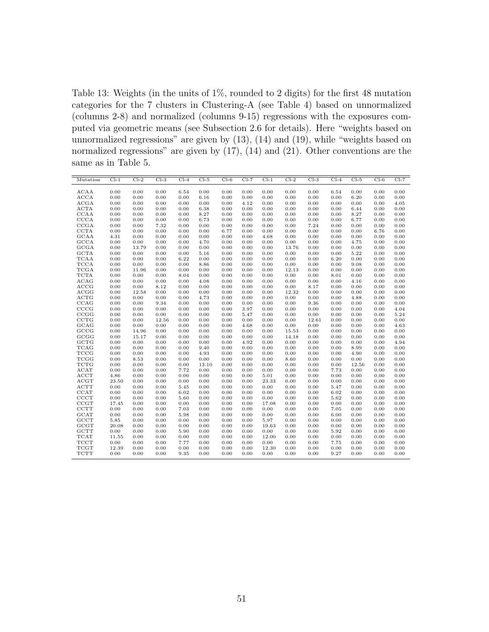Table 13: Weights (in the units of 1%, rounded to 2 digits) for the first 48 mutation categories for the 7 clusters in Clustering-A (see Table 4) based on unnormalized (columns 2-8) and normalized (columns 9-15) regressions with the exposures computed via geometric means (see Subsection 2.6 for details). Here "weights based on unnormalized regressions" are given by (13), (14) and (19), while "weights based on normalized regressions" are given by  $(17)$ ,  $(14)$  and  $(21)$ . Other conventions are the same as in Table 5.

| Mutation    | $Cl-1$ | $\overline{\text{Cl-2}}$ | $Cl-3$ | $Cl-4$ | $Cl-5$ | $Cl-6$ | $Cl-7$ | $Cl-1$ | $Cl-2$ | $Cl-3$ | $Cl-4$ | $Cl-5$ | $Cl-6$ | $Cl-7$ |
|-------------|--------|--------------------------|--------|--------|--------|--------|--------|--------|--------|--------|--------|--------|--------|--------|
|             |        |                          |        |        |        |        |        |        |        |        |        |        |        |        |
| ACAA        | 0.00   | 0.00                     | 0.00   | 6.54   | 0.00   | 0.00   | 0.00   | 0.00   | 0.00   | 0.00   | 6.54   | 0.00   | 0.00   | 0.00   |
| ACCA        | 0.00   | 0.00                     | 0.00   | 0.00   | 6.16   | 0.00   | 0.00   | 0.00   | 0.00   | 0.00   | 0.00   | 6.20   | 0.00   | 0.00   |
| ACGA        | 0.00   | 0.00                     | 0.00   | 0.00   | 0.00   | 0.00   | 4.12   | 0.00   | 0.00   | 0.00   | 0.00   | 0.00   | 0.00   | 4.05   |
| ACTA        | 0.00   | 0.00                     | 0.00   | 0.00   | 6.38   | 0.00   | 0.00   | 0.00   | 0.00   | 0.00   | 0.00   | 6.44   | 0.00   | 0.00   |
| <b>CCAA</b> | 0.00   | 0.00                     | 0.00   | 0.00   | 8.27   | 0.00   | 0.00   | 0.00   | 0.00   | 0.00   | 0.00   | 8.27   | 0.00   | 0.00   |
| <b>CCCA</b> | 0.00   | 0.00                     | 0.00   | 0.00   | 6.73   | 0.00   | 0.00   | 0.00   | 0.00   | 0.00   | 0.00   | 6.77   | 0.00   | 0.00   |
| CCGA        | 0.00   | 0.00                     | 7.32   | 0.00   | 0.00   | 0.00   | 0.00   | 0.00   | 0.00   | 7.24   | 0.00   | 0.00   | 0.00   | 0.00   |
| <b>CCTA</b> | 0.00   | 0.00                     | 0.00   | 0.00   | 0.00   | 6.77   | 0.00   | 0.00   | 0.00   | 0.00   | 0.00   | 0.00   | 6.76   | 0.00   |
| <b>GCAA</b> | 4.31   | 0.00                     | 0.00   | 0.00   | 0.00   | 0.00   | 0.00   | 4.68   | 0.00   | 0.00   | 0.00   | 0.00   | 0.00   | 0.00   |
| <b>GCCA</b> | 0.00   | 0.00                     | 0.00   | 0.00   | 4.70   | 0.00   | 0.00   | 0.00   | 0.00   | 0.00   | 0.00   | 4.75   | 0.00   | 0.00   |
| <b>GCGA</b> | 0.00   | 13.79                    | 0.00   | 0.00   | 0.00   | 0.00   | 0.00   | 0.00   | 13.76  | 0.00   | 0.00   | 0.00   | 0.00   | 0.00   |
| <b>GCTA</b> | 0.00   | 0.00                     | 0.00   | 0.00   | 5.16   | 0.00   | 0.00   | 0.00   | 0.00   | 0.00   | 0.00   | 5.22   | 0.00   | 0.00   |
| <b>TCAA</b> | 0.00   | 0.00                     | 0.00   | 6.22   | 0.00   | 0.00   | 0.00   | 0.00   | 0.00   | 0.00   | 6.20   | 0.00   | 0.00   | 0.00   |
| <b>TCCA</b> | 0.00   | 0.00                     | 0.00   | 0.00   | 8.86   | 0.00   | 0.00   | 0.00   | 0.00   | 0.00   | 0.00   | 9.08   | 0.00   | 0.00   |
| <b>TCGA</b> | 0.00   | 11.96                    | 0.00   | 0.00   | 0.00   | 0.00   | 0.00   | 0.00   | 12.13  | 0.00   | 0.00   | 0.00   | 0.00   | 0.00   |
| <b>TCTA</b> | 0.00   | 0.00                     | 0.00   | 8.04   | 0.00   | 0.00   | 0.00   | 0.00   | 0.00   | 0.00   | 8.01   | 0.00   | 0.00   | 0.00   |
| ACAG        | 0.00   | 0.00                     | 0.00   | 0.00   | 4.08   | 0.00   | 0.00   | 0.00   | 0.00   | 0.00   | 0.00   | 4.16   | 0.00   | 0.00   |
| ACCG        | 0.00   | 0.00                     | 8.12   | 0.00   | 0.00   | 0.00   | 0.00   | 0.00   | 0.00   | 8.17   | 0.00   | 0.00   | 0.00   | 0.00   |
| ACGG        | 0.00   | 12.58                    | 0.00   | 0.00   | 0.00   | 0.00   | 0.00   | 0.00   | 12.32  | 0.00   | 0.00   | 0.00   | 0.00   | 0.00   |
| ACTG        | 0.00   | 0.00                     | 0.00   | 0.00   | 4.73   | 0.00   | 0.00   | 0.00   | 0.00   | 0.00   | 0.00   | 4.88   | 0.00   | 0.00   |
| CCAG        | 0.00   | 0.00                     | 9.34   | 0.00   | 0.00   | 0.00   | 0.00   | 0.00   | 0.00   | 9.36   | 0.00   | 0.00   | 0.00   | 0.00   |
| CCCG        | 0.00   | 0.00                     | 0.00   | 0.00   | 0.00   | 0.00   | 3.97   | 0.00   | 0.00   | 0.00   | 0.00   | 0.00   | 0.00   | 4.04   |
| CCGG        | 0.00   | 0.00                     | 0.00   | 0.00   | 0.00   | 0.00   | 5.47   | 0.00   | 0.00   | 0.00   | 0.00   | 0.00   | 0.00   | 5.24   |
| CCTG        | 0.00   | 0.00                     | 12.56  | 0.00   | 0.00   | 0.00   | 0.00   | 0.00   | 0.00   | 12.61  | 0.00   | 0.00   | 0.00   | 0.00   |
| GCAG        | 0.00   | 0.00                     | 0.00   | 0.00   | 0.00   | 0.00   | 4.68   | 0.00   | 0.00   | 0.00   | 0.00   | 0.00   | 0.00   | 4.63   |
| GCCG        | 0.00   | 14.96                    | 0.00   | 0.00   | 0.00   | 0.00   | 0.00   | 0.00   | 15.53  | 0.00   | 0.00   | 0.00   | 0.00   | 0.00   |
| GCGG        | 0.00   | 15.17                    | 0.00   | 0.00   | 0.00   | 0.00   | 0.00   | 0.00   | 14.18  | 0.00   | 0.00   | 0.00   | 0.00   | 0.00   |
| GCTG        | 0.00   | 0.00                     | 0.00   | 0.00   | 0.00   | 0.00   | 4.92   | 0.00   | 0.00   | 0.00   | 0.00   | 0.00   | 0.00   | 4.94   |
| TCAG        | 0.00   | 0.00                     | 0.00   | 0.00   | 9.40   | 0.00   | 0.00   | 0.00   | 0.00   | 0.00   | 0.00   | 8.99   | 0.00   | 0.00   |
| <b>TCCG</b> | 0.00   | 0.00                     | 0.00   | 0.00   | 4.93   | 0.00   | 0.00   | 0.00   | 0.00   | 0.00   | 0.00   | 4.90   | 0.00   | 0.00   |
| TCGG        | 0.00   | 8.53                     | 0.00   | 0.00   | 0.00   | 0.00   | 0.00   | 0.00   | 8.60   | 0.00   | 0.00   | 0.00   | 0.00   | 0.00   |
| TCTG        | 0.00   | 0.00                     | 0.00   | 0.00   | 13.10  | 0.00   | 0.00   | 0.00   | 0.00   | 0.00   | 0.00   | 12.56  | 0.00   | 0.00   |
| ACAT        | 0.00   | 0.00                     | 0.00   | 7.72   | 0.00   | 0.00   | 0.00   | 0.00   | 0.00   | 0.00   | 7.73   | 0.00   | 0.00   | 0.00   |
| ACCT        | 4.86   | 0.00                     | 0.00   | 0.00   | 0.00   | 0.00   | 0.00   | 5.01   | 0.00   | 0.00   | 0.00   | 0.00   | 0.00   | 0.00   |
| ACGT        | 23.50  | 0.00                     | 0.00   | 0.00   | 0.00   | 0.00   | 0.00   | 23.33  | 0.00   | 0.00   | 0.00   | 0.00   | 0.00   | 0.00   |
| ACTT        | 0.00   | 0.00                     | 0.00   | 5.45   | 0.00   | 0.00   | 0.00   | 0.00   | 0.00   | 0.00   | 5.47   | 0.00   | 0.00   | 0.00   |
| CCAT        | 0.00   | 0.00                     | 0.00   | 6.02   | 0.00   | 0.00   | 0.00   | 0.00   | 0.00   | 0.00   | 6.02   | 0.00   | 0.00   | 0.00   |
| CCCT        | 0.00   | 0.00                     | 0.00   | 5.60   | 0.00   | 0.00   | 0.00   | 0.00   | 0.00   | 0.00   | 5.62   | 0.00   | 0.00   | 0.00   |
| CCGT        | 17.45  | 0.00                     | 0.00   | 0.00   | 0.00   | 0.00   | 0.00   | 17.08  | 0.00   | 0.00   | 0.00   | 0.00   | 0.00   | 0.00   |
| <b>CCTT</b> | 0.00   | 0.00                     | 0.00   | 7.03   | 0.00   | 0.00   | 0.00   | 0.00   | 0.00   | 0.00   | 7.05   | 0.00   | 0.00   | 0.00   |
| GCAT        | 0.00   | 0.00                     | 0.00   | 5.98   | 0.00   | 0.00   | 0.00   | 0.00   | 0.00   | 0.00   | 6.00   | 0.00   | 0.00   | 0.00   |
| <b>GCCT</b> | 5.85   | 0.00                     | 0.00   | 0.00   | 0.00   | 0.00   | 0.00   | 5.97   | 0.00   | 0.00   | 0.00   | 0.00   | 0.00   | 0.00   |
| GCGT        | 20.08  | 0.00                     | 0.00   | 0.00   | 0.00   | 0.00   | 0.00   | 19.63  | 0.00   | 0.00   | 0.00   | 0.00   | 0.00   | 0.00   |
| <b>GCTT</b> | 0.00   | 0.00                     | 0.00   | 5.90   | 0.00   | 0.00   | 0.00   | 0.00   | 0.00   | 0.00   | 5.92   | 0.00   | 0.00   | 0.00   |
| <b>TCAT</b> | 11.55  | 0.00                     | 0.00   | 0.00   | 0.00   | 0.00   | 0.00   | 12.00  | 0.00   | 0.00   | 0.00   | 0.00   | 0.00   | 0.00   |
| <b>TCCT</b> | 0.00   | 0.00                     | 0.00   | 7.77   | 0.00   | 0.00   | 0.00   | 0.00   | 0.00   | 0.00   | 7.75   | 0.00   | 0.00   | 0.00   |
| TCGT        | 12.39  | 0.00                     | 0.00   | 0.00   | 0.00   | 0.00   | 0.00   | 12.30  | 0.00   | 0.00   | 0.00   | 0.00   | 0.00   | 0.00   |
| <b>TCTT</b> | 0.00   | 0.00                     | 0.00   | 9.35   | 0.00   | 0.00   | 0.00   | 0.00   | 0.00   | 0.00   | 9.27   | 0.00   | 0.00   | 0.00   |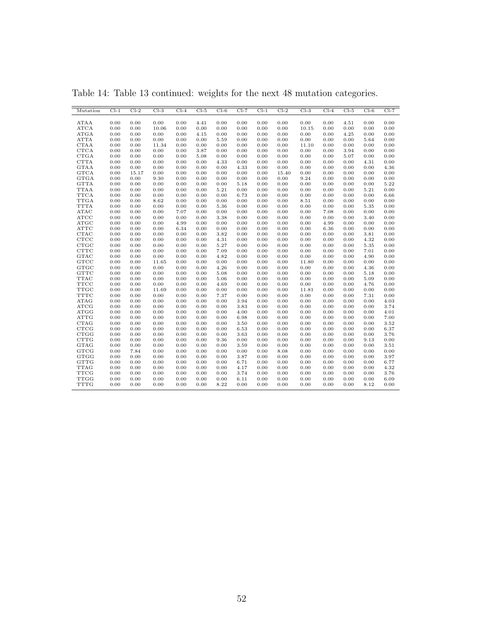| Mutation    | $Cl-1$ | $\overline{\text{Cl-2}}$ | $Cl-3$ | $Cl-4$ | $Cl-5$ | $Cl-6$ | $Cl-7$ | $Cl-1$ | $Cl-2$ | $Cl-3$ | $Cl-4$ | $Cl-5$ | $Cl-6$ | $Cl-7$ |
|-------------|--------|--------------------------|--------|--------|--------|--------|--------|--------|--------|--------|--------|--------|--------|--------|
|             |        |                          |        |        |        |        |        |        |        |        |        |        |        |        |
| <b>ATAA</b> | 0.00   | 0.00                     | 0.00   | 0.00   | 4.41   | 0.00   | 0.00   | 0.00   | 0.00   | 0.00   | 0.00   | 4.51   | 0.00   | 0.00   |
| ATCA        | 0.00   | 0.00                     | 10.06  | 0.00   | 0.00   | 0.00   | 0.00   | 0.00   | 0.00   | 10.15  | 0.00   | 0.00   | 0.00   | 0.00   |
| ATGA        | 0.00   | 0.00                     | 0.00   | 0.00   | 4.15   | 0.00   | 0.00   | 0.00   | 0.00   | 0.00   | 0.00   | 4.25   | 0.00   | 0.00   |
| <b>ATTA</b> | 0.00   | 0.00                     | 0.00   | 0.00   | 0.00   | 5.59   | 0.00   | 0.00   | 0.00   | 0.00   | 0.00   | 0.00   | 5.64   | 0.00   |
| <b>CTAA</b> | 0.00   | 0.00                     | 11.34  | 0.00   | 0.00   | 0.00   | 0.00   | 0.00   | 0.00   | 11.10  | 0.00   | 0.00   | 0.00   | 0.00   |
| CTCA        | 0.00   | 0.00                     | 0.00   | 0.00   | 3.87   | 0.00   | 0.00   | 0.00   | 0.00   | 0.00   | 0.00   | 3.94   | 0.00   | 0.00   |
| <b>CTGA</b> | 0.00   | 0.00                     | 0.00   | 0.00   | 5.08   | 0.00   | 0.00   | 0.00   | 0.00   | 0.00   | 0.00   | 5.07   | 0.00   | 0.00   |
| <b>CTTA</b> | 0.00   | 0.00                     | 0.00   | 0.00   | 0.00   | 4.33   | 0.00   | 0.00   | 0.00   | 0.00   | 0.00   | 0.00   | 4.31   | 0.00   |
| <b>GTAA</b> | 0.00   | 0.00                     | 0.00   | 0.00   | 0.00   | 0.00   | 4.33   | 0.00   | 0.00   | 0.00   | 0.00   | 0.00   | 0.00   | 4.36   |
| <b>GTCA</b> | 0.00   | 15.17                    | 0.00   | 0.00   | 0.00   | 0.00   | 0.00   | 0.00   | 15.40  | 0.00   | 0.00   | 0.00   | 0.00   | 0.00   |
| <b>GTGA</b> | 0.00   | 0.00                     | 9.30   | 0.00   | 0.00   | 0.00   | 0.00   | 0.00   | 0.00   | 9.24   | 0.00   | 0.00   | 0.00   | 0.00   |
| <b>GTTA</b> | 0.00   | 0.00                     | 0.00   | 0.00   | 0.00   | 0.00   | 5.18   | 0.00   | 0.00   | 0.00   | 0.00   | 0.00   | 0.00   | 5.22   |
| <b>TTAA</b> | 0.00   | 0.00                     | 0.00   | 0.00   | 0.00   | 5.21   | 0.00   | 0.00   | 0.00   | 0.00   | 0.00   | 0.00   | 5.21   | 0.00   |
| <b>TTCA</b> | 0.00   | 0.00                     | 0.00   | 0.00   | 0.00   | 0.00   | 6.73   | 0.00   | 0.00   | 0.00   | 0.00   | 0.00   | 0.00   | 6.66   |
| <b>TTGA</b> | 0.00   | 0.00                     | 8.62   | 0.00   | 0.00   | 0.00   | 0.00   | 0.00   | 0.00   | 8.51   | 0.00   | 0.00   | 0.00   | 0.00   |
| <b>TTTA</b> | 0.00   | 0.00                     | 0.00   | 0.00   | 0.00   | 5.36   | 0.00   | 0.00   | 0.00   | 0.00   | 0.00   | 0.00   | 5.35   | 0.00   |
| <b>ATAC</b> | 0.00   | 0.00                     | 0.00   | 7.07   | 0.00   | 0.00   | 0.00   | 0.00   | 0.00   | 0.00   | 7.08   | 0.00   | 0.00   | 0.00   |
| ATCC        | 0.00   | 0.00                     | 0.00   | 0.00   | 0.00   | 3.38   | 0.00   | 0.00   | 0.00   | 0.00   | 0.00   | 0.00   | 3.40   | 0.00   |
| ATGC        | 0.00   | 0.00                     | 0.00   | 4.99   | 0.00   | 0.00   | 0.00   | 0.00   | 0.00   | 0.00   | 4.99   | 0.00   | 0.00   | 0.00   |
| <b>ATTC</b> | 0.00   | 0.00                     | 0.00   | 6.34   | 0.00   | 0.00   | 0.00   | 0.00   | 0.00   | 0.00   | 6.36   | 0.00   | 0.00   | 0.00   |
| <b>CTAC</b> | 0.00   | 0.00                     | 0.00   | 0.00   | 0.00   | 3.82   | 0.00   | 0.00   | 0.00   | 0.00   | 0.00   | 0.00   | 3.81   | 0.00   |
| CTCC        | 0.00   | 0.00                     | 0.00   | 0.00   | 0.00   | 4.31   | 0.00   | 0.00   | 0.00   | 0.00   | 0.00   | 0.00   | 4.32   | 0.00   |
| <b>CTGC</b> | 0.00   | 0.00                     | 0.00   | 0.00   | 0.00   | 5.27   | 0.00   | 0.00   | 0.00   | 0.00   | 0.00   | 0.00   | 5.35   | 0.00   |
| <b>CTTC</b> | 0.00   | 0.00                     | 0.00   | 0.00   | 0.00   | 7.09   | 0.00   | 0.00   | 0.00   | 0.00   | 0.00   | 0.00   | 7.01   | 0.00   |
| <b>GTAC</b> | 0.00   | 0.00                     | 0.00   | 0.00   | 0.00   | 4.82   | 0.00   | 0.00   | 0.00   | 0.00   | 0.00   | 0.00   | 4.90   | 0.00   |
| <b>GTCC</b> | 0.00   | 0.00                     | 11.65  | 0.00   | 0.00   | 0.00   | 0.00   | 0.00   | 0.00   | 11.80  | 0.00   | 0.00   | 0.00   | 0.00   |
| GTGC        | 0.00   | 0.00                     | 0.00   | 0.00   | 0.00   | 4.26   | 0.00   | 0.00   | 0.00   | 0.00   | 0.00   | 0.00   | 4.36   | 0.00   |
| <b>GTTC</b> | 0.00   | 0.00                     | 0.00   | 0.00   | 0.00   | 5.08   | 0.00   | 0.00   | 0.00   | 0.00   | 0.00   | 0.00   | 5.18   | 0.00   |
| <b>TTAC</b> | 0.00   | 0.00                     | 0.00   | 0.00   | 0.00   | 5.06   | 0.00   | 0.00   | 0.00   | 0.00   | 0.00   | 0.00   | 5.09   | 0.00   |
| <b>TTCC</b> | 0.00   | 0.00                     | 0.00   | 0.00   | 0.00   | 4.69   | 0.00   | 0.00   | 0.00   | 0.00   | 0.00   | 0.00   | 4.76   | 0.00   |
| <b>TTGC</b> | 0.00   | 0.00                     | 11.69  | 0.00   | 0.00   | 0.00   | 0.00   | 0.00   | 0.00   | 11.81  | 0.00   | 0.00   | 0.00   | 0.00   |
| <b>TTTC</b> | 0.00   | 0.00                     | 0.00   | 0.00   | 0.00   | 7.37   | 0.00   | 0.00   | 0.00   | 0.00   | 0.00   | 0.00   | 7.31   | 0.00   |
| ATAG        | 0.00   | 0.00                     | 0.00   | 0.00   | 0.00   | 0.00   | 3.94   | 0.00   | 0.00   | 0.00   | 0.00   | 0.00   | 0.00   | 4.03   |
| ATCG        | 0.00   | 0.00                     | 0.00   | 0.00   | 0.00   | 0.00   | 3.83   | 0.00   | 0.00   | 0.00   | 0.00   | 0.00   | 0.00   | 3.74   |
| ATGG        | 0.00   | 0.00                     | 0.00   | 0.00   | 0.00   | 0.00   | 4.00   | 0.00   | 0.00   | 0.00   | 0.00   | 0.00   | 0.00   | 4.01   |
| <b>ATTG</b> | 0.00   | 0.00                     | 0.00   | 0.00   | 0.00   | 0.00   | 6.98   | 0.00   | 0.00   | 0.00   | 0.00   | 0.00   | 0.00   | 7.00   |
| <b>CTAG</b> | 0.00   | 0.00                     | 0.00   | 0.00   | 0.00   | 0.00   | 3.50   | 0.00   | 0.00   | 0.00   | 0.00   | 0.00   | 0.00   | 3.52   |
| <b>CTCG</b> | 0.00   | 0.00                     | 0.00   | 0.00   | 0.00   | 0.00   | 6.53   | 0.00   | 0.00   | 0.00   | 0.00   | 0.00   | 0.00   | 6.37   |
| CTGG        | 0.00   | 0.00                     | 0.00   | 0.00   | 0.00   | 0.00   | 3.63   | 0.00   | 0.00   | 0.00   | 0.00   | 0.00   | 0.00   | 3.76   |
| <b>CTTG</b> | 0.00   | 0.00                     | 0.00   | 0.00   | 0.00   | 9.36   | 0.00   | 0.00   | 0.00   | 0.00   | 0.00   | 0.00   | 9.13   | 0.00   |
| <b>GTAG</b> | 0.00   | 0.00                     | 0.00   | 0.00   | 0.00   | 0.00   | 3.59   | 0.00   | 0.00   | 0.00   | 0.00   | 0.00   | 0.00   | 3.51   |
| <b>GTCG</b> | 0.00   | 7.84                     | 0.00   | 0.00   | 0.00   | 0.00   | 0.00   | 0.00   | 8.08   | 0.00   | 0.00   | 0.00   | 0.00   | 0.00   |
| <b>GTGG</b> | 0.00   | 0.00                     | 0.00   | 0.00   | 0.00   | 0.00   | 3.87   | 0.00   | 0.00   | 0.00   | 0.00   | 0.00   | 0.00   | 3.97   |
| <b>GTTG</b> | 0.00   | 0.00                     | 0.00   | 0.00   | 0.00   | 0.00   | 6.71   | 0.00   | 0.00   | 0.00   | 0.00   | 0.00   | 0.00   | 6.77   |
| <b>TTAG</b> | 0.00   | 0.00                     | 0.00   | 0.00   | 0.00   | 0.00   | 4.17   | 0.00   | 0.00   | 0.00   | 0.00   | 0.00   | 0.00   | 4.32   |
| <b>TTCG</b> | 0.00   | 0.00                     | 0.00   | 0.00   | 0.00   | 0.00   | 3.74   | 0.00   | 0.00   | 0.00   | 0.00   | 0.00   | 0.00   | 3.76   |
| <b>TTGG</b> | 0.00   | 0.00                     | 0.00   | 0.00   | 0.00   | 0.00   | 6.11   | 0.00   | 0.00   | 0.00   | 0.00   | 0.00   | 0.00   | 6.09   |
| <b>TTTG</b> | 0.00   | 0.00                     | 0.00   | 0.00   | 0.00   | 8.22   | 0.00   | 0.00   | 0.00   | 0.00   | 0.00   | 0.00   | 8.12   | 0.00   |

Table 14: Table 13 continued: weights for the next 48 mutation categories.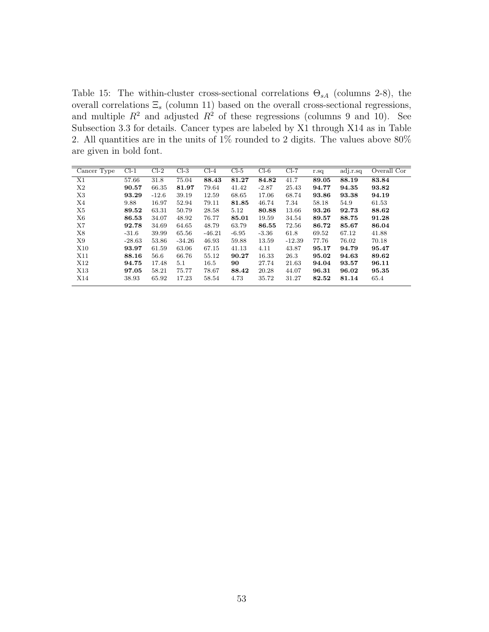Table 15: The within-cluster cross-sectional correlations  $\Theta_{sA}$  (columns 2-8), the overall correlations  $\Xi_s$  (column 11) based on the overall cross-sectional regressions, and multiple  $R^2$  and adjusted  $R^2$  of these regressions (columns 9 and 10). See Subsection 3.3 for details. Cancer types are labeled by X1 through X14 as in Table 2. All quantities are in the units of 1% rounded to 2 digits. The values above 80% are given in bold font.

| Cancer Type    | $Cl-1$   | $Cl-2$  | $Cl-3$ | $Cl-4$   | $Cl-5$  | $Cl-6$  | $Cl-7$   | r.sq  | adj.r.sq | Overall Cor |
|----------------|----------|---------|--------|----------|---------|---------|----------|-------|----------|-------------|
| Χ1             | 57.66    | 31.8    | 75.04  | 88.43    | 81.27   | 84.82   | 41.7     | 89.05 | 88.19    | 83.84       |
| $_{\rm X2}$    | 90.57    | 66.35   | 81.97  | 79.64    | 41.42   | $-2.87$ | 25.43    | 94.77 | 94.35    | 93.82       |
| X3             | 93.29    | $-12.6$ | 39.19  | 12.59    | 68.65   | 17.06   | 68.74    | 93.86 | 93.38    | 94.19       |
| X <sub>4</sub> | 9.88     | 16.97   | 52.94  | 79.11    | 81.85   | 46.74   | 7.34     | 58.18 | 54.9     | 61.53       |
| X5             | 89.52    | 63.31   | 50.79  | 28.58    | 5.12    | 80.88   | 13.66    | 93.26 | 92.73    | 88.62       |
| X6             | 86.53    | 34.07   | 48.92  | 76.77    | 85.01   | 19.59   | 34.54    | 89.57 | 88.75    | 91.28       |
| X7             | 92.78    | 34.69   | 64.65  | 48.79    | 63.79   | 86.55   | 72.56    | 86.72 | 85.67    | 86.04       |
| X8             | $-31.6$  | 39.99   | 65.56  | $-46.21$ | $-6.95$ | $-3.36$ | 61.8     | 69.52 | 67.12    | 41.88       |
| X9             | $-28.63$ | 53.86   | -34.26 | 46.93    | 59.88   | 13.59   | $-12.39$ | 77.76 | 76.02    | 70.18       |
| X10            | 93.97    | 61.59   | 63.06  | 67.15    | 41.13   | 4.11    | 43.87    | 95.17 | 94.79    | 95.47       |
| X11            | 88.16    | 56.6    | 66.76  | 55.12    | 90.27   | 16.33   | 26.3     | 95.02 | 94.63    | 89.62       |
| X12            | 94.75    | 17.48   | 5.1    | 16.5     | 90      | 27.74   | 21.63    | 94.04 | 93.57    | 96.11       |
| X13            | 97.05    | 58.21   | 75.77  | 78.67    | 88.42   | 20.28   | 44.07    | 96.31 | 96.02    | 95.35       |
| X14            | 38.93    | 65.92   | 17.23  | 58.54    | 4.73    | 35.72   | 31.27    | 82.52 | 81.14    | 65.4        |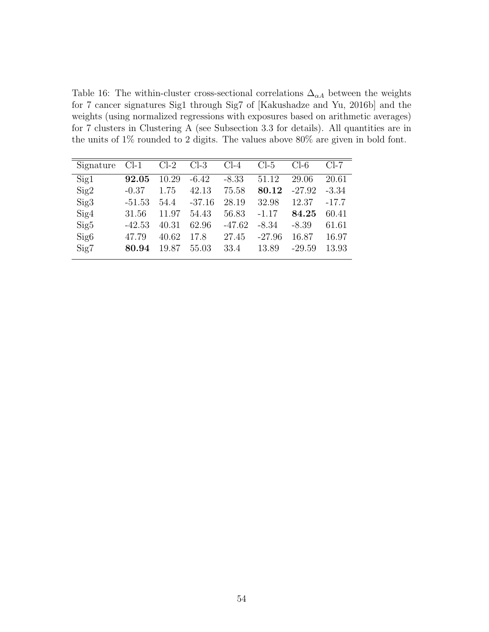Table 16: The within-cluster cross-sectional correlations  $\Delta_{\alpha A}$  between the weights for 7 cancer signatures Sig1 through Sig7 of [Kakushadze and Yu, 2016b] and the weights (using normalized regressions with exposures based on arithmetic averages) for 7 clusters in Clustering A (see Subsection 3.3 for details). All quantities are in the units of 1% rounded to 2 digits. The values above 80% are given in bold font.

| Signature        | $Cl-1$   | $Cl-2$ | $Cl-3$   | $Cl-4$   | $Cl-5$   | $Cl-6$   | $Cl-7$  |
|------------------|----------|--------|----------|----------|----------|----------|---------|
| Sig1             | 92.05    | 10.29  | $-6.42$  | $-8.33$  | 51.12    | 29.06    | 20.61   |
| Sig2             | $-0.37$  | 1.75   | 42.13    | 75.58    | 80.12    | $-27.92$ | $-3.34$ |
| Sig3             | $-51.53$ | 54.4   | $-37.16$ | 28.19    | 32.98    | 12.37    | $-17.7$ |
| Sig4             | 31.56    | 11.97  | 54.43    | 56.83    | $-1.17$  | 84.25    | 60.41   |
| Sig5             | $-42.53$ | 40.31  | 62.96    | $-47.62$ | $-8.34$  | $-8.39$  | 61.61   |
| Sig <sub>6</sub> | 47.79    | 40.62  | 17.8     | 27.45    | $-27.96$ | 16.87    | 16.97   |
| Sig7             | 80.94    | 19.87  | 55.03    | 33.4     | 13.89    | $-29.59$ | 13.93   |
|                  |          |        |          |          |          |          |         |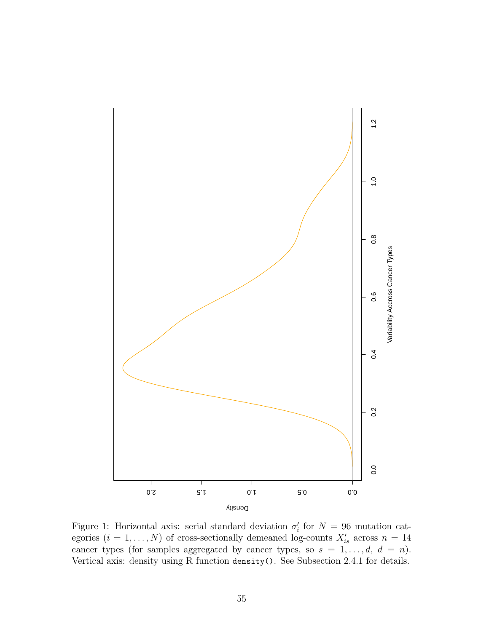

Figure 1: Horizontal axis: serial standard deviation  $\sigma_i'$  for  $N = 96$  mutation categories  $(i = 1, ..., N)$  of cross-sectionally demeaned log-counts  $X'_{is}$  across  $n = 14$ cancer types (for samples aggregated by cancer types, so  $s = 1, \ldots, d, d = n$ ). Vertical axis: density using R function density(). See Subsection 2.4.1 for details.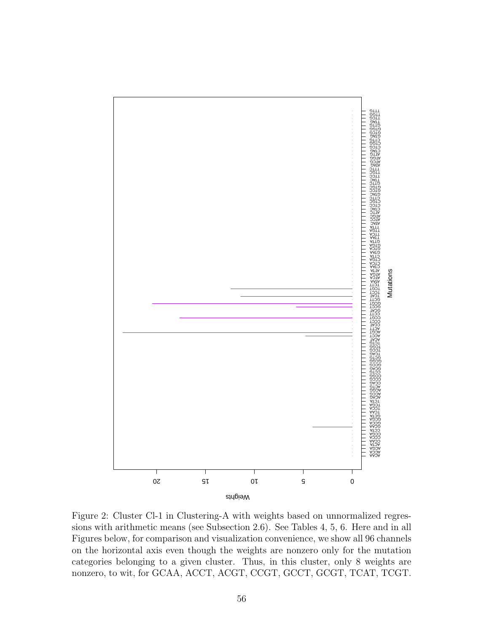

Figure 2: Cluster Cl-1 in Clustering-A with weights based on unnormalized regressions with arithmetic means (see Subsection 2.6). See Tables 4, 5, 6. Here and in all Figures below, for comparison and visualization convenience, we show all 96 channels on the horizontal axis even though the weights are nonzero only for the mutation categories belonging to a given cluster. Thus, in this cluster, only 8 weights are nonzero, to wit, for GCAA, ACCT, ACGT, CCGT, GCCT, GCGT, TCAT, TCGT.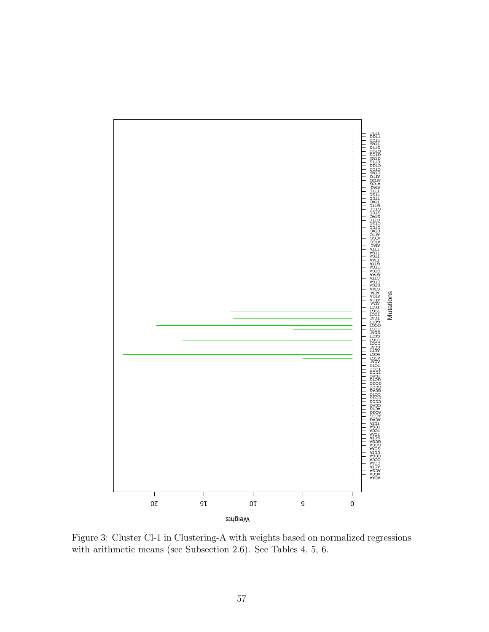

Figure 3: Cluster Cl-1 in Clustering-A with weights based on normalized regressions with arithmetic means (see Subsection 2.6). See Tables 4, 5, 6.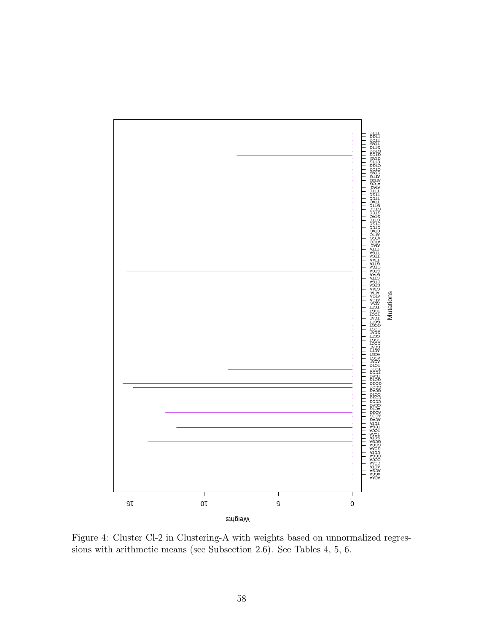

Figure 4: Cluster Cl-2 in Clustering-A with weights based on unnormalized regressions with arithmetic means (see Subsection 2.6). See Tables 4, 5, 6.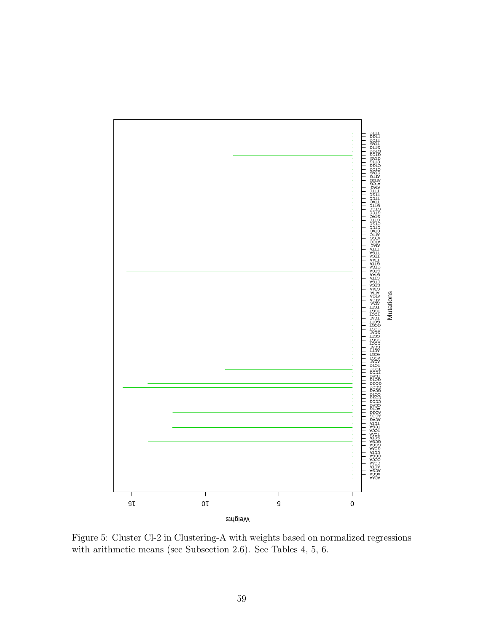

Figure 5: Cluster Cl-2 in Clustering-A with weights based on normalized regressions with arithmetic means (see Subsection 2.6). See Tables 4, 5, 6.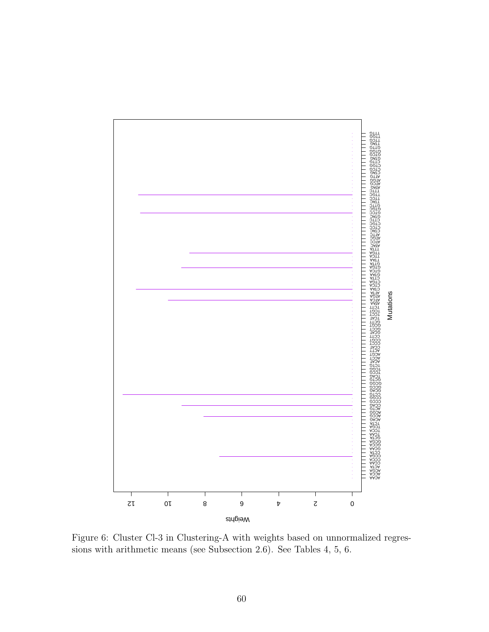

Figure 6: Cluster Cl-3 in Clustering-A with weights based on unnormalized regressions with arithmetic means (see Subsection 2.6). See Tables 4, 5, 6.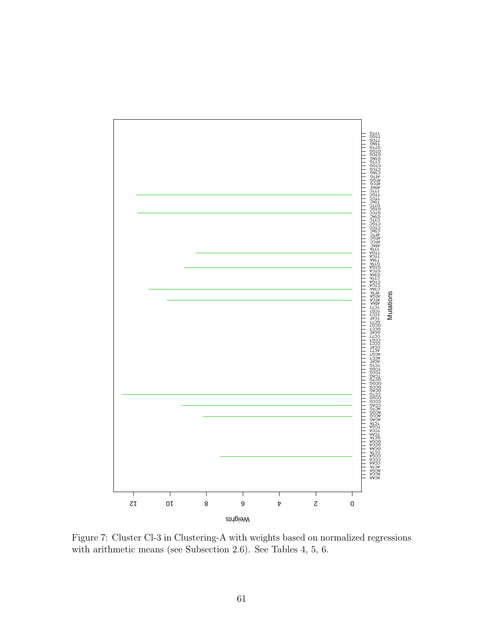

Figure 7: Cluster Cl-3 in Clustering-A with weights based on normalized regressions with arithmetic means (see Subsection 2.6). See Tables 4, 5, 6.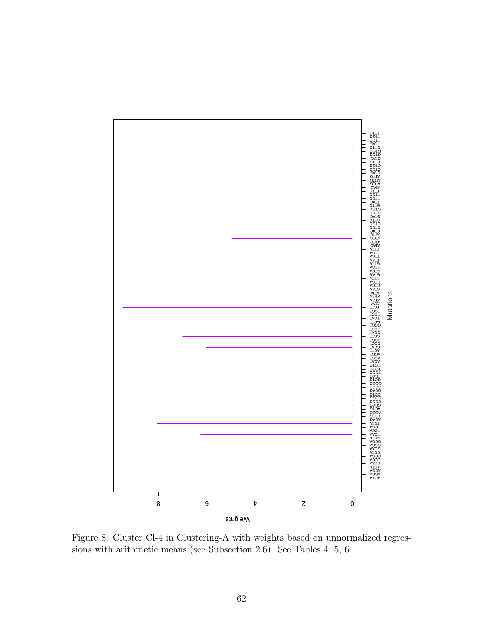

Figure 8: Cluster Cl-4 in Clustering-A with weights based on unnormalized regressions with arithmetic means (see Subsection 2.6). See Tables 4, 5, 6.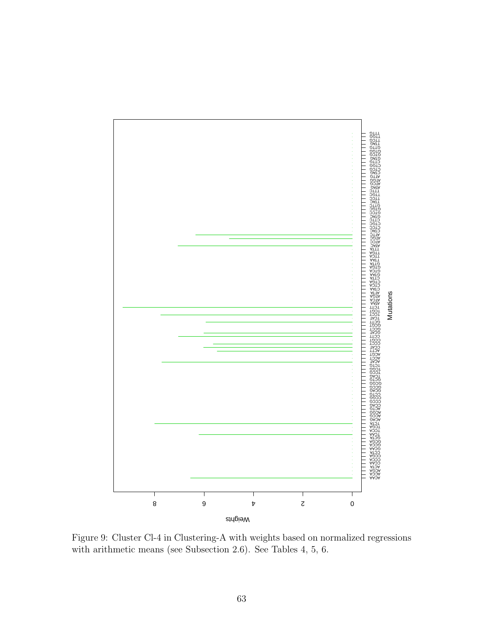

Figure 9: Cluster Cl-4 in Clustering-A with weights based on normalized regressions with arithmetic means (see Subsection 2.6). See Tables 4, 5, 6.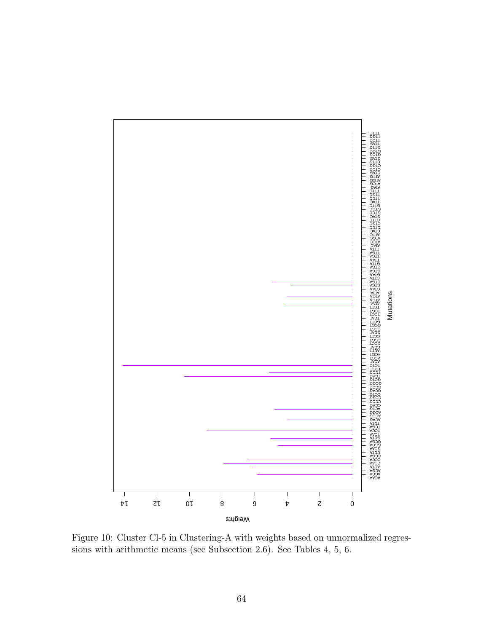

Figure 10: Cluster Cl-5 in Clustering-A with weights based on unnormalized regressions with arithmetic means (see Subsection 2.6). See Tables 4, 5, 6.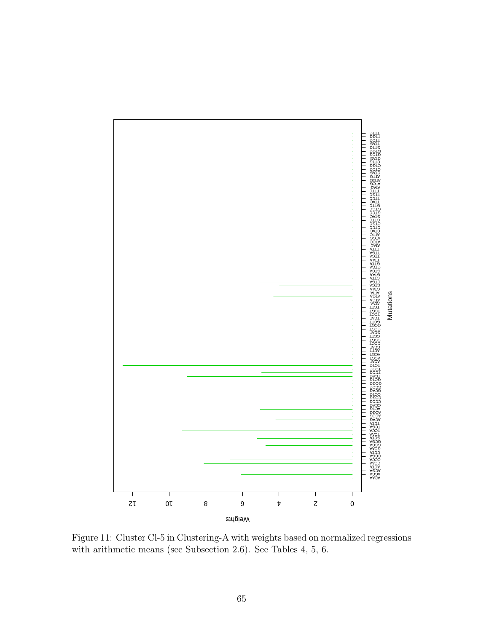

Figure 11: Cluster Cl-5 in Clustering-A with weights based on normalized regressions with arithmetic means (see Subsection 2.6). See Tables 4, 5, 6.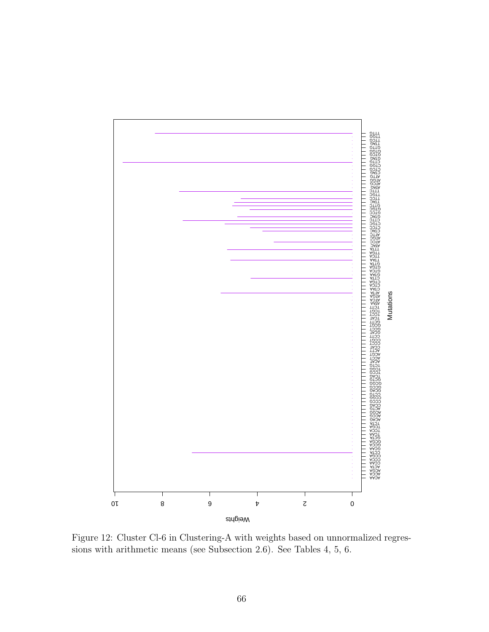

Figure 12: Cluster Cl-6 in Clustering-A with weights based on unnormalized regressions with arithmetic means (see Subsection 2.6). See Tables 4, 5, 6.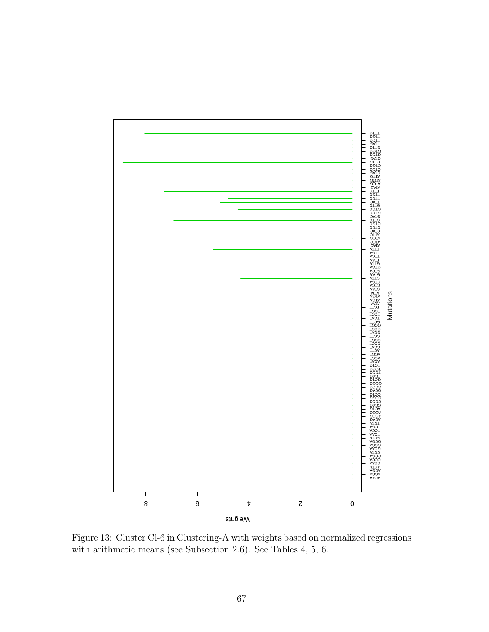

Figure 13: Cluster Cl-6 in Clustering-A with weights based on normalized regressions with arithmetic means (see Subsection 2.6). See Tables 4, 5, 6.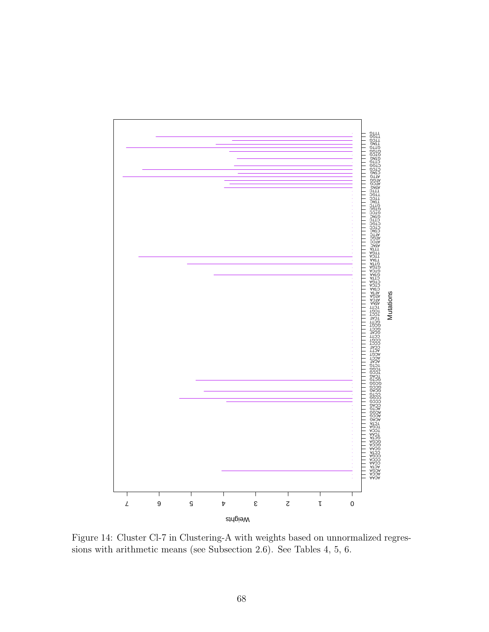

Figure 14: Cluster Cl-7 in Clustering-A with weights based on unnormalized regressions with arithmetic means (see Subsection 2.6). See Tables 4, 5, 6.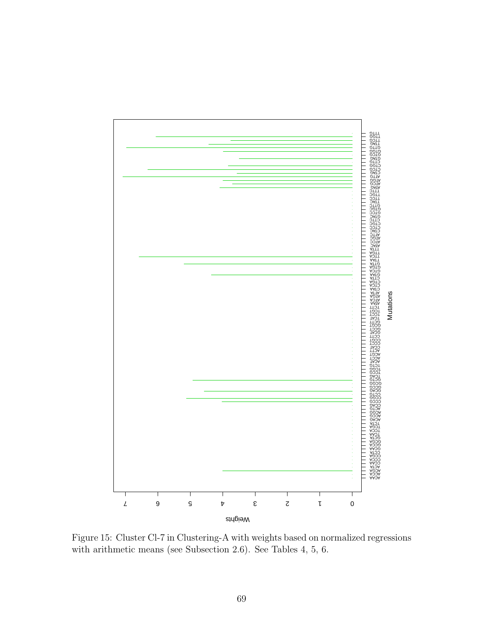

Figure 15: Cluster Cl-7 in Clustering-A with weights based on normalized regressions with arithmetic means (see Subsection 2.6). See Tables 4, 5, 6.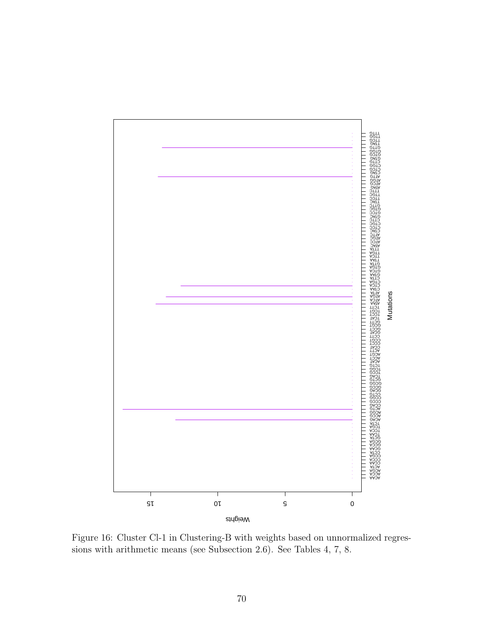

Figure 16: Cluster Cl-1 in Clustering-B with weights based on unnormalized regressions with arithmetic means (see Subsection 2.6). See Tables 4, 7, 8.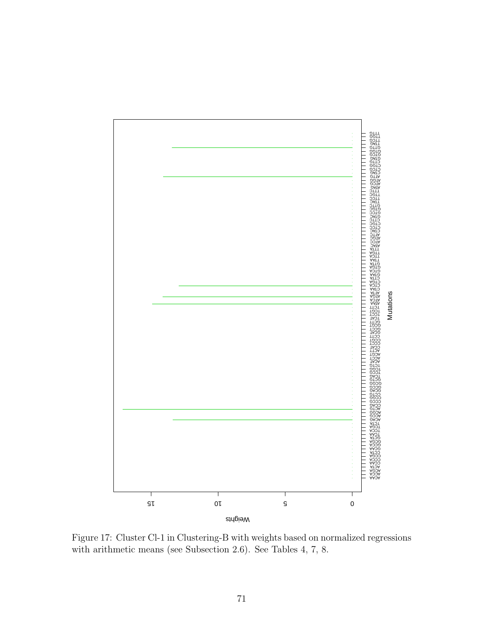

Figure 17: Cluster Cl-1 in Clustering-B with weights based on normalized regressions with arithmetic means (see Subsection 2.6). See Tables 4, 7, 8.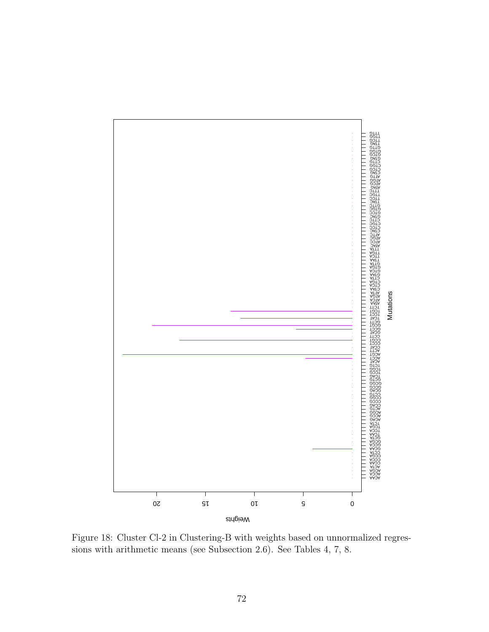

Figure 18: Cluster Cl-2 in Clustering-B with weights based on unnormalized regressions with arithmetic means (see Subsection 2.6). See Tables 4, 7, 8.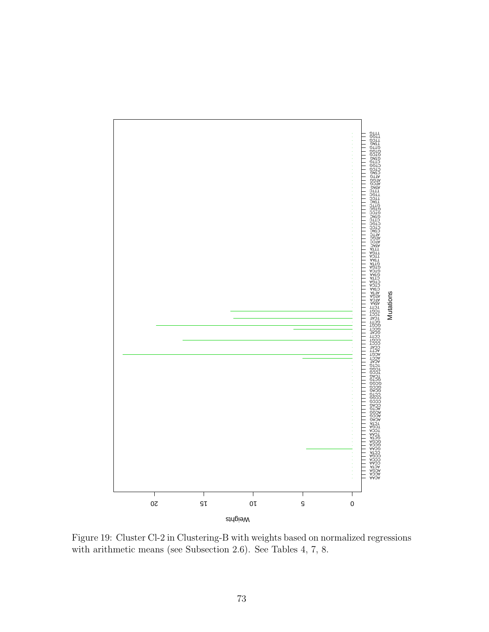

Figure 19: Cluster Cl-2 in Clustering-B with weights based on normalized regressions with arithmetic means (see Subsection 2.6). See Tables 4, 7, 8.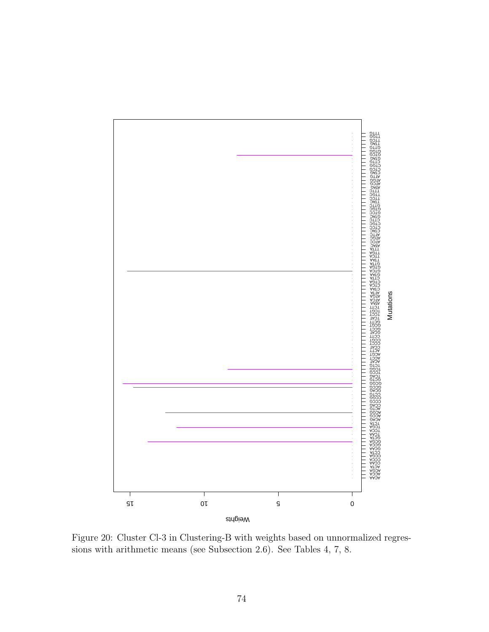

Figure 20: Cluster Cl-3 in Clustering-B with weights based on unnormalized regressions with arithmetic means (see Subsection 2.6). See Tables 4, 7, 8.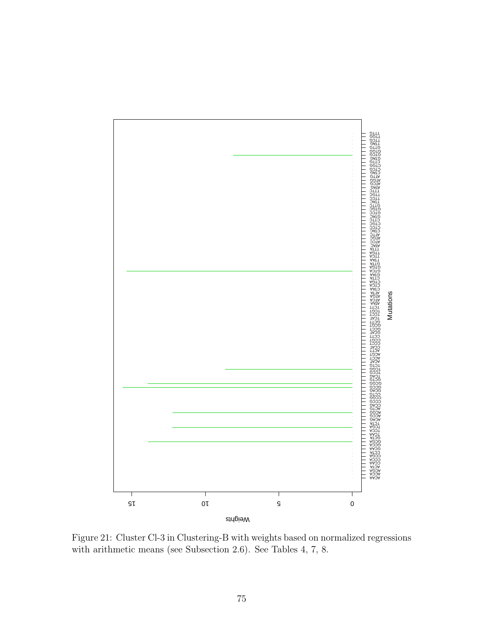

Figure 21: Cluster Cl-3 in Clustering-B with weights based on normalized regressions with arithmetic means (see Subsection 2.6). See Tables 4, 7, 8.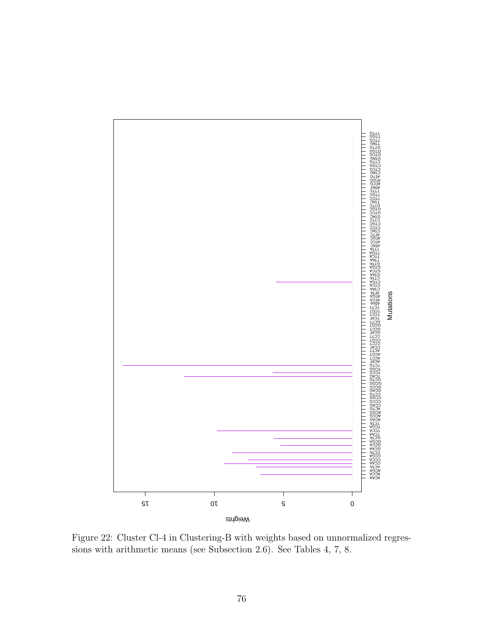

Figure 22: Cluster Cl-4 in Clustering-B with weights based on unnormalized regressions with arithmetic means (see Subsection 2.6). See Tables 4, 7, 8.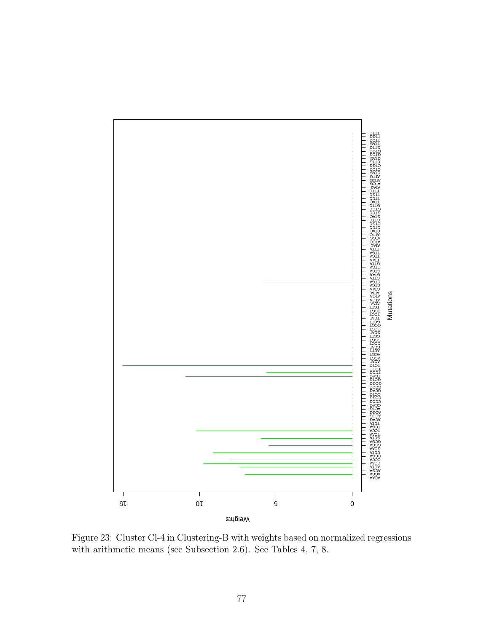

Figure 23: Cluster Cl-4 in Clustering-B with weights based on normalized regressions with arithmetic means (see Subsection 2.6). See Tables 4, 7, 8.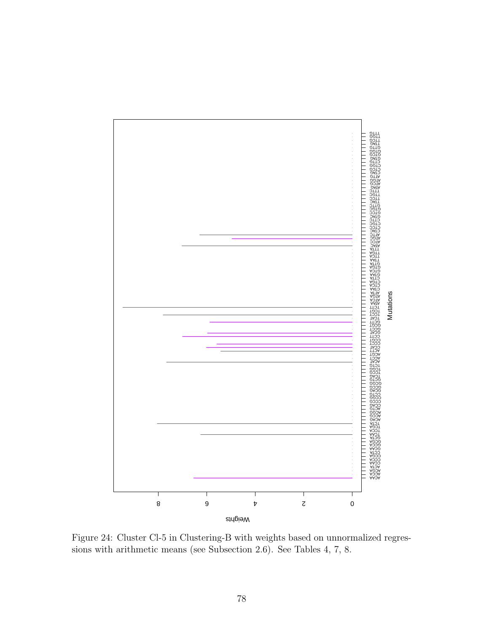

Figure 24: Cluster Cl-5 in Clustering-B with weights based on unnormalized regressions with arithmetic means (see Subsection 2.6). See Tables 4, 7, 8.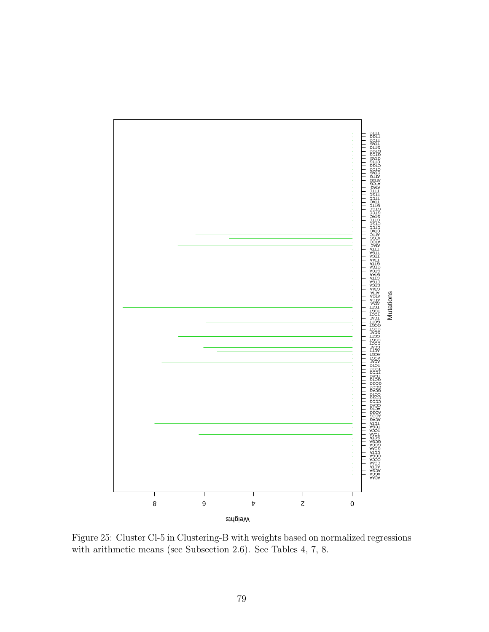

Figure 25: Cluster Cl-5 in Clustering-B with weights based on normalized regressions with arithmetic means (see Subsection 2.6). See Tables 4, 7, 8.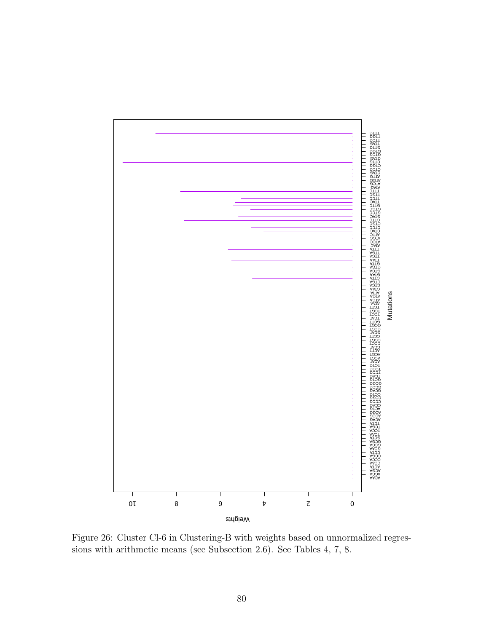

Figure 26: Cluster Cl-6 in Clustering-B with weights based on unnormalized regressions with arithmetic means (see Subsection 2.6). See Tables 4, 7, 8.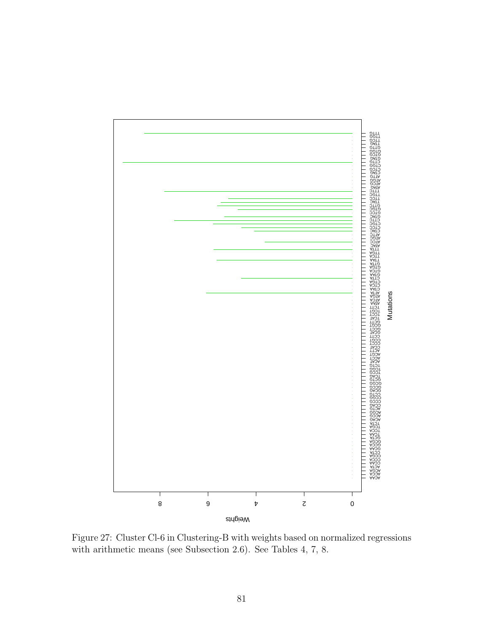

Figure 27: Cluster Cl-6 in Clustering-B with weights based on normalized regressions with arithmetic means (see Subsection 2.6). See Tables 4, 7, 8.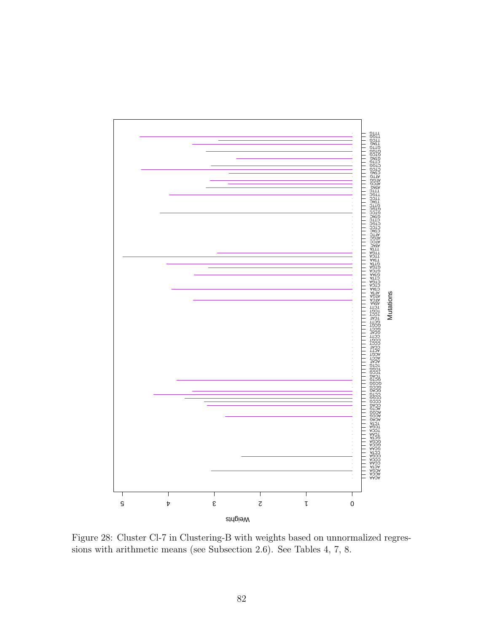

Figure 28: Cluster Cl-7 in Clustering-B with weights based on unnormalized regressions with arithmetic means (see Subsection 2.6). See Tables 4, 7, 8.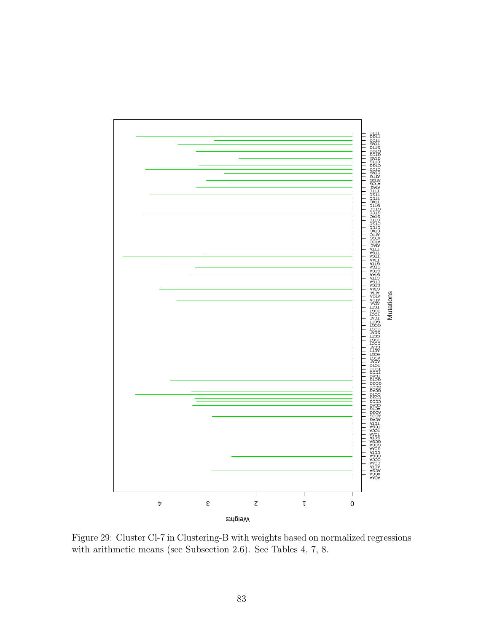

Figure 29: Cluster Cl-7 in Clustering-B with weights based on normalized regressions with arithmetic means (see Subsection 2.6). See Tables 4, 7, 8.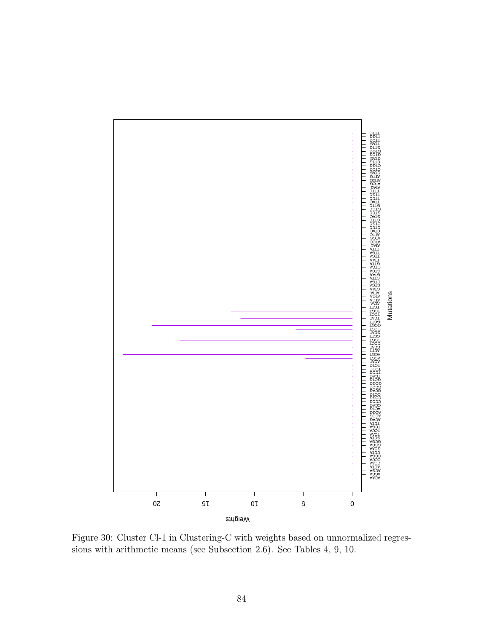

Figure 30: Cluster Cl-1 in Clustering-C with weights based on unnormalized regressions with arithmetic means (see Subsection 2.6). See Tables 4, 9, 10.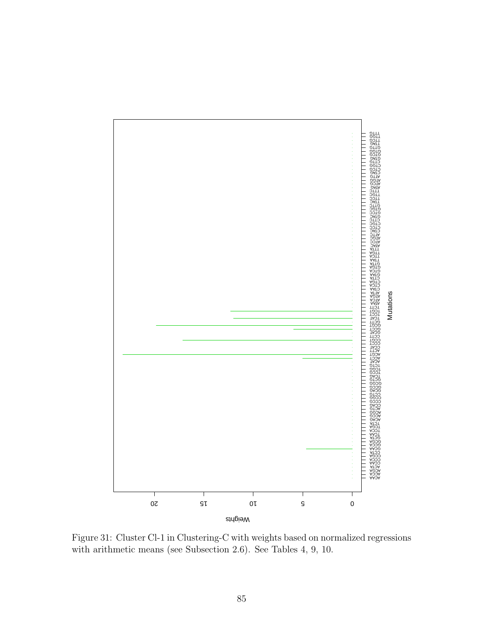

Figure 31: Cluster Cl-1 in Clustering-C with weights based on normalized regressions with arithmetic means (see Subsection 2.6). See Tables 4, 9, 10.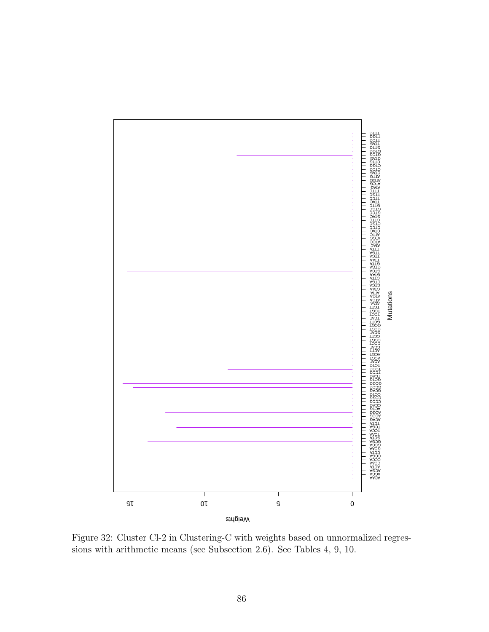

Figure 32: Cluster Cl-2 in Clustering-C with weights based on unnormalized regressions with arithmetic means (see Subsection 2.6). See Tables 4, 9, 10.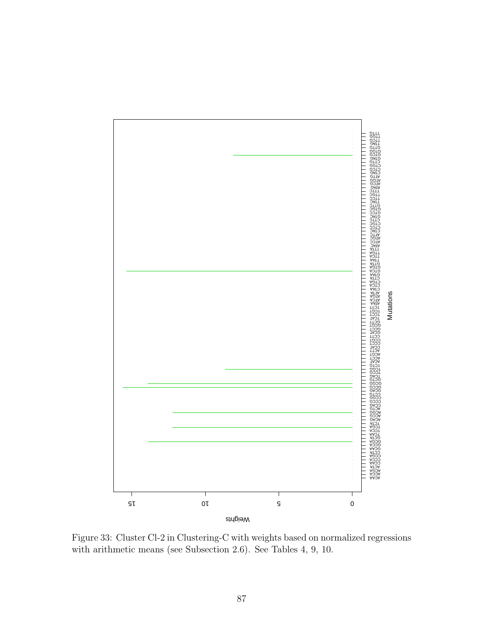

Figure 33: Cluster Cl-2 in Clustering-C with weights based on normalized regressions with arithmetic means (see Subsection 2.6). See Tables 4, 9, 10.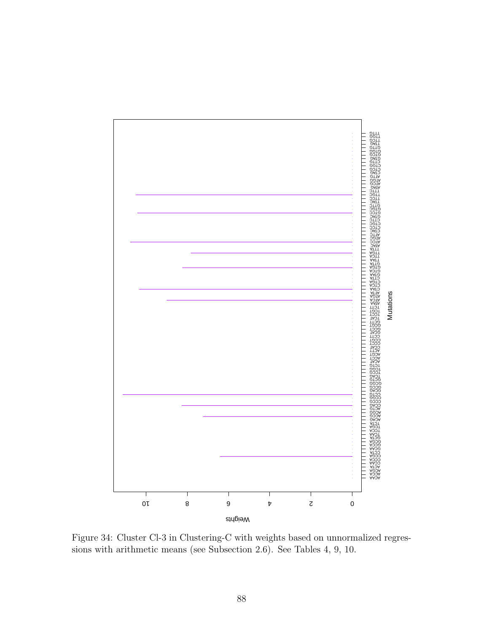

Figure 34: Cluster Cl-3 in Clustering-C with weights based on unnormalized regressions with arithmetic means (see Subsection 2.6). See Tables 4, 9, 10.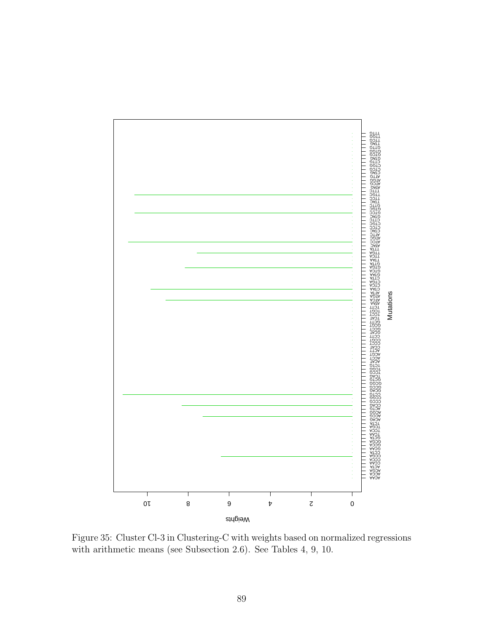

Figure 35: Cluster Cl-3 in Clustering-C with weights based on normalized regressions with arithmetic means (see Subsection 2.6). See Tables 4, 9, 10.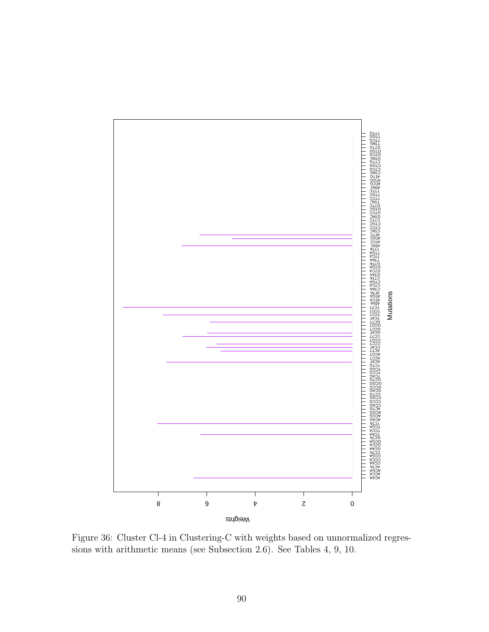

Figure 36: Cluster Cl-4 in Clustering-C with weights based on unnormalized regressions with arithmetic means (see Subsection 2.6). See Tables 4, 9, 10.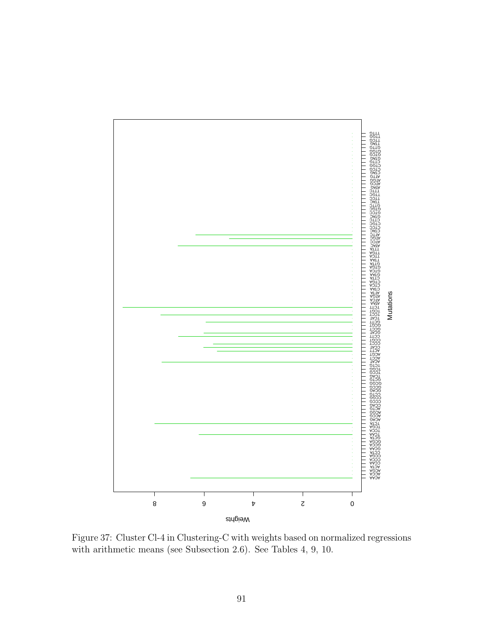

Figure 37: Cluster Cl-4 in Clustering-C with weights based on normalized regressions with arithmetic means (see Subsection 2.6). See Tables 4, 9, 10.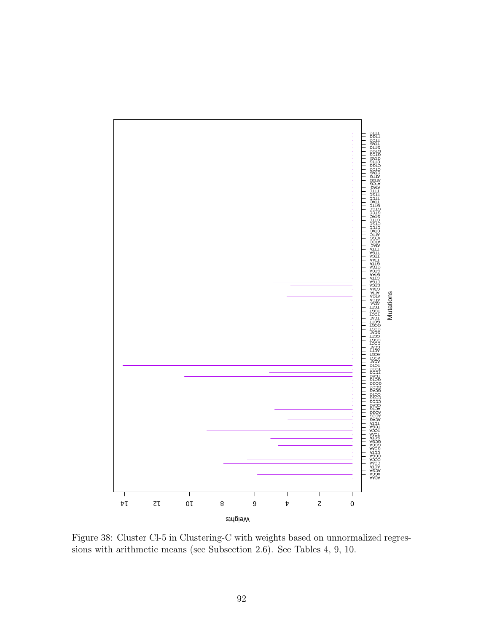

Figure 38: Cluster Cl-5 in Clustering-C with weights based on unnormalized regressions with arithmetic means (see Subsection 2.6). See Tables 4, 9, 10.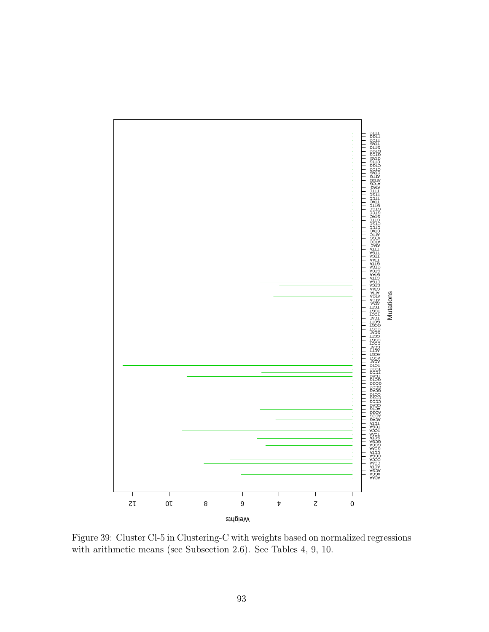

Figure 39: Cluster Cl-5 in Clustering-C with weights based on normalized regressions with arithmetic means (see Subsection 2.6). See Tables 4, 9, 10.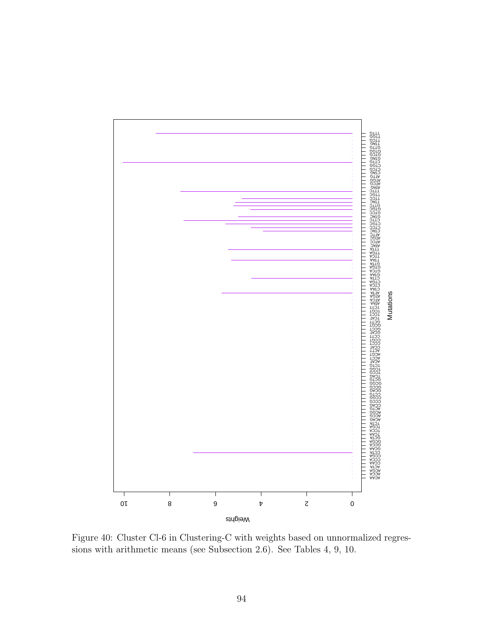

Figure 40: Cluster Cl-6 in Clustering-C with weights based on unnormalized regressions with arithmetic means (see Subsection 2.6). See Tables 4, 9, 10.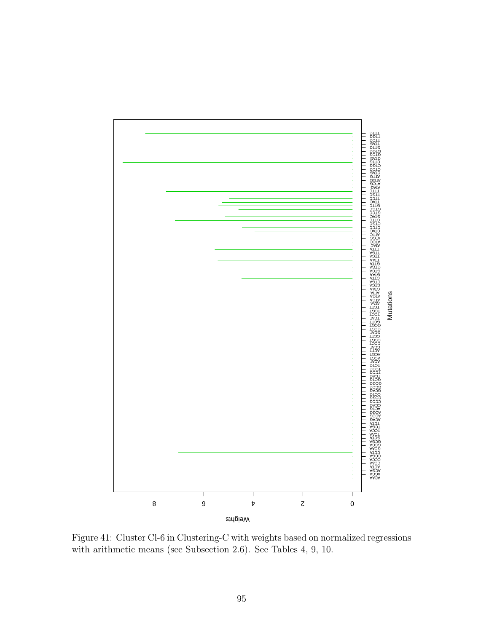

Figure 41: Cluster Cl-6 in Clustering-C with weights based on normalized regressions with arithmetic means (see Subsection 2.6). See Tables 4, 9, 10.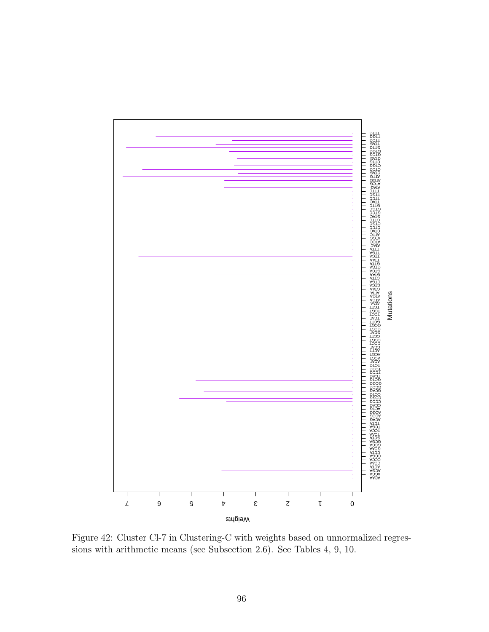

Figure 42: Cluster Cl-7 in Clustering-C with weights based on unnormalized regressions with arithmetic means (see Subsection 2.6). See Tables 4, 9, 10.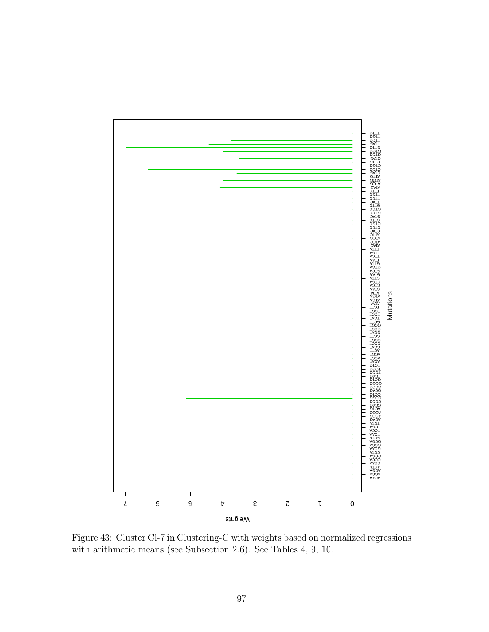

Figure 43: Cluster Cl-7 in Clustering-C with weights based on normalized regressions with arithmetic means (see Subsection 2.6). See Tables 4, 9, 10.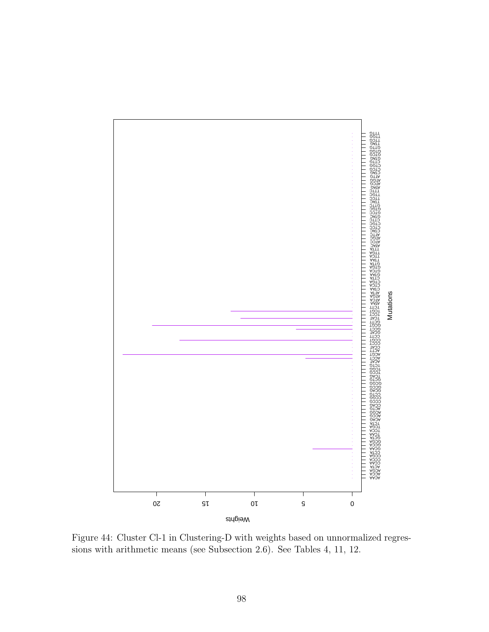

Figure 44: Cluster Cl-1 in Clustering-D with weights based on unnormalized regressions with arithmetic means (see Subsection 2.6). See Tables 4, 11, 12.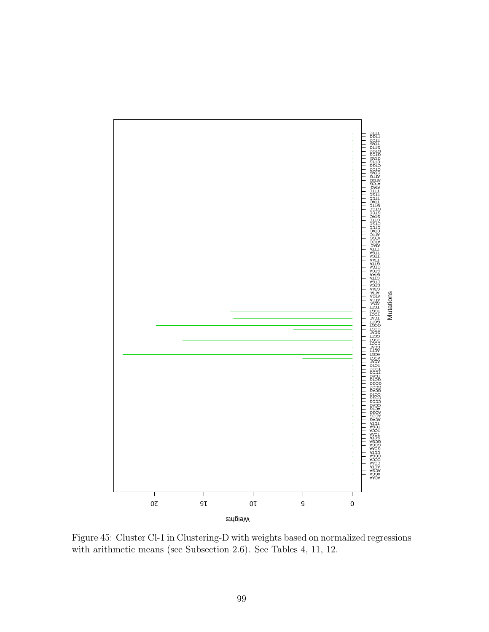

Figure 45: Cluster Cl-1 in Clustering-D with weights based on normalized regressions with arithmetic means (see Subsection 2.6). See Tables 4, 11, 12.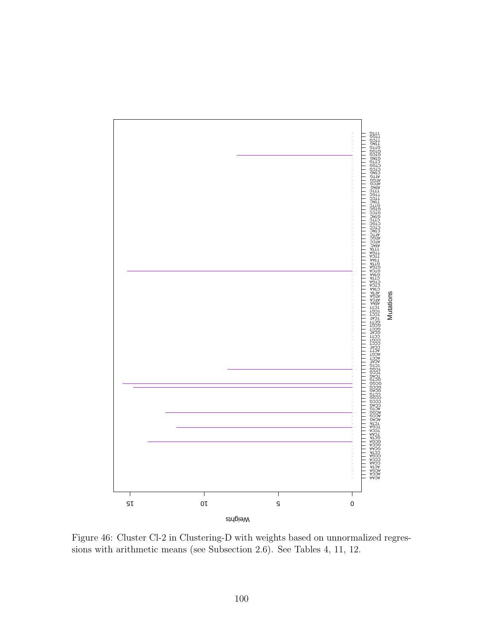

Figure 46: Cluster Cl-2 in Clustering-D with weights based on unnormalized regressions with arithmetic means (see Subsection 2.6). See Tables 4, 11, 12.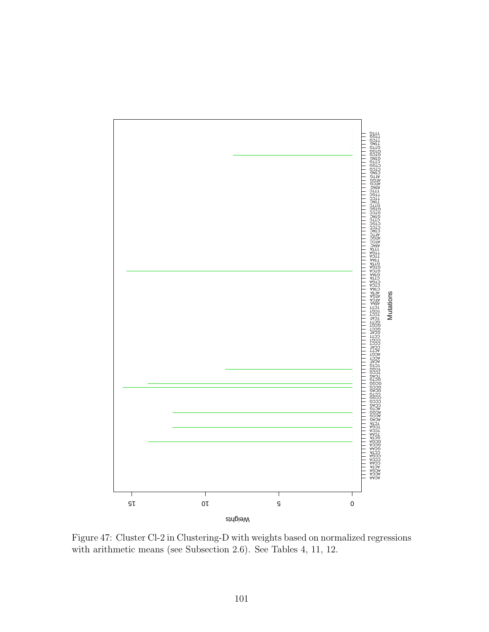

Figure 47: Cluster Cl-2 in Clustering-D with weights based on normalized regressions with arithmetic means (see Subsection 2.6). See Tables 4, 11, 12.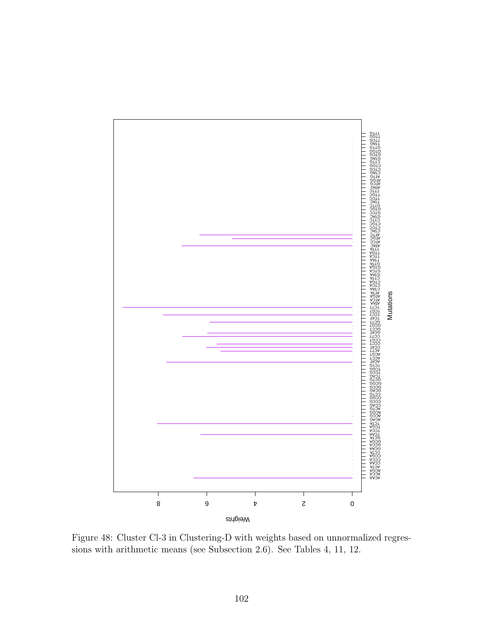

Figure 48: Cluster Cl-3 in Clustering-D with weights based on unnormalized regressions with arithmetic means (see Subsection 2.6). See Tables 4, 11, 12.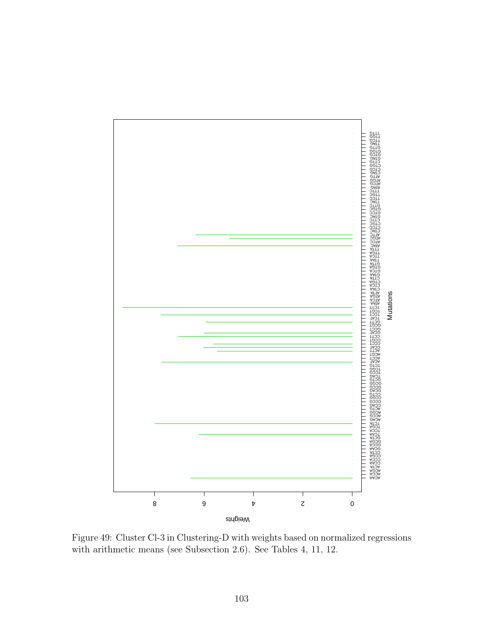

Figure 49: Cluster Cl-3 in Clustering-D with weights based on normalized regressions with arithmetic means (see Subsection 2.6). See Tables 4, 11, 12.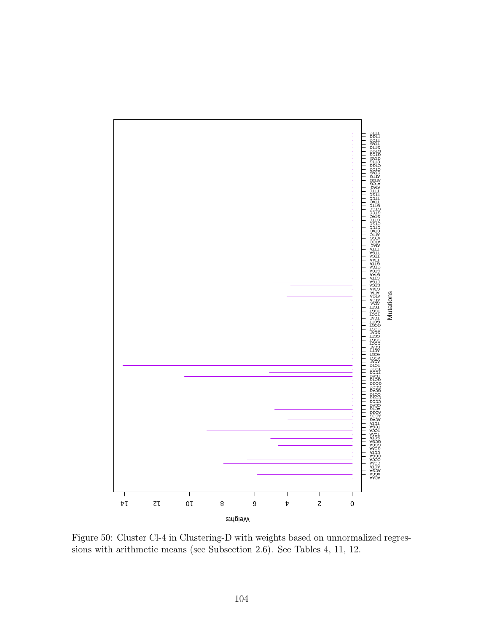

Figure 50: Cluster Cl-4 in Clustering-D with weights based on unnormalized regressions with arithmetic means (see Subsection 2.6). See Tables 4, 11, 12.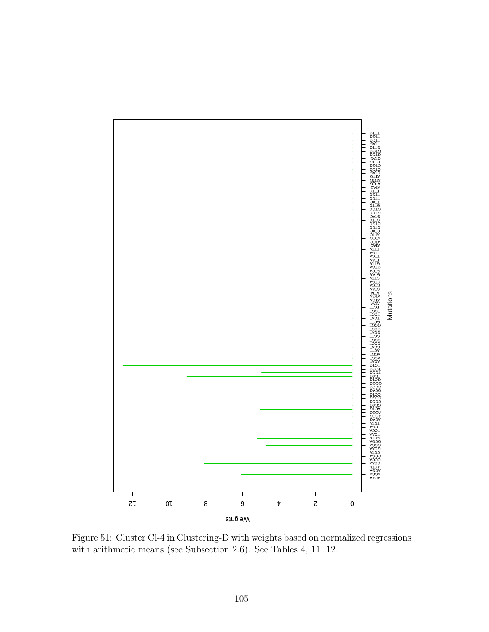

Figure 51: Cluster Cl-4 in Clustering-D with weights based on normalized regressions with arithmetic means (see Subsection 2.6). See Tables 4, 11, 12.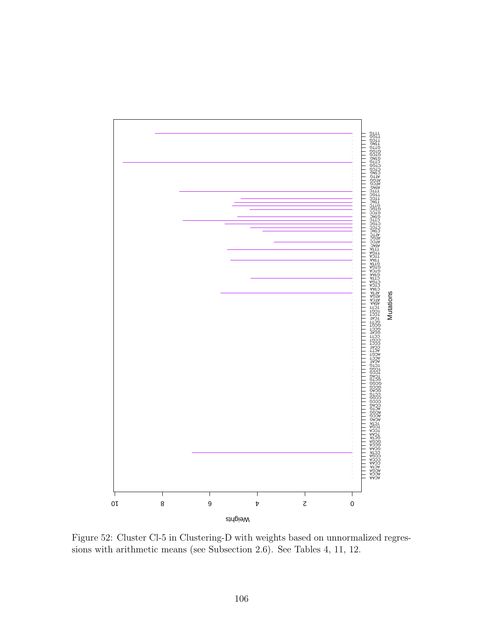

Figure 52: Cluster Cl-5 in Clustering-D with weights based on unnormalized regressions with arithmetic means (see Subsection 2.6). See Tables 4, 11, 12.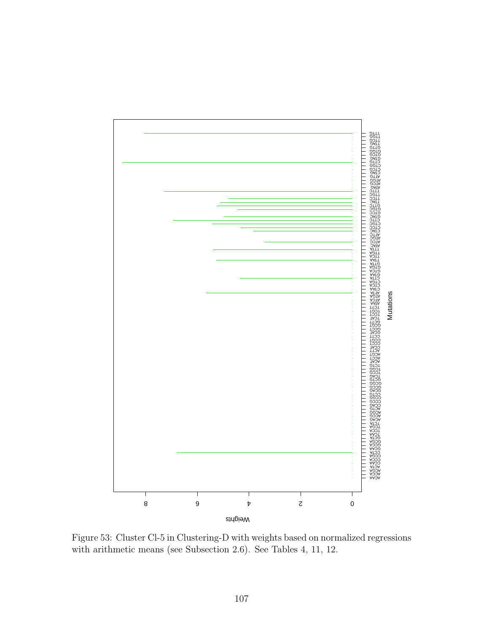

Figure 53: Cluster Cl-5 in Clustering-D with weights based on normalized regressions with arithmetic means (see Subsection 2.6). See Tables 4, 11, 12.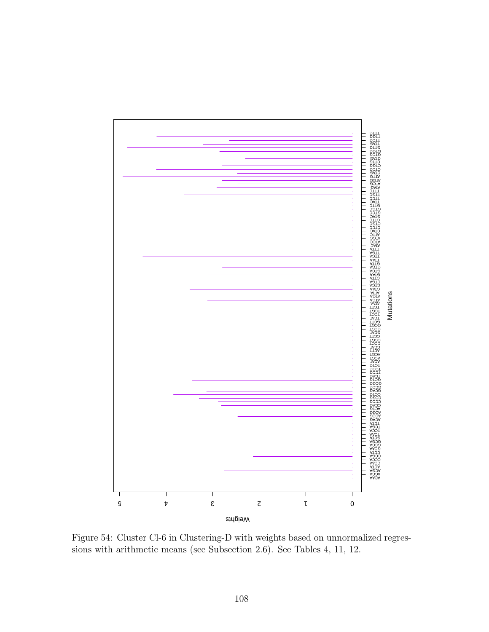

Figure 54: Cluster Cl-6 in Clustering-D with weights based on unnormalized regressions with arithmetic means (see Subsection 2.6). See Tables 4, 11, 12.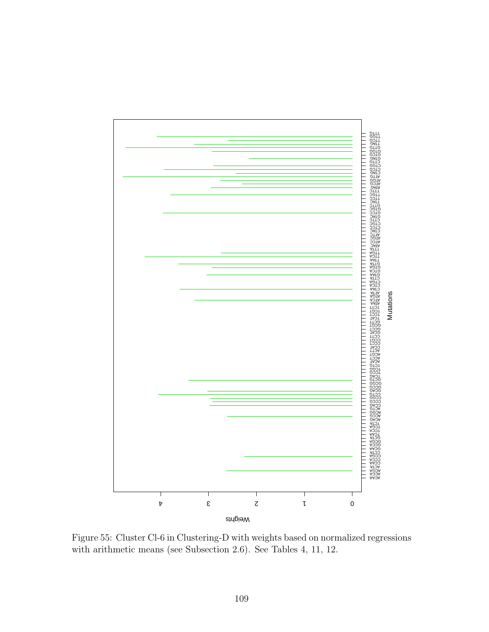

Figure 55: Cluster Cl-6 in Clustering-D with weights based on normalized regressions with arithmetic means (see Subsection 2.6). See Tables 4, 11, 12.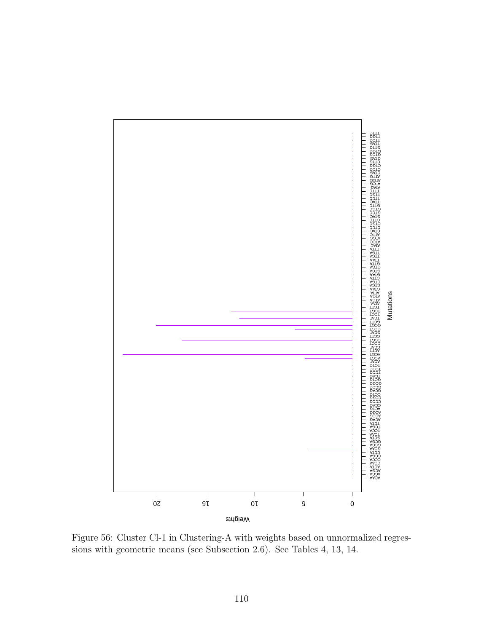

Figure 56: Cluster Cl-1 in Clustering-A with weights based on unnormalized regressions with geometric means (see Subsection 2.6). See Tables 4, 13, 14.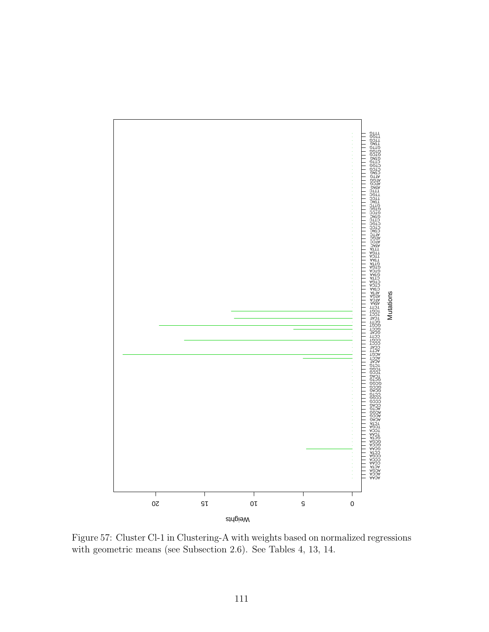

Figure 57: Cluster Cl-1 in Clustering-A with weights based on normalized regressions with geometric means (see Subsection 2.6). See Tables 4, 13, 14.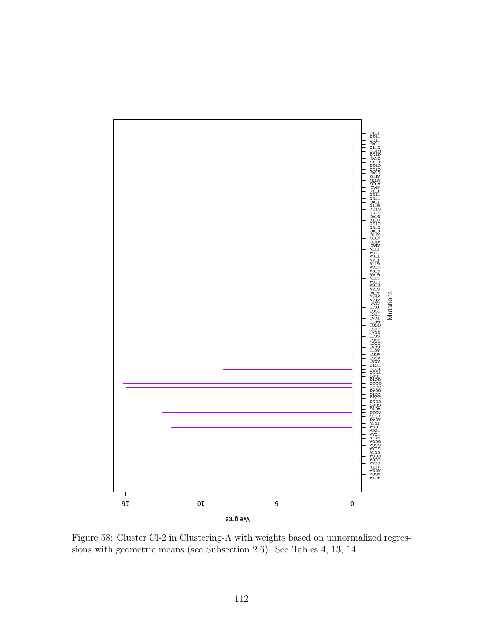

Figure 58: Cluster Cl-2 in Clustering-A with weights based on unnormalized regressions with geometric means (see Subsection 2.6). See Tables 4, 13, 14.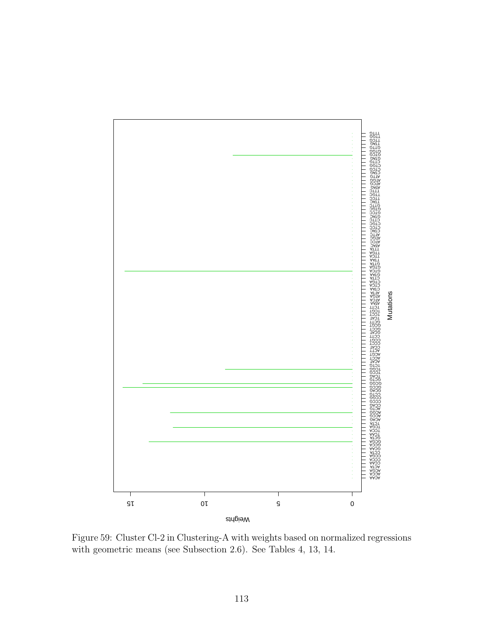

Figure 59: Cluster Cl-2 in Clustering-A with weights based on normalized regressions with geometric means (see Subsection 2.6). See Tables 4, 13, 14.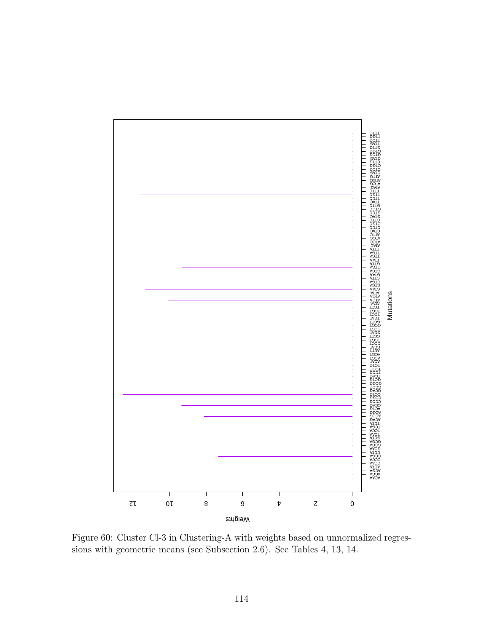

Figure 60: Cluster Cl-3 in Clustering-A with weights based on unnormalized regressions with geometric means (see Subsection 2.6). See Tables 4, 13, 14.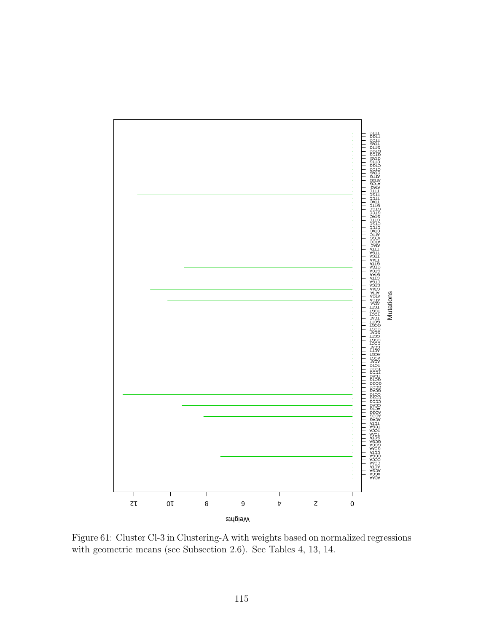

Figure 61: Cluster Cl-3 in Clustering-A with weights based on normalized regressions with geometric means (see Subsection 2.6). See Tables 4, 13, 14.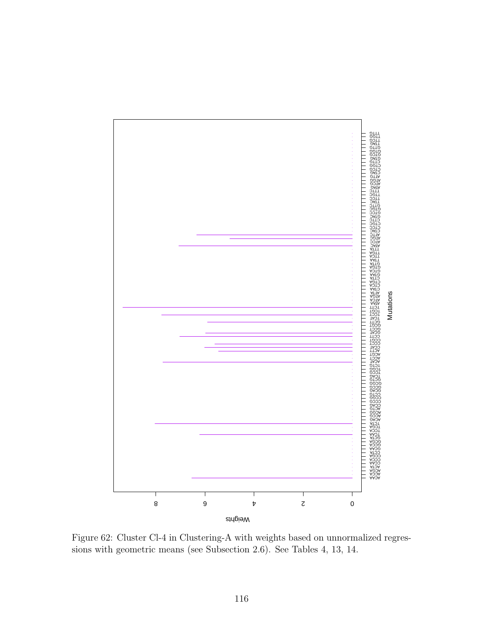

Figure 62: Cluster Cl-4 in Clustering-A with weights based on unnormalized regressions with geometric means (see Subsection 2.6). See Tables 4, 13, 14.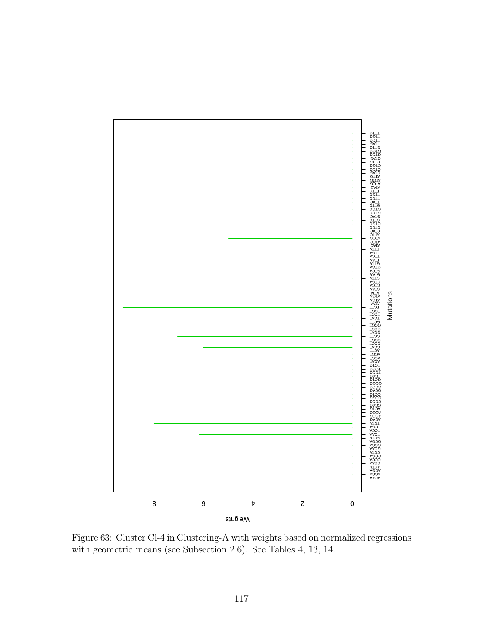

Figure 63: Cluster Cl-4 in Clustering-A with weights based on normalized regressions with geometric means (see Subsection 2.6). See Tables 4, 13, 14.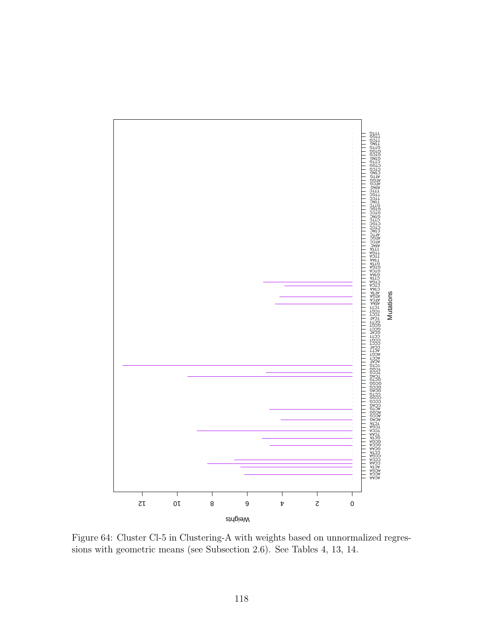

Figure 64: Cluster Cl-5 in Clustering-A with weights based on unnormalized regressions with geometric means (see Subsection 2.6). See Tables 4, 13, 14.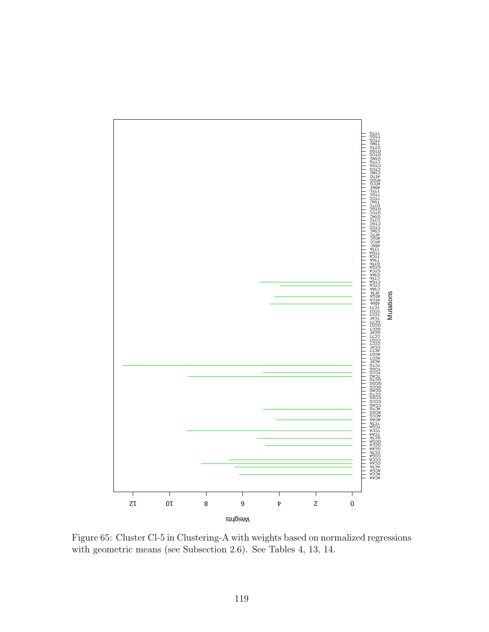

Figure 65: Cluster Cl-5 in Clustering-A with weights based on normalized regressions with geometric means (see Subsection 2.6). See Tables 4, 13, 14.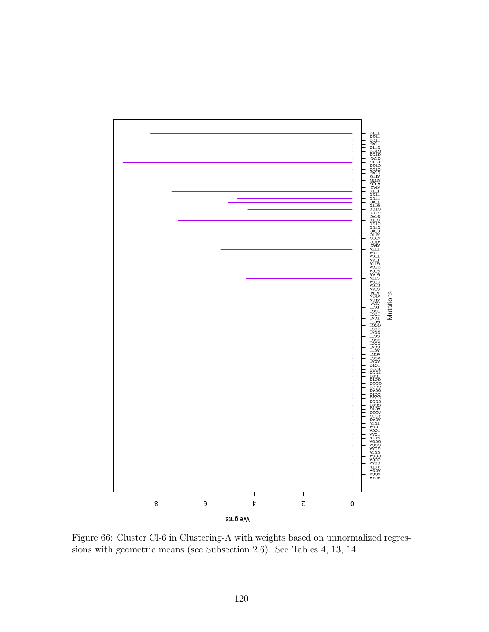

Figure 66: Cluster Cl-6 in Clustering-A with weights based on unnormalized regressions with geometric means (see Subsection 2.6). See Tables 4, 13, 14.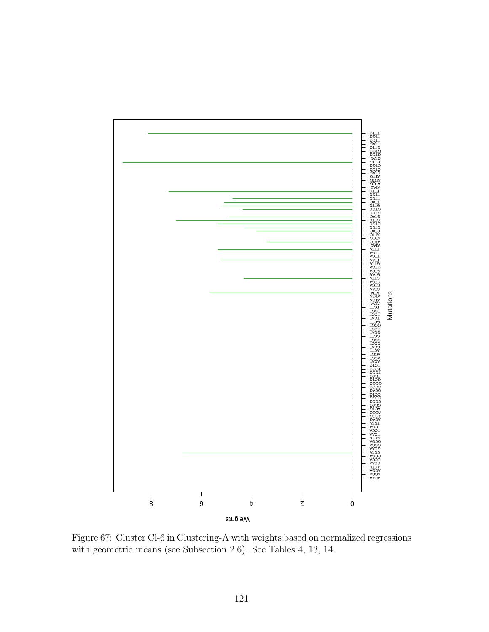

Figure 67: Cluster Cl-6 in Clustering-A with weights based on normalized regressions with geometric means (see Subsection 2.6). See Tables 4, 13, 14.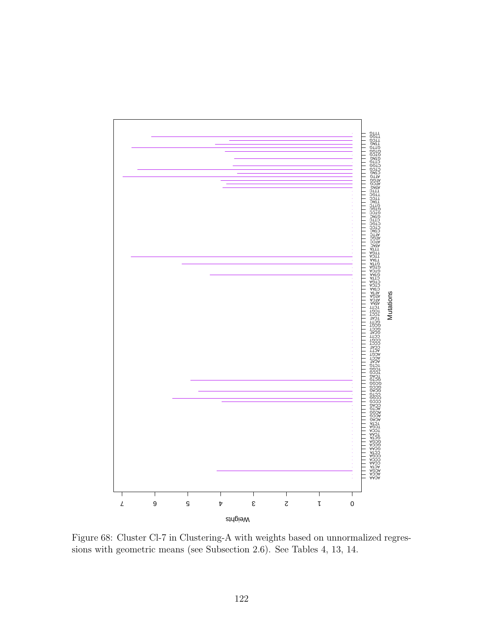

Figure 68: Cluster Cl-7 in Clustering-A with weights based on unnormalized regressions with geometric means (see Subsection 2.6). See Tables 4, 13, 14.